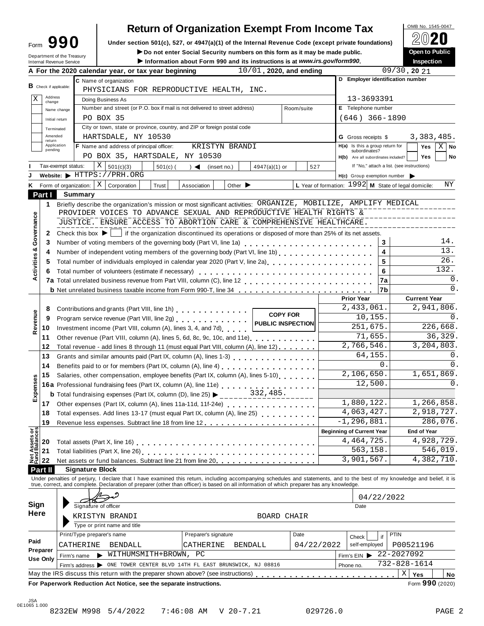| ∙orm | 990 |  |
|------|-----|--|
|      |     |  |

## Return of Organization Exempt From Income Tax  $\left[\begin{array}{cc} \circ_{\text{MB No. 1545-0047}} \\ \circ_{\text{AD}} \bullet \end{array}\right]$

| Form                   |                                                        |                                                                                                 | Under section 501(c), 527, or 4947(a)(1) of the Internal Revenue Code (except private foundations)                                                                                                                               |                            |                                                               | 20                                         |
|------------------------|--------------------------------------------------------|-------------------------------------------------------------------------------------------------|----------------------------------------------------------------------------------------------------------------------------------------------------------------------------------------------------------------------------------|----------------------------|---------------------------------------------------------------|--------------------------------------------|
|                        |                                                        |                                                                                                 | Do not enter Social Security numbers on this form as it may be made public.                                                                                                                                                      |                            |                                                               | Open to Public                             |
|                        | Department of the Treasury<br>Internal Revenue Service |                                                                                                 | Information about Form 990 and its instructions is at www.irs.gov/form990.                                                                                                                                                       |                            |                                                               | <b>Inspection</b>                          |
|                        |                                                        | A For the 2020 calendar year, or tax year beginning                                             |                                                                                                                                                                                                                                  | $10/01$ , 2020, and ending |                                                               | $09/30$ , 20 $21$                          |
| B Check if applicable: |                                                        | C Name of organization                                                                          |                                                                                                                                                                                                                                  |                            |                                                               | D Employer identification number           |
| Address                |                                                        |                                                                                                 | PHYSICIANS FOR REPRODUCTIVE HEALTH, INC.                                                                                                                                                                                         |                            |                                                               |                                            |
| Χ<br>change            |                                                        | Doing Business As                                                                               |                                                                                                                                                                                                                                  |                            | 13-3693391                                                    |                                            |
|                        | Name change                                            | Number and street (or P.O. box if mail is not delivered to street address)                      |                                                                                                                                                                                                                                  | Room/suite                 | E Telephone number                                            |                                            |
|                        | Initial return                                         | PO BOX 35                                                                                       |                                                                                                                                                                                                                                  |                            | $(646)$ 366-1890                                              |                                            |
| Amended                | Terminated                                             | City or town, state or province, country, and ZIP or foreign postal code<br>HARTSDALE, NY 10530 |                                                                                                                                                                                                                                  |                            |                                                               | 3,383,485.                                 |
| return                 | Application                                            | F Name and address of principal officer:                                                        | KRISTYN BRANDI                                                                                                                                                                                                                   |                            | <b>G</b> Gross receipts \$<br>H(a) Is this a group return for | X<br>Yes<br><b>No</b>                      |
| pending                |                                                        | PO BOX 35, HARTSDALE, NY 10530                                                                  |                                                                                                                                                                                                                                  |                            | subordinates?<br>H(b) Are all subordinates included?          | Yes<br>No                                  |
|                        | Tax-exempt status:                                     | X   501(c)(3)<br>$501(c)$ (                                                                     | $\rightarrow$ $\blacktriangleleft$<br>(insert no.)                                                                                                                                                                               | 527<br>4947(a)(1) or       |                                                               | If "No," attach a list. (see instructions) |
|                        |                                                        | Website: $\blacktriangleright$ HTTPS://PRH.ORG                                                  |                                                                                                                                                                                                                                  |                            | $H(c)$ Group exemption number                                 |                                            |
|                        | Form of organization:                                  | ΧI<br>Corporation<br>Trust                                                                      | Association<br>Other $\blacktriangleright$                                                                                                                                                                                       |                            | L Year of formation: $1992$ M State of legal domicile:        | ΝY                                         |
| Part I                 | <b>Summary</b>                                         |                                                                                                 |                                                                                                                                                                                                                                  |                            |                                                               |                                            |
| 1.                     |                                                        |                                                                                                 | Briefly describe the organization's mission or most significant activities: ORGANIZE, MOBILIZE, AMPLIFY MEDICAL                                                                                                                  |                            |                                                               |                                            |
|                        |                                                        |                                                                                                 | PROVIDER VOICES TO ADVANCE SEXUAL AND REPRODUCTIVE HEALTH RIGHTS &                                                                                                                                                               |                            |                                                               |                                            |
|                        |                                                        |                                                                                                 | JUSTICE. ENSURE ACCESS TO ABORTION CARE & COMPREHENSIVE HEALTHCARE.                                                                                                                                                              |                            |                                                               |                                            |
| 2                      |                                                        |                                                                                                 | Check this box $\blacktriangleright$   if the organization discontinued its operations or disposed of more than 25% of its net assets.                                                                                           |                            |                                                               |                                            |
| 3                      |                                                        |                                                                                                 |                                                                                                                                                                                                                                  |                            |                                                               | 14.<br>3                                   |
| 4                      |                                                        |                                                                                                 |                                                                                                                                                                                                                                  |                            |                                                               | 13.<br>4                                   |
| 5                      |                                                        |                                                                                                 | Total number of individuals employed in calendar year 2020 (Part V, line 2a)<br>The 2a)                                                                                                                                          |                            |                                                               | 26.<br>5                                   |
| 6                      |                                                        | Total number of volunteers (estimate if necessary)                                              |                                                                                                                                                                                                                                  |                            |                                                               | 132.<br>6                                  |
|                        |                                                        |                                                                                                 |                                                                                                                                                                                                                                  |                            |                                                               | $\mathbf 0$ .<br>7a                        |
|                        |                                                        |                                                                                                 |                                                                                                                                                                                                                                  |                            |                                                               | $\Omega$ .<br>7b                           |
|                        |                                                        |                                                                                                 |                                                                                                                                                                                                                                  |                            | <b>Prior Year</b>                                             | <b>Current Year</b>                        |
| 8                      |                                                        | Contributions and grants (Part VIII, line 1h)<br>1998 - Part VIII, 2008                         |                                                                                                                                                                                                                                  | <b>COPY FOR</b>            | 2,433,061.                                                    | 2,941,806.                                 |
| 9                      |                                                        |                                                                                                 |                                                                                                                                                                                                                                  |                            | 10,155.                                                       | $\Omega$ .                                 |
| 10                     |                                                        | Investment income (Part VIII, column (A), lines 3, 4, and 7d)                                   |                                                                                                                                                                                                                                  |                            | 251,675.                                                      | 226,668.<br>36,329.                        |
| 11                     |                                                        |                                                                                                 | Other revenue (Part VIII, column (A), lines 5, 6d, 8c, 9c, 10c, and 11e)                                                                                                                                                         |                            | 71,655.<br>2,766,546.                                         | 3,204,803.                                 |
| 12<br>13               |                                                        |                                                                                                 | Total revenue - add lines 8 through 11 (must equal Part VIII, column (A), line 12)<br>Grants and similar amounts paid (Part IX, column (A), lines 1-3)<br><sub>1111</sub> , $\cdots$ , $\cdots$ , $\cdots$ , $\cdots$ , $\cdots$ |                            | 64,155.                                                       | 0.                                         |
| 14                     |                                                        |                                                                                                 | Benefits paid to or for members (Part IX, column (A), line 4)                                                                                                                                                                    |                            |                                                               | 0.<br>$\overline{0}$ .                     |
| 15                     |                                                        |                                                                                                 | Salaries, other compensation, employee benefits (Part IX, column (A), lines 5-10)                                                                                                                                                |                            | 2,106,650.                                                    | 1,651,869.                                 |
|                        |                                                        | 16a Professional fundraising fees (Part IX, column (A), line 11e)                               |                                                                                                                                                                                                                                  |                            | 12,500.                                                       | $\Omega$ .                                 |
|                        |                                                        |                                                                                                 | <b>b</b> Total fundraising expenses (Part IX, column (D), line 25) $\triangleright$ _________332, 485.                                                                                                                           |                            |                                                               |                                            |
| 17                     |                                                        |                                                                                                 |                                                                                                                                                                                                                                  |                            | 1,880,122.                                                    | 1,266,858.                                 |
| 18                     |                                                        |                                                                                                 | Total expenses. Add lines 13-17 (must equal Part IX, column (A), line 25)                                                                                                                                                        |                            | 4,063,427.                                                    | 2,918,727.                                 |
| 19                     |                                                        |                                                                                                 |                                                                                                                                                                                                                                  |                            | $-1, 296, 881.$                                               | 286,076.                                   |
|                        |                                                        |                                                                                                 |                                                                                                                                                                                                                                  |                            | <b>Beginning of Current Year</b>                              | <b>End of Year</b>                         |
| 20                     |                                                        |                                                                                                 |                                                                                                                                                                                                                                  |                            | 4, 464, 725.                                                  | 4,928,729.                                 |
| 21                     |                                                        |                                                                                                 |                                                                                                                                                                                                                                  |                            | 563,158.                                                      | 546,019.                                   |
| 22                     |                                                        |                                                                                                 | Net assets or fund balances. Subtract line 21 from line 20.                                                                                                                                                                      |                            | 3,901,567.                                                    | 4,382,710.                                 |
| Part II                | <b>Signature Block</b>                                 |                                                                                                 |                                                                                                                                                                                                                                  |                            |                                                               |                                            |
|                        |                                                        |                                                                                                 | Under penalties of perjury, I declare that I have examined this return, including accompanying schedules and statements, and to the best of my knowledge and belief, it is true, correct, and complete. Declaration of prepare   |                            |                                                               |                                            |
|                        |                                                        |                                                                                                 |                                                                                                                                                                                                                                  |                            |                                                               |                                            |
| Sign                   |                                                        |                                                                                                 |                                                                                                                                                                                                                                  |                            |                                                               | 04/22/2022                                 |
| Here                   |                                                        | Signature of officer                                                                            |                                                                                                                                                                                                                                  |                            | Date                                                          |                                            |
|                        |                                                        | KRISTYN BRANDI                                                                                  |                                                                                                                                                                                                                                  | <b>BOARD CHAIR</b>         |                                                               |                                            |
|                        | Print/Type preparer's name                             | Type or print name and title                                                                    | Preparer's signature                                                                                                                                                                                                             | Date                       |                                                               | <b>PTIN</b>                                |
|                        |                                                        |                                                                                                 |                                                                                                                                                                                                                                  |                            | Check<br>self-employed                                        |                                            |
| Paid                   | CATHERINE                                              | <b>BENDALL</b>                                                                                  | <b>BENDALL</b><br>CATHERINE                                                                                                                                                                                                      | 04/22/2022                 |                                                               | P00521196<br>22-2027092                    |
| Preparer               |                                                        |                                                                                                 |                                                                                                                                                                                                                                  |                            |                                                               |                                            |
| Use Only               | Firm's name                                            | WITHUMSMITH+BROWN, PC                                                                           | Firm's address > ONE TOWER CENTER BLVD 14TH FL EAST BRUNSWICK, NJ 08816                                                                                                                                                          |                            | Firm's EIN<br>Phone no.                                       | 732-828-1614                               |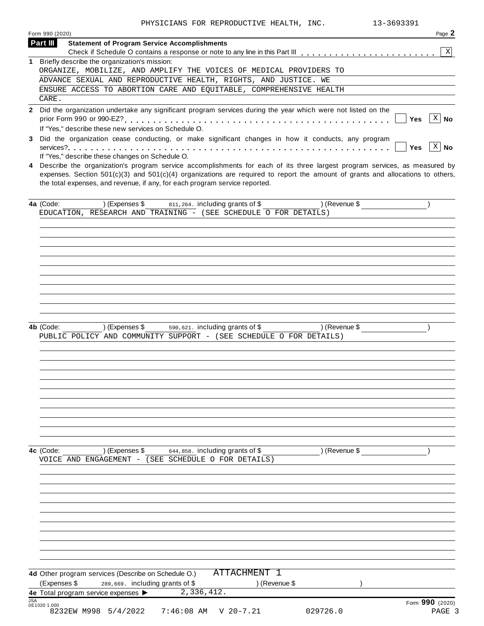|            | Form 990 (2020)                                                                                                                                                                                                   | Page 2                 |
|------------|-------------------------------------------------------------------------------------------------------------------------------------------------------------------------------------------------------------------|------------------------|
|            | Part III<br><b>Statement of Program Service Accomplishments</b>                                                                                                                                                   | X                      |
|            | 1 Briefly describe the organization's mission:                                                                                                                                                                    |                        |
|            | ORGANIZE, MOBILIZE, AND AMPLIFY THE VOICES OF MEDICAL PROVIDERS TO                                                                                                                                                |                        |
|            | ADVANCE SEXUAL AND REPRODUCTIVE HEALTH, RIGHTS, AND JUSTICE. WE                                                                                                                                                   |                        |
|            | ENSURE ACCESS TO ABORTION CARE AND EQUITABLE, COMPREHENSIVE HEALTH                                                                                                                                                |                        |
|            | CARE.                                                                                                                                                                                                             |                        |
|            | 2 Did the organization undertake any significant program services during the year which were not listed on the<br>prior Form 990 or 990-EZ?<br>.<br>If "Yes," describe these new services on Schedule O.          | $ X $ No<br>Yes        |
| 3          | Did the organization cease conducting, or make significant changes in how it conducts, any program                                                                                                                | $ X $ No<br><b>Yes</b> |
| 4          | If "Yes," describe these changes on Schedule O.<br>Describe the organization's program service accomplishments for each of its three largest program services, as measured by                                     |                        |
|            | expenses. Section $501(c)(3)$ and $501(c)(4)$ organizations are required to report the amount of grants and allocations to others,<br>the total expenses, and revenue, if any, for each program service reported. |                        |
|            | 811, 264. including grants of \$<br>) (Revenue \$<br>4a (Code:<br>) (Expenses \$                                                                                                                                  |                        |
|            | EDUCATION, RESEARCH AND TRAINING - (SEE SCHEDULE O FOR DETAILS)                                                                                                                                                   |                        |
|            |                                                                                                                                                                                                                   |                        |
|            |                                                                                                                                                                                                                   |                        |
|            |                                                                                                                                                                                                                   |                        |
|            |                                                                                                                                                                                                                   |                        |
|            |                                                                                                                                                                                                                   |                        |
|            |                                                                                                                                                                                                                   |                        |
|            |                                                                                                                                                                                                                   |                        |
|            |                                                                                                                                                                                                                   |                        |
|            |                                                                                                                                                                                                                   |                        |
|            | 590, 621. including grants of \$<br>4b (Code:<br>) (Expenses \$<br>) (Revenue \$                                                                                                                                  |                        |
|            | PUBLIC POLICY AND COMMUNITY SUPPORT - (SEE SCHEDULE O FOR DETAILS)                                                                                                                                                |                        |
|            |                                                                                                                                                                                                                   |                        |
|            |                                                                                                                                                                                                                   |                        |
|            |                                                                                                                                                                                                                   |                        |
|            |                                                                                                                                                                                                                   |                        |
|            |                                                                                                                                                                                                                   |                        |
|            |                                                                                                                                                                                                                   |                        |
|            |                                                                                                                                                                                                                   |                        |
|            |                                                                                                                                                                                                                   |                        |
|            |                                                                                                                                                                                                                   |                        |
|            | 4c (Code:<br>) (Expenses \$<br>644,858. including grants of \$<br>) (Revenue \$                                                                                                                                   |                        |
|            | VOICE AND ENGAGEMENT - (SEE SCHEDULE O FOR DETAILS)                                                                                                                                                               |                        |
|            |                                                                                                                                                                                                                   |                        |
|            |                                                                                                                                                                                                                   |                        |
|            |                                                                                                                                                                                                                   |                        |
|            |                                                                                                                                                                                                                   |                        |
|            |                                                                                                                                                                                                                   |                        |
|            |                                                                                                                                                                                                                   |                        |
|            |                                                                                                                                                                                                                   |                        |
|            |                                                                                                                                                                                                                   |                        |
|            |                                                                                                                                                                                                                   |                        |
|            | ATTACHMENT 1<br>4d Other program services (Describe on Schedule O.)                                                                                                                                               |                        |
|            | (Expenses \$<br>289,669. including grants of \$<br>) (Revenue \$                                                                                                                                                  |                        |
| <b>JSA</b> | 2,336,412.<br>4e Total program service expenses >                                                                                                                                                                 |                        |
|            | 0E1020 1.000                                                                                                                                                                                                      | Form 990 (2020)        |
|            | 8232EW M998 5/4/2022<br>029726.0<br>$7:46:08$ AM<br>$V$ 20-7.21                                                                                                                                                   | PAGE 3                 |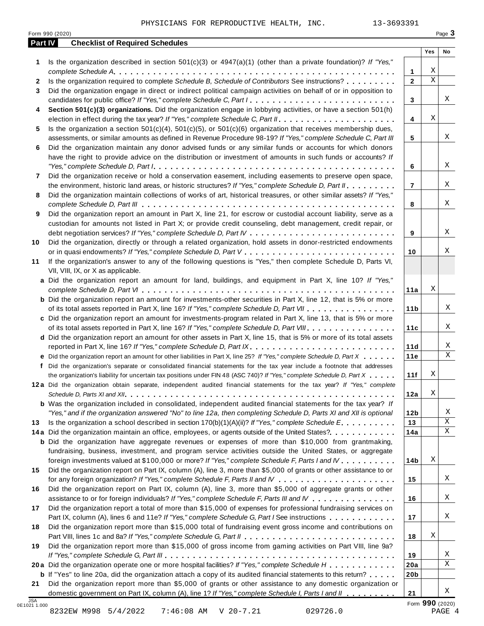| Part IV      | <b>Checklist of Required Schedules</b>                                                                                  |                 |             |    |
|--------------|-------------------------------------------------------------------------------------------------------------------------|-----------------|-------------|----|
|              |                                                                                                                         |                 | Yes         | No |
| 1            | Is the organization described in section $501(c)(3)$ or $4947(a)(1)$ (other than a private foundation)? If "Yes,"       |                 |             |    |
|              |                                                                                                                         | 1               | Χ           |    |
| $\mathbf{2}$ | Is the organization required to complete Schedule B, Schedule of Contributors See instructions?                         | $\mathbf{2}$    | $\mathbf X$ |    |
| 3            | Did the organization engage in direct or indirect political campaign activities on behalf of or in opposition to        |                 |             |    |
|              | candidates for public office? If "Yes," complete Schedule C, Part I.                                                    | 3               |             | Χ  |
| 4            | Section 501(c)(3) organizations. Did the organization engage in lobbying activities, or have a section 501(h)           |                 |             |    |
|              |                                                                                                                         | 4               | Χ           |    |
| 5            | Is the organization a section $501(c)(4)$ , $501(c)(5)$ , or $501(c)(6)$ organization that receives membership dues,    |                 |             | Χ  |
|              | assessments, or similar amounts as defined in Revenue Procedure 98-19? If "Yes," complete Schedule C, Part III          | 5               |             |    |
| 6            | Did the organization maintain any donor advised funds or any similar funds or accounts for which donors                 |                 |             |    |
|              | have the right to provide advice on the distribution or investment of amounts in such funds or accounts? If             |                 |             | X  |
|              |                                                                                                                         | 6               |             |    |
| 7            | Did the organization receive or hold a conservation easement, including easements to preserve open space,               |                 |             | Χ  |
|              | the environment, historic land areas, or historic structures? If "Yes," complete Schedule D, Part II.                   | $\overline{7}$  |             |    |
| 8            | Did the organization maintain collections of works of art, historical treasures, or other similar assets? If "Yes,"     |                 |             | Χ  |
|              | Did the organization report an amount in Part X, line 21, for escrow or custodial account liability, serve as a         | 8               |             |    |
| 9            | custodian for amounts not listed in Part X; or provide credit counseling, debt management, credit repair, or            |                 |             |    |
|              |                                                                                                                         | 9               |             | X  |
| 10           | Did the organization, directly or through a related organization, hold assets in donor-restricted endowments            |                 |             |    |
|              |                                                                                                                         | 10              |             | Χ  |
| 11           | If the organization's answer to any of the following questions is "Yes," then complete Schedule D, Parts VI,            |                 |             |    |
|              | VII, VIII, IX, or X as applicable.                                                                                      |                 |             |    |
|              | a Did the organization report an amount for land, buildings, and equipment in Part X, line 10? If "Yes,"                |                 |             |    |
|              |                                                                                                                         | 11a             | Χ           |    |
|              | <b>b</b> Did the organization report an amount for investments-other securities in Part X, line 12, that is 5% or more  |                 |             |    |
|              | of its total assets reported in Part X, line 16? If "Yes," complete Schedule D, Part VII                                | 11 <sub>b</sub> |             | Χ  |
|              | c Did the organization report an amount for investments-program related in Part X, line 13, that is 5% or more          |                 |             |    |
|              | of its total assets reported in Part X, line 16? If "Yes," complete Schedule D, Part VIII                               | 11c             |             | Χ  |
|              | d Did the organization report an amount for other assets in Part X, line 15, that is 5% or more of its total assets     |                 |             |    |
|              | reported in Part X, line 16? If "Yes," complete Schedule D, Part IX.                                                    | 11d             |             | Χ  |
|              | e Did the organization report an amount for other liabilities in Part X, line 25? If "Yes," complete Schedule D, Part X | 11e             |             | X  |
| f            | Did the organization's separate or consolidated financial statements for the tax year include a footnote that addresses |                 |             |    |
|              | the organization's liability for uncertain tax positions under FIN 48 (ASC 740)? If "Yes," complete Schedule D, Part X  | 11f             | Χ           |    |
|              | 12a Did the organization obtain separate, independent audited financial statements for the tax year? If "Yes," complete |                 |             |    |
|              |                                                                                                                         | 12a             | Χ           |    |
|              | <b>b</b> Was the organization included in consolidated, independent audited financial statements for the tax year? If   |                 |             |    |
|              | "Yes," and if the organization answered "No" to line 12a, then completing Schedule D, Parts XI and XII is optional      | 12 <sub>b</sub> |             | Χ  |
| 13           | Is the organization a school described in section $170(b)(1)(A)(ii)$ ? If "Yes," complete Schedule E.                   | 13              |             | Χ  |
|              | 14a Did the organization maintain an office, employees, or agents outside of the United States?.                        | 14a             |             | X  |
|              | <b>b</b> Did the organization have aggregate revenues or expenses of more than \$10,000 from grantmaking,               |                 |             |    |
|              | fundraising, business, investment, and program service activities outside the United States, or aggregate               |                 |             |    |
|              | foreign investments valued at \$100,000 or more? If "Yes," complete Schedule F, Parts I and IV                          | 14b             | Χ           |    |
| 15           | Did the organization report on Part IX, column (A), line 3, more than \$5,000 of grants or other assistance to or       |                 |             |    |
|              |                                                                                                                         | 15              |             | Χ  |
| 16           | Did the organization report on Part IX, column (A), line 3, more than \$5,000 of aggregate grants or other              |                 |             |    |
|              | assistance to or for foreign individuals? If "Yes," complete Schedule F, Parts III and IV                               | 16              |             | Χ  |
| 17           | Did the organization report a total of more than \$15,000 of expenses for professional fundraising services on          |                 |             |    |
|              | Part IX, column (A), lines 6 and 11e? If "Yes," complete Schedule G, Part I See instructions                            | 17              |             | Χ  |
| 18           | Did the organization report more than \$15,000 total of fundraising event gross income and contributions on             |                 |             |    |
|              |                                                                                                                         | 18              | Χ           |    |
| 19           | Did the organization report more than \$15,000 of gross income from gaming activities on Part VIII, line 9a?            |                 |             |    |
|              |                                                                                                                         | 19              |             | Χ  |
|              | 20a Did the organization operate one or more hospital facilities? If "Yes," complete Schedule H                         | 20a             |             | X  |
|              | <b>b</b> If "Yes" to line 20a, did the organization attach a copy of its audited financial statements to this return?   | 20 <sub>b</sub> |             |    |
| 21           | Did the organization report more than \$5,000 of grants or other assistance to any domestic organization or             |                 |             |    |
|              |                                                                                                                         |                 |             | X  |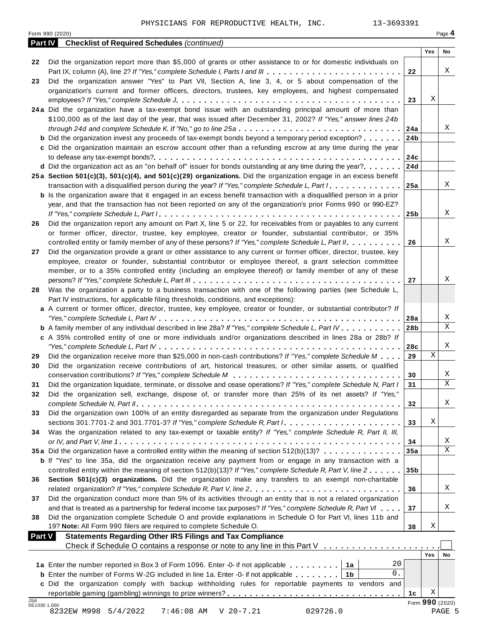| Did the organization report more than \$5,000 of grants or other assistance to or for domestic individuals on<br>22<br>Χ<br>Part IX, column (A), line 2? If "Yes," complete Schedule I, Parts I and III<br>22<br>Did the organization answer "Yes" to Part VII, Section A, line 3, 4, or 5 about compensation of the<br>23<br>organization's current and former officers, directors, trustees, key employees, and highest compensated<br>Χ<br>23<br>24a Did the organization have a tax-exempt bond issue with an outstanding principal amount of more than<br>\$100,000 as of the last day of the year, that was issued after December 31, 2002? If "Yes," answer lines 24b<br>Χ<br>through 24d and complete Schedule K. If "No," go to line 25a<br>24a<br><b>b</b> Did the organization invest any proceeds of tax-exempt bonds beyond a temporary period exception?<br>24 <sub>b</sub><br>c Did the organization maintain an escrow account other than a refunding escrow at any time during the year<br>24c<br><b>d</b> Did the organization act as an "on behalf of" issuer for bonds outstanding at any time during the year?<br>24d<br>25a Section 501(c)(3), 501(c)(4), and 501(c)(29) organizations. Did the organization engage in an excess benefit<br>Χ<br>transaction with a disqualified person during the year? If "Yes," complete Schedule L, Part I.<br>25a<br><b>b</b> Is the organization aware that it engaged in an excess benefit transaction with a disqualified person in a prior<br>year, and that the transaction has not been reported on any of the organization's prior Forms 990 or 990-EZ?<br>Χ<br>25 <sub>b</sub><br>Did the organization report any amount on Part X, line 5 or 22, for receivables from or payables to any current<br>26<br>or former officer, director, trustee, key employee, creator or founder, substantial contributor, or 35%<br>Χ<br>controlled entity or family member of any of these persons? If "Yes," complete Schedule L, Part II.<br>26<br>Did the organization provide a grant or other assistance to any current or former officer, director, trustee, key<br>27<br>employee, creator or founder, substantial contributor or employee thereof, a grant selection committee<br>member, or to a 35% controlled entity (including an employee thereof) or family member of any of these<br>Χ<br>27<br>Was the organization a party to a business transaction with one of the following parties (see Schedule L,<br>28<br>Part IV instructions, for applicable filing thresholds, conditions, and exceptions):<br>a A current or former officer, director, trustee, key employee, creator or founder, or substantial contributor? If<br>Χ<br>28a<br>X<br><b>b</b> A family member of any individual described in line 28a? If "Yes," complete Schedule L, Part IV.<br>28 <sub>b</sub><br>c A 35% controlled entity of one or more individuals and/or organizations described in lines 28a or 28b? If<br>Χ<br>28c<br>X<br>Did the organization receive more than \$25,000 in non-cash contributions? If "Yes," complete Schedule M<br>29<br>29<br>Did the organization receive contributions of art, historical treasures, or other similar assets, or qualified<br>30<br>X<br>30<br>X<br>Did the organization liquidate, terminate, or dissolve and cease operations? If "Yes," complete Schedule N, Part I<br>31<br>31<br>Did the organization sell, exchange, dispose of, or transfer more than 25% of its net assets? If "Yes,"<br>32<br>Χ<br>32<br>Did the organization own 100% of an entity disregarded as separate from the organization under Regulations<br>33<br>Χ<br>sections 301.7701-2 and 301.7701-3? If "Yes," complete Schedule R, Part /<br>33<br>Was the organization related to any tax-exempt or taxable entity? If "Yes," complete Schedule R, Part II, III,<br>34<br>Χ<br>34<br>X<br>35a Did the organization have a controlled entity within the meaning of section $512(b)(13)? \ldots \ldots \ldots \ldots$<br>35a<br><b>b</b> If "Yes" to line 35a, did the organization receive any payment from or engage in any transaction with a<br>controlled entity within the meaning of section 512(b)(13)? If "Yes," complete Schedule R, Part V, line 2<br>35 <sub>b</sub><br>Section 501(c)(3) organizations. Did the organization make any transfers to an exempt non-charitable<br>36<br>Χ<br>related organization? If "Yes," complete Schedule R, Part V, line 2.<br>36<br>Did the organization conduct more than 5% of its activities through an entity that is not a related organization<br>37<br>Χ<br>and that is treated as a partnership for federal income tax purposes? If "Yes," complete Schedule R, Part VI<br>37<br>Did the organization complete Schedule O and provide explanations in Schedule O for Part VI, lines 11b and<br>38<br>19? Note: All Form 990 filers are required to complete Schedule O.<br>Χ<br>38<br><b>Statements Regarding Other IRS Filings and Tax Compliance</b><br><b>Part V</b><br>Check if Schedule O contains a response or note to any line in this Part V<br>Yes<br>No<br>20<br>1a Enter the number reported in Box 3 of Form 1096. Enter -0- if not applicable   1a<br>0.<br><b>b</b> Enter the number of Forms W-2G included in line 1a. Enter -0- if not applicable $\ldots \ldots$ ,<br>c Did the organization comply with backup withholding rules for reportable payments to vendors and<br>Χ<br>1c<br>Form 990 (2020)<br>0E1030 1.000<br>8232EW M998 5/4/2022<br>$7:46:08$ AM<br>$V$ 20-7.21<br>029726.0<br>PAGE 5 |     | <b>Checklist of Required Schedules (continued)</b><br><b>Part IV</b> |     |    |
|-------------------------------------------------------------------------------------------------------------------------------------------------------------------------------------------------------------------------------------------------------------------------------------------------------------------------------------------------------------------------------------------------------------------------------------------------------------------------------------------------------------------------------------------------------------------------------------------------------------------------------------------------------------------------------------------------------------------------------------------------------------------------------------------------------------------------------------------------------------------------------------------------------------------------------------------------------------------------------------------------------------------------------------------------------------------------------------------------------------------------------------------------------------------------------------------------------------------------------------------------------------------------------------------------------------------------------------------------------------------------------------------------------------------------------------------------------------------------------------------------------------------------------------------------------------------------------------------------------------------------------------------------------------------------------------------------------------------------------------------------------------------------------------------------------------------------------------------------------------------------------------------------------------------------------------------------------------------------------------------------------------------------------------------------------------------------------------------------------------------------------------------------------------------------------------------------------------------------------------------------------------------------------------------------------------------------------------------------------------------------------------------------------------------------------------------------------------------------------------------------------------------------------------------------------------------------------------------------------------------------------------------------------------------------------------------------------------------------------------------------------------------------------------------------------------------------------------------------------------------------------------------------------------------------------------------------------------------------------------------------------------------------------------------------------------------------------------------------------------------------------------------------------------------------------------------------------------------------------------------------------------------------------------------------------------------------------------------------------------------------------------------------------------------------------------------------------------------------------------------------------------------------------------------------------------------------------------------------------------------------------------------------------------------------------------------------------------------------------------------------------------------------------------------------------------------------------------------------------------------------------------------------------------------------------------------------------------------------------------------------------------------------------------------------------------------------------------------------------------------------------------------------------------------------------------------------------------------------------------------------------------------------------------------------------------------------------------------------------------------------------------------------------------------------------------------------------------------------------------------------------------------------------------------------------------------------------------------------------------------------------------------------------------------------------------------------------------------------------------------------------------------------------------------------------------------------------------------------------------------------------------------------------------------------------------------------------------------------------------------------------------------------------------------------------------------------------------------------------------------------------------------------------------------------------------------------------------------------------------------------------------------------------------------------------------------------------------------------------------------------------------------------------------------------------------------------------------------------------------------------------------------------------------------------------------|-----|----------------------------------------------------------------------|-----|----|
|                                                                                                                                                                                                                                                                                                                                                                                                                                                                                                                                                                                                                                                                                                                                                                                                                                                                                                                                                                                                                                                                                                                                                                                                                                                                                                                                                                                                                                                                                                                                                                                                                                                                                                                                                                                                                                                                                                                                                                                                                                                                                                                                                                                                                                                                                                                                                                                                                                                                                                                                                                                                                                                                                                                                                                                                                                                                                                                                                                                                                                                                                                                                                                                                                                                                                                                                                                                                                                                                                                                                                                                                                                                                                                                                                                                                                                                                                                                                                                                                                                                                                                                                                                                                                                                                                                                                                                                                                                                                                                                                                                                                                                                                                                                                                                                                                                                                                                                                                                                                                                                                                                                                                                                                                                                                                                                                                                                                                                                                                                                                                             |     |                                                                      | Yes | No |
|                                                                                                                                                                                                                                                                                                                                                                                                                                                                                                                                                                                                                                                                                                                                                                                                                                                                                                                                                                                                                                                                                                                                                                                                                                                                                                                                                                                                                                                                                                                                                                                                                                                                                                                                                                                                                                                                                                                                                                                                                                                                                                                                                                                                                                                                                                                                                                                                                                                                                                                                                                                                                                                                                                                                                                                                                                                                                                                                                                                                                                                                                                                                                                                                                                                                                                                                                                                                                                                                                                                                                                                                                                                                                                                                                                                                                                                                                                                                                                                                                                                                                                                                                                                                                                                                                                                                                                                                                                                                                                                                                                                                                                                                                                                                                                                                                                                                                                                                                                                                                                                                                                                                                                                                                                                                                                                                                                                                                                                                                                                                                             |     |                                                                      |     |    |
|                                                                                                                                                                                                                                                                                                                                                                                                                                                                                                                                                                                                                                                                                                                                                                                                                                                                                                                                                                                                                                                                                                                                                                                                                                                                                                                                                                                                                                                                                                                                                                                                                                                                                                                                                                                                                                                                                                                                                                                                                                                                                                                                                                                                                                                                                                                                                                                                                                                                                                                                                                                                                                                                                                                                                                                                                                                                                                                                                                                                                                                                                                                                                                                                                                                                                                                                                                                                                                                                                                                                                                                                                                                                                                                                                                                                                                                                                                                                                                                                                                                                                                                                                                                                                                                                                                                                                                                                                                                                                                                                                                                                                                                                                                                                                                                                                                                                                                                                                                                                                                                                                                                                                                                                                                                                                                                                                                                                                                                                                                                                                             |     |                                                                      |     |    |
|                                                                                                                                                                                                                                                                                                                                                                                                                                                                                                                                                                                                                                                                                                                                                                                                                                                                                                                                                                                                                                                                                                                                                                                                                                                                                                                                                                                                                                                                                                                                                                                                                                                                                                                                                                                                                                                                                                                                                                                                                                                                                                                                                                                                                                                                                                                                                                                                                                                                                                                                                                                                                                                                                                                                                                                                                                                                                                                                                                                                                                                                                                                                                                                                                                                                                                                                                                                                                                                                                                                                                                                                                                                                                                                                                                                                                                                                                                                                                                                                                                                                                                                                                                                                                                                                                                                                                                                                                                                                                                                                                                                                                                                                                                                                                                                                                                                                                                                                                                                                                                                                                                                                                                                                                                                                                                                                                                                                                                                                                                                                                             |     |                                                                      |     |    |
|                                                                                                                                                                                                                                                                                                                                                                                                                                                                                                                                                                                                                                                                                                                                                                                                                                                                                                                                                                                                                                                                                                                                                                                                                                                                                                                                                                                                                                                                                                                                                                                                                                                                                                                                                                                                                                                                                                                                                                                                                                                                                                                                                                                                                                                                                                                                                                                                                                                                                                                                                                                                                                                                                                                                                                                                                                                                                                                                                                                                                                                                                                                                                                                                                                                                                                                                                                                                                                                                                                                                                                                                                                                                                                                                                                                                                                                                                                                                                                                                                                                                                                                                                                                                                                                                                                                                                                                                                                                                                                                                                                                                                                                                                                                                                                                                                                                                                                                                                                                                                                                                                                                                                                                                                                                                                                                                                                                                                                                                                                                                                             |     |                                                                      |     |    |
|                                                                                                                                                                                                                                                                                                                                                                                                                                                                                                                                                                                                                                                                                                                                                                                                                                                                                                                                                                                                                                                                                                                                                                                                                                                                                                                                                                                                                                                                                                                                                                                                                                                                                                                                                                                                                                                                                                                                                                                                                                                                                                                                                                                                                                                                                                                                                                                                                                                                                                                                                                                                                                                                                                                                                                                                                                                                                                                                                                                                                                                                                                                                                                                                                                                                                                                                                                                                                                                                                                                                                                                                                                                                                                                                                                                                                                                                                                                                                                                                                                                                                                                                                                                                                                                                                                                                                                                                                                                                                                                                                                                                                                                                                                                                                                                                                                                                                                                                                                                                                                                                                                                                                                                                                                                                                                                                                                                                                                                                                                                                                             |     |                                                                      |     |    |
|                                                                                                                                                                                                                                                                                                                                                                                                                                                                                                                                                                                                                                                                                                                                                                                                                                                                                                                                                                                                                                                                                                                                                                                                                                                                                                                                                                                                                                                                                                                                                                                                                                                                                                                                                                                                                                                                                                                                                                                                                                                                                                                                                                                                                                                                                                                                                                                                                                                                                                                                                                                                                                                                                                                                                                                                                                                                                                                                                                                                                                                                                                                                                                                                                                                                                                                                                                                                                                                                                                                                                                                                                                                                                                                                                                                                                                                                                                                                                                                                                                                                                                                                                                                                                                                                                                                                                                                                                                                                                                                                                                                                                                                                                                                                                                                                                                                                                                                                                                                                                                                                                                                                                                                                                                                                                                                                                                                                                                                                                                                                                             |     |                                                                      |     |    |
|                                                                                                                                                                                                                                                                                                                                                                                                                                                                                                                                                                                                                                                                                                                                                                                                                                                                                                                                                                                                                                                                                                                                                                                                                                                                                                                                                                                                                                                                                                                                                                                                                                                                                                                                                                                                                                                                                                                                                                                                                                                                                                                                                                                                                                                                                                                                                                                                                                                                                                                                                                                                                                                                                                                                                                                                                                                                                                                                                                                                                                                                                                                                                                                                                                                                                                                                                                                                                                                                                                                                                                                                                                                                                                                                                                                                                                                                                                                                                                                                                                                                                                                                                                                                                                                                                                                                                                                                                                                                                                                                                                                                                                                                                                                                                                                                                                                                                                                                                                                                                                                                                                                                                                                                                                                                                                                                                                                                                                                                                                                                                             |     |                                                                      |     |    |
|                                                                                                                                                                                                                                                                                                                                                                                                                                                                                                                                                                                                                                                                                                                                                                                                                                                                                                                                                                                                                                                                                                                                                                                                                                                                                                                                                                                                                                                                                                                                                                                                                                                                                                                                                                                                                                                                                                                                                                                                                                                                                                                                                                                                                                                                                                                                                                                                                                                                                                                                                                                                                                                                                                                                                                                                                                                                                                                                                                                                                                                                                                                                                                                                                                                                                                                                                                                                                                                                                                                                                                                                                                                                                                                                                                                                                                                                                                                                                                                                                                                                                                                                                                                                                                                                                                                                                                                                                                                                                                                                                                                                                                                                                                                                                                                                                                                                                                                                                                                                                                                                                                                                                                                                                                                                                                                                                                                                                                                                                                                                                             |     |                                                                      |     |    |
|                                                                                                                                                                                                                                                                                                                                                                                                                                                                                                                                                                                                                                                                                                                                                                                                                                                                                                                                                                                                                                                                                                                                                                                                                                                                                                                                                                                                                                                                                                                                                                                                                                                                                                                                                                                                                                                                                                                                                                                                                                                                                                                                                                                                                                                                                                                                                                                                                                                                                                                                                                                                                                                                                                                                                                                                                                                                                                                                                                                                                                                                                                                                                                                                                                                                                                                                                                                                                                                                                                                                                                                                                                                                                                                                                                                                                                                                                                                                                                                                                                                                                                                                                                                                                                                                                                                                                                                                                                                                                                                                                                                                                                                                                                                                                                                                                                                                                                                                                                                                                                                                                                                                                                                                                                                                                                                                                                                                                                                                                                                                                             |     |                                                                      |     |    |
|                                                                                                                                                                                                                                                                                                                                                                                                                                                                                                                                                                                                                                                                                                                                                                                                                                                                                                                                                                                                                                                                                                                                                                                                                                                                                                                                                                                                                                                                                                                                                                                                                                                                                                                                                                                                                                                                                                                                                                                                                                                                                                                                                                                                                                                                                                                                                                                                                                                                                                                                                                                                                                                                                                                                                                                                                                                                                                                                                                                                                                                                                                                                                                                                                                                                                                                                                                                                                                                                                                                                                                                                                                                                                                                                                                                                                                                                                                                                                                                                                                                                                                                                                                                                                                                                                                                                                                                                                                                                                                                                                                                                                                                                                                                                                                                                                                                                                                                                                                                                                                                                                                                                                                                                                                                                                                                                                                                                                                                                                                                                                             |     |                                                                      |     |    |
|                                                                                                                                                                                                                                                                                                                                                                                                                                                                                                                                                                                                                                                                                                                                                                                                                                                                                                                                                                                                                                                                                                                                                                                                                                                                                                                                                                                                                                                                                                                                                                                                                                                                                                                                                                                                                                                                                                                                                                                                                                                                                                                                                                                                                                                                                                                                                                                                                                                                                                                                                                                                                                                                                                                                                                                                                                                                                                                                                                                                                                                                                                                                                                                                                                                                                                                                                                                                                                                                                                                                                                                                                                                                                                                                                                                                                                                                                                                                                                                                                                                                                                                                                                                                                                                                                                                                                                                                                                                                                                                                                                                                                                                                                                                                                                                                                                                                                                                                                                                                                                                                                                                                                                                                                                                                                                                                                                                                                                                                                                                                                             |     |                                                                      |     |    |
|                                                                                                                                                                                                                                                                                                                                                                                                                                                                                                                                                                                                                                                                                                                                                                                                                                                                                                                                                                                                                                                                                                                                                                                                                                                                                                                                                                                                                                                                                                                                                                                                                                                                                                                                                                                                                                                                                                                                                                                                                                                                                                                                                                                                                                                                                                                                                                                                                                                                                                                                                                                                                                                                                                                                                                                                                                                                                                                                                                                                                                                                                                                                                                                                                                                                                                                                                                                                                                                                                                                                                                                                                                                                                                                                                                                                                                                                                                                                                                                                                                                                                                                                                                                                                                                                                                                                                                                                                                                                                                                                                                                                                                                                                                                                                                                                                                                                                                                                                                                                                                                                                                                                                                                                                                                                                                                                                                                                                                                                                                                                                             |     |                                                                      |     |    |
|                                                                                                                                                                                                                                                                                                                                                                                                                                                                                                                                                                                                                                                                                                                                                                                                                                                                                                                                                                                                                                                                                                                                                                                                                                                                                                                                                                                                                                                                                                                                                                                                                                                                                                                                                                                                                                                                                                                                                                                                                                                                                                                                                                                                                                                                                                                                                                                                                                                                                                                                                                                                                                                                                                                                                                                                                                                                                                                                                                                                                                                                                                                                                                                                                                                                                                                                                                                                                                                                                                                                                                                                                                                                                                                                                                                                                                                                                                                                                                                                                                                                                                                                                                                                                                                                                                                                                                                                                                                                                                                                                                                                                                                                                                                                                                                                                                                                                                                                                                                                                                                                                                                                                                                                                                                                                                                                                                                                                                                                                                                                                             |     |                                                                      |     |    |
|                                                                                                                                                                                                                                                                                                                                                                                                                                                                                                                                                                                                                                                                                                                                                                                                                                                                                                                                                                                                                                                                                                                                                                                                                                                                                                                                                                                                                                                                                                                                                                                                                                                                                                                                                                                                                                                                                                                                                                                                                                                                                                                                                                                                                                                                                                                                                                                                                                                                                                                                                                                                                                                                                                                                                                                                                                                                                                                                                                                                                                                                                                                                                                                                                                                                                                                                                                                                                                                                                                                                                                                                                                                                                                                                                                                                                                                                                                                                                                                                                                                                                                                                                                                                                                                                                                                                                                                                                                                                                                                                                                                                                                                                                                                                                                                                                                                                                                                                                                                                                                                                                                                                                                                                                                                                                                                                                                                                                                                                                                                                                             |     |                                                                      |     |    |
|                                                                                                                                                                                                                                                                                                                                                                                                                                                                                                                                                                                                                                                                                                                                                                                                                                                                                                                                                                                                                                                                                                                                                                                                                                                                                                                                                                                                                                                                                                                                                                                                                                                                                                                                                                                                                                                                                                                                                                                                                                                                                                                                                                                                                                                                                                                                                                                                                                                                                                                                                                                                                                                                                                                                                                                                                                                                                                                                                                                                                                                                                                                                                                                                                                                                                                                                                                                                                                                                                                                                                                                                                                                                                                                                                                                                                                                                                                                                                                                                                                                                                                                                                                                                                                                                                                                                                                                                                                                                                                                                                                                                                                                                                                                                                                                                                                                                                                                                                                                                                                                                                                                                                                                                                                                                                                                                                                                                                                                                                                                                                             |     |                                                                      |     |    |
|                                                                                                                                                                                                                                                                                                                                                                                                                                                                                                                                                                                                                                                                                                                                                                                                                                                                                                                                                                                                                                                                                                                                                                                                                                                                                                                                                                                                                                                                                                                                                                                                                                                                                                                                                                                                                                                                                                                                                                                                                                                                                                                                                                                                                                                                                                                                                                                                                                                                                                                                                                                                                                                                                                                                                                                                                                                                                                                                                                                                                                                                                                                                                                                                                                                                                                                                                                                                                                                                                                                                                                                                                                                                                                                                                                                                                                                                                                                                                                                                                                                                                                                                                                                                                                                                                                                                                                                                                                                                                                                                                                                                                                                                                                                                                                                                                                                                                                                                                                                                                                                                                                                                                                                                                                                                                                                                                                                                                                                                                                                                                             |     |                                                                      |     |    |
|                                                                                                                                                                                                                                                                                                                                                                                                                                                                                                                                                                                                                                                                                                                                                                                                                                                                                                                                                                                                                                                                                                                                                                                                                                                                                                                                                                                                                                                                                                                                                                                                                                                                                                                                                                                                                                                                                                                                                                                                                                                                                                                                                                                                                                                                                                                                                                                                                                                                                                                                                                                                                                                                                                                                                                                                                                                                                                                                                                                                                                                                                                                                                                                                                                                                                                                                                                                                                                                                                                                                                                                                                                                                                                                                                                                                                                                                                                                                                                                                                                                                                                                                                                                                                                                                                                                                                                                                                                                                                                                                                                                                                                                                                                                                                                                                                                                                                                                                                                                                                                                                                                                                                                                                                                                                                                                                                                                                                                                                                                                                                             |     |                                                                      |     |    |
|                                                                                                                                                                                                                                                                                                                                                                                                                                                                                                                                                                                                                                                                                                                                                                                                                                                                                                                                                                                                                                                                                                                                                                                                                                                                                                                                                                                                                                                                                                                                                                                                                                                                                                                                                                                                                                                                                                                                                                                                                                                                                                                                                                                                                                                                                                                                                                                                                                                                                                                                                                                                                                                                                                                                                                                                                                                                                                                                                                                                                                                                                                                                                                                                                                                                                                                                                                                                                                                                                                                                                                                                                                                                                                                                                                                                                                                                                                                                                                                                                                                                                                                                                                                                                                                                                                                                                                                                                                                                                                                                                                                                                                                                                                                                                                                                                                                                                                                                                                                                                                                                                                                                                                                                                                                                                                                                                                                                                                                                                                                                                             |     |                                                                      |     |    |
|                                                                                                                                                                                                                                                                                                                                                                                                                                                                                                                                                                                                                                                                                                                                                                                                                                                                                                                                                                                                                                                                                                                                                                                                                                                                                                                                                                                                                                                                                                                                                                                                                                                                                                                                                                                                                                                                                                                                                                                                                                                                                                                                                                                                                                                                                                                                                                                                                                                                                                                                                                                                                                                                                                                                                                                                                                                                                                                                                                                                                                                                                                                                                                                                                                                                                                                                                                                                                                                                                                                                                                                                                                                                                                                                                                                                                                                                                                                                                                                                                                                                                                                                                                                                                                                                                                                                                                                                                                                                                                                                                                                                                                                                                                                                                                                                                                                                                                                                                                                                                                                                                                                                                                                                                                                                                                                                                                                                                                                                                                                                                             |     |                                                                      |     |    |
|                                                                                                                                                                                                                                                                                                                                                                                                                                                                                                                                                                                                                                                                                                                                                                                                                                                                                                                                                                                                                                                                                                                                                                                                                                                                                                                                                                                                                                                                                                                                                                                                                                                                                                                                                                                                                                                                                                                                                                                                                                                                                                                                                                                                                                                                                                                                                                                                                                                                                                                                                                                                                                                                                                                                                                                                                                                                                                                                                                                                                                                                                                                                                                                                                                                                                                                                                                                                                                                                                                                                                                                                                                                                                                                                                                                                                                                                                                                                                                                                                                                                                                                                                                                                                                                                                                                                                                                                                                                                                                                                                                                                                                                                                                                                                                                                                                                                                                                                                                                                                                                                                                                                                                                                                                                                                                                                                                                                                                                                                                                                                             |     |                                                                      |     |    |
|                                                                                                                                                                                                                                                                                                                                                                                                                                                                                                                                                                                                                                                                                                                                                                                                                                                                                                                                                                                                                                                                                                                                                                                                                                                                                                                                                                                                                                                                                                                                                                                                                                                                                                                                                                                                                                                                                                                                                                                                                                                                                                                                                                                                                                                                                                                                                                                                                                                                                                                                                                                                                                                                                                                                                                                                                                                                                                                                                                                                                                                                                                                                                                                                                                                                                                                                                                                                                                                                                                                                                                                                                                                                                                                                                                                                                                                                                                                                                                                                                                                                                                                                                                                                                                                                                                                                                                                                                                                                                                                                                                                                                                                                                                                                                                                                                                                                                                                                                                                                                                                                                                                                                                                                                                                                                                                                                                                                                                                                                                                                                             |     |                                                                      |     |    |
|                                                                                                                                                                                                                                                                                                                                                                                                                                                                                                                                                                                                                                                                                                                                                                                                                                                                                                                                                                                                                                                                                                                                                                                                                                                                                                                                                                                                                                                                                                                                                                                                                                                                                                                                                                                                                                                                                                                                                                                                                                                                                                                                                                                                                                                                                                                                                                                                                                                                                                                                                                                                                                                                                                                                                                                                                                                                                                                                                                                                                                                                                                                                                                                                                                                                                                                                                                                                                                                                                                                                                                                                                                                                                                                                                                                                                                                                                                                                                                                                                                                                                                                                                                                                                                                                                                                                                                                                                                                                                                                                                                                                                                                                                                                                                                                                                                                                                                                                                                                                                                                                                                                                                                                                                                                                                                                                                                                                                                                                                                                                                             |     |                                                                      |     |    |
|                                                                                                                                                                                                                                                                                                                                                                                                                                                                                                                                                                                                                                                                                                                                                                                                                                                                                                                                                                                                                                                                                                                                                                                                                                                                                                                                                                                                                                                                                                                                                                                                                                                                                                                                                                                                                                                                                                                                                                                                                                                                                                                                                                                                                                                                                                                                                                                                                                                                                                                                                                                                                                                                                                                                                                                                                                                                                                                                                                                                                                                                                                                                                                                                                                                                                                                                                                                                                                                                                                                                                                                                                                                                                                                                                                                                                                                                                                                                                                                                                                                                                                                                                                                                                                                                                                                                                                                                                                                                                                                                                                                                                                                                                                                                                                                                                                                                                                                                                                                                                                                                                                                                                                                                                                                                                                                                                                                                                                                                                                                                                             |     |                                                                      |     |    |
|                                                                                                                                                                                                                                                                                                                                                                                                                                                                                                                                                                                                                                                                                                                                                                                                                                                                                                                                                                                                                                                                                                                                                                                                                                                                                                                                                                                                                                                                                                                                                                                                                                                                                                                                                                                                                                                                                                                                                                                                                                                                                                                                                                                                                                                                                                                                                                                                                                                                                                                                                                                                                                                                                                                                                                                                                                                                                                                                                                                                                                                                                                                                                                                                                                                                                                                                                                                                                                                                                                                                                                                                                                                                                                                                                                                                                                                                                                                                                                                                                                                                                                                                                                                                                                                                                                                                                                                                                                                                                                                                                                                                                                                                                                                                                                                                                                                                                                                                                                                                                                                                                                                                                                                                                                                                                                                                                                                                                                                                                                                                                             |     |                                                                      |     |    |
|                                                                                                                                                                                                                                                                                                                                                                                                                                                                                                                                                                                                                                                                                                                                                                                                                                                                                                                                                                                                                                                                                                                                                                                                                                                                                                                                                                                                                                                                                                                                                                                                                                                                                                                                                                                                                                                                                                                                                                                                                                                                                                                                                                                                                                                                                                                                                                                                                                                                                                                                                                                                                                                                                                                                                                                                                                                                                                                                                                                                                                                                                                                                                                                                                                                                                                                                                                                                                                                                                                                                                                                                                                                                                                                                                                                                                                                                                                                                                                                                                                                                                                                                                                                                                                                                                                                                                                                                                                                                                                                                                                                                                                                                                                                                                                                                                                                                                                                                                                                                                                                                                                                                                                                                                                                                                                                                                                                                                                                                                                                                                             |     |                                                                      |     |    |
|                                                                                                                                                                                                                                                                                                                                                                                                                                                                                                                                                                                                                                                                                                                                                                                                                                                                                                                                                                                                                                                                                                                                                                                                                                                                                                                                                                                                                                                                                                                                                                                                                                                                                                                                                                                                                                                                                                                                                                                                                                                                                                                                                                                                                                                                                                                                                                                                                                                                                                                                                                                                                                                                                                                                                                                                                                                                                                                                                                                                                                                                                                                                                                                                                                                                                                                                                                                                                                                                                                                                                                                                                                                                                                                                                                                                                                                                                                                                                                                                                                                                                                                                                                                                                                                                                                                                                                                                                                                                                                                                                                                                                                                                                                                                                                                                                                                                                                                                                                                                                                                                                                                                                                                                                                                                                                                                                                                                                                                                                                                                                             |     |                                                                      |     |    |
|                                                                                                                                                                                                                                                                                                                                                                                                                                                                                                                                                                                                                                                                                                                                                                                                                                                                                                                                                                                                                                                                                                                                                                                                                                                                                                                                                                                                                                                                                                                                                                                                                                                                                                                                                                                                                                                                                                                                                                                                                                                                                                                                                                                                                                                                                                                                                                                                                                                                                                                                                                                                                                                                                                                                                                                                                                                                                                                                                                                                                                                                                                                                                                                                                                                                                                                                                                                                                                                                                                                                                                                                                                                                                                                                                                                                                                                                                                                                                                                                                                                                                                                                                                                                                                                                                                                                                                                                                                                                                                                                                                                                                                                                                                                                                                                                                                                                                                                                                                                                                                                                                                                                                                                                                                                                                                                                                                                                                                                                                                                                                             |     |                                                                      |     |    |
|                                                                                                                                                                                                                                                                                                                                                                                                                                                                                                                                                                                                                                                                                                                                                                                                                                                                                                                                                                                                                                                                                                                                                                                                                                                                                                                                                                                                                                                                                                                                                                                                                                                                                                                                                                                                                                                                                                                                                                                                                                                                                                                                                                                                                                                                                                                                                                                                                                                                                                                                                                                                                                                                                                                                                                                                                                                                                                                                                                                                                                                                                                                                                                                                                                                                                                                                                                                                                                                                                                                                                                                                                                                                                                                                                                                                                                                                                                                                                                                                                                                                                                                                                                                                                                                                                                                                                                                                                                                                                                                                                                                                                                                                                                                                                                                                                                                                                                                                                                                                                                                                                                                                                                                                                                                                                                                                                                                                                                                                                                                                                             |     |                                                                      |     |    |
|                                                                                                                                                                                                                                                                                                                                                                                                                                                                                                                                                                                                                                                                                                                                                                                                                                                                                                                                                                                                                                                                                                                                                                                                                                                                                                                                                                                                                                                                                                                                                                                                                                                                                                                                                                                                                                                                                                                                                                                                                                                                                                                                                                                                                                                                                                                                                                                                                                                                                                                                                                                                                                                                                                                                                                                                                                                                                                                                                                                                                                                                                                                                                                                                                                                                                                                                                                                                                                                                                                                                                                                                                                                                                                                                                                                                                                                                                                                                                                                                                                                                                                                                                                                                                                                                                                                                                                                                                                                                                                                                                                                                                                                                                                                                                                                                                                                                                                                                                                                                                                                                                                                                                                                                                                                                                                                                                                                                                                                                                                                                                             |     |                                                                      |     |    |
|                                                                                                                                                                                                                                                                                                                                                                                                                                                                                                                                                                                                                                                                                                                                                                                                                                                                                                                                                                                                                                                                                                                                                                                                                                                                                                                                                                                                                                                                                                                                                                                                                                                                                                                                                                                                                                                                                                                                                                                                                                                                                                                                                                                                                                                                                                                                                                                                                                                                                                                                                                                                                                                                                                                                                                                                                                                                                                                                                                                                                                                                                                                                                                                                                                                                                                                                                                                                                                                                                                                                                                                                                                                                                                                                                                                                                                                                                                                                                                                                                                                                                                                                                                                                                                                                                                                                                                                                                                                                                                                                                                                                                                                                                                                                                                                                                                                                                                                                                                                                                                                                                                                                                                                                                                                                                                                                                                                                                                                                                                                                                             |     |                                                                      |     |    |
|                                                                                                                                                                                                                                                                                                                                                                                                                                                                                                                                                                                                                                                                                                                                                                                                                                                                                                                                                                                                                                                                                                                                                                                                                                                                                                                                                                                                                                                                                                                                                                                                                                                                                                                                                                                                                                                                                                                                                                                                                                                                                                                                                                                                                                                                                                                                                                                                                                                                                                                                                                                                                                                                                                                                                                                                                                                                                                                                                                                                                                                                                                                                                                                                                                                                                                                                                                                                                                                                                                                                                                                                                                                                                                                                                                                                                                                                                                                                                                                                                                                                                                                                                                                                                                                                                                                                                                                                                                                                                                                                                                                                                                                                                                                                                                                                                                                                                                                                                                                                                                                                                                                                                                                                                                                                                                                                                                                                                                                                                                                                                             |     |                                                                      |     |    |
|                                                                                                                                                                                                                                                                                                                                                                                                                                                                                                                                                                                                                                                                                                                                                                                                                                                                                                                                                                                                                                                                                                                                                                                                                                                                                                                                                                                                                                                                                                                                                                                                                                                                                                                                                                                                                                                                                                                                                                                                                                                                                                                                                                                                                                                                                                                                                                                                                                                                                                                                                                                                                                                                                                                                                                                                                                                                                                                                                                                                                                                                                                                                                                                                                                                                                                                                                                                                                                                                                                                                                                                                                                                                                                                                                                                                                                                                                                                                                                                                                                                                                                                                                                                                                                                                                                                                                                                                                                                                                                                                                                                                                                                                                                                                                                                                                                                                                                                                                                                                                                                                                                                                                                                                                                                                                                                                                                                                                                                                                                                                                             |     |                                                                      |     |    |
|                                                                                                                                                                                                                                                                                                                                                                                                                                                                                                                                                                                                                                                                                                                                                                                                                                                                                                                                                                                                                                                                                                                                                                                                                                                                                                                                                                                                                                                                                                                                                                                                                                                                                                                                                                                                                                                                                                                                                                                                                                                                                                                                                                                                                                                                                                                                                                                                                                                                                                                                                                                                                                                                                                                                                                                                                                                                                                                                                                                                                                                                                                                                                                                                                                                                                                                                                                                                                                                                                                                                                                                                                                                                                                                                                                                                                                                                                                                                                                                                                                                                                                                                                                                                                                                                                                                                                                                                                                                                                                                                                                                                                                                                                                                                                                                                                                                                                                                                                                                                                                                                                                                                                                                                                                                                                                                                                                                                                                                                                                                                                             |     |                                                                      |     |    |
|                                                                                                                                                                                                                                                                                                                                                                                                                                                                                                                                                                                                                                                                                                                                                                                                                                                                                                                                                                                                                                                                                                                                                                                                                                                                                                                                                                                                                                                                                                                                                                                                                                                                                                                                                                                                                                                                                                                                                                                                                                                                                                                                                                                                                                                                                                                                                                                                                                                                                                                                                                                                                                                                                                                                                                                                                                                                                                                                                                                                                                                                                                                                                                                                                                                                                                                                                                                                                                                                                                                                                                                                                                                                                                                                                                                                                                                                                                                                                                                                                                                                                                                                                                                                                                                                                                                                                                                                                                                                                                                                                                                                                                                                                                                                                                                                                                                                                                                                                                                                                                                                                                                                                                                                                                                                                                                                                                                                                                                                                                                                                             |     |                                                                      |     |    |
|                                                                                                                                                                                                                                                                                                                                                                                                                                                                                                                                                                                                                                                                                                                                                                                                                                                                                                                                                                                                                                                                                                                                                                                                                                                                                                                                                                                                                                                                                                                                                                                                                                                                                                                                                                                                                                                                                                                                                                                                                                                                                                                                                                                                                                                                                                                                                                                                                                                                                                                                                                                                                                                                                                                                                                                                                                                                                                                                                                                                                                                                                                                                                                                                                                                                                                                                                                                                                                                                                                                                                                                                                                                                                                                                                                                                                                                                                                                                                                                                                                                                                                                                                                                                                                                                                                                                                                                                                                                                                                                                                                                                                                                                                                                                                                                                                                                                                                                                                                                                                                                                                                                                                                                                                                                                                                                                                                                                                                                                                                                                                             |     |                                                                      |     |    |
|                                                                                                                                                                                                                                                                                                                                                                                                                                                                                                                                                                                                                                                                                                                                                                                                                                                                                                                                                                                                                                                                                                                                                                                                                                                                                                                                                                                                                                                                                                                                                                                                                                                                                                                                                                                                                                                                                                                                                                                                                                                                                                                                                                                                                                                                                                                                                                                                                                                                                                                                                                                                                                                                                                                                                                                                                                                                                                                                                                                                                                                                                                                                                                                                                                                                                                                                                                                                                                                                                                                                                                                                                                                                                                                                                                                                                                                                                                                                                                                                                                                                                                                                                                                                                                                                                                                                                                                                                                                                                                                                                                                                                                                                                                                                                                                                                                                                                                                                                                                                                                                                                                                                                                                                                                                                                                                                                                                                                                                                                                                                                             |     |                                                                      |     |    |
|                                                                                                                                                                                                                                                                                                                                                                                                                                                                                                                                                                                                                                                                                                                                                                                                                                                                                                                                                                                                                                                                                                                                                                                                                                                                                                                                                                                                                                                                                                                                                                                                                                                                                                                                                                                                                                                                                                                                                                                                                                                                                                                                                                                                                                                                                                                                                                                                                                                                                                                                                                                                                                                                                                                                                                                                                                                                                                                                                                                                                                                                                                                                                                                                                                                                                                                                                                                                                                                                                                                                                                                                                                                                                                                                                                                                                                                                                                                                                                                                                                                                                                                                                                                                                                                                                                                                                                                                                                                                                                                                                                                                                                                                                                                                                                                                                                                                                                                                                                                                                                                                                                                                                                                                                                                                                                                                                                                                                                                                                                                                                             |     |                                                                      |     |    |
|                                                                                                                                                                                                                                                                                                                                                                                                                                                                                                                                                                                                                                                                                                                                                                                                                                                                                                                                                                                                                                                                                                                                                                                                                                                                                                                                                                                                                                                                                                                                                                                                                                                                                                                                                                                                                                                                                                                                                                                                                                                                                                                                                                                                                                                                                                                                                                                                                                                                                                                                                                                                                                                                                                                                                                                                                                                                                                                                                                                                                                                                                                                                                                                                                                                                                                                                                                                                                                                                                                                                                                                                                                                                                                                                                                                                                                                                                                                                                                                                                                                                                                                                                                                                                                                                                                                                                                                                                                                                                                                                                                                                                                                                                                                                                                                                                                                                                                                                                                                                                                                                                                                                                                                                                                                                                                                                                                                                                                                                                                                                                             |     |                                                                      |     |    |
|                                                                                                                                                                                                                                                                                                                                                                                                                                                                                                                                                                                                                                                                                                                                                                                                                                                                                                                                                                                                                                                                                                                                                                                                                                                                                                                                                                                                                                                                                                                                                                                                                                                                                                                                                                                                                                                                                                                                                                                                                                                                                                                                                                                                                                                                                                                                                                                                                                                                                                                                                                                                                                                                                                                                                                                                                                                                                                                                                                                                                                                                                                                                                                                                                                                                                                                                                                                                                                                                                                                                                                                                                                                                                                                                                                                                                                                                                                                                                                                                                                                                                                                                                                                                                                                                                                                                                                                                                                                                                                                                                                                                                                                                                                                                                                                                                                                                                                                                                                                                                                                                                                                                                                                                                                                                                                                                                                                                                                                                                                                                                             |     |                                                                      |     |    |
|                                                                                                                                                                                                                                                                                                                                                                                                                                                                                                                                                                                                                                                                                                                                                                                                                                                                                                                                                                                                                                                                                                                                                                                                                                                                                                                                                                                                                                                                                                                                                                                                                                                                                                                                                                                                                                                                                                                                                                                                                                                                                                                                                                                                                                                                                                                                                                                                                                                                                                                                                                                                                                                                                                                                                                                                                                                                                                                                                                                                                                                                                                                                                                                                                                                                                                                                                                                                                                                                                                                                                                                                                                                                                                                                                                                                                                                                                                                                                                                                                                                                                                                                                                                                                                                                                                                                                                                                                                                                                                                                                                                                                                                                                                                                                                                                                                                                                                                                                                                                                                                                                                                                                                                                                                                                                                                                                                                                                                                                                                                                                             |     |                                                                      |     |    |
|                                                                                                                                                                                                                                                                                                                                                                                                                                                                                                                                                                                                                                                                                                                                                                                                                                                                                                                                                                                                                                                                                                                                                                                                                                                                                                                                                                                                                                                                                                                                                                                                                                                                                                                                                                                                                                                                                                                                                                                                                                                                                                                                                                                                                                                                                                                                                                                                                                                                                                                                                                                                                                                                                                                                                                                                                                                                                                                                                                                                                                                                                                                                                                                                                                                                                                                                                                                                                                                                                                                                                                                                                                                                                                                                                                                                                                                                                                                                                                                                                                                                                                                                                                                                                                                                                                                                                                                                                                                                                                                                                                                                                                                                                                                                                                                                                                                                                                                                                                                                                                                                                                                                                                                                                                                                                                                                                                                                                                                                                                                                                             |     |                                                                      |     |    |
|                                                                                                                                                                                                                                                                                                                                                                                                                                                                                                                                                                                                                                                                                                                                                                                                                                                                                                                                                                                                                                                                                                                                                                                                                                                                                                                                                                                                                                                                                                                                                                                                                                                                                                                                                                                                                                                                                                                                                                                                                                                                                                                                                                                                                                                                                                                                                                                                                                                                                                                                                                                                                                                                                                                                                                                                                                                                                                                                                                                                                                                                                                                                                                                                                                                                                                                                                                                                                                                                                                                                                                                                                                                                                                                                                                                                                                                                                                                                                                                                                                                                                                                                                                                                                                                                                                                                                                                                                                                                                                                                                                                                                                                                                                                                                                                                                                                                                                                                                                                                                                                                                                                                                                                                                                                                                                                                                                                                                                                                                                                                                             |     |                                                                      |     |    |
|                                                                                                                                                                                                                                                                                                                                                                                                                                                                                                                                                                                                                                                                                                                                                                                                                                                                                                                                                                                                                                                                                                                                                                                                                                                                                                                                                                                                                                                                                                                                                                                                                                                                                                                                                                                                                                                                                                                                                                                                                                                                                                                                                                                                                                                                                                                                                                                                                                                                                                                                                                                                                                                                                                                                                                                                                                                                                                                                                                                                                                                                                                                                                                                                                                                                                                                                                                                                                                                                                                                                                                                                                                                                                                                                                                                                                                                                                                                                                                                                                                                                                                                                                                                                                                                                                                                                                                                                                                                                                                                                                                                                                                                                                                                                                                                                                                                                                                                                                                                                                                                                                                                                                                                                                                                                                                                                                                                                                                                                                                                                                             |     |                                                                      |     |    |
|                                                                                                                                                                                                                                                                                                                                                                                                                                                                                                                                                                                                                                                                                                                                                                                                                                                                                                                                                                                                                                                                                                                                                                                                                                                                                                                                                                                                                                                                                                                                                                                                                                                                                                                                                                                                                                                                                                                                                                                                                                                                                                                                                                                                                                                                                                                                                                                                                                                                                                                                                                                                                                                                                                                                                                                                                                                                                                                                                                                                                                                                                                                                                                                                                                                                                                                                                                                                                                                                                                                                                                                                                                                                                                                                                                                                                                                                                                                                                                                                                                                                                                                                                                                                                                                                                                                                                                                                                                                                                                                                                                                                                                                                                                                                                                                                                                                                                                                                                                                                                                                                                                                                                                                                                                                                                                                                                                                                                                                                                                                                                             |     |                                                                      |     |    |
|                                                                                                                                                                                                                                                                                                                                                                                                                                                                                                                                                                                                                                                                                                                                                                                                                                                                                                                                                                                                                                                                                                                                                                                                                                                                                                                                                                                                                                                                                                                                                                                                                                                                                                                                                                                                                                                                                                                                                                                                                                                                                                                                                                                                                                                                                                                                                                                                                                                                                                                                                                                                                                                                                                                                                                                                                                                                                                                                                                                                                                                                                                                                                                                                                                                                                                                                                                                                                                                                                                                                                                                                                                                                                                                                                                                                                                                                                                                                                                                                                                                                                                                                                                                                                                                                                                                                                                                                                                                                                                                                                                                                                                                                                                                                                                                                                                                                                                                                                                                                                                                                                                                                                                                                                                                                                                                                                                                                                                                                                                                                                             |     |                                                                      |     |    |
|                                                                                                                                                                                                                                                                                                                                                                                                                                                                                                                                                                                                                                                                                                                                                                                                                                                                                                                                                                                                                                                                                                                                                                                                                                                                                                                                                                                                                                                                                                                                                                                                                                                                                                                                                                                                                                                                                                                                                                                                                                                                                                                                                                                                                                                                                                                                                                                                                                                                                                                                                                                                                                                                                                                                                                                                                                                                                                                                                                                                                                                                                                                                                                                                                                                                                                                                                                                                                                                                                                                                                                                                                                                                                                                                                                                                                                                                                                                                                                                                                                                                                                                                                                                                                                                                                                                                                                                                                                                                                                                                                                                                                                                                                                                                                                                                                                                                                                                                                                                                                                                                                                                                                                                                                                                                                                                                                                                                                                                                                                                                                             |     |                                                                      |     |    |
|                                                                                                                                                                                                                                                                                                                                                                                                                                                                                                                                                                                                                                                                                                                                                                                                                                                                                                                                                                                                                                                                                                                                                                                                                                                                                                                                                                                                                                                                                                                                                                                                                                                                                                                                                                                                                                                                                                                                                                                                                                                                                                                                                                                                                                                                                                                                                                                                                                                                                                                                                                                                                                                                                                                                                                                                                                                                                                                                                                                                                                                                                                                                                                                                                                                                                                                                                                                                                                                                                                                                                                                                                                                                                                                                                                                                                                                                                                                                                                                                                                                                                                                                                                                                                                                                                                                                                                                                                                                                                                                                                                                                                                                                                                                                                                                                                                                                                                                                                                                                                                                                                                                                                                                                                                                                                                                                                                                                                                                                                                                                                             |     |                                                                      |     |    |
|                                                                                                                                                                                                                                                                                                                                                                                                                                                                                                                                                                                                                                                                                                                                                                                                                                                                                                                                                                                                                                                                                                                                                                                                                                                                                                                                                                                                                                                                                                                                                                                                                                                                                                                                                                                                                                                                                                                                                                                                                                                                                                                                                                                                                                                                                                                                                                                                                                                                                                                                                                                                                                                                                                                                                                                                                                                                                                                                                                                                                                                                                                                                                                                                                                                                                                                                                                                                                                                                                                                                                                                                                                                                                                                                                                                                                                                                                                                                                                                                                                                                                                                                                                                                                                                                                                                                                                                                                                                                                                                                                                                                                                                                                                                                                                                                                                                                                                                                                                                                                                                                                                                                                                                                                                                                                                                                                                                                                                                                                                                                                             |     |                                                                      |     |    |
|                                                                                                                                                                                                                                                                                                                                                                                                                                                                                                                                                                                                                                                                                                                                                                                                                                                                                                                                                                                                                                                                                                                                                                                                                                                                                                                                                                                                                                                                                                                                                                                                                                                                                                                                                                                                                                                                                                                                                                                                                                                                                                                                                                                                                                                                                                                                                                                                                                                                                                                                                                                                                                                                                                                                                                                                                                                                                                                                                                                                                                                                                                                                                                                                                                                                                                                                                                                                                                                                                                                                                                                                                                                                                                                                                                                                                                                                                                                                                                                                                                                                                                                                                                                                                                                                                                                                                                                                                                                                                                                                                                                                                                                                                                                                                                                                                                                                                                                                                                                                                                                                                                                                                                                                                                                                                                                                                                                                                                                                                                                                                             |     |                                                                      |     |    |
|                                                                                                                                                                                                                                                                                                                                                                                                                                                                                                                                                                                                                                                                                                                                                                                                                                                                                                                                                                                                                                                                                                                                                                                                                                                                                                                                                                                                                                                                                                                                                                                                                                                                                                                                                                                                                                                                                                                                                                                                                                                                                                                                                                                                                                                                                                                                                                                                                                                                                                                                                                                                                                                                                                                                                                                                                                                                                                                                                                                                                                                                                                                                                                                                                                                                                                                                                                                                                                                                                                                                                                                                                                                                                                                                                                                                                                                                                                                                                                                                                                                                                                                                                                                                                                                                                                                                                                                                                                                                                                                                                                                                                                                                                                                                                                                                                                                                                                                                                                                                                                                                                                                                                                                                                                                                                                                                                                                                                                                                                                                                                             |     |                                                                      |     |    |
|                                                                                                                                                                                                                                                                                                                                                                                                                                                                                                                                                                                                                                                                                                                                                                                                                                                                                                                                                                                                                                                                                                                                                                                                                                                                                                                                                                                                                                                                                                                                                                                                                                                                                                                                                                                                                                                                                                                                                                                                                                                                                                                                                                                                                                                                                                                                                                                                                                                                                                                                                                                                                                                                                                                                                                                                                                                                                                                                                                                                                                                                                                                                                                                                                                                                                                                                                                                                                                                                                                                                                                                                                                                                                                                                                                                                                                                                                                                                                                                                                                                                                                                                                                                                                                                                                                                                                                                                                                                                                                                                                                                                                                                                                                                                                                                                                                                                                                                                                                                                                                                                                                                                                                                                                                                                                                                                                                                                                                                                                                                                                             |     |                                                                      |     |    |
|                                                                                                                                                                                                                                                                                                                                                                                                                                                                                                                                                                                                                                                                                                                                                                                                                                                                                                                                                                                                                                                                                                                                                                                                                                                                                                                                                                                                                                                                                                                                                                                                                                                                                                                                                                                                                                                                                                                                                                                                                                                                                                                                                                                                                                                                                                                                                                                                                                                                                                                                                                                                                                                                                                                                                                                                                                                                                                                                                                                                                                                                                                                                                                                                                                                                                                                                                                                                                                                                                                                                                                                                                                                                                                                                                                                                                                                                                                                                                                                                                                                                                                                                                                                                                                                                                                                                                                                                                                                                                                                                                                                                                                                                                                                                                                                                                                                                                                                                                                                                                                                                                                                                                                                                                                                                                                                                                                                                                                                                                                                                                             |     |                                                                      |     |    |
|                                                                                                                                                                                                                                                                                                                                                                                                                                                                                                                                                                                                                                                                                                                                                                                                                                                                                                                                                                                                                                                                                                                                                                                                                                                                                                                                                                                                                                                                                                                                                                                                                                                                                                                                                                                                                                                                                                                                                                                                                                                                                                                                                                                                                                                                                                                                                                                                                                                                                                                                                                                                                                                                                                                                                                                                                                                                                                                                                                                                                                                                                                                                                                                                                                                                                                                                                                                                                                                                                                                                                                                                                                                                                                                                                                                                                                                                                                                                                                                                                                                                                                                                                                                                                                                                                                                                                                                                                                                                                                                                                                                                                                                                                                                                                                                                                                                                                                                                                                                                                                                                                                                                                                                                                                                                                                                                                                                                                                                                                                                                                             |     |                                                                      |     |    |
|                                                                                                                                                                                                                                                                                                                                                                                                                                                                                                                                                                                                                                                                                                                                                                                                                                                                                                                                                                                                                                                                                                                                                                                                                                                                                                                                                                                                                                                                                                                                                                                                                                                                                                                                                                                                                                                                                                                                                                                                                                                                                                                                                                                                                                                                                                                                                                                                                                                                                                                                                                                                                                                                                                                                                                                                                                                                                                                                                                                                                                                                                                                                                                                                                                                                                                                                                                                                                                                                                                                                                                                                                                                                                                                                                                                                                                                                                                                                                                                                                                                                                                                                                                                                                                                                                                                                                                                                                                                                                                                                                                                                                                                                                                                                                                                                                                                                                                                                                                                                                                                                                                                                                                                                                                                                                                                                                                                                                                                                                                                                                             | JSA |                                                                      |     |    |
|                                                                                                                                                                                                                                                                                                                                                                                                                                                                                                                                                                                                                                                                                                                                                                                                                                                                                                                                                                                                                                                                                                                                                                                                                                                                                                                                                                                                                                                                                                                                                                                                                                                                                                                                                                                                                                                                                                                                                                                                                                                                                                                                                                                                                                                                                                                                                                                                                                                                                                                                                                                                                                                                                                                                                                                                                                                                                                                                                                                                                                                                                                                                                                                                                                                                                                                                                                                                                                                                                                                                                                                                                                                                                                                                                                                                                                                                                                                                                                                                                                                                                                                                                                                                                                                                                                                                                                                                                                                                                                                                                                                                                                                                                                                                                                                                                                                                                                                                                                                                                                                                                                                                                                                                                                                                                                                                                                                                                                                                                                                                                             |     |                                                                      |     |    |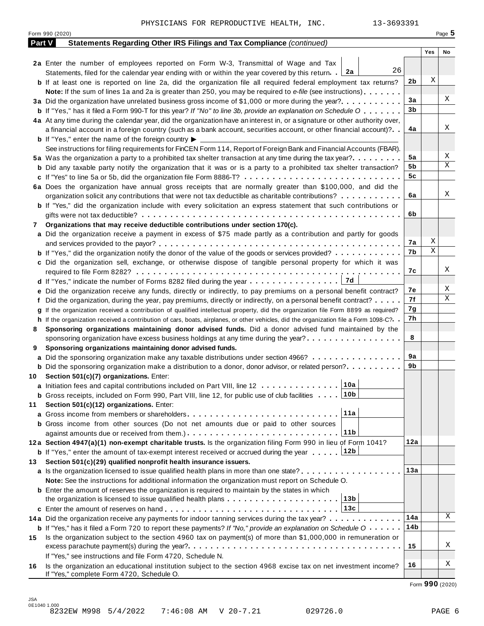|     | Form 990 (2020)                                                                                                                      |          |     | Page 5 |
|-----|--------------------------------------------------------------------------------------------------------------------------------------|----------|-----|--------|
|     | Part V<br>Statements Regarding Other IRS Filings and Tax Compliance (continued)                                                      |          |     |        |
|     |                                                                                                                                      |          | Yes | No     |
|     | 2a Enter the number of employees reported on Form W-3, Transmittal of Wage and Tax                                                   |          |     |        |
|     | 26<br>Statements, filed for the calendar year ending with or within the year covered by this return. $2a$                            |          |     |        |
|     | <b>b</b> If at least one is reported on line 2a, did the organization file all required federal employment tax returns?              | 2b       | Χ   |        |
|     | <b>Note:</b> If the sum of lines 1a and 2a is greater than 250, you may be required to e-file (see instructions).                    |          |     |        |
|     | 3a Did the organization have unrelated business gross income of \$1,000 or more during the year?                                     | 3a       |     | Χ      |
|     | <b>b</b> If "Yes," has it filed a Form 990-T for this year? If "No" to line 3b, provide an explanation on Schedule O                 | 3b       |     |        |
|     | 4a At any time during the calendar year, did the organization have an interest in, or a signature or other authority over,           |          |     |        |
|     | a financial account in a foreign country (such as a bank account, securities account, or other financial account)?                   | 4a       |     | Χ      |
|     | <b>b</b> If "Yes," enter the name of the foreign country $\blacktriangleright$                                                       |          |     |        |
|     | See instructions for filing requirements for FinCEN Form 114, Report of Foreign Bank and Financial Accounts (FBAR).                  |          |     |        |
|     | 5a Was the organization a party to a prohibited tax shelter transaction at any time during the tax year?                             | 5a       |     | Χ      |
|     | <b>b</b> Did any taxable party notify the organization that it was or is a party to a prohibited tax shelter transaction?            | 5b       |     | Χ      |
|     | c If "Yes" to line 5a or 5b, did the organization file Form 8886-T?                                                                  | 5c       |     |        |
|     | 6a Does the organization have annual gross receipts that are normally greater than \$100,000, and did the                            |          |     |        |
|     | organization solicit any contributions that were not tax deductible as charitable contributions?                                     | 6a       |     | Χ      |
|     |                                                                                                                                      |          |     |        |
|     | <b>b</b> If "Yes," did the organization include with every solicitation an express statement that such contributions or              | 6b       |     |        |
|     |                                                                                                                                      |          |     |        |
| 7   | Organizations that may receive deductible contributions under section 170(c).                                                        |          |     |        |
|     | a Did the organization receive a payment in excess of \$75 made partly as a contribution and partly for goods                        |          | Χ   |        |
|     |                                                                                                                                      | 7а<br>7b | Χ   |        |
|     | <b>b</b> If "Yes," did the organization notify the donor of the value of the goods or services provided?                             |          |     |        |
|     | c Did the organization sell, exchange, or otherwise dispose of tangible personal property for which it was                           |          |     | Χ      |
|     |                                                                                                                                      | 7с       |     |        |
|     | 7d<br><b>d</b> If "Yes," indicate the number of Forms 8282 filed during the year $\dots \dots \dots \dots \dots$                     |          |     |        |
|     | e Did the organization receive any funds, directly or indirectly, to pay premiums on a personal benefit contract?                    | 7е       |     | Χ      |
|     | f Did the organization, during the year, pay premiums, directly or indirectly, on a personal benefit contract?                       | 7f       |     | Χ      |
|     | If the organization received a contribution of qualified intellectual property, did the organization file Form 8899 as required?     | 7g       |     |        |
|     | h If the organization received a contribution of cars, boats, airplanes, or other vehicles, did the organization file a Form 1098-C? | 7h       |     |        |
| 8   | Sponsoring organizations maintaining donor advised funds. Did a donor advised fund maintained by the                                 |          |     |        |
|     | sponsoring organization have excess business holdings at any time during the year?                                                   | 8        |     |        |
| 9   | Sponsoring organizations maintaining donor advised funds.                                                                            |          |     |        |
|     | a Did the sponsoring organization make any taxable distributions under section 4966?                                                 | 9а       |     |        |
|     | <b>b</b> Did the sponsoring organization make a distribution to a donor, donor advisor, or related person?                           | 9b       |     |        |
|     | 10 Section 501(c)(7) organizations. Enter:                                                                                           |          |     |        |
|     | 10a <br>a Initiation fees and capital contributions included on Part VIII, line 12                                                   |          |     |        |
|     | 10b<br><b>b</b> Gross receipts, included on Form 990, Part VIII, line 12, for public use of club facilities                          |          |     |        |
| 11  | Section 501(c)(12) organizations. Enter:                                                                                             |          |     |        |
|     | 11a<br>a Gross income from members or shareholders                                                                                   |          |     |        |
|     | b Gross income from other sources (Do not net amounts due or paid to other sources                                                   |          |     |        |
|     | 11 <sub>b</sub>                                                                                                                      |          |     |        |
|     | 12a Section 4947(a)(1) non-exempt charitable trusts. Is the organization filing Form 990 in lieu of Form 1041?                       | 12a      |     |        |
|     | 12b<br><b>b</b> If "Yes," enter the amount of tax-exempt interest received or accrued during the year                                |          |     |        |
| 13. | Section 501(c)(29) qualified nonprofit health insurance issuers.                                                                     |          |     |        |
|     |                                                                                                                                      | 13а      |     |        |
|     | <b>a</b> Is the organization licensed to issue qualified health plans in more than one state? <b>and interest and interest</b>       |          |     |        |
|     | Note: See the instructions for additional information the organization must report on Schedule O.                                    |          |     |        |
|     | <b>b</b> Enter the amount of reserves the organization is required to maintain by the states in which                                |          |     |        |
|     | 13b<br>the organization is licensed to issue qualified health plans $\ldots \ldots \ldots \ldots \ldots \ldots \ldots$               |          |     |        |
|     | 13c                                                                                                                                  |          |     | Χ      |
|     | 14a Did the organization receive any payments for indoor tanning services during the tax year?                                       | 14a      |     |        |
|     | <b>b</b> If "Yes," has it filed a Form 720 to report these payments? If "No," provide an explanation on Schedule O                   | 14b      |     |        |
| 15  | Is the organization subject to the section 4960 tax on payment(s) of more than \$1,000,000 in remuneration or                        |          |     |        |
|     |                                                                                                                                      | 15       |     | Χ      |
|     | If "Yes," see instructions and file Form 4720, Schedule N.                                                                           |          |     |        |
| 16  | Is the organization an educational institution subject to the section 4968 excise tax on net investment income?                      | 16       |     | Χ      |
|     | If "Yes," complete Form 4720, Schedule O.                                                                                            |          |     |        |

Form **990** (2020)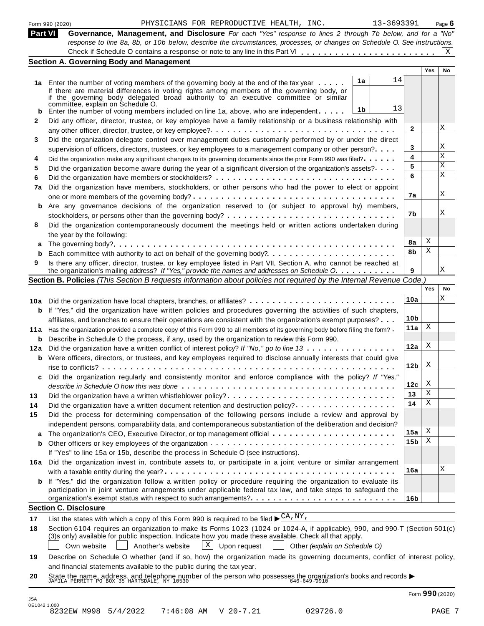|     | PHYSICIANS FOR REPRODUCTIVE HEALTH, INC.<br>Form 990 (2020)                                                                                                                                                                              | 13-3693391 |                        |            | Page $6$  |
|-----|------------------------------------------------------------------------------------------------------------------------------------------------------------------------------------------------------------------------------------------|------------|------------------------|------------|-----------|
|     | Part VI<br>Governance, Management, and Disclosure For each "Yes" response to lines 2 through 7b below, and for a "No"                                                                                                                    |            |                        |            |           |
|     | response to line 8a, 8b, or 10b below, describe the circumstances, processes, or changes on Schedule O. See instructions.                                                                                                                |            |                        |            | X         |
|     | <b>Section A. Governing Body and Management</b>                                                                                                                                                                                          |            |                        |            |           |
|     |                                                                                                                                                                                                                                          |            |                        | <b>Yes</b> | <b>No</b> |
|     | 1a<br>1a Enter the number of voting members of the governing body at the end of the tax year                                                                                                                                             | 14         |                        |            |           |
|     | If there are material differences in voting rights among members of the governing body, or                                                                                                                                               |            |                        |            |           |
|     | if the governing body delegated broad authority to an executive committee or similar                                                                                                                                                     |            |                        |            |           |
| b   | committee, explain on Schedule O.<br>1b<br>Enter the number of voting members included on line 1a, above, who are independent                                                                                                            | 13         |                        |            |           |
| 2   | Did any officer, director, trustee, or key employee have a family relationship or a business relationship with                                                                                                                           |            |                        |            |           |
|     |                                                                                                                                                                                                                                          |            | $\mathbf{2}$           |            | X         |
| 3   | Did the organization delegate control over management duties customarily performed by or under the direct                                                                                                                                |            |                        |            |           |
|     | supervision of officers, directors, trustees, or key employees to a management company or other person?                                                                                                                                  |            | 3                      |            | Χ         |
| 4   | Did the organization make any significant changes to its governing documents since the prior Form 990 was filed?                                                                                                                         |            | 4                      |            | X         |
| 5   | Did the organization become aware during the year of a significant diversion of the organization's assets?                                                                                                                               |            | 5                      |            | X         |
| 6   |                                                                                                                                                                                                                                          |            | 6                      |            | X         |
| 7a  | Did the organization have members, stockholders, or other persons who had the power to elect or appoint                                                                                                                                  |            |                        |            |           |
|     |                                                                                                                                                                                                                                          |            | 7а                     |            | X         |
|     | b Are any governance decisions of the organization reserved to (or subject to approval by) members,                                                                                                                                      |            |                        |            |           |
|     | stockholders, or persons other than the governing body? $\dots \dots \dots \dots \dots \dots \dots \dots \dots \dots \dots \dots$                                                                                                        |            | 7b                     |            | Χ         |
| 8   | Did the organization contemporaneously document the meetings held or written actions undertaken during                                                                                                                                   |            |                        |            |           |
|     | the year by the following:                                                                                                                                                                                                               |            |                        |            |           |
| a   |                                                                                                                                                                                                                                          |            | 8a                     | Χ          |           |
|     |                                                                                                                                                                                                                                          |            | 8b                     | Χ          |           |
| 9   | Is there any officer, director, trustee, or key employee listed in Part VII, Section A, who cannot be reached at                                                                                                                         |            |                        |            |           |
|     | the organization's mailing address? If "Yes," provide the names and addresses on Schedule O.                                                                                                                                             |            | 9                      |            | Χ         |
|     | Section B. Policies (This Section B requests information about policies not required by the Internal Revenue Code.)                                                                                                                      |            |                        |            |           |
|     |                                                                                                                                                                                                                                          |            |                        | Yes        | No        |
|     | 10a Did the organization have local chapters, branches, or affiliates?                                                                                                                                                                   |            | 10a                    |            | Χ         |
|     | <b>b</b> If "Yes," did the organization have written policies and procedures governing the activities of such chapters,                                                                                                                  |            |                        |            |           |
|     | affiliates, and branches to ensure their operations are consistent with the organization's exempt purposes?                                                                                                                              |            | 10 <sub>b</sub>        |            |           |
|     | 11a Has the organization provided a complete copy of this Form 990 to all members of its governing body before filing the form?                                                                                                          |            | 11a                    | Χ          |           |
| b   | Describe in Schedule O the process, if any, used by the organization to review this Form 990.                                                                                                                                            |            |                        |            |           |
| 12a | Did the organization have a written conflict of interest policy? If "No," go to line 13                                                                                                                                                  |            | 12a                    | X          |           |
|     | <b>b</b> Were officers, directors, or trustees, and key employees required to disclose annually interests that could give                                                                                                                |            |                        |            |           |
|     |                                                                                                                                                                                                                                          |            | 12 <sub>b</sub>        | X          |           |
|     | Did the organization regularly and consistently monitor and enforce compliance with the policy? If "Yes,"                                                                                                                                |            |                        |            |           |
|     |                                                                                                                                                                                                                                          |            | 12c                    | X          |           |
| 13  | Did the organization have a written whistleblower policy?                                                                                                                                                                                |            | 13                     | Χ          |           |
| 14  | Did the organization have a written document retention and destruction policy?                                                                                                                                                           |            | 14                     | Χ          |           |
| 15  | Did the process for determining compensation of the following persons include a review and approval by                                                                                                                                   |            |                        |            |           |
|     | independent persons, comparability data, and contemporaneous substantiation of the deliberation and decision?                                                                                                                            |            |                        | Χ          |           |
| a   |                                                                                                                                                                                                                                          |            | 15a<br>15 <sub>b</sub> | Χ          |           |
| b   |                                                                                                                                                                                                                                          |            |                        |            |           |
|     | If "Yes" to line 15a or 15b, describe the process in Schedule O (see instructions).                                                                                                                                                      |            |                        |            |           |
|     | 16a Did the organization invest in, contribute assets to, or participate in a joint venture or similar arrangement                                                                                                                       |            | 16a                    |            | Χ         |
|     |                                                                                                                                                                                                                                          |            |                        |            |           |
|     | <b>b</b> If "Yes," did the organization follow a written policy or procedure requiring the organization to evaluate its<br>participation in joint venture arrangements under applicable federal tax law, and take steps to safeguard the |            |                        |            |           |
|     |                                                                                                                                                                                                                                          |            | 16 <sub>b</sub>        |            |           |
|     | <b>Section C. Disclosure</b>                                                                                                                                                                                                             |            |                        |            |           |
|     | List the states with which a copy of this Form 990 is required to be filed $\blacktriangleright \frac{CA}{N}NY$ ,                                                                                                                        |            |                        |            |           |
| 17  | Section 6104 requires an organization to make its Forms 1023 (1024 or 1024-A, if applicable), 990, and 990-T (Section 501(c)                                                                                                             |            |                        |            |           |
| 18  | (3)s only) available for public inspection. Indicate how you made these available. Check all that apply.                                                                                                                                 |            |                        |            |           |
|     | $\mathbf{X}$<br>Upon request<br>Own website<br>Another's website<br>Other (explain on Schedule O)                                                                                                                                        |            |                        |            |           |
|     |                                                                                                                                                                                                                                          |            |                        |            |           |
|     |                                                                                                                                                                                                                                          |            |                        |            |           |
| 19  | Describe on Schedule O whether (and if so, how) the organization made its governing documents, conflict of interest policy,<br>and financial statements available to the public during the tax year.                                     |            |                        |            |           |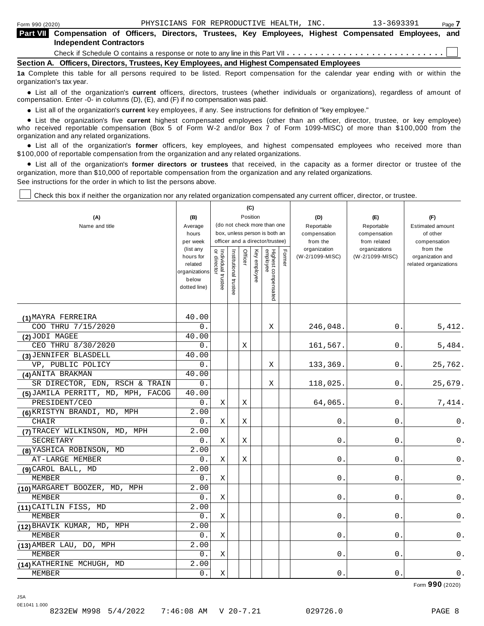| <b>Part VII</b> Compensation of Officers, Directors, Trustees, Key Employees, Highest Compensated Employees, and<br><b>Independent Contractors</b> |  |
|----------------------------------------------------------------------------------------------------------------------------------------------------|--|
|                                                                                                                                                    |  |
| Section A. Officers, Directors, Trustees, Key Employees, and Highest Compensated Employees                                                         |  |

**1a** Complete this table for all persons required to be listed. Report compensation for the calendar year ending with or within the organization's tax year.

anization's lax year.<br>● List all of the organization's **current** officers, directors, trustees (whether individuals or organizations), regardless of amount of<br>nnensation Enter -0- in columns (D) (E) and (E) if no compensa compensation. Enter -0- in columns (D), (E), and (F) if no compensation was paid.

• List all of the organization's current key employees, if any. See instructions for definition of "key employee."

■ List all of the organization's current key employees, if any. See instructions for definition of "key employee."<br>■ List the organization's five current highest compensated employees (other than an officer, director, tru who received reportable compensation (Box 5 of Form W-2 and/or Box 7 of Form 1099-MISC) of more than \$100,000 from the

organization and any related organizations.<br>• List all of the organization's **former** officers, key employees, and highest compensated employees who received more than<br>\$1.00.000 of reportable componention from the erganiza \$100,000 of reportable compensation from the organization and any related organizations.

% List all of the organization's **former directors or trustees** that received, in the capacity as a former director or trustee of the organization, more than \$10,000 of reportable compensation from the organization and any related organizations. See instructions for the order in which to list the persons above.

Check this box if neither the organization nor any related organization compensated any current officer, director, or trustee.

|                                    |                                       |                                   |                       |         | (C)             |                                 |        |                          |                               |                                           |
|------------------------------------|---------------------------------------|-----------------------------------|-----------------------|---------|-----------------|---------------------------------|--------|--------------------------|-------------------------------|-------------------------------------------|
| (A)                                | (B)                                   |                                   |                       |         | Position        |                                 |        | (D)                      | (E)                           | (F)                                       |
| Name and title                     | Average                               |                                   |                       |         |                 | (do not check more than one     |        | Reportable               | Reportable                    | <b>Estimated amount</b>                   |
|                                    | hours                                 |                                   |                       |         |                 | box, unless person is both an   |        | compensation             | compensation                  | of other                                  |
|                                    | per week<br>(list any                 |                                   |                       |         |                 | officer and a director/trustee) |        | from the<br>organization | from related<br>organizations | compensation<br>from the                  |
|                                    | hours for<br>related<br>organizations | Individual trustee<br>or director | Institutional trustee | Officer | Key<br>employee | Highest compensated<br>employee | Former | (W-2/1099-MISC)          | (W-2/1099-MISC)               | organization and<br>related organizations |
|                                    | below<br>dotted line)                 |                                   |                       |         |                 |                                 |        |                          |                               |                                           |
| (1) MAYRA FERREIRA                 | 40.00                                 |                                   |                       |         |                 |                                 |        |                          |                               |                                           |
| COO THRU 7/15/2020                 | 0.                                    |                                   |                       |         |                 | Χ                               |        | 246,048.                 | 0.                            | 5,412.                                    |
| (2) JODI MAGEE                     | 40.00                                 |                                   |                       |         |                 |                                 |        |                          |                               |                                           |
| CEO THRU 8/30/2020                 | 0.                                    |                                   |                       | X       |                 |                                 |        | 161,567.                 | 0.                            | 5,484.                                    |
| (3) JENNIFER BLASDELL              | 40.00                                 |                                   |                       |         |                 |                                 |        |                          |                               |                                           |
| VP, PUBLIC POLICY                  | 0.                                    |                                   |                       |         |                 | $\mathbf X$                     |        | 133,369.                 | $0$ .                         | 25,762.                                   |
| (4) ANITA BRAKMAN                  | 40.00                                 |                                   |                       |         |                 |                                 |        |                          |                               |                                           |
| SR DIRECTOR, EDN, RSCH & TRAIN     | 0.                                    |                                   |                       |         |                 | Χ                               |        | 118,025.                 | 0.                            | 25,679.                                   |
| (5) JAMILA PERRITT, MD, MPH, FACOG | 40.00                                 |                                   |                       |         |                 |                                 |        |                          |                               |                                           |
| PRESIDENT/CEO                      | О.                                    | Χ                                 |                       | Χ       |                 |                                 |        | 64,065                   | 0.                            | 7,414.                                    |
| (6) KRISTYN BRANDI, MD, MPH        | 2.00                                  |                                   |                       |         |                 |                                 |        |                          |                               |                                           |
| CHAIR                              | 0.                                    | Χ                                 |                       | Χ       |                 |                                 |        | 0                        | 0.                            | 0.                                        |
| (7) TRACEY WILKINSON, MD, MPH      | 2.00                                  |                                   |                       |         |                 |                                 |        |                          |                               |                                           |
| SECRETARY                          | 0.                                    | Χ                                 |                       | Х       |                 |                                 |        | 0                        | 0                             | 0.                                        |
| (8) YASHICA ROBINSON, MD           | 2.00                                  |                                   |                       |         |                 |                                 |        |                          |                               |                                           |
| AT-LARGE MEMBER                    | 0.                                    | Χ                                 |                       | Χ       |                 |                                 |        | 0                        | 0                             | 0.                                        |
| (9) CAROL BALL, MD                 | 2.00                                  |                                   |                       |         |                 |                                 |        |                          |                               |                                           |
| <b>MEMBER</b>                      | 0.                                    | Χ                                 |                       |         |                 |                                 |        | 0                        | 0.                            | 0.                                        |
| (10) MARGARET BOOZER, MD, MPH      | 2.00                                  |                                   |                       |         |                 |                                 |        |                          |                               |                                           |
| <b>MEMBER</b>                      | 0.                                    | Χ                                 |                       |         |                 |                                 |        | $\mathsf{O}$ .           | 0.                            | 0.                                        |
| (11) CAITLIN FISS, MD              | 2.00                                  |                                   |                       |         |                 |                                 |        |                          |                               |                                           |
| MEMBER                             | 0.                                    | Χ                                 |                       |         |                 |                                 |        | 0                        | 0                             | 0.                                        |
| (12) BHAVIK KUMAR, MD, MPH         | 2.00                                  |                                   |                       |         |                 |                                 |        |                          |                               |                                           |
| MEMBER                             | 0.                                    | Χ                                 |                       |         |                 |                                 |        | $\mathbf{0}$             | 0.                            | 0.                                        |
| (13) AMBER LAU, DO, MPH            | 2.00                                  |                                   |                       |         |                 |                                 |        |                          |                               |                                           |
| <b>MEMBER</b>                      | 0.                                    | X                                 |                       |         |                 |                                 |        | 0                        | 0                             | 0.                                        |
| (14) KATHERINE MCHUGH, MD          | 2.00                                  |                                   |                       |         |                 |                                 |        |                          |                               |                                           |
| MEMBER                             | 0.                                    | Χ                                 |                       |         |                 |                                 |        | $0$ .                    | 0                             | $0$ .                                     |

Form **990** (2020)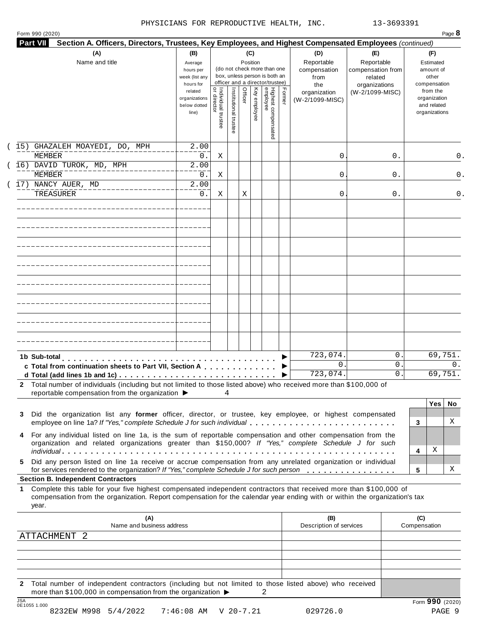|  | Form 990 (2020) |
|--|-----------------|

| (A)<br>Name and title                                                                                                                                                                                                                                          | (B)<br>Average<br>hours per<br>week (list any<br>hours for |                                     |                       | (C)<br>Position |              | (do not check more than one<br>box, unless person is both an<br>officer and a director/trustee) |        | (D)<br>Reportable<br>compensation<br>from<br>the | (E)<br>Reportable<br>compensation from<br>related<br>organizations | (F)<br>Estimated<br>amount of<br>other<br>compensation   |
|----------------------------------------------------------------------------------------------------------------------------------------------------------------------------------------------------------------------------------------------------------------|------------------------------------------------------------|-------------------------------------|-----------------------|-----------------|--------------|-------------------------------------------------------------------------------------------------|--------|--------------------------------------------------|--------------------------------------------------------------------|----------------------------------------------------------|
|                                                                                                                                                                                                                                                                | related<br>organizations<br>below dotted<br>line)          | Individual trustee<br>  or director | Institutional trustee | Officer         | Key employee | Highest compensated<br>employee                                                                 | Former | organization<br>(W-2/1099-MISC)                  | (W-2/1099-MISC)                                                    | from the<br>organization<br>and related<br>organizations |
| 15) GHAZALEH MOAYEDI, DO, MPH<br>MEMBER                                                                                                                                                                                                                        | 2.00<br>$0$ .                                              | Χ                                   |                       |                 |              |                                                                                                 |        | 0                                                | 0.                                                                 | 0.                                                       |
| 16) DAVID TUROK, MD, MPH<br>MEMBER                                                                                                                                                                                                                             | 2.00<br>0.                                                 | Χ                                   |                       |                 |              |                                                                                                 |        | 0                                                | 0.                                                                 | 0.                                                       |
| 17) NANCY AUER, MD<br><b>TREASURER</b>                                                                                                                                                                                                                         | 2.00<br>0.                                                 | Χ                                   |                       | Χ               |              |                                                                                                 |        | 0                                                | 0.                                                                 | 0.                                                       |
|                                                                                                                                                                                                                                                                |                                                            |                                     |                       |                 |              |                                                                                                 |        |                                                  |                                                                    |                                                          |
|                                                                                                                                                                                                                                                                |                                                            |                                     |                       |                 |              |                                                                                                 |        |                                                  |                                                                    |                                                          |
|                                                                                                                                                                                                                                                                |                                                            |                                     |                       |                 |              |                                                                                                 |        |                                                  |                                                                    |                                                          |
|                                                                                                                                                                                                                                                                |                                                            |                                     |                       |                 |              |                                                                                                 |        |                                                  |                                                                    |                                                          |
|                                                                                                                                                                                                                                                                |                                                            |                                     |                       |                 |              |                                                                                                 |        |                                                  |                                                                    |                                                          |
|                                                                                                                                                                                                                                                                |                                                            |                                     |                       |                 |              |                                                                                                 |        |                                                  |                                                                    |                                                          |
| 1b Sub-total<br>c Total from continuation sheets to Part VII, Section A                                                                                                                                                                                        |                                                            |                                     |                       |                 |              |                                                                                                 |        | 723,074.<br>$\mathbf{0}$ .<br>723,074.           | 0<br>0<br>0                                                        | 69,751.<br>0.<br>69,751.                                 |
| 2 Total number of individuals (including but not limited to those listed above) who received more than \$100,000 of<br>reportable compensation from the organization ▶                                                                                         |                                                            | 4                                   |                       |                 |              |                                                                                                 |        |                                                  |                                                                    |                                                          |
| Did the organization list any former officer, director, or trustee, key employee, or highest compensated<br>3<br>employee on line 1a? If "Yes," complete Schedule J for such individual                                                                        |                                                            |                                     |                       |                 |              |                                                                                                 |        |                                                  |                                                                    | <b>Yes</b><br>No.<br>X<br>3                              |
| For any individual listed on line 1a, is the sum of reportable compensation and other compensation from the<br>4<br>organization and related organizations greater than \$150,000? If "Yes," complete Schedule J for such                                      |                                                            |                                     |                       |                 |              |                                                                                                 |        |                                                  |                                                                    | Χ                                                        |
| Did any person listed on line 1a receive or accrue compensation from any unrelated organization or individual<br>5.<br>for services rendered to the organization? If "Yes," complete Schedule J for such person                                                |                                                            |                                     |                       |                 |              |                                                                                                 |        |                                                  |                                                                    | 4<br>х<br>5                                              |
| <b>Section B. Independent Contractors</b>                                                                                                                                                                                                                      |                                                            |                                     |                       |                 |              |                                                                                                 |        |                                                  |                                                                    |                                                          |
| Complete this table for your five highest compensated independent contractors that received more than \$100,000 of<br>1<br>compensation from the organization. Report compensation for the calendar year ending with or within the organization's tax<br>year. |                                                            |                                     |                       |                 |              |                                                                                                 |        |                                                  |                                                                    |                                                          |
| (A)<br>Name and business address                                                                                                                                                                                                                               |                                                            |                                     |                       |                 |              |                                                                                                 |        | (B)<br>Description of services                   |                                                                    | (C)<br>Compensation                                      |
| <b>ATTACHMENT</b><br>$\overline{2}$                                                                                                                                                                                                                            |                                                            |                                     |                       |                 |              |                                                                                                 |        |                                                  |                                                                    |                                                          |
|                                                                                                                                                                                                                                                                |                                                            |                                     |                       |                 |              |                                                                                                 |        |                                                  |                                                                    |                                                          |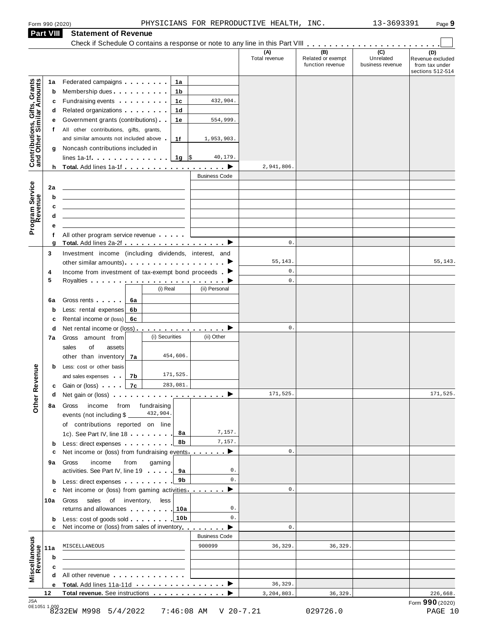**Part VIII Statement of Revenue**

|                                                           |                                                                                                                                                                                                                                                                                      |                      | (A)<br>Total revenue | (B)<br>Related or exempt<br>function revenue | $\overline{C}$<br>Unrelated<br>business revenue | (D)<br>Revenue excluded<br>from tax under |
|-----------------------------------------------------------|--------------------------------------------------------------------------------------------------------------------------------------------------------------------------------------------------------------------------------------------------------------------------------------|----------------------|----------------------|----------------------------------------------|-------------------------------------------------|-------------------------------------------|
|                                                           |                                                                                                                                                                                                                                                                                      |                      |                      |                                              |                                                 | sections 512-514                          |
| Contributions, Gifts, Grants<br>and Other Similar Amounts | Federated campaigns <b>Federated</b><br>1а<br>1a                                                                                                                                                                                                                                     |                      |                      |                                              |                                                 |                                           |
|                                                           | Membership dues <b>All Accords</b> Membership dues<br>1b<br>b                                                                                                                                                                                                                        |                      |                      |                                              |                                                 |                                           |
|                                                           | Fundraising events <b>Exercises Exercises</b><br>1c<br>c                                                                                                                                                                                                                             | 432,904.             |                      |                                              |                                                 |                                           |
|                                                           | Related organizations <b>and the set of the set of the set of the set of the set of the set of the set of the set of the set of the set of the set of the set of the set of the set of the set of the set of the set of the set </b><br>1d<br>d<br>Government grants (contributions) | 554,999.             |                      |                                              |                                                 |                                           |
|                                                           | 1е<br>е<br>All other contributions, gifts, grants,<br>t.                                                                                                                                                                                                                             |                      |                      |                                              |                                                 |                                           |
|                                                           | and similar amounts not included above.<br>1f                                                                                                                                                                                                                                        | 1,953,903.           |                      |                                              |                                                 |                                           |
|                                                           | Noncash contributions included in<br>g                                                                                                                                                                                                                                               |                      |                      |                                              |                                                 |                                           |
|                                                           | lines 1a-1f $\ldots$ $\ldots$ $\ldots$ $\frac{1}{9}$ $\frac{1}{9}$                                                                                                                                                                                                                   | 40,179.              |                      |                                              |                                                 |                                           |
|                                                           |                                                                                                                                                                                                                                                                                      |                      | 2,941,806.           |                                              |                                                 |                                           |
|                                                           |                                                                                                                                                                                                                                                                                      | <b>Business Code</b> |                      |                                              |                                                 |                                           |
| 2a                                                        |                                                                                                                                                                                                                                                                                      |                      |                      |                                              |                                                 |                                           |
|                                                           | b                                                                                                                                                                                                                                                                                    |                      |                      |                                              |                                                 |                                           |
|                                                           | c                                                                                                                                                                                                                                                                                    |                      |                      |                                              |                                                 |                                           |
|                                                           | d                                                                                                                                                                                                                                                                                    |                      |                      |                                              |                                                 |                                           |
| Program Service<br>Revenue                                | е                                                                                                                                                                                                                                                                                    |                      |                      |                                              |                                                 |                                           |
|                                                           | All other program service revenue<br>f<br>Total. Add lines 2a-2f ▶<br>g                                                                                                                                                                                                              |                      | $\mathsf{0}$ .       |                                              |                                                 |                                           |
| 3                                                         | Investment income (including dividends, interest, and                                                                                                                                                                                                                                |                      |                      |                                              |                                                 |                                           |
|                                                           |                                                                                                                                                                                                                                                                                      |                      | 55, 143.             |                                              |                                                 | 55, 143.                                  |
| 4                                                         | Income from investment of tax-exempt bond proceeds $\blacktriangleright$                                                                                                                                                                                                             |                      | 0.                   |                                              |                                                 |                                           |
| 5                                                         |                                                                                                                                                                                                                                                                                      |                      | $\mathbf 0$ .        |                                              |                                                 |                                           |
|                                                           | (i) Real                                                                                                                                                                                                                                                                             | (ii) Personal        |                      |                                              |                                                 |                                           |
| 6a                                                        | Gross rents [1994]<br>6a                                                                                                                                                                                                                                                             |                      |                      |                                              |                                                 |                                           |
|                                                           | Less: rental expenses<br>6b<br>b                                                                                                                                                                                                                                                     |                      |                      |                                              |                                                 |                                           |
|                                                           | Rental income or (loss) 6c<br>c                                                                                                                                                                                                                                                      |                      |                      |                                              |                                                 |                                           |
|                                                           | Net rental income or (loss) $\ldots$ , $\ldots$ , $\ldots$ , $\blacktriangleright$<br>d                                                                                                                                                                                              |                      | 0.                   |                                              |                                                 |                                           |
| 7а                                                        | (i) Securities<br>Gross amount from                                                                                                                                                                                                                                                  | (ii) Other           |                      |                                              |                                                 |                                           |
|                                                           | of<br>sales<br>assets<br>454,606.<br>other than inventory<br>7a                                                                                                                                                                                                                      |                      |                      |                                              |                                                 |                                           |
|                                                           | Less: cost or other basis<br>b                                                                                                                                                                                                                                                       |                      |                      |                                              |                                                 |                                           |
| evenue                                                    | 171,525.<br>and sales expenses<br>7b                                                                                                                                                                                                                                                 |                      |                      |                                              |                                                 |                                           |
|                                                           | 283,081.<br>7c<br><b>c</b> Gain or (loss) <b>c</b>                                                                                                                                                                                                                                   |                      |                      |                                              |                                                 |                                           |
|                                                           | Net gain or (loss) in itemative intervention in both behavior in the behavior in both behavior in both behavior<br>d                                                                                                                                                                 |                      | 171,525.             |                                              |                                                 | 171,525.                                  |
| Other <sub>R</sub><br>8а                                  | income from fundraising<br>Gross                                                                                                                                                                                                                                                     |                      |                      |                                              |                                                 |                                           |
|                                                           | 432,904.<br>events (not including \$                                                                                                                                                                                                                                                 |                      |                      |                                              |                                                 |                                           |
|                                                           | of contributions reported on line                                                                                                                                                                                                                                                    |                      |                      |                                              |                                                 |                                           |
|                                                           | 8а<br>1c). See Part IV, line 18                                                                                                                                                                                                                                                      | 7,157.               |                      |                                              |                                                 |                                           |
|                                                           | 8b<br>Less: direct expenses<br>b                                                                                                                                                                                                                                                     | 7,157.               | $\mathsf{0}$ .       |                                              |                                                 |                                           |
|                                                           | Net income or (loss) from fundraising events<br>с                                                                                                                                                                                                                                    | … ▶                  |                      |                                              |                                                 |                                           |
| 9а                                                        | income<br>from<br>gaming<br>Gross<br>activities. See Part IV, line 19<br>9а                                                                                                                                                                                                          | 0.                   |                      |                                              |                                                 |                                           |
|                                                           | 9b<br>Less: direct expenses<br>b                                                                                                                                                                                                                                                     | $0$ .                |                      |                                              |                                                 |                                           |
|                                                           | Net income or (loss) from gaming activities.<br>c                                                                                                                                                                                                                                    | ▸                    | 0.                   |                                              |                                                 |                                           |
| 10a                                                       | sales of inventory,<br>less<br>Gross                                                                                                                                                                                                                                                 |                      |                      |                                              |                                                 |                                           |
|                                                           | returns and allowances and the state of the state of the state of the state of the state of the state of the state of the state of the state of the state of the state of the state of the state of the state of the state of<br>10a                                                 | 0.                   |                      |                                              |                                                 |                                           |
|                                                           | 10 <sub>b</sub><br>Less: cost of goods sold<br>b                                                                                                                                                                                                                                     | 0.                   |                      |                                              |                                                 |                                           |
|                                                           | Net income or (loss) from sales of inventory<br>c                                                                                                                                                                                                                                    | ▶                    | $\mathsf{0}$ .       |                                              |                                                 |                                           |
|                                                           |                                                                                                                                                                                                                                                                                      | <b>Business Code</b> |                      |                                              |                                                 |                                           |
| Miscellaneous<br>Revenue<br>11a                           | MISCELLANEOUS                                                                                                                                                                                                                                                                        | 900099               | 36,329.              | 36,329.                                      |                                                 |                                           |
|                                                           | b                                                                                                                                                                                                                                                                                    |                      |                      |                                              |                                                 |                                           |
|                                                           | c                                                                                                                                                                                                                                                                                    |                      |                      |                                              |                                                 |                                           |
|                                                           | All other revenue<br>d                                                                                                                                                                                                                                                               |                      | 36,329.              |                                              |                                                 |                                           |
| 12                                                        | е<br>Total revenue. See instructions                                                                                                                                                                                                                                                 |                      | 3,204,803.           | 36,329.                                      |                                                 | 226,668.                                  |
| <b>JSA</b>                                                | 0E1051 1.000<br>8232EW M998 5/4/2022                                                                                                                                                                                                                                                 |                      |                      |                                              |                                                 | Form 990 (2020)                           |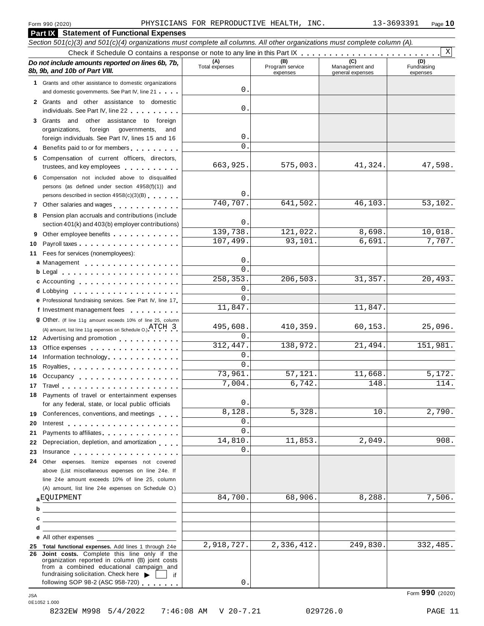**Part IX Statement of Functional Expenses**

#### Section 501(c)(3) and 501(c)(4) organizations must complete all columns. All other organizations must complete column (A). Check if Schedule <sup>O</sup> contains <sup>a</sup> response or note to any line in this Part IX m m m m m m m m m m m m m m m m m m m m m m m m m *Do no* **(A) (B) (C) (D)** *t include amounts reported on lines 6b, 7b,* **8b, 9b, and 10b of Part VIII.** The construction of *B***, 9b, and 10b of Part VIII.** expenses Management and general expenses Fundraising expenses **1** Grants and other assistance to domestic organizations and domestic governments. See Part IV, line 21 m m m **2** Grants and other assistance to domestic individuals. See Part IV, line 22 **3** Grants and other assistance to foreign organizations, foreign governments, and foreign individuals. See Part IV, lines 15 and 16 **4** Benefits paid to or for members **5** Compensation of current officers, directors, trustees, and key employees m m m m m m m m m m **6** Compensation not included above to disqualified persons (as defined under section 4958(f)(1)) and persons described in section 4958(c)(3)(B) <sup>m</sup> <sup>m</sup> <sup>m</sup> <sup>m</sup> <sup>m</sup> <sup>m</sup> **<sup>7</sup>** Other salaries and wages <sup>m</sup> <sup>m</sup> <sup>m</sup> <sup>m</sup> <sup>m</sup> <sup>m</sup> <sup>m</sup> <sup>m</sup> <sup>m</sup> <sup>m</sup> <sup>m</sup> <sup>m</sup> **8** Pension plan accruals and contributions (include section 401(k) and 403(b) employer contributions) **9** Section 401(k) and 403(b) employer contributions<br>9 Other employee benefits 9 Other employee benefits **10** Payroll taxes **10** Fees for services (nonemployees): **11** A) amount, list line 11g expenses on Schedule O.  $A1 \cup B$ <br>**12** Advertising and promotion **13** Office expenses **13** Office expenses<br>**14** Information technology............. **15 16** Occupancy m m m m m m m m m m m m m m m m m m **16** Occupancy ...................<br>17 Travel..................... **18** Payments of travel or entertainment expenses **19 19** Conferences, conventions, and meetings **endorship.**<br>20 Interest **manual meeting 21** Payments to affiliates m m m m m m m m m m m m m m 21 Payments to affiliates<br>22 Depreciation, depletion, and amortization <sub>1</sub> . . . **22** Depreciation, depletion, and amortization **manufation**<br>23 Insurance 24 Other expenses. Itemize expenses not covered | Fees for services (nonemployees):<br>**a** Management ..................<br>**b** Legal ......................... **cd** Lobbying m m m m m m m m m m m m m m m m m m m **e** Professional fundraising services. See Part IV, line <sup>17</sup> m **P** Professional fundraising services. See Part IV, line 17<br>**f** Investment management fees **g** Other. (If line 11g amount exceeds 10% of line 25, column Legal m m m m m m m m m m m m m m m m m m m m m Accounting m m m m m m m m m m m m m m m m m m (A) amount, list line 11g expenses on Schedule O.)  $\text{ATCH} \quad 3$ m m m m m m m m m m m m m m m m Royalties m m m m m m m m m m m m m m m m m m m m for any federal, state, or local public officials for any federal, state, or local public officials<br>Conferences, conventions, and meetings above (List miscellaneous expenses on line 24e. If line 24e amount exceeds 10% of line 25, column (A) amount, list line 24e expenses on Schedule O.) **ab** EQUIPMENT 84,700. 68,906. 8,288. 7,506. **c** —<br>**d e** All other expenses **25 Total functional expenses.** Add lines 1 through 24e **26 Joint costs.** Complete this line only if the organization reported in column (B) joint costs from a combined educational campaign and from a combined educational campaign and<br>fundraising solicitation. Check here  $\blacktriangleright$  if<br>following SOP 98-2 (ASC 958-720) X 0. 0. 0.  $\mathbf{0}$ . 663,925. 575,003. 41,324. 47,598. 0. 740,707. 641,502. 46,103. 53,102.  $\Omega$ 139,738. 121,022. 8,698. 10,018. 107,499. 93,101. 6,691. 7,707.  $\Omega$  $\overline{0}$ 258,353. 206,503. 31,357. 20,493. 0. 0. 11,847. 495,608. 410,359. 60,153. 25,096.  $\Omega$ 312,447. 138,972. 21,494. 151,981. 0. 0. 73,961. 57,121. 11,668. 5,172.  $7,004.$  6,742. 148. 148. 114. 0.  $8,128.$   $5,328.$   $10.$   $2,790.$  $\Omega$  $\overline{0}$ . 14,810. 11,853. 2,049. 908.  $\mathbf{0}$ . 2,918,727. 2,336,412. 249,830. 332,485.

0.

Form **990** (2020) JSA 0E1052 1.000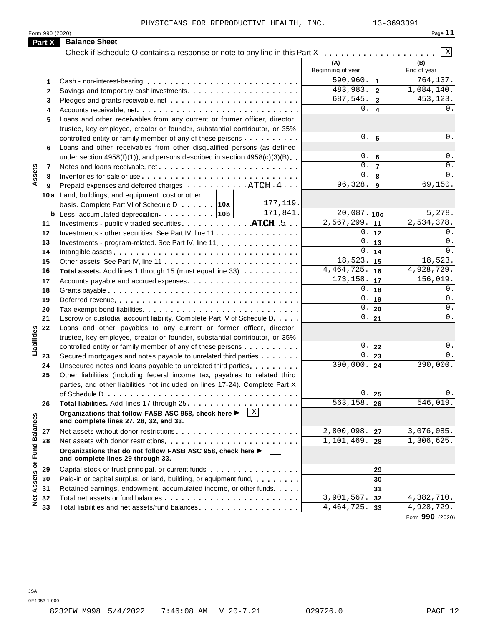| Form<br>0(2020)<br>990 | Page |
|------------------------|------|
|                        |      |

|                             | Part X       | <b>Balance Sheet</b>                                                                                                                       |                          |                         |                    |
|-----------------------------|--------------|--------------------------------------------------------------------------------------------------------------------------------------------|--------------------------|-------------------------|--------------------|
|                             |              | Check if Schedule O contains a response or note to any line in this Part X                                                                 |                          |                         | Χ                  |
|                             |              |                                                                                                                                            | (A)<br>Beginning of year |                         | (B)<br>End of year |
|                             | 1            |                                                                                                                                            | 590,960.                 | $\mathbf{1}$            | 764, 137.          |
|                             | $\mathbf{2}$ |                                                                                                                                            | 483,983.                 | $\overline{2}$          | 1,084,140.         |
|                             | 3            |                                                                                                                                            | 687,545.                 | $\overline{3}$          | 453,123.           |
|                             | 4            |                                                                                                                                            | 0                        | $\overline{\mathbf{4}}$ | 0.                 |
|                             | 5            | Loans and other receivables from any current or former officer, director,                                                                  |                          |                         |                    |
|                             |              | trustee, key employee, creator or founder, substantial contributor, or 35%                                                                 |                          |                         |                    |
| Assets                      |              | controlled entity or family member of any of these persons                                                                                 | 0                        | 5                       | $0$ .              |
|                             | 6            | Loans and other receivables from other disqualified persons (as defined                                                                    |                          |                         |                    |
|                             |              | under section $4958(f)(1)$ , and persons described in section $4958(c)(3)(B)$                                                              | 0                        | 6                       | 0.                 |
|                             | 7            |                                                                                                                                            | $\mathbf 0$ .            | $\overline{7}$          | 0.                 |
|                             | 8            |                                                                                                                                            | $\mathbf{0}$             | 8                       | $0$ .              |
|                             | 9            | Prepaid expenses and deferred charges $\dots \dots \dots$ $\Lambda TCH \cdot 4 \dots$                                                      | 96,328.                  | 9                       | 69,150.            |
|                             |              | 10a Land, buildings, and equipment: cost or other<br>177, 119.                                                                             |                          |                         |                    |
|                             |              | basis. Complete Part VI of Schedule D 10a<br>171,841.<br><b>b</b> Less: accumulated depreciation $\cdots$ 10b                              | 20,087.                  | 10 <sub>c</sub>         | 5,278.             |
|                             | 11           | Investments - publicly traded securities. ATCH .5                                                                                          | 2,567,299.               | 11                      | 2,534,378.         |
|                             | 12           | Investments - other securities. See Part IV, line 11                                                                                       | 0                        | $12$                    | 0.                 |
|                             | 13           |                                                                                                                                            | 0                        | 13                      | 0.                 |
|                             | 14           |                                                                                                                                            | 0                        | 14                      | 0.                 |
|                             | 15           |                                                                                                                                            | 18,523.                  | 15                      | 18,523.            |
|                             | 16           | Total assets. Add lines 1 through 15 (must equal line 33)                                                                                  | 4, 464, 725.             | 16                      | 4,928,729.         |
|                             | 17           |                                                                                                                                            | 173, 158.                | 17                      | 156,019.           |
|                             | 18           |                                                                                                                                            | 0                        | 18                      | 0.                 |
|                             | 19           |                                                                                                                                            | 0                        | 19                      | 0.                 |
|                             | 20           |                                                                                                                                            | 0                        | 20                      | $0$ .              |
|                             | 21           | Escrow or custodial account liability. Complete Part IV of Schedule D.                                                                     | 0                        | 21                      | 0.                 |
|                             | 22           | Loans and other payables to any current or former officer, director,                                                                       |                          |                         |                    |
| Liabilities                 |              | trustee, key employee, creator or founder, substantial contributor, or 35%                                                                 |                          |                         |                    |
|                             |              | controlled entity or family member of any of these persons                                                                                 | 0<br>0                   | 22                      | $0$ .<br>0.        |
|                             | 23           | Secured mortgages and notes payable to unrelated third parties                                                                             | 390,000.                 | 23                      | 390,000.           |
|                             | 24<br>25     | Unsecured notes and loans payable to unrelated third parties<br>Other liabilities (including federal income tax, payables to related third |                          | 24                      |                    |
|                             |              | parties, and other liabilities not included on lines 17-24). Complete Part X                                                               |                          |                         |                    |
|                             |              |                                                                                                                                            | $\mathsf{U}$ .           | 25                      | υ.                 |
|                             | 26           |                                                                                                                                            | 563,158.                 | 26                      | 546,019.           |
|                             |              | $\vert x \vert$<br>Organizations that follow FASB ASC 958, check here ><br>and complete lines 27, 28, 32, and 33.                          |                          |                         |                    |
|                             | 27           |                                                                                                                                            | 2,800,098.               | 27                      | 3,076,085.         |
|                             | 28           |                                                                                                                                            | 1,101,469.               | 28                      | 1,306,625.         |
| Net Assets or Fund Balances |              | Organizations that do not follow FASB ASC 958, check here ▶<br>and complete lines 29 through 33.                                           |                          |                         |                    |
|                             | 29           | Capital stock or trust principal, or current funds                                                                                         |                          | 29                      |                    |
|                             | 30           | Paid-in or capital surplus, or land, building, or equipment fund.                                                                          |                          | 30                      |                    |
|                             | 31           | Retained earnings, endowment, accumulated income, or other funds                                                                           |                          | 31                      |                    |
|                             | 32           |                                                                                                                                            | 3,901,567.               | 32                      | 4,382,710.         |
|                             | 33           | Total liabilities and net assets/fund balances                                                                                             | 4, 464, 725.             | 33                      | 4,928,729.         |

Form **990** (2020)

JSA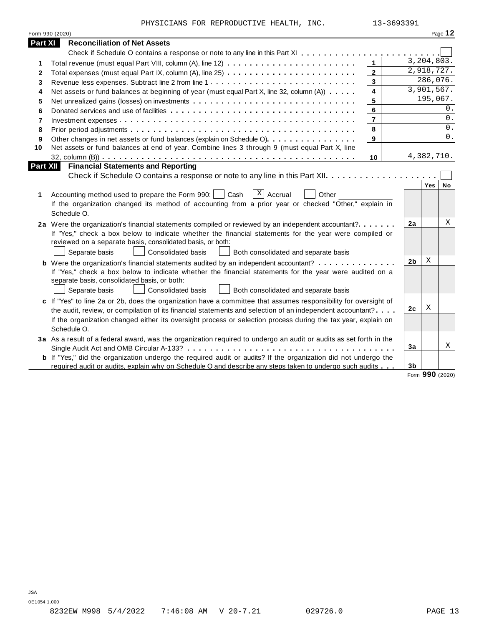PHYSICIANS FOR REPRODUCTIVE HEALTH, INC. 13-3693391

|              | Form 990 (2020)                                                                                                                                                                                                                                                                                                                        |                |                |            | Page 12 |
|--------------|----------------------------------------------------------------------------------------------------------------------------------------------------------------------------------------------------------------------------------------------------------------------------------------------------------------------------------------|----------------|----------------|------------|---------|
| Part XI      | <b>Reconciliation of Net Assets</b>                                                                                                                                                                                                                                                                                                    |                |                |            |         |
|              |                                                                                                                                                                                                                                                                                                                                        |                |                |            |         |
| 1            |                                                                                                                                                                                                                                                                                                                                        | $\mathbf{1}$   |                | 3,204,803. |         |
| $\mathbf{2}$ |                                                                                                                                                                                                                                                                                                                                        | $\mathbf{2}$   |                | 2,918,727. |         |
| 3            |                                                                                                                                                                                                                                                                                                                                        | $\mathbf{3}$   |                | 286,076.   |         |
| 4            | Net assets or fund balances at beginning of year (must equal Part X, line 32, column (A))                                                                                                                                                                                                                                              | 4              |                | 3,901,567. |         |
| 5            |                                                                                                                                                                                                                                                                                                                                        | 5              |                | 195,067.   |         |
| 6            |                                                                                                                                                                                                                                                                                                                                        | 6              |                |            | 0.      |
| 7            |                                                                                                                                                                                                                                                                                                                                        | $\overline{7}$ |                |            | 0.      |
| 8            |                                                                                                                                                                                                                                                                                                                                        | 8              |                |            | 0.      |
| 9            | Other changes in net assets or fund balances (explain on Schedule O).                                                                                                                                                                                                                                                                  | 9              |                |            | 0.      |
| 10           | Net assets or fund balances at end of year. Combine lines 3 through 9 (must equal Part X, line                                                                                                                                                                                                                                         |                |                |            |         |
|              |                                                                                                                                                                                                                                                                                                                                        | 10             |                | 4,382,710. |         |
|              | Part XII<br><b>Financial Statements and Reporting</b>                                                                                                                                                                                                                                                                                  |                |                |            |         |
|              |                                                                                                                                                                                                                                                                                                                                        |                |                |            |         |
| 1            | $ X $ Accrual<br>Accounting method used to prepare the Form 990:     Cash<br>Other<br>If the organization changed its method of accounting from a prior year or checked "Other," explain in<br>Schedule O.                                                                                                                             |                |                | Yes        | No      |
|              | 2a Were the organization's financial statements compiled or reviewed by an independent accountant?<br>If "Yes," check a box below to indicate whether the financial statements for the year were compiled or<br>reviewed on a separate basis, consolidated basis, or both:<br>Consolidated basis                                       |                | 2a             |            | Χ       |
|              | Separate basis<br>Both consolidated and separate basis                                                                                                                                                                                                                                                                                 |                | 2 <sub>b</sub> | X          |         |
|              | <b>b</b> Were the organization's financial statements audited by an independent accountant?<br>If "Yes," check a box below to indicate whether the financial statements for the year were audited on a<br>separate basis, consolidated basis, or both:<br>Separate basis<br>Consolidated basis<br>Both consolidated and separate basis |                |                |            |         |
|              | c If "Yes" to line 2a or 2b, does the organization have a committee that assumes responsibility for oversight of                                                                                                                                                                                                                       |                |                |            |         |
|              | the audit, review, or compilation of its financial statements and selection of an independent accountant?                                                                                                                                                                                                                              |                | 2 <sub>c</sub> | Χ          |         |
|              | If the organization changed either its oversight process or selection process during the tax year, explain on<br>Schedule O.                                                                                                                                                                                                           |                |                |            |         |
|              | 3a As a result of a federal award, was the organization required to undergo an audit or audits as set forth in the                                                                                                                                                                                                                     |                |                |            | X       |
|              |                                                                                                                                                                                                                                                                                                                                        |                | 3a             |            |         |
|              | <b>b</b> If "Yes," did the organization undergo the required audit or audits? If the organization did not undergo the                                                                                                                                                                                                                  |                |                |            |         |
|              | required audit or audits, explain why on Schedule O and describe any steps taken to undergo such audits                                                                                                                                                                                                                                |                | 3 <sub>b</sub> |            |         |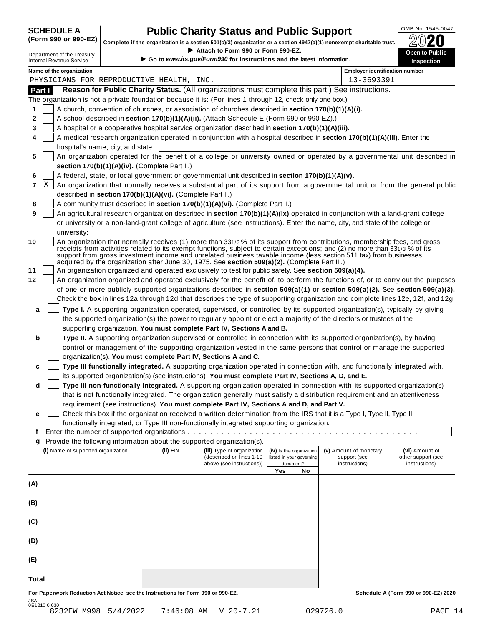| <b>SCHEDULE A</b>             |  |  |  |  |  |
|-------------------------------|--|--|--|--|--|
| $\sqrt{2}$ and and $\sqrt{2}$ |  |  |  |  |  |

## **CHEDULE A Public Charity Status and Public Support**  $\frac{100\text{dB No. }1545-0047}{000\text{dB No.}}$

(Form 990 or 990-EZ) complete if the organization is a section 501(c)(3) organization or a section 4947(a)(1) nonexempt charitable trust.  $2020$ 

|                                                               |                                   |                                                            | Complete if the organization is a section 501(c)(3) organization or a section 4947(a)(1) nonexempt charitable trust.                                                                                                                                            |     |                                                      |                                        | BWŁU                                 |
|---------------------------------------------------------------|-----------------------------------|------------------------------------------------------------|-----------------------------------------------------------------------------------------------------------------------------------------------------------------------------------------------------------------------------------------------------------------|-----|------------------------------------------------------|----------------------------------------|--------------------------------------|
| Department of the Treasury<br><b>Internal Revenue Service</b> |                                   |                                                            | Attach to Form 990 or Form 990-EZ.<br>Go to www.irs.gov/Form990 for instructions and the latest information.                                                                                                                                                    |     |                                                      |                                        | Open to Public<br>Inspection         |
| Name of the organization                                      |                                   |                                                            |                                                                                                                                                                                                                                                                 |     |                                                      | <b>Employer identification number</b>  |                                      |
| PHYSICIANS FOR REPRODUCTIVE HEALTH, INC.                      |                                   |                                                            |                                                                                                                                                                                                                                                                 |     |                                                      | 13-3693391                             |                                      |
| Part I                                                        |                                   |                                                            | Reason for Public Charity Status. (All organizations must complete this part.) See instructions.                                                                                                                                                                |     |                                                      |                                        |                                      |
|                                                               |                                   |                                                            | The organization is not a private foundation because it is: (For lines 1 through 12, check only one box.)                                                                                                                                                       |     |                                                      |                                        |                                      |
|                                                               |                                   |                                                            | A church, convention of churches, or association of churches described in section 170(b)(1)(A)(i).                                                                                                                                                              |     |                                                      |                                        |                                      |
|                                                               |                                   |                                                            | A school described in section 170(b)(1)(A)(ii). (Attach Schedule E (Form 990 or 990-EZ).)                                                                                                                                                                       |     |                                                      |                                        |                                      |
|                                                               |                                   |                                                            | A hospital or a cooperative hospital service organization described in section 170(b)(1)(A)(iii).                                                                                                                                                               |     |                                                      |                                        |                                      |
|                                                               | hospital's name, city, and state: |                                                            | A medical research organization operated in conjunction with a hospital described in section 170(b)(1)(A)(iii). Enter the                                                                                                                                       |     |                                                      |                                        |                                      |
|                                                               |                                   |                                                            | An organization operated for the benefit of a college or university owned or operated by a governmental unit described in                                                                                                                                       |     |                                                      |                                        |                                      |
|                                                               |                                   | section 170(b)(1)(A)(iv). (Complete Part II.)              |                                                                                                                                                                                                                                                                 |     |                                                      |                                        |                                      |
|                                                               |                                   |                                                            | A federal, state, or local government or governmental unit described in section 170(b)(1)(A)(v).                                                                                                                                                                |     |                                                      |                                        |                                      |
| X                                                             |                                   |                                                            | An organization that normally receives a substantial part of its support from a governmental unit or from the general public                                                                                                                                    |     |                                                      |                                        |                                      |
|                                                               |                                   | described in section 170(b)(1)(A)(vi). (Complete Part II.) |                                                                                                                                                                                                                                                                 |     |                                                      |                                        |                                      |
|                                                               |                                   |                                                            | A community trust described in section 170(b)(1)(A)(vi). (Complete Part II.)                                                                                                                                                                                    |     |                                                      |                                        |                                      |
|                                                               |                                   |                                                            | An agricultural research organization described in section 170(b)(1)(A)(ix) operated in conjunction with a land-grant college<br>or university or a non-land-grant college of agriculture (see instructions). Enter the name, city, and state of the college or |     |                                                      |                                        |                                      |
| university:                                                   |                                   |                                                            |                                                                                                                                                                                                                                                                 |     |                                                      |                                        |                                      |
|                                                               |                                   |                                                            | An organization that normally receives (1) more than 331/3% of its support from contributions, membership fees, and gross                                                                                                                                       |     |                                                      |                                        |                                      |
|                                                               |                                   |                                                            | receipts from activities related to its exempt functions, subject to certain exceptions; and (2) no more than 331/3 % of its<br>support from gross investment income and unrelated business taxable income (less section 511 tax) from businesses               |     |                                                      |                                        |                                      |
|                                                               |                                   |                                                            | acquired by the organization after June 30, 1975. See section 509(a)(2). (Complete Part III.)                                                                                                                                                                   |     |                                                      |                                        |                                      |
|                                                               |                                   |                                                            | An organization organized and operated exclusively to test for public safety. See section 509(a)(4).                                                                                                                                                            |     |                                                      |                                        |                                      |
|                                                               |                                   |                                                            | An organization organized and operated exclusively for the benefit of, to perform the functions of, or to carry out the purposes                                                                                                                                |     |                                                      |                                        |                                      |
|                                                               |                                   |                                                            | of one or more publicly supported organizations described in section 509(a)(1) or section 509(a)(2). See section 509(a)(3).<br>Check the box in lines 12a through 12d that describes the type of supporting organization and complete lines 12e, 12f, and 12g.  |     |                                                      |                                        |                                      |
|                                                               |                                   |                                                            | Type I. A supporting organization operated, supervised, or controlled by its supported organization(s), typically by giving                                                                                                                                     |     |                                                      |                                        |                                      |
| a                                                             |                                   |                                                            | the supported organization(s) the power to regularly appoint or elect a majority of the directors or trustees of the                                                                                                                                            |     |                                                      |                                        |                                      |
|                                                               |                                   |                                                            | supporting organization. You must complete Part IV, Sections A and B.                                                                                                                                                                                           |     |                                                      |                                        |                                      |
| b                                                             |                                   |                                                            | Type II. A supporting organization supervised or controlled in connection with its supported organization(s), by having                                                                                                                                         |     |                                                      |                                        |                                      |
|                                                               |                                   |                                                            | control or management of the supporting organization vested in the same persons that control or manage the supported                                                                                                                                            |     |                                                      |                                        |                                      |
|                                                               |                                   |                                                            | organization(s). You must complete Part IV, Sections A and C.                                                                                                                                                                                                   |     |                                                      |                                        |                                      |
| c                                                             |                                   |                                                            | Type III functionally integrated. A supporting organization operated in connection with, and functionally integrated with,                                                                                                                                      |     |                                                      |                                        |                                      |
| d                                                             |                                   |                                                            | its supported organization(s) (see instructions). You must complete Part IV, Sections A, D, and E.<br>Type III non-functionally integrated. A supporting organization operated in connection with its supported organization(s)                                 |     |                                                      |                                        |                                      |
|                                                               |                                   |                                                            | that is not functionally integrated. The organization generally must satisfy a distribution requirement and an attentiveness                                                                                                                                    |     |                                                      |                                        |                                      |
|                                                               |                                   |                                                            | requirement (see instructions). You must complete Part IV, Sections A and D, and Part V.                                                                                                                                                                        |     |                                                      |                                        |                                      |
| е                                                             |                                   |                                                            | Check this box if the organization received a written determination from the IRS that it is a Type I, Type II, Type III                                                                                                                                         |     |                                                      |                                        |                                      |
|                                                               |                                   |                                                            | functionally integrated, or Type III non-functionally integrated supporting organization.                                                                                                                                                                       |     |                                                      |                                        |                                      |
| t                                                             |                                   |                                                            |                                                                                                                                                                                                                                                                 |     |                                                      |                                        |                                      |
| g                                                             |                                   |                                                            | Provide the following information about the supported organization(s).                                                                                                                                                                                          |     |                                                      |                                        |                                      |
| (i) Name of supported organization                            |                                   | (ii) EIN                                                   | (iii) Type of organization<br>(described on lines 1-10                                                                                                                                                                                                          |     | (iv) Is the organization<br>listed in your governing | (v) Amount of monetary<br>support (see | (vi) Amount of<br>other support (see |
|                                                               |                                   |                                                            | above (see instructions))                                                                                                                                                                                                                                       | Yes | document?<br>No                                      | instructions)                          | instructions)                        |
|                                                               |                                   |                                                            |                                                                                                                                                                                                                                                                 |     |                                                      |                                        |                                      |
| (A)                                                           |                                   |                                                            |                                                                                                                                                                                                                                                                 |     |                                                      |                                        |                                      |
|                                                               |                                   |                                                            |                                                                                                                                                                                                                                                                 |     |                                                      |                                        |                                      |
| (C)                                                           |                                   |                                                            |                                                                                                                                                                                                                                                                 |     |                                                      |                                        |                                      |
| (D)                                                           |                                   |                                                            |                                                                                                                                                                                                                                                                 |     |                                                      |                                        |                                      |
| (E)                                                           |                                   |                                                            |                                                                                                                                                                                                                                                                 |     |                                                      |                                        |                                      |
| Total                                                         |                                   |                                                            |                                                                                                                                                                                                                                                                 |     |                                                      |                                        |                                      |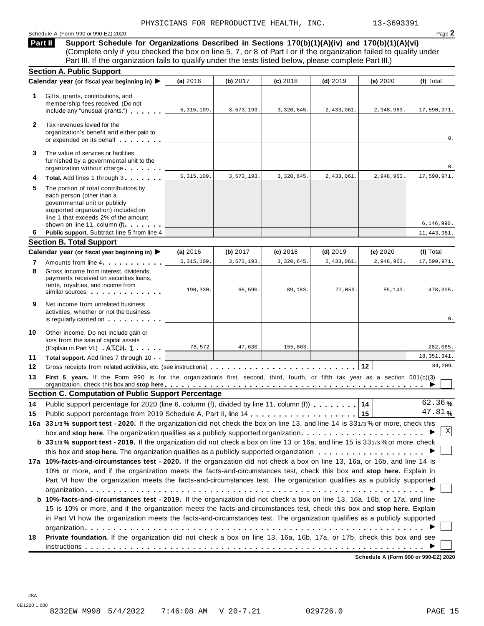#### Schedule <sup>A</sup> (Form <sup>990</sup> or 990-EZ) <sup>2020</sup> Page **2**

**Support Schedule for Organizations Described in Sections 170(b)(1)(A)(iv) and 170(b)(1)(A)(vi)** (Complete only if you checked the box on line 5, 7, or 8 of Part I or if the organization failed to qualify under Part III. If the organization fails to qualify under the tests listed below, please complete Part III.) **Part II**

|              | <b>Section A. Public Support</b>                                                                                                                                                                                                                  |              |            |            |            |            |                                |
|--------------|---------------------------------------------------------------------------------------------------------------------------------------------------------------------------------------------------------------------------------------------------|--------------|------------|------------|------------|------------|--------------------------------|
|              | Calendar year (or fiscal year beginning in) ▶                                                                                                                                                                                                     | (a) 2016     | (b) 2017   | $(c)$ 2018 | $(d)$ 2019 | (e) 2020   | (f) Total                      |
| 1            | Gifts, grants, contributions, and<br>membership fees received. (Do not<br>include any "unusual grants.")                                                                                                                                          | 5, 315, 109. | 3,573,193. | 3,320,645. | 2,433,061. | 2,948,963. | 17,590,971.                    |
| $\mathbf{2}$ | Tax revenues levied for the<br>organization's benefit and either paid to<br>or expended on its behalf                                                                                                                                             |              |            |            |            |            | 0.                             |
| 3            | The value of services or facilities<br>furnished by a governmental unit to the<br>organization without charge                                                                                                                                     |              |            |            |            |            | 0.                             |
| 4            | Total. Add lines 1 through 3                                                                                                                                                                                                                      | 5, 315, 109  | 3,573,193. | 3,320,645. | 2,433,061. | 2,948,963. | 17,590,971.                    |
| 5            | The portion of total contributions by<br>each person (other than a<br>governmental unit or publicly<br>supported organization) included on<br>line 1 that exceeds 2% of the amount<br>shown on line 11, column (f)                                |              |            |            |            |            | 6, 146, 990.                   |
| 6            | Public support. Subtract line 5 from line 4                                                                                                                                                                                                       |              |            |            |            |            | 11, 443, 981.                  |
|              | <b>Section B. Total Support</b>                                                                                                                                                                                                                   |              |            |            |            |            |                                |
|              | Calendar year (or fiscal year beginning in) ▶                                                                                                                                                                                                     | (a) 2016     | (b) 2017   | (c) 2018   | $(d)$ 2019 | (e) 2020   | (f) Total                      |
| 7            | Amounts from line 4                                                                                                                                                                                                                               | 5, 315, 109. | 3,573,193. | 3,320,645. | 2,433,061. | 2,948,963. | 17,590,971.                    |
| 8            | Gross income from interest, dividends.<br>payments received on securities loans,<br>rents, royalties, and income from<br>similar sources experiences                                                                                              | 190,330.     | 66,590.    | 89,183.    | 77,059     | 55, 143.   | 478,305.                       |
| 9            | Net income from unrelated business<br>activities, whether or not the business<br>is regularly carried on the control of the set of the set of the set of the set of the set of the set of the s                                                   |              |            |            |            |            | 0.                             |
| 10           | Other income. Do not include gain or<br>loss from the sale of capital assets<br>(Explain in Part VI.) ATCH 1                                                                                                                                      | 78,572.      | 47,630.    | 155,863.   |            |            | 282,065.                       |
| 11           | Total support. Add lines 7 through 10                                                                                                                                                                                                             |              |            |            |            |            | 18, 351, 341.                  |
| 12           | Gross receipts from related activities, etc. (see instructions)                                                                                                                                                                                   |              |            |            |            | 12         | 84,209.                        |
| 13           | First 5 years. If the Form 990 is for the organization's first, second, third, fourth, or fifth tax year as a section 501(c)(3)<br>organization, check this box and stop here entitled to provide the contract of the contract of the contract of |              |            |            |            |            |                                |
|              | <b>Section C. Computation of Public Support Percentage</b>                                                                                                                                                                                        |              |            |            |            |            |                                |
| 14           | Public support percentage for 2020 (line 6, column (f), divided by line 11, column (f))                                                                                                                                                           |              |            |            |            | 14         | 62.36%<br>$\overline{47.81}$ % |
| 15           |                                                                                                                                                                                                                                                   |              |            |            |            | 15         |                                |
|              | 16a 331/3% support test - 2020. If the organization did not check the box on line 13, and line 14 is 331/3% or more, check this                                                                                                                   |              |            |            |            |            |                                |
|              | box and stop here. The organization qualifies as a publicly supported organization $\ldots \ldots \ldots \ldots \ldots \ldots$                                                                                                                    |              |            |            |            |            | Χ                              |
|              | b 331/3% support test - 2019. If the organization did not check a box on line 13 or 16a, and line 15 is 331/3% or more, check                                                                                                                     |              |            |            |            |            |                                |
|              |                                                                                                                                                                                                                                                   |              |            |            |            |            |                                |
|              | 17a 10%-facts-and-circumstances test - 2020. If the organization did not check a box on line 13, 16a, or 16b, and line 14 is                                                                                                                      |              |            |            |            |            |                                |
|              | 10% or more, and if the organization meets the facts-and-circumstances test, check this box and stop here. Explain in<br>Part VI how the organization meets the facts-and-circumstances test. The organization qualifies as a publicly supported  |              |            |            |            |            |                                |
|              |                                                                                                                                                                                                                                                   |              |            |            |            |            |                                |
|              | b 10%-facts-and-circumstances test - 2019. If the organization did not check a box on line 13, 16a, 16b, or 17a, and line                                                                                                                         |              |            |            |            |            |                                |
|              |                                                                                                                                                                                                                                                   |              |            |            |            |            |                                |
|              | 15 is 10% or more, and if the organization meets the facts-and-circumstances test, check this box and stop here. Explain                                                                                                                          |              |            |            |            |            |                                |
|              | in Part VI how the organization meets the facts-and-circumstances test. The organization qualifies as a publicly supported                                                                                                                        |              |            |            |            |            |                                |
| 18           | Private foundation. If the organization did not check a box on line 13, 16a, 16b, 17a, or 17b, check this box and see                                                                                                                             |              |            |            |            |            |                                |
|              |                                                                                                                                                                                                                                                   |              |            |            |            |            |                                |

**Schedule A (Form 990 or 990-EZ) 2020**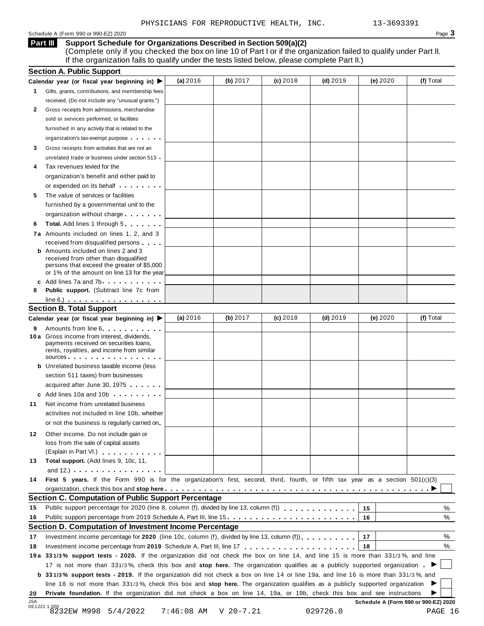#### Schedule A (Form 990 or 990-EZ) 2020 Page  $3$

#### **Support Schedule for Organizations Described in Section 509(a)(2) Part III**

(Complete only if you checked the box on line 10 of Part I or if the organization failed to qualify under Part II. If the organization fails to qualify under the tests listed below, please complete Part II.)

| (f) Total<br>(a) $2016$<br>(b) $2017$<br>$(c)$ 2018<br>(d) $2019$<br>(e) 2020<br>Calendar year (or fiscal year beginning in)<br>Gifts, grants, contributions, and membership fees<br>1.<br>received. (Do not include any "unusual grants.")<br>2<br>Gross receipts from admissions, merchandise<br>sold or services performed, or facilities<br>furnished in any activity that is related to the<br>organization's tax-exempt purpose<br>Gross receipts from activities that are not an<br>3<br>unrelated trade or business under section 513 .<br>Tax revenues levied for the<br>organization's benefit and either paid to<br>or expended on its behalf <b>contains the set of the set of the set of the set of the set of the set of the set of the set of the set of the set of the set of the set of the set of the set of the set of the set of the set of</b><br>The value of services or facilities<br>5<br>furnished by a governmental unit to the<br>organization without charge<br><b>Total.</b> Add lines 1 through 5<br>6<br>7a Amounts included on lines 1, 2, and 3<br>received from disqualified persons<br><b>b</b> Amounts included on lines 2 and 3<br>received from other than disqualified<br>persons that exceed the greater of \$5,000<br>or 1% of the amount on line 13 for the year<br>c Add lines 7a and 7b contact the contact of the contact of the contact of the contact of the contact of the contact of the contact of the contact of the contact of the contact of the contact of the contact of the contact<br>Public support. (Subtract line 7c from<br>8<br>$line 6.)$<br><b>Section B. Total Support</b><br>(a) 2016<br>(b) 2017<br>$(c)$ 2018<br>(f) Total<br>(d) $2019$<br>(e) $2020$<br>Calendar year (or fiscal year beginning in)<br>Amounts from line 6<br>9<br>10 a Gross income from interest, dividends,<br>payments received on securities loans,<br>rents, royalties, and income from similar<br>SOUICES<br><b>b</b> Unrelated business taxable income (less<br>section 511 taxes) from businesses<br>acquired after June 30, 1975<br>c Add lines 10a and 10b<br>Net income from unrelated business<br>activities not included in line 10b, whether<br>or not the business is regularly carried on<br>Other income. Do not include gain or<br>loss from the sale of capital assets<br>(Explain in Part VI.)<br>Total support. (Add lines 9, 10c, 11,<br>and 12.) $\cdots$ $\cdots$ $\cdots$ $\cdots$<br>First 5 years. If the Form 990 is for the organization's first, second, third, fourth, or fifth tax year as a section $501(c)(3)$<br><b>Section C. Computation of Public Support Percentage</b><br>15<br>Public support percentage from 2019 Schedule A, Part III, line 15.<br>16<br>Section D. Computation of Investment Income Percentage<br>17<br>Investment income percentage for 2020 (line 10c, column (f), divided by line 13, column (f)).<br>18<br>19a 331/3% support tests - 2020. If the organization did not check the box on line 14, and line 15 is more than 331/3%, and line<br>17 is not more than 331/3%, check this box and stop here. The organization qualifies as a publicly supported organization.<br><b>b</b> 331/3% support tests - 2019. If the organization did not check a box on line 14 or line 19a, and line 16 is more than 331/3%, and<br>line 18 is not more than 331/3%, check this box and stop here. The organization qualifies as a publicly supported organization<br>Private foundation. If the organization did not check a box on line 14, 19a, or 19b, check this box and see instructions<br>Schedule A (Form 990 or 990-EZ) 2020<br>0E1221 1.000<br>8232EW M998 5/4/2022<br>029726.0<br>$7:46:08$ AM<br>$V$ 20-7.21 |           | <b>Section A. Public Support</b> |  |  |         |
|--------------------------------------------------------------------------------------------------------------------------------------------------------------------------------------------------------------------------------------------------------------------------------------------------------------------------------------------------------------------------------------------------------------------------------------------------------------------------------------------------------------------------------------------------------------------------------------------------------------------------------------------------------------------------------------------------------------------------------------------------------------------------------------------------------------------------------------------------------------------------------------------------------------------------------------------------------------------------------------------------------------------------------------------------------------------------------------------------------------------------------------------------------------------------------------------------------------------------------------------------------------------------------------------------------------------------------------------------------------------------------------------------------------------------------------------------------------------------------------------------------------------------------------------------------------------------------------------------------------------------------------------------------------------------------------------------------------------------------------------------------------------------------------------------------------------------------------------------------------------------------------------------------------------------------------------------------------------------------------------------------------------------------------------------------------------------------------------------------------------------------------------------------------------------------------------------------------------------------------------------------------------------------------------------------------------------------------------------------------------------------------------------------------------------------------------------------------------------------------------------------------------------------------------------------------------------------------------------------------------------------------------------------------------------------------------------------------------------------------------------------------------------------------------------------------------------------------------------------------------------------------------------------------------------------------------------------------------------------------------------------------------------------------------------------------------------------------------------------------------------------------------------------------------------------------------------------------------------------------------------------------------------------------------------------------------------------------------------------------------------------------------------------------------------------------------------------------------------------------------------------------------------------------------------------------------------------------------------------------------------------------------------------------------------------------------------------------------------|-----------|----------------------------------|--|--|---------|
|                                                                                                                                                                                                                                                                                                                                                                                                                                                                                                                                                                                                                                                                                                                                                                                                                                                                                                                                                                                                                                                                                                                                                                                                                                                                                                                                                                                                                                                                                                                                                                                                                                                                                                                                                                                                                                                                                                                                                                                                                                                                                                                                                                                                                                                                                                                                                                                                                                                                                                                                                                                                                                                                                                                                                                                                                                                                                                                                                                                                                                                                                                                                                                                                                                                                                                                                                                                                                                                                                                                                                                                                                                                                                                                          |           |                                  |  |  |         |
|                                                                                                                                                                                                                                                                                                                                                                                                                                                                                                                                                                                                                                                                                                                                                                                                                                                                                                                                                                                                                                                                                                                                                                                                                                                                                                                                                                                                                                                                                                                                                                                                                                                                                                                                                                                                                                                                                                                                                                                                                                                                                                                                                                                                                                                                                                                                                                                                                                                                                                                                                                                                                                                                                                                                                                                                                                                                                                                                                                                                                                                                                                                                                                                                                                                                                                                                                                                                                                                                                                                                                                                                                                                                                                                          |           |                                  |  |  |         |
|                                                                                                                                                                                                                                                                                                                                                                                                                                                                                                                                                                                                                                                                                                                                                                                                                                                                                                                                                                                                                                                                                                                                                                                                                                                                                                                                                                                                                                                                                                                                                                                                                                                                                                                                                                                                                                                                                                                                                                                                                                                                                                                                                                                                                                                                                                                                                                                                                                                                                                                                                                                                                                                                                                                                                                                                                                                                                                                                                                                                                                                                                                                                                                                                                                                                                                                                                                                                                                                                                                                                                                                                                                                                                                                          |           |                                  |  |  |         |
|                                                                                                                                                                                                                                                                                                                                                                                                                                                                                                                                                                                                                                                                                                                                                                                                                                                                                                                                                                                                                                                                                                                                                                                                                                                                                                                                                                                                                                                                                                                                                                                                                                                                                                                                                                                                                                                                                                                                                                                                                                                                                                                                                                                                                                                                                                                                                                                                                                                                                                                                                                                                                                                                                                                                                                                                                                                                                                                                                                                                                                                                                                                                                                                                                                                                                                                                                                                                                                                                                                                                                                                                                                                                                                                          |           |                                  |  |  |         |
|                                                                                                                                                                                                                                                                                                                                                                                                                                                                                                                                                                                                                                                                                                                                                                                                                                                                                                                                                                                                                                                                                                                                                                                                                                                                                                                                                                                                                                                                                                                                                                                                                                                                                                                                                                                                                                                                                                                                                                                                                                                                                                                                                                                                                                                                                                                                                                                                                                                                                                                                                                                                                                                                                                                                                                                                                                                                                                                                                                                                                                                                                                                                                                                                                                                                                                                                                                                                                                                                                                                                                                                                                                                                                                                          |           |                                  |  |  |         |
|                                                                                                                                                                                                                                                                                                                                                                                                                                                                                                                                                                                                                                                                                                                                                                                                                                                                                                                                                                                                                                                                                                                                                                                                                                                                                                                                                                                                                                                                                                                                                                                                                                                                                                                                                                                                                                                                                                                                                                                                                                                                                                                                                                                                                                                                                                                                                                                                                                                                                                                                                                                                                                                                                                                                                                                                                                                                                                                                                                                                                                                                                                                                                                                                                                                                                                                                                                                                                                                                                                                                                                                                                                                                                                                          |           |                                  |  |  |         |
|                                                                                                                                                                                                                                                                                                                                                                                                                                                                                                                                                                                                                                                                                                                                                                                                                                                                                                                                                                                                                                                                                                                                                                                                                                                                                                                                                                                                                                                                                                                                                                                                                                                                                                                                                                                                                                                                                                                                                                                                                                                                                                                                                                                                                                                                                                                                                                                                                                                                                                                                                                                                                                                                                                                                                                                                                                                                                                                                                                                                                                                                                                                                                                                                                                                                                                                                                                                                                                                                                                                                                                                                                                                                                                                          |           |                                  |  |  |         |
|                                                                                                                                                                                                                                                                                                                                                                                                                                                                                                                                                                                                                                                                                                                                                                                                                                                                                                                                                                                                                                                                                                                                                                                                                                                                                                                                                                                                                                                                                                                                                                                                                                                                                                                                                                                                                                                                                                                                                                                                                                                                                                                                                                                                                                                                                                                                                                                                                                                                                                                                                                                                                                                                                                                                                                                                                                                                                                                                                                                                                                                                                                                                                                                                                                                                                                                                                                                                                                                                                                                                                                                                                                                                                                                          |           |                                  |  |  |         |
|                                                                                                                                                                                                                                                                                                                                                                                                                                                                                                                                                                                                                                                                                                                                                                                                                                                                                                                                                                                                                                                                                                                                                                                                                                                                                                                                                                                                                                                                                                                                                                                                                                                                                                                                                                                                                                                                                                                                                                                                                                                                                                                                                                                                                                                                                                                                                                                                                                                                                                                                                                                                                                                                                                                                                                                                                                                                                                                                                                                                                                                                                                                                                                                                                                                                                                                                                                                                                                                                                                                                                                                                                                                                                                                          |           |                                  |  |  |         |
|                                                                                                                                                                                                                                                                                                                                                                                                                                                                                                                                                                                                                                                                                                                                                                                                                                                                                                                                                                                                                                                                                                                                                                                                                                                                                                                                                                                                                                                                                                                                                                                                                                                                                                                                                                                                                                                                                                                                                                                                                                                                                                                                                                                                                                                                                                                                                                                                                                                                                                                                                                                                                                                                                                                                                                                                                                                                                                                                                                                                                                                                                                                                                                                                                                                                                                                                                                                                                                                                                                                                                                                                                                                                                                                          |           |                                  |  |  |         |
|                                                                                                                                                                                                                                                                                                                                                                                                                                                                                                                                                                                                                                                                                                                                                                                                                                                                                                                                                                                                                                                                                                                                                                                                                                                                                                                                                                                                                                                                                                                                                                                                                                                                                                                                                                                                                                                                                                                                                                                                                                                                                                                                                                                                                                                                                                                                                                                                                                                                                                                                                                                                                                                                                                                                                                                                                                                                                                                                                                                                                                                                                                                                                                                                                                                                                                                                                                                                                                                                                                                                                                                                                                                                                                                          |           |                                  |  |  |         |
|                                                                                                                                                                                                                                                                                                                                                                                                                                                                                                                                                                                                                                                                                                                                                                                                                                                                                                                                                                                                                                                                                                                                                                                                                                                                                                                                                                                                                                                                                                                                                                                                                                                                                                                                                                                                                                                                                                                                                                                                                                                                                                                                                                                                                                                                                                                                                                                                                                                                                                                                                                                                                                                                                                                                                                                                                                                                                                                                                                                                                                                                                                                                                                                                                                                                                                                                                                                                                                                                                                                                                                                                                                                                                                                          |           |                                  |  |  |         |
|                                                                                                                                                                                                                                                                                                                                                                                                                                                                                                                                                                                                                                                                                                                                                                                                                                                                                                                                                                                                                                                                                                                                                                                                                                                                                                                                                                                                                                                                                                                                                                                                                                                                                                                                                                                                                                                                                                                                                                                                                                                                                                                                                                                                                                                                                                                                                                                                                                                                                                                                                                                                                                                                                                                                                                                                                                                                                                                                                                                                                                                                                                                                                                                                                                                                                                                                                                                                                                                                                                                                                                                                                                                                                                                          |           |                                  |  |  |         |
|                                                                                                                                                                                                                                                                                                                                                                                                                                                                                                                                                                                                                                                                                                                                                                                                                                                                                                                                                                                                                                                                                                                                                                                                                                                                                                                                                                                                                                                                                                                                                                                                                                                                                                                                                                                                                                                                                                                                                                                                                                                                                                                                                                                                                                                                                                                                                                                                                                                                                                                                                                                                                                                                                                                                                                                                                                                                                                                                                                                                                                                                                                                                                                                                                                                                                                                                                                                                                                                                                                                                                                                                                                                                                                                          |           |                                  |  |  |         |
|                                                                                                                                                                                                                                                                                                                                                                                                                                                                                                                                                                                                                                                                                                                                                                                                                                                                                                                                                                                                                                                                                                                                                                                                                                                                                                                                                                                                                                                                                                                                                                                                                                                                                                                                                                                                                                                                                                                                                                                                                                                                                                                                                                                                                                                                                                                                                                                                                                                                                                                                                                                                                                                                                                                                                                                                                                                                                                                                                                                                                                                                                                                                                                                                                                                                                                                                                                                                                                                                                                                                                                                                                                                                                                                          |           |                                  |  |  |         |
|                                                                                                                                                                                                                                                                                                                                                                                                                                                                                                                                                                                                                                                                                                                                                                                                                                                                                                                                                                                                                                                                                                                                                                                                                                                                                                                                                                                                                                                                                                                                                                                                                                                                                                                                                                                                                                                                                                                                                                                                                                                                                                                                                                                                                                                                                                                                                                                                                                                                                                                                                                                                                                                                                                                                                                                                                                                                                                                                                                                                                                                                                                                                                                                                                                                                                                                                                                                                                                                                                                                                                                                                                                                                                                                          |           |                                  |  |  |         |
|                                                                                                                                                                                                                                                                                                                                                                                                                                                                                                                                                                                                                                                                                                                                                                                                                                                                                                                                                                                                                                                                                                                                                                                                                                                                                                                                                                                                                                                                                                                                                                                                                                                                                                                                                                                                                                                                                                                                                                                                                                                                                                                                                                                                                                                                                                                                                                                                                                                                                                                                                                                                                                                                                                                                                                                                                                                                                                                                                                                                                                                                                                                                                                                                                                                                                                                                                                                                                                                                                                                                                                                                                                                                                                                          |           |                                  |  |  |         |
|                                                                                                                                                                                                                                                                                                                                                                                                                                                                                                                                                                                                                                                                                                                                                                                                                                                                                                                                                                                                                                                                                                                                                                                                                                                                                                                                                                                                                                                                                                                                                                                                                                                                                                                                                                                                                                                                                                                                                                                                                                                                                                                                                                                                                                                                                                                                                                                                                                                                                                                                                                                                                                                                                                                                                                                                                                                                                                                                                                                                                                                                                                                                                                                                                                                                                                                                                                                                                                                                                                                                                                                                                                                                                                                          |           |                                  |  |  |         |
|                                                                                                                                                                                                                                                                                                                                                                                                                                                                                                                                                                                                                                                                                                                                                                                                                                                                                                                                                                                                                                                                                                                                                                                                                                                                                                                                                                                                                                                                                                                                                                                                                                                                                                                                                                                                                                                                                                                                                                                                                                                                                                                                                                                                                                                                                                                                                                                                                                                                                                                                                                                                                                                                                                                                                                                                                                                                                                                                                                                                                                                                                                                                                                                                                                                                                                                                                                                                                                                                                                                                                                                                                                                                                                                          |           |                                  |  |  |         |
|                                                                                                                                                                                                                                                                                                                                                                                                                                                                                                                                                                                                                                                                                                                                                                                                                                                                                                                                                                                                                                                                                                                                                                                                                                                                                                                                                                                                                                                                                                                                                                                                                                                                                                                                                                                                                                                                                                                                                                                                                                                                                                                                                                                                                                                                                                                                                                                                                                                                                                                                                                                                                                                                                                                                                                                                                                                                                                                                                                                                                                                                                                                                                                                                                                                                                                                                                                                                                                                                                                                                                                                                                                                                                                                          |           |                                  |  |  |         |
|                                                                                                                                                                                                                                                                                                                                                                                                                                                                                                                                                                                                                                                                                                                                                                                                                                                                                                                                                                                                                                                                                                                                                                                                                                                                                                                                                                                                                                                                                                                                                                                                                                                                                                                                                                                                                                                                                                                                                                                                                                                                                                                                                                                                                                                                                                                                                                                                                                                                                                                                                                                                                                                                                                                                                                                                                                                                                                                                                                                                                                                                                                                                                                                                                                                                                                                                                                                                                                                                                                                                                                                                                                                                                                                          |           |                                  |  |  |         |
|                                                                                                                                                                                                                                                                                                                                                                                                                                                                                                                                                                                                                                                                                                                                                                                                                                                                                                                                                                                                                                                                                                                                                                                                                                                                                                                                                                                                                                                                                                                                                                                                                                                                                                                                                                                                                                                                                                                                                                                                                                                                                                                                                                                                                                                                                                                                                                                                                                                                                                                                                                                                                                                                                                                                                                                                                                                                                                                                                                                                                                                                                                                                                                                                                                                                                                                                                                                                                                                                                                                                                                                                                                                                                                                          |           |                                  |  |  |         |
|                                                                                                                                                                                                                                                                                                                                                                                                                                                                                                                                                                                                                                                                                                                                                                                                                                                                                                                                                                                                                                                                                                                                                                                                                                                                                                                                                                                                                                                                                                                                                                                                                                                                                                                                                                                                                                                                                                                                                                                                                                                                                                                                                                                                                                                                                                                                                                                                                                                                                                                                                                                                                                                                                                                                                                                                                                                                                                                                                                                                                                                                                                                                                                                                                                                                                                                                                                                                                                                                                                                                                                                                                                                                                                                          |           |                                  |  |  |         |
|                                                                                                                                                                                                                                                                                                                                                                                                                                                                                                                                                                                                                                                                                                                                                                                                                                                                                                                                                                                                                                                                                                                                                                                                                                                                                                                                                                                                                                                                                                                                                                                                                                                                                                                                                                                                                                                                                                                                                                                                                                                                                                                                                                                                                                                                                                                                                                                                                                                                                                                                                                                                                                                                                                                                                                                                                                                                                                                                                                                                                                                                                                                                                                                                                                                                                                                                                                                                                                                                                                                                                                                                                                                                                                                          |           |                                  |  |  |         |
|                                                                                                                                                                                                                                                                                                                                                                                                                                                                                                                                                                                                                                                                                                                                                                                                                                                                                                                                                                                                                                                                                                                                                                                                                                                                                                                                                                                                                                                                                                                                                                                                                                                                                                                                                                                                                                                                                                                                                                                                                                                                                                                                                                                                                                                                                                                                                                                                                                                                                                                                                                                                                                                                                                                                                                                                                                                                                                                                                                                                                                                                                                                                                                                                                                                                                                                                                                                                                                                                                                                                                                                                                                                                                                                          |           |                                  |  |  |         |
|                                                                                                                                                                                                                                                                                                                                                                                                                                                                                                                                                                                                                                                                                                                                                                                                                                                                                                                                                                                                                                                                                                                                                                                                                                                                                                                                                                                                                                                                                                                                                                                                                                                                                                                                                                                                                                                                                                                                                                                                                                                                                                                                                                                                                                                                                                                                                                                                                                                                                                                                                                                                                                                                                                                                                                                                                                                                                                                                                                                                                                                                                                                                                                                                                                                                                                                                                                                                                                                                                                                                                                                                                                                                                                                          |           |                                  |  |  |         |
|                                                                                                                                                                                                                                                                                                                                                                                                                                                                                                                                                                                                                                                                                                                                                                                                                                                                                                                                                                                                                                                                                                                                                                                                                                                                                                                                                                                                                                                                                                                                                                                                                                                                                                                                                                                                                                                                                                                                                                                                                                                                                                                                                                                                                                                                                                                                                                                                                                                                                                                                                                                                                                                                                                                                                                                                                                                                                                                                                                                                                                                                                                                                                                                                                                                                                                                                                                                                                                                                                                                                                                                                                                                                                                                          |           |                                  |  |  |         |
|                                                                                                                                                                                                                                                                                                                                                                                                                                                                                                                                                                                                                                                                                                                                                                                                                                                                                                                                                                                                                                                                                                                                                                                                                                                                                                                                                                                                                                                                                                                                                                                                                                                                                                                                                                                                                                                                                                                                                                                                                                                                                                                                                                                                                                                                                                                                                                                                                                                                                                                                                                                                                                                                                                                                                                                                                                                                                                                                                                                                                                                                                                                                                                                                                                                                                                                                                                                                                                                                                                                                                                                                                                                                                                                          |           |                                  |  |  |         |
|                                                                                                                                                                                                                                                                                                                                                                                                                                                                                                                                                                                                                                                                                                                                                                                                                                                                                                                                                                                                                                                                                                                                                                                                                                                                                                                                                                                                                                                                                                                                                                                                                                                                                                                                                                                                                                                                                                                                                                                                                                                                                                                                                                                                                                                                                                                                                                                                                                                                                                                                                                                                                                                                                                                                                                                                                                                                                                                                                                                                                                                                                                                                                                                                                                                                                                                                                                                                                                                                                                                                                                                                                                                                                                                          |           |                                  |  |  |         |
|                                                                                                                                                                                                                                                                                                                                                                                                                                                                                                                                                                                                                                                                                                                                                                                                                                                                                                                                                                                                                                                                                                                                                                                                                                                                                                                                                                                                                                                                                                                                                                                                                                                                                                                                                                                                                                                                                                                                                                                                                                                                                                                                                                                                                                                                                                                                                                                                                                                                                                                                                                                                                                                                                                                                                                                                                                                                                                                                                                                                                                                                                                                                                                                                                                                                                                                                                                                                                                                                                                                                                                                                                                                                                                                          |           |                                  |  |  |         |
|                                                                                                                                                                                                                                                                                                                                                                                                                                                                                                                                                                                                                                                                                                                                                                                                                                                                                                                                                                                                                                                                                                                                                                                                                                                                                                                                                                                                                                                                                                                                                                                                                                                                                                                                                                                                                                                                                                                                                                                                                                                                                                                                                                                                                                                                                                                                                                                                                                                                                                                                                                                                                                                                                                                                                                                                                                                                                                                                                                                                                                                                                                                                                                                                                                                                                                                                                                                                                                                                                                                                                                                                                                                                                                                          |           |                                  |  |  |         |
|                                                                                                                                                                                                                                                                                                                                                                                                                                                                                                                                                                                                                                                                                                                                                                                                                                                                                                                                                                                                                                                                                                                                                                                                                                                                                                                                                                                                                                                                                                                                                                                                                                                                                                                                                                                                                                                                                                                                                                                                                                                                                                                                                                                                                                                                                                                                                                                                                                                                                                                                                                                                                                                                                                                                                                                                                                                                                                                                                                                                                                                                                                                                                                                                                                                                                                                                                                                                                                                                                                                                                                                                                                                                                                                          |           |                                  |  |  |         |
|                                                                                                                                                                                                                                                                                                                                                                                                                                                                                                                                                                                                                                                                                                                                                                                                                                                                                                                                                                                                                                                                                                                                                                                                                                                                                                                                                                                                                                                                                                                                                                                                                                                                                                                                                                                                                                                                                                                                                                                                                                                                                                                                                                                                                                                                                                                                                                                                                                                                                                                                                                                                                                                                                                                                                                                                                                                                                                                                                                                                                                                                                                                                                                                                                                                                                                                                                                                                                                                                                                                                                                                                                                                                                                                          |           |                                  |  |  |         |
|                                                                                                                                                                                                                                                                                                                                                                                                                                                                                                                                                                                                                                                                                                                                                                                                                                                                                                                                                                                                                                                                                                                                                                                                                                                                                                                                                                                                                                                                                                                                                                                                                                                                                                                                                                                                                                                                                                                                                                                                                                                                                                                                                                                                                                                                                                                                                                                                                                                                                                                                                                                                                                                                                                                                                                                                                                                                                                                                                                                                                                                                                                                                                                                                                                                                                                                                                                                                                                                                                                                                                                                                                                                                                                                          | 11        |                                  |  |  |         |
|                                                                                                                                                                                                                                                                                                                                                                                                                                                                                                                                                                                                                                                                                                                                                                                                                                                                                                                                                                                                                                                                                                                                                                                                                                                                                                                                                                                                                                                                                                                                                                                                                                                                                                                                                                                                                                                                                                                                                                                                                                                                                                                                                                                                                                                                                                                                                                                                                                                                                                                                                                                                                                                                                                                                                                                                                                                                                                                                                                                                                                                                                                                                                                                                                                                                                                                                                                                                                                                                                                                                                                                                                                                                                                                          |           |                                  |  |  |         |
|                                                                                                                                                                                                                                                                                                                                                                                                                                                                                                                                                                                                                                                                                                                                                                                                                                                                                                                                                                                                                                                                                                                                                                                                                                                                                                                                                                                                                                                                                                                                                                                                                                                                                                                                                                                                                                                                                                                                                                                                                                                                                                                                                                                                                                                                                                                                                                                                                                                                                                                                                                                                                                                                                                                                                                                                                                                                                                                                                                                                                                                                                                                                                                                                                                                                                                                                                                                                                                                                                                                                                                                                                                                                                                                          |           |                                  |  |  |         |
|                                                                                                                                                                                                                                                                                                                                                                                                                                                                                                                                                                                                                                                                                                                                                                                                                                                                                                                                                                                                                                                                                                                                                                                                                                                                                                                                                                                                                                                                                                                                                                                                                                                                                                                                                                                                                                                                                                                                                                                                                                                                                                                                                                                                                                                                                                                                                                                                                                                                                                                                                                                                                                                                                                                                                                                                                                                                                                                                                                                                                                                                                                                                                                                                                                                                                                                                                                                                                                                                                                                                                                                                                                                                                                                          | 12        |                                  |  |  |         |
|                                                                                                                                                                                                                                                                                                                                                                                                                                                                                                                                                                                                                                                                                                                                                                                                                                                                                                                                                                                                                                                                                                                                                                                                                                                                                                                                                                                                                                                                                                                                                                                                                                                                                                                                                                                                                                                                                                                                                                                                                                                                                                                                                                                                                                                                                                                                                                                                                                                                                                                                                                                                                                                                                                                                                                                                                                                                                                                                                                                                                                                                                                                                                                                                                                                                                                                                                                                                                                                                                                                                                                                                                                                                                                                          |           |                                  |  |  |         |
|                                                                                                                                                                                                                                                                                                                                                                                                                                                                                                                                                                                                                                                                                                                                                                                                                                                                                                                                                                                                                                                                                                                                                                                                                                                                                                                                                                                                                                                                                                                                                                                                                                                                                                                                                                                                                                                                                                                                                                                                                                                                                                                                                                                                                                                                                                                                                                                                                                                                                                                                                                                                                                                                                                                                                                                                                                                                                                                                                                                                                                                                                                                                                                                                                                                                                                                                                                                                                                                                                                                                                                                                                                                                                                                          |           |                                  |  |  |         |
|                                                                                                                                                                                                                                                                                                                                                                                                                                                                                                                                                                                                                                                                                                                                                                                                                                                                                                                                                                                                                                                                                                                                                                                                                                                                                                                                                                                                                                                                                                                                                                                                                                                                                                                                                                                                                                                                                                                                                                                                                                                                                                                                                                                                                                                                                                                                                                                                                                                                                                                                                                                                                                                                                                                                                                                                                                                                                                                                                                                                                                                                                                                                                                                                                                                                                                                                                                                                                                                                                                                                                                                                                                                                                                                          | 13        |                                  |  |  |         |
|                                                                                                                                                                                                                                                                                                                                                                                                                                                                                                                                                                                                                                                                                                                                                                                                                                                                                                                                                                                                                                                                                                                                                                                                                                                                                                                                                                                                                                                                                                                                                                                                                                                                                                                                                                                                                                                                                                                                                                                                                                                                                                                                                                                                                                                                                                                                                                                                                                                                                                                                                                                                                                                                                                                                                                                                                                                                                                                                                                                                                                                                                                                                                                                                                                                                                                                                                                                                                                                                                                                                                                                                                                                                                                                          |           |                                  |  |  |         |
|                                                                                                                                                                                                                                                                                                                                                                                                                                                                                                                                                                                                                                                                                                                                                                                                                                                                                                                                                                                                                                                                                                                                                                                                                                                                                                                                                                                                                                                                                                                                                                                                                                                                                                                                                                                                                                                                                                                                                                                                                                                                                                                                                                                                                                                                                                                                                                                                                                                                                                                                                                                                                                                                                                                                                                                                                                                                                                                                                                                                                                                                                                                                                                                                                                                                                                                                                                                                                                                                                                                                                                                                                                                                                                                          | 14        |                                  |  |  |         |
|                                                                                                                                                                                                                                                                                                                                                                                                                                                                                                                                                                                                                                                                                                                                                                                                                                                                                                                                                                                                                                                                                                                                                                                                                                                                                                                                                                                                                                                                                                                                                                                                                                                                                                                                                                                                                                                                                                                                                                                                                                                                                                                                                                                                                                                                                                                                                                                                                                                                                                                                                                                                                                                                                                                                                                                                                                                                                                                                                                                                                                                                                                                                                                                                                                                                                                                                                                                                                                                                                                                                                                                                                                                                                                                          |           |                                  |  |  |         |
|                                                                                                                                                                                                                                                                                                                                                                                                                                                                                                                                                                                                                                                                                                                                                                                                                                                                                                                                                                                                                                                                                                                                                                                                                                                                                                                                                                                                                                                                                                                                                                                                                                                                                                                                                                                                                                                                                                                                                                                                                                                                                                                                                                                                                                                                                                                                                                                                                                                                                                                                                                                                                                                                                                                                                                                                                                                                                                                                                                                                                                                                                                                                                                                                                                                                                                                                                                                                                                                                                                                                                                                                                                                                                                                          |           |                                  |  |  |         |
|                                                                                                                                                                                                                                                                                                                                                                                                                                                                                                                                                                                                                                                                                                                                                                                                                                                                                                                                                                                                                                                                                                                                                                                                                                                                                                                                                                                                                                                                                                                                                                                                                                                                                                                                                                                                                                                                                                                                                                                                                                                                                                                                                                                                                                                                                                                                                                                                                                                                                                                                                                                                                                                                                                                                                                                                                                                                                                                                                                                                                                                                                                                                                                                                                                                                                                                                                                                                                                                                                                                                                                                                                                                                                                                          | 15        |                                  |  |  | %       |
|                                                                                                                                                                                                                                                                                                                                                                                                                                                                                                                                                                                                                                                                                                                                                                                                                                                                                                                                                                                                                                                                                                                                                                                                                                                                                                                                                                                                                                                                                                                                                                                                                                                                                                                                                                                                                                                                                                                                                                                                                                                                                                                                                                                                                                                                                                                                                                                                                                                                                                                                                                                                                                                                                                                                                                                                                                                                                                                                                                                                                                                                                                                                                                                                                                                                                                                                                                                                                                                                                                                                                                                                                                                                                                                          | 16        |                                  |  |  | %       |
|                                                                                                                                                                                                                                                                                                                                                                                                                                                                                                                                                                                                                                                                                                                                                                                                                                                                                                                                                                                                                                                                                                                                                                                                                                                                                                                                                                                                                                                                                                                                                                                                                                                                                                                                                                                                                                                                                                                                                                                                                                                                                                                                                                                                                                                                                                                                                                                                                                                                                                                                                                                                                                                                                                                                                                                                                                                                                                                                                                                                                                                                                                                                                                                                                                                                                                                                                                                                                                                                                                                                                                                                                                                                                                                          |           |                                  |  |  |         |
|                                                                                                                                                                                                                                                                                                                                                                                                                                                                                                                                                                                                                                                                                                                                                                                                                                                                                                                                                                                                                                                                                                                                                                                                                                                                                                                                                                                                                                                                                                                                                                                                                                                                                                                                                                                                                                                                                                                                                                                                                                                                                                                                                                                                                                                                                                                                                                                                                                                                                                                                                                                                                                                                                                                                                                                                                                                                                                                                                                                                                                                                                                                                                                                                                                                                                                                                                                                                                                                                                                                                                                                                                                                                                                                          | 17        |                                  |  |  | %       |
|                                                                                                                                                                                                                                                                                                                                                                                                                                                                                                                                                                                                                                                                                                                                                                                                                                                                                                                                                                                                                                                                                                                                                                                                                                                                                                                                                                                                                                                                                                                                                                                                                                                                                                                                                                                                                                                                                                                                                                                                                                                                                                                                                                                                                                                                                                                                                                                                                                                                                                                                                                                                                                                                                                                                                                                                                                                                                                                                                                                                                                                                                                                                                                                                                                                                                                                                                                                                                                                                                                                                                                                                                                                                                                                          | 18        |                                  |  |  | %       |
|                                                                                                                                                                                                                                                                                                                                                                                                                                                                                                                                                                                                                                                                                                                                                                                                                                                                                                                                                                                                                                                                                                                                                                                                                                                                                                                                                                                                                                                                                                                                                                                                                                                                                                                                                                                                                                                                                                                                                                                                                                                                                                                                                                                                                                                                                                                                                                                                                                                                                                                                                                                                                                                                                                                                                                                                                                                                                                                                                                                                                                                                                                                                                                                                                                                                                                                                                                                                                                                                                                                                                                                                                                                                                                                          |           |                                  |  |  |         |
|                                                                                                                                                                                                                                                                                                                                                                                                                                                                                                                                                                                                                                                                                                                                                                                                                                                                                                                                                                                                                                                                                                                                                                                                                                                                                                                                                                                                                                                                                                                                                                                                                                                                                                                                                                                                                                                                                                                                                                                                                                                                                                                                                                                                                                                                                                                                                                                                                                                                                                                                                                                                                                                                                                                                                                                                                                                                                                                                                                                                                                                                                                                                                                                                                                                                                                                                                                                                                                                                                                                                                                                                                                                                                                                          |           |                                  |  |  |         |
|                                                                                                                                                                                                                                                                                                                                                                                                                                                                                                                                                                                                                                                                                                                                                                                                                                                                                                                                                                                                                                                                                                                                                                                                                                                                                                                                                                                                                                                                                                                                                                                                                                                                                                                                                                                                                                                                                                                                                                                                                                                                                                                                                                                                                                                                                                                                                                                                                                                                                                                                                                                                                                                                                                                                                                                                                                                                                                                                                                                                                                                                                                                                                                                                                                                                                                                                                                                                                                                                                                                                                                                                                                                                                                                          |           |                                  |  |  |         |
|                                                                                                                                                                                                                                                                                                                                                                                                                                                                                                                                                                                                                                                                                                                                                                                                                                                                                                                                                                                                                                                                                                                                                                                                                                                                                                                                                                                                                                                                                                                                                                                                                                                                                                                                                                                                                                                                                                                                                                                                                                                                                                                                                                                                                                                                                                                                                                                                                                                                                                                                                                                                                                                                                                                                                                                                                                                                                                                                                                                                                                                                                                                                                                                                                                                                                                                                                                                                                                                                                                                                                                                                                                                                                                                          |           |                                  |  |  |         |
|                                                                                                                                                                                                                                                                                                                                                                                                                                                                                                                                                                                                                                                                                                                                                                                                                                                                                                                                                                                                                                                                                                                                                                                                                                                                                                                                                                                                                                                                                                                                                                                                                                                                                                                                                                                                                                                                                                                                                                                                                                                                                                                                                                                                                                                                                                                                                                                                                                                                                                                                                                                                                                                                                                                                                                                                                                                                                                                                                                                                                                                                                                                                                                                                                                                                                                                                                                                                                                                                                                                                                                                                                                                                                                                          |           |                                  |  |  |         |
|                                                                                                                                                                                                                                                                                                                                                                                                                                                                                                                                                                                                                                                                                                                                                                                                                                                                                                                                                                                                                                                                                                                                                                                                                                                                                                                                                                                                                                                                                                                                                                                                                                                                                                                                                                                                                                                                                                                                                                                                                                                                                                                                                                                                                                                                                                                                                                                                                                                                                                                                                                                                                                                                                                                                                                                                                                                                                                                                                                                                                                                                                                                                                                                                                                                                                                                                                                                                                                                                                                                                                                                                                                                                                                                          | 20<br>JSA |                                  |  |  |         |
|                                                                                                                                                                                                                                                                                                                                                                                                                                                                                                                                                                                                                                                                                                                                                                                                                                                                                                                                                                                                                                                                                                                                                                                                                                                                                                                                                                                                                                                                                                                                                                                                                                                                                                                                                                                                                                                                                                                                                                                                                                                                                                                                                                                                                                                                                                                                                                                                                                                                                                                                                                                                                                                                                                                                                                                                                                                                                                                                                                                                                                                                                                                                                                                                                                                                                                                                                                                                                                                                                                                                                                                                                                                                                                                          |           |                                  |  |  | PAGE 16 |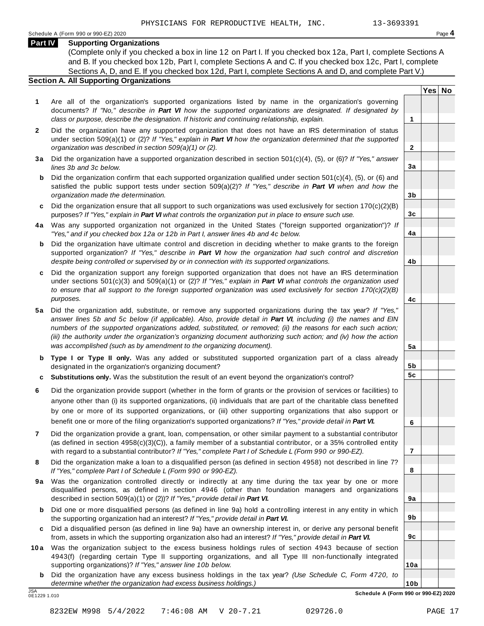**Yes No**

**2**

**3a**

**3b**

**3c**

**4a**

**4b**

**4c**

**5a**

**5b 5c**

**6**

**7**

**8**

**9a**

**9b**

**9c**

**10a**

#### **Part IV Supporting Organizations**

(Complete only if you checked a box in line 12 on Part I. If you checked box 12a, Part I, complete Sections A and B. If you checked box 12b, Part I, complete Sections A and C. If you checked box 12c, Part I, complete Sections A, D, and E. If you checked box 12d, Part I, complete Sections A and D, and complete Part V.)

### **Section A. All Supporting Organizations**

- **1** Are all of the organization's supported organizations listed by name in the organization's governing documents? *If "No," describe in Part VI how the supported organizations are designated. If designated by class or purpose, describe the designation. If historic and continuing relationship, explain.* **1**
- **2** Did the organization have any supported organization that does not have an IRS determination of status under section 509(a)(1) or (2)? *If"Yes," explain in Part VI how the organization determined that the supported organization was described in section 509(a)(1) or (2).*
- **3 a** Did the organization have a supported organization described in section 501(c)(4), (5), or (6)? *If "Yes," answer lines 3b and 3c below.*
- **b** Did the organization confirm that each supported organization qualified under section 501(c)(4), (5), or (6) and | satisfied the public support tests under section 509(a)(2)? *If "Yes," describe in Part VI when and how the organization made the determination.*
- **c** Did the organization ensure that all support to such organizations was used exclusively for section 170(c)(2)(B) purposes? *If"Yes," explain in Part VI what controls the organization put in place to ensure such use.*
- **4 a** Was any supported organization not organized in the United States ("foreign supported organization")? *If "Yes," and if you checked box 12a or 12b in Part I, answer lines 4b and 4c below.*
- **b** Did the organization have ultimate control and discretion in deciding whether to make grants to the foreign | supported organization? *If "Yes," describe in Part VI how the organization had such control and discretion despite being controlled or supervised by or in connection with its supported organizations.*
- **c** Did the organization support any foreign supported organization that does not have an IRS determination | under sections 501(c)(3) and 509(a)(1) or (2)? *If "Yes," explain in Part VI what controls the organization used to ensure that all support to the foreign supported organization was used exclusively for section 170(c)(2)(B) purposes.*
- **5 a** Did the organization add, substitute, or remove any supported organizations during the tax year? *If "Yes,"* answer lines 5b and 5c below (if applicable). Also, provide detail in Part VI, including (i) the names and EIN *numbers of the supported organizations added, substituted, or removed; (ii) the reasons for each such action;* (iii) the authority under the organization's organizing document authorizing such action; and (iv) how the action *was accomplished (such as by amendment to the organizing document).*
- **b Type I or Type II only.** Was any added or substituted supported organization part of a class already designated in the organization's organizing document?
- **c Substitutions only.** Was the substitution the result of an event beyond the organization's control?
- **6** Did the organization provide support (whether in the form of grants or the provision of services or facilities) to anyone other than (i) its supported organizations, (ii) individuals that are part of the charitable class benefited by one or more of its supported organizations, or (iii) other supporting organizations that also support or benefit one or more of the filing organization's supported organizations? *If"Yes," provide detail in Part VI.*
- **7** Did the organization provide a grant, loan, compensation, or other similar payment to a substantial contributor (as defined in section 4958(c)(3)(C)), a family member of a substantial contributor, or a 35% controlled entity with regard to a substantial contributor? *If"Yes," complete Part I of Schedule L (Form 990 or 990-EZ).*
- **8** Did the organization make a loan to a disqualified person (as defined in section 4958) not described in line 7? *If "Yes," complete Part I of Schedule L (Form 990 or 990-EZ).*
- **9a** Was the organization controlled directly or indirectly at any time during the tax year by one or more | disqualified persons, as defined in section 4946 (other than foundation managers and organizations described in section 509(a)(1) or (2))? *If"Yes," provide detail in Part VI.*
- **b** Did one or more disqualified persons (as defined in line 9a) hold a controlling interest in any entity in which | the supporting organization had an interest? *If"Yes," provide detail in Part VI.*
- **c** Did a disqualified person (as defined in line 9a) have an ownership interest in, or derive any personal benefit from, assets in which the supporting organization also had an interest? *If"Yes," provide detail in Part VI.*
- **10a** Was the organization subject to the excess business holdings rules of section 4943 because of section | 4943(f) (regarding certain Type II supporting organizations, and all Type III non-functionally integrated supporting organizations)? *If"Yes," answer line 10b below.*
	- **b** Did the organization have any excess business holdings in the tax year? *(Use Schedule C, Form 4720, to determine whether the organization had excess business holdings.)*

0E1229 1.010

**10b** JSA **Schedule A (Form 990 or 990-EZ) 2020**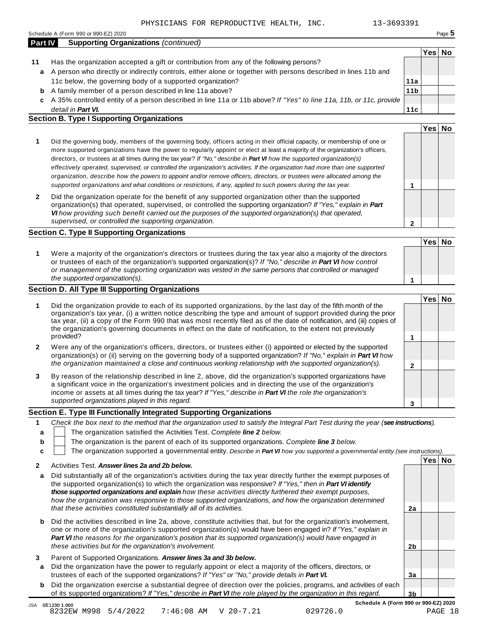| Section E. Type III Functionally Integrated Supporting Organizations |                                                                                                                                                                                                                                                                                                                                                      |  |  |  |  |  |
|----------------------------------------------------------------------|------------------------------------------------------------------------------------------------------------------------------------------------------------------------------------------------------------------------------------------------------------------------------------------------------------------------------------------------------|--|--|--|--|--|
|                                                                      | supported organizations played in this regard.                                                                                                                                                                                                                                                                                                       |  |  |  |  |  |
|                                                                      | By reason of the relationship described in line 2, above, did the organization's supported organizations have<br>a significant voice in the organization's investment policies and in directing the use of the organization's<br>income or assets at all times during the tax year? If "Yes," describe in <b>Part VI</b> the role the organization's |  |  |  |  |  |
|                                                                      | the organization maintained a close and continuous working relationship with the supported organization(s).                                                                                                                                                                                                                                          |  |  |  |  |  |

#### 1 Check the box next to the method that the organization used to satisfy the Integral Part Test during the year (see instructions). **a**

- The organization satisfied the Activities Test. *Complete line 2 below.*
- The organization is the parent of each of its supported organizations. *Complete line 3 below.*

**1** Did the organization provide to each of its supported organizations, by the last day of the fifth month of the

organization's tax year, (i) a written notice describing the type and amount of support provided during the prior tax year, (ii) a copy of the Form 990 that was most recently filed as of the date of notification, and (iii) copies of the organization's governing documents in effect on the date of notification, to the extent not previously

The organization supported a governmental entity. *Describe in Part VI how you supported a governmental entity (see instructions).*

### **2** Activities Test. *Answer lines 2a and 2b below.*

- **a** Did substantially all of the organization's activities during the tax year directly further the exempt purposes of the supported organization(s) to which the organization was responsive? *If "Yes," then in Part VI identify those supported organizations and explain how these activities directly furthered their exempt purposes, how the organization was responsive to those supported organizations, and how the organization determined that these activities constituted substantially all of its activities.* **2a**
- **b** Did the activities described in line 2a, above, constitute activities that, but for the organization's involvement, one or more of the organization's supported organization(s) would have been engaged in? *If "Yes," explain in Part VI the reasons for the organization's position that its supported organization(s) would have engaged in these activities but for the organization's involvement.*
- **3** Parent of Supported Organizations. *Answer lines 3a and 3b below.*
- **a** Did the organization have the power to regularly appoint or elect a majority of the officers, directors, or trustees of each of the supported organizations? *If"Yes" or "No," provide details in Part VI.*
- **b** Did the organization exercise a substantial degree of direction over the policies, programs, and activities of each of its supported organizations? *If"Yes," describe in Part VI the role played by the organization in this regard.*

**Schedule A (Form 990 or 990-EZ) 2020**

**2b**

**3a**

**3b**

| Has the organization accepted a gift or contribution from any of the following persons? |
|-----------------------------------------------------------------------------------------|

- A person who directly or indirectly controls, either alone or together with persons described in lines 11b and **a** 11c below, the governing body of a supported organ
	- A family member of a person described in line 11a above? **b**
	- A 35% controlled entity of a person described in line 11a or 11b above? *If"Yes" to line 11a, 11b, or 11c, provide* **c** *detail in Part VI.* **11c**

#### **Section B. Type I Supporting Organizations**

|              |                                                                                                                                                                                                                                                                                                                                                                                                                                                                                                                                                                                                                                                                                                                                                                                 | Yes⊺ |  |
|--------------|---------------------------------------------------------------------------------------------------------------------------------------------------------------------------------------------------------------------------------------------------------------------------------------------------------------------------------------------------------------------------------------------------------------------------------------------------------------------------------------------------------------------------------------------------------------------------------------------------------------------------------------------------------------------------------------------------------------------------------------------------------------------------------|------|--|
| 1            | Did the governing body, members of the governing body, officers acting in their official capacity, or membership of one or<br>more supported organizations have the power to regularly appoint or elect at least a majority of the organization's officers,<br>directors, or trustees at all times during the tax year? If "No," describe in <b>Part VI</b> how the supported organization(s)<br>effectively operated, supervised, or controlled the organization's activities. If the organization had more than one supported<br>organization, describe how the powers to appoint and/or remove officers, directors, or trustees were allocated among the<br>supported organizations and what conditions or restrictions, if any, applied to such powers during the tax year. |      |  |
| $\mathbf{2}$ | Did the organization operate for the benefit of any supported organization other than the supported<br>organization(s) that operated, supervised, or controlled the supporting organization? If "Yes," explain in Part<br>VI how providing such benefit carried out the purposes of the supported organization(s) that operated,<br>supervised, or controlled the supporting organization.                                                                                                                                                                                                                                                                                                                                                                                      |      |  |

#### **Section C. Type II Supporting Organizations**

**1 Yes No 1** Were a majority of the organization's directors or trustees during the tax year also a majority of the directors or trustees of each of the organization's supported organization(s)? *If"No," describe in Part VI how control or management of the supporting organization was vested in the same persons that controlled or managed the supported organization(s).*

### **Section D. All Type III Supporting Organizations**

provided?

**b c**

| ir indirectly controls, either alone or together with persons described in lines 11b and |     |  |
|------------------------------------------------------------------------------------------|-----|--|
| ng body of a supported organization?                                                     | 11a |  |

**11b**

**Yes No**

# **1**

**Yes No**

**Yes No**

**2** Were any of the organization's officers, directors, or trustees either (i) appointed or elected by the supported organization(s) or (ii) serving on the governing body of a supported organization? *If"No," explain in Part VI how the organization maintained a close and continuous working relationship with the supported organization(s).*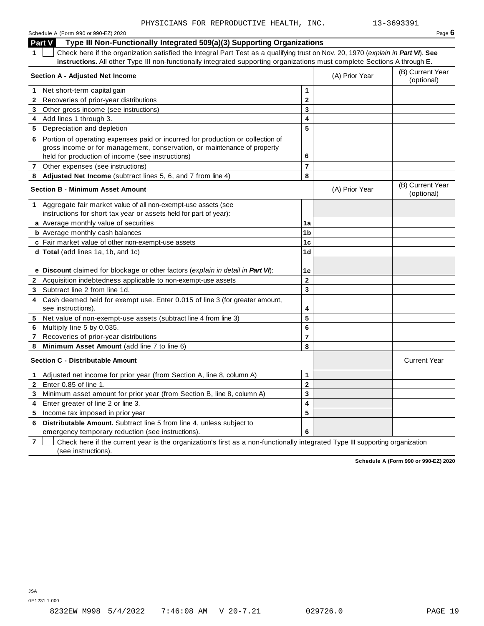| Schedule A (Form 990 or 990-EZ) 2020 | Page $6$ |
|--------------------------------------|----------|
|--------------------------------------|----------|

**Part V Type III Non-Functionally Integrated 509(a)(3) Supporting Organizations**

**1** Check here if the organization satisfied the Integral Part Test as a qualifying trust on Nov. 20, 1970 (*explain in Part VI*). **See instructions.** All other Type III non-functionally integrated supporting organizations must complete Sections A through E.

|              | Section A - Adjusted Net Income                                                                                           | (A) Prior Year | (B) Current Year<br>(optional) |                                |
|--------------|---------------------------------------------------------------------------------------------------------------------------|----------------|--------------------------------|--------------------------------|
|              | 1 Net short-term capital gain                                                                                             | 1              |                                |                                |
|              | 2 Recoveries of prior-year distributions                                                                                  | $\mathbf 2$    |                                |                                |
|              | 3 Other gross income (see instructions)                                                                                   | 3              |                                |                                |
|              | 4 Add lines 1 through 3.                                                                                                  | 4              |                                |                                |
|              | 5 Depreciation and depletion                                                                                              | 5              |                                |                                |
|              | 6 Portion of operating expenses paid or incurred for production or collection of                                          |                |                                |                                |
|              | gross income or for management, conservation, or maintenance of property                                                  |                |                                |                                |
|              | held for production of income (see instructions)                                                                          | 6              |                                |                                |
| $\mathbf{7}$ | Other expenses (see instructions)                                                                                         | $\overline{7}$ |                                |                                |
|              | 8 Adjusted Net Income (subtract lines 5, 6, and 7 from line 4)                                                            | 8              |                                |                                |
|              | <b>Section B - Minimum Asset Amount</b>                                                                                   |                | (A) Prior Year                 | (B) Current Year<br>(optional) |
|              | 1 Aggregate fair market value of all non-exempt-use assets (see                                                           |                |                                |                                |
|              | instructions for short tax year or assets held for part of year):                                                         |                |                                |                                |
|              | a Average monthly value of securities                                                                                     | 1a             |                                |                                |
|              | <b>b</b> Average monthly cash balances                                                                                    | 1 <sub>b</sub> |                                |                                |
|              | c Fair market value of other non-exempt-use assets                                                                        | 1 <sub>c</sub> |                                |                                |
|              | d Total (add lines 1a, 1b, and 1c)                                                                                        | 1d             |                                |                                |
|              | e Discount claimed for blockage or other factors (explain in detail in Part VI):                                          | 1e             |                                |                                |
|              | 2 Acquisition indebtedness applicable to non-exempt-use assets                                                            | $\mathbf 2$    |                                |                                |
|              | 3 Subtract line 2 from line 1d.                                                                                           | 3              |                                |                                |
|              | 4 Cash deemed held for exempt use. Enter 0.015 of line 3 (for greater amount,<br>see instructions).                       | 4              |                                |                                |
| 5            | Net value of non-exempt-use assets (subtract line 4 from line 3)                                                          | 5              |                                |                                |
| 6            | Multiply line 5 by 0.035.                                                                                                 | 6              |                                |                                |
| $\mathbf{7}$ | Recoveries of prior-year distributions                                                                                    | $\overline{7}$ |                                |                                |
| 8            | Minimum Asset Amount (add line 7 to line 6)                                                                               | 8              |                                |                                |
|              | <b>Section C - Distributable Amount</b>                                                                                   |                |                                | <b>Current Year</b>            |
| $\mathbf{1}$ | Adjusted net income for prior year (from Section A, line 8, column A)                                                     | 1              |                                |                                |
| $\mathbf{2}$ | Enter 0.85 of line 1.                                                                                                     | $\mathbf 2$    |                                |                                |
|              | 3 Minimum asset amount for prior year (from Section B, line 8, column A)                                                  | 3              |                                |                                |
| 4            | Enter greater of line 2 or line 3.                                                                                        | 4              |                                |                                |
|              | 5 Income tax imposed in prior year                                                                                        | 5              |                                |                                |
| 6            | Distributable Amount. Subtract line 5 from line 4, unless subject to<br>emergency temporary reduction (see instructions). | 6              |                                |                                |

**7** Check here if the current year is the organization's first as a non-functionally integrated Type III supporting organization (see instructions).

**Schedule A (Form 990 or 990-EZ) 2020**

0E1231 1.000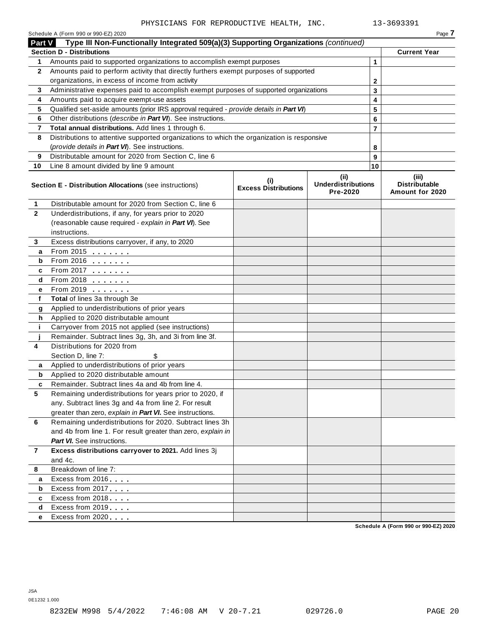|                | Schedule A (Form 990 or 990-EZ) 2020                                                       |                                    |                                               |                | Page 7                                      |
|----------------|--------------------------------------------------------------------------------------------|------------------------------------|-----------------------------------------------|----------------|---------------------------------------------|
| Part V         | Type III Non-Functionally Integrated 509(a)(3) Supporting Organizations (continued)        |                                    |                                               |                |                                             |
|                | <b>Section D - Distributions</b>                                                           |                                    |                                               |                | <b>Current Year</b>                         |
| 1.             | Amounts paid to supported organizations to accomplish exempt purposes                      |                                    |                                               | $\mathbf{1}$   |                                             |
| $\mathbf{2}$   | Amounts paid to perform activity that directly furthers exempt purposes of supported       |                                    |                                               |                |                                             |
|                | organizations, in excess of income from activity                                           |                                    |                                               | $\mathbf{2}$   |                                             |
| 3              | Administrative expenses paid to accomplish exempt purposes of supported organizations      |                                    |                                               | 3              |                                             |
| 4              | Amounts paid to acquire exempt-use assets                                                  |                                    |                                               | 4              |                                             |
| 5              | Qualified set-aside amounts (prior IRS approval required - provide details in Part VI)     |                                    |                                               | 5              |                                             |
| 6              | Other distributions (describe in Part VI). See instructions.                               |                                    |                                               | 6              |                                             |
| 7              | Total annual distributions. Add lines 1 through 6.                                         |                                    |                                               | $\overline{7}$ |                                             |
| 8              | Distributions to attentive supported organizations to which the organization is responsive |                                    |                                               |                |                                             |
|                | (provide details in Part VI). See instructions.                                            |                                    |                                               | 8              |                                             |
| 9              | Distributable amount for 2020 from Section C, line 6                                       |                                    |                                               | 9              |                                             |
| 10             | Line 8 amount divided by line 9 amount                                                     |                                    |                                               | 10             |                                             |
|                | <b>Section E - Distribution Allocations (see instructions)</b>                             | (i)<br><b>Excess Distributions</b> | (ii)<br><b>Underdistributions</b><br>Pre-2020 |                | (iii)<br>Distributable<br>Amount for 2020   |
| 1              | Distributable amount for 2020 from Section C, line 6                                       |                                    |                                               |                |                                             |
| $\overline{2}$ | Underdistributions, if any, for years prior to 2020                                        |                                    |                                               |                |                                             |
|                | (reasonable cause required - explain in Part VI). See                                      |                                    |                                               |                |                                             |
|                | instructions.                                                                              |                                    |                                               |                |                                             |
| 3              | Excess distributions carryover, if any, to 2020                                            |                                    |                                               |                |                                             |
| а              | From 2015                                                                                  |                                    |                                               |                |                                             |
| b              |                                                                                            |                                    |                                               |                |                                             |
| c              | From 2017                                                                                  |                                    |                                               |                |                                             |
| d              |                                                                                            |                                    |                                               |                |                                             |
| е              | From 2019                                                                                  |                                    |                                               |                |                                             |
| f              | Total of lines 3a through 3e                                                               |                                    |                                               |                |                                             |
| g              | Applied to underdistributions of prior years                                               |                                    |                                               |                |                                             |
| h              | Applied to 2020 distributable amount                                                       |                                    |                                               |                |                                             |
| j.             | Carryover from 2015 not applied (see instructions)                                         |                                    |                                               |                |                                             |
|                | Remainder. Subtract lines 3g, 3h, and 3i from line 3f.                                     |                                    |                                               |                |                                             |
| 4              | Distributions for 2020 from                                                                |                                    |                                               |                |                                             |
|                | Section D, line 7:<br>Applied to underdistributions of prior years                         |                                    |                                               |                |                                             |
| a              | Applied to 2020 distributable amount                                                       |                                    |                                               |                |                                             |
| b              | Remainder. Subtract lines 4a and 4b from line 4.                                           |                                    |                                               |                |                                             |
| 5              | Remaining underdistributions for years prior to 2020, if                                   |                                    |                                               |                |                                             |
|                | any. Subtract lines 3g and 4a from line 2. For result                                      |                                    |                                               |                |                                             |
|                | greater than zero, explain in Part VI. See instructions.                                   |                                    |                                               |                |                                             |
| 6              | Remaining underdistributions for 2020. Subtract lines 3h                                   |                                    |                                               |                |                                             |
|                | and 4b from line 1. For result greater than zero, explain in                               |                                    |                                               |                |                                             |
|                | <b>Part VI.</b> See instructions.                                                          |                                    |                                               |                |                                             |
| $\mathbf{7}$   | Excess distributions carryover to 2021. Add lines 3j                                       |                                    |                                               |                |                                             |
|                | and 4c.                                                                                    |                                    |                                               |                |                                             |
| 8              | Breakdown of line 7:                                                                       |                                    |                                               |                |                                             |
| a              | Excess from 2016                                                                           |                                    |                                               |                |                                             |
| b              | Excess from 2017                                                                           |                                    |                                               |                |                                             |
| c              | Excess from 2018                                                                           |                                    |                                               |                |                                             |
| d              | Excess from 2019                                                                           |                                    |                                               |                |                                             |
| е              | Excess from 2020                                                                           |                                    |                                               |                |                                             |
|                |                                                                                            |                                    |                                               |                | <b>Cohodulo A (Form 000 or 000 EZ) 2020</b> |

**Schedule A (Form 990 or 990-EZ) 2020**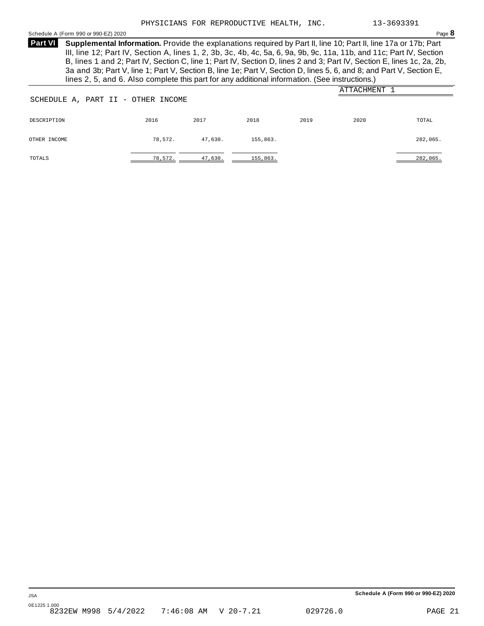#### <span id="page-19-0"></span>Schedule <sup>A</sup> (Form <sup>990</sup> or 990-EZ) <sup>2020</sup> Page **8**

**Supplemental Information.** Provide the explanations required by Part II, line 10; Part II, line 17a or 17b; Part **Part VI** III, line 12; Part IV, Section A, lines 1, 2, 3b, 3c, 4b, 4c, 5a, 6, 9a, 9b, 9c, 11a, 11b, and 11c; Part IV, Section B, lines 1 and 2; Part IV, Section C, line 1; Part IV, Section D, lines 2 and 3; Part IV, Section E, lines 1c, 2a, 2b, 3a and 3b; Part V, line 1; Part V, Section B, line 1e; Part V, Section D, lines 5, 6, and 8; and Part V, Section E, lines 2, 5, and 6. Also complete this part for any additional information. (See instructions.)

| SCHEDULE A, PART II - OTHER INCOME |         |         |          |      | ATTACHMENT 1 |          |
|------------------------------------|---------|---------|----------|------|--------------|----------|
| DESCRIPTION                        | 2016    | 2017    | 2018     | 2019 | 2020         | TOTAL    |
| OTHER INCOME                       | 78,572. | 47,630. | 155,863. |      |              | 282,065. |
| TOTALS                             | 78,572. | 47,630. | 155,863. |      |              | 282,065. |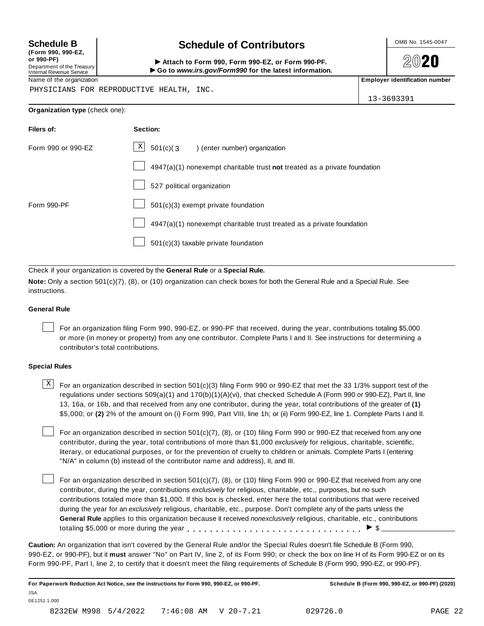**(Form 990, 990-EZ, or 990-PF)** Department of the Treasury<br>Internal Revenue Service

## **Schedule B chedule of Contributors**

(Form 990, 990-EZ,<br>
or 990-PF,<br>
Department of the Treasury **COLOCY**<br>
Internal Revenue Service **COLOCY**<br>
Name of the organization<br>
Name of the organization

**2020** 

PHYSICIANS FOR REPRODUCTIVE HEALTH, INC.

13-3693391

#### **Organization type** (check one):

| Filers of:         | Section:                                                                  |
|--------------------|---------------------------------------------------------------------------|
| Form 990 or 990-EZ | $\mathbf{X}$<br>501(c)(3<br>) (enter number) organization                 |
|                    | 4947(a)(1) nonexempt charitable trust not treated as a private foundation |
|                    | 527 political organization                                                |
| Form 990-PF        | $501(c)(3)$ exempt private foundation                                     |
|                    | 4947(a)(1) nonexempt charitable trust treated as a private foundation     |
|                    | $501(c)(3)$ taxable private foundation                                    |

Check if your organization is covered by the **General Rule** or a **Special Rule.**

**Note:** Only a section 501(c)(7), (8), or (10) organization can check boxes for both the General Rule and a Special Rule. See instructions.

#### **General Rule**

For an organization filing Form 990, 990-EZ, or 990-PF that received, during the year, contributions totaling \$5,000 or more (in money or property) from any one contributor. Complete Parts I and II. See instructions for determining a contributor's total contributions.

#### **Special Rules**

 $\text{X}$  For an organization described in section 501(c)(3) filing Form 990 or 990-EZ that met the 33 1/3% support test of the regulations under sections 509(a)(1) and 170(b)(1)(A)(vi), that checked Schedule A (Form 990 or 990-EZ), Part II, line 13, 16a, or 16b, and that received from any one contributor, during the year, total contributions of the greater of **(1)** \$5,000; or **(2)** 2% of the amount on (i) Form 990, Part VIII, line 1h; or (ii) Form 990-EZ, line 1. Complete Parts I and II.

For an organization described in section 501(c)(7), (8), or (10) filing Form 990 or 990-EZ that received from any one contributor, during the year, total contributions of more than \$1,000 *exclusively* for religious, charitable, scientific, literary, or educational purposes, or for the prevention of cruelty to children or animals. Complete Parts I (entering "N/A" in column (b) instead of the contributor name and address), II, and III.

For an organization described in section 501(c)(7), (8), or (10) filing Form 990 or 990-EZ that received from any one contributor, during the year, contributions *exclusively* for religious, charitable, etc., purposes, but no such contributions totaled more than \$1,000. If this box is checked, enter here the total contributions that were received during the year for an *exclusively* religious, charitable, etc., purpose. Don't complete any of the parts unless the **General Rule** applies to this organization because it received *nonexclusively* religious, charitable, etc., contributions totaling \$5,000 or more during the year  $\ldots \ldots \ldots \ldots \ldots \ldots \ldots \ldots \ldots \vdots$ 

**Caution:** An organization that isn't covered by the General Rule and/or the Special Rules doesn't file Schedule B (Form 990, 990-EZ, or 990-PF), but it **must** answer "No" on Part IV, line 2, of its Form 990; or check the box on line H of its Form 990-EZ or on its Form 990-PF, Part I, line 2, to certify that it doesn't meet the filing requirements of Schedule B (Form 990, 990-EZ, or 990-PF).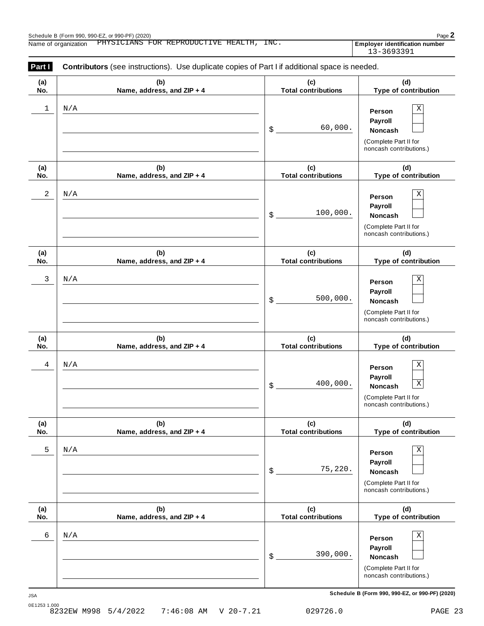| Part I     | <b>Contributors</b> (see instructions). Use duplicate copies of Part I if additional space is needed. |                                   |                                                                                                                |
|------------|-------------------------------------------------------------------------------------------------------|-----------------------------------|----------------------------------------------------------------------------------------------------------------|
| (a)<br>No. | (b)<br>Name, address, and ZIP + 4                                                                     | (c)<br><b>Total contributions</b> | (d)<br>Type of contribution                                                                                    |
| 1          | N/A                                                                                                   | 60,000.<br>\$                     | Χ<br>Person<br>Payroll<br><b>Noncash</b><br>(Complete Part II for<br>noncash contributions.)                   |
| (a)<br>No. | (b)<br>Name, address, and ZIP + 4                                                                     | (c)<br><b>Total contributions</b> | (d)<br>Type of contribution                                                                                    |
| 2          | N/A                                                                                                   | 100,000.<br>\$                    | Χ<br>Person<br>Payroll<br><b>Noncash</b><br>(Complete Part II for<br>noncash contributions.)                   |
| (a)<br>No. | (b)<br>Name, address, and ZIP + 4                                                                     | (c)<br><b>Total contributions</b> | (d)<br>Type of contribution                                                                                    |
| 3          | N/A                                                                                                   | 500,000.<br>\$                    | Χ<br>Person<br>Payroll<br>Noncash<br>(Complete Part II for<br>noncash contributions.)                          |
| (a)<br>No. | (b)<br>Name, address, and ZIP + 4                                                                     | (c)<br><b>Total contributions</b> | (d)<br>Type of contribution                                                                                    |
| 4          | N/A                                                                                                   | 400,000.<br>\$                    | $\mathbf X$<br>Person<br>Payroll<br>$\mathbf X$<br>Noncash<br>(Complete Part II for<br>noncash contributions.) |
| (a)<br>No. | (b)<br>Name, address, and ZIP + 4                                                                     | (c)<br><b>Total contributions</b> | (d)<br>Type of contribution                                                                                    |
| 5          | N/A                                                                                                   | 75,220.<br>\$                     | Χ<br>Person<br>Payroll<br>Noncash<br>(Complete Part II for<br>noncash contributions.)                          |
| (a)<br>No. | (b)<br>Name, address, and ZIP + 4                                                                     | (c)<br><b>Total contributions</b> | (d)<br>Type of contribution                                                                                    |
| 6          | N/A                                                                                                   |                                   | Χ<br>Person                                                                                                    |

**Schedule B (Form 990, 990-EZ, or 990-PF) (2020)** JSA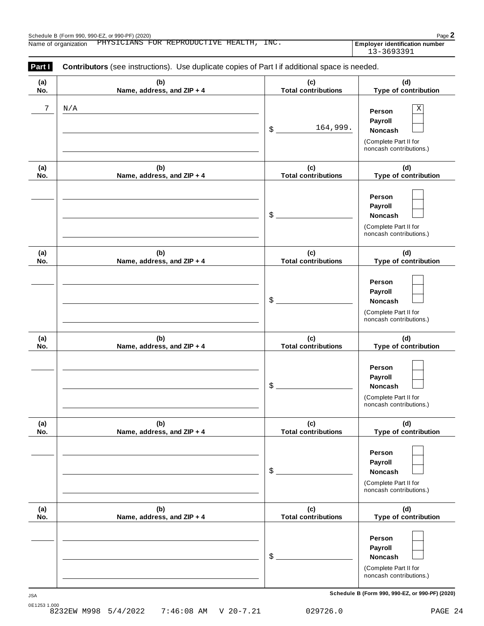| Part I<br>Contributors (see instructions). Use duplicate copies of Part I if additional space is needed. |                                   |                                   |                                                                                                 |  |  |  |
|----------------------------------------------------------------------------------------------------------|-----------------------------------|-----------------------------------|-------------------------------------------------------------------------------------------------|--|--|--|
| (a)<br>No.                                                                                               | (b)<br>Name, address, and ZIP + 4 | (c)<br><b>Total contributions</b> | (d)<br>Type of contribution                                                                     |  |  |  |
| 7                                                                                                        | N/A                               | 164,999.<br>\$                    | $\mathbf X$<br>Person<br>Payroll<br>Noncash<br>(Complete Part II for<br>noncash contributions.) |  |  |  |
| (a)<br>No.                                                                                               | (b)<br>Name, address, and ZIP + 4 | (c)<br><b>Total contributions</b> | (d)<br>Type of contribution                                                                     |  |  |  |
|                                                                                                          |                                   | \$                                | Person<br>Payroll<br>Noncash<br>(Complete Part II for<br>noncash contributions.)                |  |  |  |
| (a)<br>No.                                                                                               | (b)<br>Name, address, and ZIP + 4 | (c)<br><b>Total contributions</b> | (d)<br>Type of contribution                                                                     |  |  |  |
|                                                                                                          |                                   | \$                                | Person<br>Payroll<br>Noncash<br>(Complete Part II for<br>noncash contributions.)                |  |  |  |
| (a)<br>No.                                                                                               | (b)<br>Name, address, and ZIP + 4 | (c)<br><b>Total contributions</b> | (d)<br>Type of contribution                                                                     |  |  |  |
|                                                                                                          |                                   | \$                                | Person<br>Payroll<br>Noncash<br>(Complete Part II for<br>noncash contributions.)                |  |  |  |
| (a)<br>No.                                                                                               | (b)<br>Name, address, and ZIP + 4 | (c)<br><b>Total contributions</b> | (d)<br>Type of contribution                                                                     |  |  |  |
|                                                                                                          |                                   | \$                                | Person<br>Payroll<br>Noncash<br>(Complete Part II for<br>noncash contributions.)                |  |  |  |
| (a)<br>No.                                                                                               | (b)<br>Name, address, and ZIP + 4 | (c)<br><b>Total contributions</b> | (d)<br>Type of contribution                                                                     |  |  |  |
|                                                                                                          |                                   | \$                                | Person<br>Payroll<br>Noncash<br>(Complete Part II for<br>noncash contributions.)                |  |  |  |

**Schedule B (Form 990, 990-EZ, or 990-PF) (2020)** JSA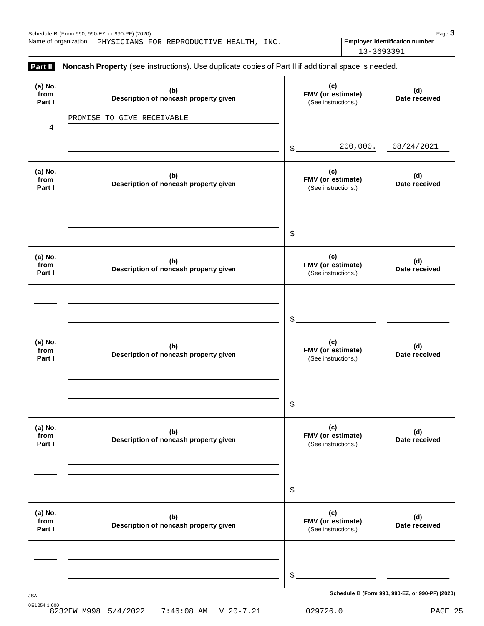| Schedule B (<br>Form 990. 990-EZ) ر | . or $990 - PF$ )<br>(2020) |                  |                      |      |                                     | Page |
|-------------------------------------|-----------------------------|------------------|----------------------|------|-------------------------------------|------|
| Name of<br>organization             | ANS.<br>FOR<br>PHYS1        | REPRODI<br>A/ H: | <b>TTT</b><br>HEALL. | INC. | Emplover<br>r identification number |      |

| Noncash Property (see instructions). Use duplicate copies of Part II if additional space is needed.<br>Part II |                                              |                                                 |                      |  |  |  |
|----------------------------------------------------------------------------------------------------------------|----------------------------------------------|-------------------------------------------------|----------------------|--|--|--|
| (a) No.<br>from<br>Part I                                                                                      | (b)<br>Description of noncash property given | (c)<br>FMV (or estimate)<br>(See instructions.) | (d)<br>Date received |  |  |  |
|                                                                                                                | PROMISE TO GIVE RECEIVABLE                   |                                                 |                      |  |  |  |
| $\overline{4}$                                                                                                 |                                              |                                                 |                      |  |  |  |
|                                                                                                                |                                              | 200,000.<br>$$$ .                               | 08/24/2021           |  |  |  |
| (a) No.<br>from<br>Part I                                                                                      | (b)<br>Description of noncash property given | (c)<br>FMV (or estimate)<br>(See instructions.) | (d)<br>Date received |  |  |  |
|                                                                                                                |                                              |                                                 |                      |  |  |  |
|                                                                                                                |                                              | \$                                              |                      |  |  |  |
| (a) No.<br>from<br>Part I                                                                                      | (b)<br>Description of noncash property given | (c)<br>FMV (or estimate)<br>(See instructions.) | (d)<br>Date received |  |  |  |
|                                                                                                                |                                              |                                                 |                      |  |  |  |
|                                                                                                                |                                              | \$                                              |                      |  |  |  |
| (a) No.<br>from<br>Part I                                                                                      | (b)<br>Description of noncash property given | (c)<br>FMV (or estimate)<br>(See instructions.) | (d)<br>Date received |  |  |  |
|                                                                                                                |                                              |                                                 |                      |  |  |  |
|                                                                                                                |                                              | \$                                              |                      |  |  |  |
| (a) No.<br>from<br>Part I                                                                                      | (b)<br>Description of noncash property given | (c)<br>FMV (or estimate)<br>(See instructions.) | (d)<br>Date received |  |  |  |
|                                                                                                                |                                              |                                                 |                      |  |  |  |
|                                                                                                                |                                              |                                                 |                      |  |  |  |
|                                                                                                                |                                              | \$                                              |                      |  |  |  |
| (a) No.<br>from<br>Part I                                                                                      | (b)<br>Description of noncash property given | (c)<br>FMV (or estimate)<br>(See instructions.) | (d)<br>Date received |  |  |  |
|                                                                                                                |                                              |                                                 |                      |  |  |  |
|                                                                                                                |                                              |                                                 |                      |  |  |  |
|                                                                                                                |                                              | \$                                              |                      |  |  |  |

**Schedule B (Form 990, 990-EZ, or 990-PF) (2020)** JSA

13-3693391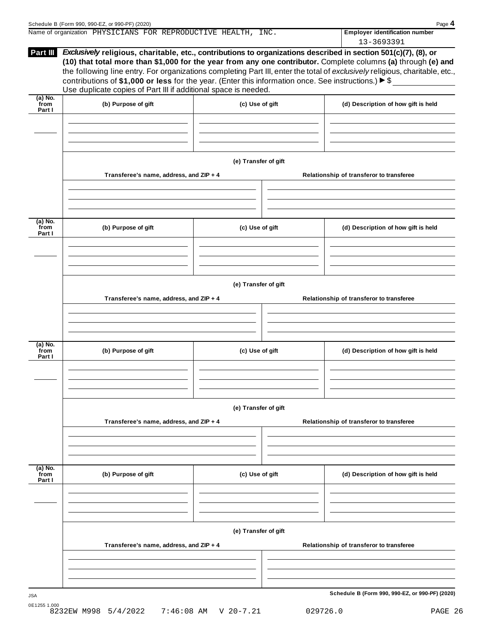|                           | Name of organization PHYSICIANS FOR REPRODUCTIVE HEALTH, INC.                                                                                                                                                                                                                                                                                                                                                                                                                                                                                                     |                 |                                          | <b>Employer identification number</b><br>13-3693391 |  |  |
|---------------------------|-------------------------------------------------------------------------------------------------------------------------------------------------------------------------------------------------------------------------------------------------------------------------------------------------------------------------------------------------------------------------------------------------------------------------------------------------------------------------------------------------------------------------------------------------------------------|-----------------|------------------------------------------|-----------------------------------------------------|--|--|
| Part III                  | <i>Exclusively</i> religious, charitable, etc., contributions to organizations described in section 501(c)(7), (8), or<br>(10) that total more than \$1,000 for the year from any one contributor. Complete columns (a) through (e) and<br>the following line entry. For organizations completing Part III, enter the total of exclusively religious, charitable, etc.,<br>contributions of \$1,000 or less for the year. (Enter this information once. See instructions.) $\triangleright$ \$<br>Use duplicate copies of Part III if additional space is needed. |                 |                                          |                                                     |  |  |
| (a) No.<br>from<br>Part I | (b) Purpose of gift                                                                                                                                                                                                                                                                                                                                                                                                                                                                                                                                               | (c) Use of gift |                                          | (d) Description of how gift is held                 |  |  |
|                           |                                                                                                                                                                                                                                                                                                                                                                                                                                                                                                                                                                   |                 |                                          |                                                     |  |  |
|                           | (e) Transfer of gift                                                                                                                                                                                                                                                                                                                                                                                                                                                                                                                                              |                 |                                          |                                                     |  |  |
|                           | Transferee's name, address, and ZIP + 4                                                                                                                                                                                                                                                                                                                                                                                                                                                                                                                           |                 | Relationship of transferor to transferee |                                                     |  |  |
|                           |                                                                                                                                                                                                                                                                                                                                                                                                                                                                                                                                                                   |                 |                                          |                                                     |  |  |
| (a) No.<br>from<br>Part I | (b) Purpose of gift                                                                                                                                                                                                                                                                                                                                                                                                                                                                                                                                               | (c) Use of gift |                                          | (d) Description of how gift is held                 |  |  |

|                             |                                         | (e) Transfer of gift |                                          |
|-----------------------------|-----------------------------------------|----------------------|------------------------------------------|
|                             | Transferee's name, address, and ZIP + 4 |                      | Relationship of transferor to transferee |
|                             |                                         |                      |                                          |
|                             |                                         |                      |                                          |
| (a) No.<br>from<br>Part I   | (b) Purpose of gift                     | (c) Use of gift      | (d) Description of how gift is held      |
|                             |                                         |                      |                                          |
|                             |                                         |                      |                                          |
|                             |                                         | (e) Transfer of gift |                                          |
|                             | Transferee's name, address, and ZIP + 4 |                      | Relationship of transferor to transferee |
|                             |                                         |                      |                                          |
|                             |                                         |                      |                                          |
| $(a)$ No.<br>from<br>Part I | (b) Purpose of gift                     | (c) Use of gift      | (d) Description of how gift is held      |

**(e) Transfer of gift Transferee's name, address, and ZIP + 4 Relationship of transferor to transferee**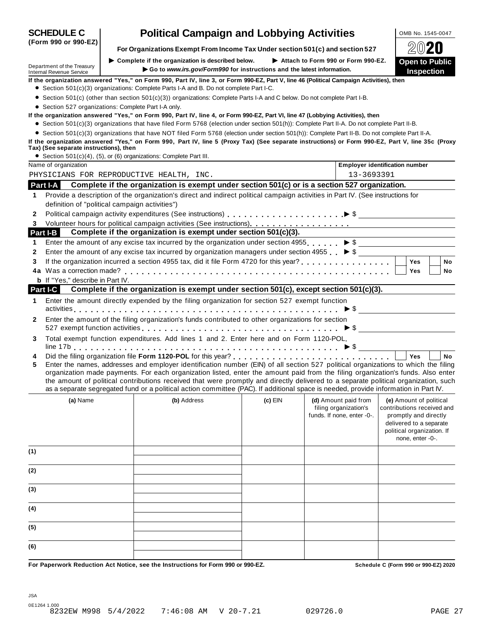|        | (Form 990 or 990-EZ)                                                                                                                            |  | For Organizations Exempt From Income Tax Under section 501(c) and section 527                                                                                                                                                                                                                                                                                                                                                                                                                                                                        |         |                                                                             |                                                                                                                                                             |  |  |  |
|--------|-------------------------------------------------------------------------------------------------------------------------------------------------|--|------------------------------------------------------------------------------------------------------------------------------------------------------------------------------------------------------------------------------------------------------------------------------------------------------------------------------------------------------------------------------------------------------------------------------------------------------------------------------------------------------------------------------------------------------|---------|-----------------------------------------------------------------------------|-------------------------------------------------------------------------------------------------------------------------------------------------------------|--|--|--|
|        |                                                                                                                                                 |  | $\triangleright$ Complete if the organization is described below.                                                                                                                                                                                                                                                                                                                                                                                                                                                                                    |         | Attach to Form 990 or Form 990-EZ.                                          | <b>Open to Public</b>                                                                                                                                       |  |  |  |
|        | Department of the Treasury<br><b>Internal Revenue Service</b>                                                                                   |  | Go to www.irs.gov/Form990 for instructions and the latest information.                                                                                                                                                                                                                                                                                                                                                                                                                                                                               |         |                                                                             | Inspection                                                                                                                                                  |  |  |  |
|        |                                                                                                                                                 |  | If the organization answered "Yes," on Form 990, Part IV, line 3, or Form 990-EZ, Part V, line 46 (Political Campaign Activities), then                                                                                                                                                                                                                                                                                                                                                                                                              |         |                                                                             |                                                                                                                                                             |  |  |  |
|        |                                                                                                                                                 |  | • Section 501(c)(3) organizations: Complete Parts I-A and B. Do not complete Part I-C.                                                                                                                                                                                                                                                                                                                                                                                                                                                               |         |                                                                             |                                                                                                                                                             |  |  |  |
|        |                                                                                                                                                 |  | • Section 501(c) (other than section 501(c)(3)) organizations: Complete Parts I-A and C below. Do not complete Part I-B.                                                                                                                                                                                                                                                                                                                                                                                                                             |         |                                                                             |                                                                                                                                                             |  |  |  |
|        | • Section 527 organizations: Complete Part I-A only.                                                                                            |  | If the organization answered "Yes," on Form 990, Part IV, line 4, or Form 990-EZ, Part VI, line 47 (Lobbying Activities), then                                                                                                                                                                                                                                                                                                                                                                                                                       |         |                                                                             |                                                                                                                                                             |  |  |  |
|        |                                                                                                                                                 |  | • Section 501(c)(3) organizations that have filed Form 5768 (election under section 501(h)): Complete Part II-A. Do not complete Part II-B.                                                                                                                                                                                                                                                                                                                                                                                                          |         |                                                                             |                                                                                                                                                             |  |  |  |
|        | • Section 501(c)(3) organizations that have NOT filed Form 5768 (election under section 501(h)): Complete Part II-B. Do not complete Part II-A. |  |                                                                                                                                                                                                                                                                                                                                                                                                                                                                                                                                                      |         |                                                                             |                                                                                                                                                             |  |  |  |
|        | Tax) (See separate instructions), then                                                                                                          |  | If the organization answered "Yes," on Form 990, Part IV, line 5 (Proxy Tax) (See separate instructions) or Form 990-EZ, Part V, line 35c (Proxy                                                                                                                                                                                                                                                                                                                                                                                                     |         |                                                                             |                                                                                                                                                             |  |  |  |
|        |                                                                                                                                                 |  | • Section 501(c)(4), (5), or (6) organizations: Complete Part III.                                                                                                                                                                                                                                                                                                                                                                                                                                                                                   |         |                                                                             |                                                                                                                                                             |  |  |  |
|        | Name of organization                                                                                                                            |  |                                                                                                                                                                                                                                                                                                                                                                                                                                                                                                                                                      |         |                                                                             | <b>Employer identification number</b>                                                                                                                       |  |  |  |
|        |                                                                                                                                                 |  | PHYSICIANS FOR REPRODUCTIVE HEALTH, INC.                                                                                                                                                                                                                                                                                                                                                                                                                                                                                                             |         | 13-3693391                                                                  |                                                                                                                                                             |  |  |  |
|        | Part I-A                                                                                                                                        |  | Complete if the organization is exempt under section 501(c) or is a section 527 organization.                                                                                                                                                                                                                                                                                                                                                                                                                                                        |         |                                                                             |                                                                                                                                                             |  |  |  |
| 1      |                                                                                                                                                 |  | Provide a description of the organization's direct and indirect political campaign activities in Part IV. (See instructions for                                                                                                                                                                                                                                                                                                                                                                                                                      |         |                                                                             |                                                                                                                                                             |  |  |  |
|        | definition of "political campaign activities")                                                                                                  |  |                                                                                                                                                                                                                                                                                                                                                                                                                                                                                                                                                      |         |                                                                             |                                                                                                                                                             |  |  |  |
| 2      |                                                                                                                                                 |  |                                                                                                                                                                                                                                                                                                                                                                                                                                                                                                                                                      |         |                                                                             |                                                                                                                                                             |  |  |  |
| 3      |                                                                                                                                                 |  | Complete if the organization is exempt under section 501(c)(3).                                                                                                                                                                                                                                                                                                                                                                                                                                                                                      |         |                                                                             |                                                                                                                                                             |  |  |  |
| 1      | Part I-B                                                                                                                                        |  | Enter the amount of any excise tax incurred by the organization under section 4955 $\triangleright$ \$                                                                                                                                                                                                                                                                                                                                                                                                                                               |         |                                                                             |                                                                                                                                                             |  |  |  |
| 2      |                                                                                                                                                 |  | Enter the amount of any excise tax incurred by organization managers under section 4955 $\triangleright$ \$                                                                                                                                                                                                                                                                                                                                                                                                                                          |         |                                                                             |                                                                                                                                                             |  |  |  |
| 3      |                                                                                                                                                 |  |                                                                                                                                                                                                                                                                                                                                                                                                                                                                                                                                                      |         |                                                                             | <b>Yes</b><br>No                                                                                                                                            |  |  |  |
|        |                                                                                                                                                 |  |                                                                                                                                                                                                                                                                                                                                                                                                                                                                                                                                                      |         |                                                                             | <b>Yes</b><br>No                                                                                                                                            |  |  |  |
|        | <b>b</b> If "Yes," describe in Part IV.                                                                                                         |  |                                                                                                                                                                                                                                                                                                                                                                                                                                                                                                                                                      |         |                                                                             |                                                                                                                                                             |  |  |  |
|        | <b>Part I-C</b>                                                                                                                                 |  | Complete if the organization is exempt under section 501(c), except section 501(c)(3).                                                                                                                                                                                                                                                                                                                                                                                                                                                               |         |                                                                             |                                                                                                                                                             |  |  |  |
| 1      |                                                                                                                                                 |  | Enter the amount directly expended by the filing organization for section 527 exempt function                                                                                                                                                                                                                                                                                                                                                                                                                                                        |         |                                                                             |                                                                                                                                                             |  |  |  |
|        |                                                                                                                                                 |  |                                                                                                                                                                                                                                                                                                                                                                                                                                                                                                                                                      |         |                                                                             |                                                                                                                                                             |  |  |  |
| 2      |                                                                                                                                                 |  | Enter the amount of the filing organization's funds contributed to other organizations for section                                                                                                                                                                                                                                                                                                                                                                                                                                                   |         |                                                                             |                                                                                                                                                             |  |  |  |
|        |                                                                                                                                                 |  |                                                                                                                                                                                                                                                                                                                                                                                                                                                                                                                                                      |         |                                                                             |                                                                                                                                                             |  |  |  |
| 3      |                                                                                                                                                 |  | Total exempt function expenditures. Add lines 1 and 2. Enter here and on Form 1120-POL,                                                                                                                                                                                                                                                                                                                                                                                                                                                              |         |                                                                             |                                                                                                                                                             |  |  |  |
|        |                                                                                                                                                 |  |                                                                                                                                                                                                                                                                                                                                                                                                                                                                                                                                                      |         |                                                                             |                                                                                                                                                             |  |  |  |
| 4<br>5 |                                                                                                                                                 |  | Enter the names, addresses and employer identification number (EIN) of all section 527 political organizations to which the filing<br>organization made payments. For each organization listed, enter the amount paid from the filing organization's funds. Also enter<br>the amount of political contributions received that were promptly and directly delivered to a separate political organization, such<br>as a separate segregated fund or a political action committee (PAC). If additional space is needed, provide information in Part IV. |         |                                                                             | No<br><b>Yes</b>                                                                                                                                            |  |  |  |
|        | (a) Name                                                                                                                                        |  | (b) Address                                                                                                                                                                                                                                                                                                                                                                                                                                                                                                                                          | (c) EIN | (d) Amount paid from<br>filing organization's<br>funds. If none, enter -0-. | (e) Amount of political<br>contributions received and<br>promptly and directly<br>delivered to a separate<br>political organization. If<br>none, enter -0-. |  |  |  |
| (1)    |                                                                                                                                                 |  |                                                                                                                                                                                                                                                                                                                                                                                                                                                                                                                                                      |         |                                                                             |                                                                                                                                                             |  |  |  |
| (2)    |                                                                                                                                                 |  |                                                                                                                                                                                                                                                                                                                                                                                                                                                                                                                                                      |         |                                                                             |                                                                                                                                                             |  |  |  |
| (3)    |                                                                                                                                                 |  |                                                                                                                                                                                                                                                                                                                                                                                                                                                                                                                                                      |         |                                                                             |                                                                                                                                                             |  |  |  |
| (4)    |                                                                                                                                                 |  |                                                                                                                                                                                                                                                                                                                                                                                                                                                                                                                                                      |         |                                                                             |                                                                                                                                                             |  |  |  |
| (5)    |                                                                                                                                                 |  |                                                                                                                                                                                                                                                                                                                                                                                                                                                                                                                                                      |         |                                                                             |                                                                                                                                                             |  |  |  |
| (6)    |                                                                                                                                                 |  |                                                                                                                                                                                                                                                                                                                                                                                                                                                                                                                                                      |         |                                                                             |                                                                                                                                                             |  |  |  |
|        |                                                                                                                                                 |  | For Panerwork Reduction Act Notice, see the Instructions for Form 990 or 990-F7                                                                                                                                                                                                                                                                                                                                                                                                                                                                      |         |                                                                             | Schodule C (Form 990 or 990-F7) 2020                                                                                                                        |  |  |  |

**SCHEDULE C** | **Political Campaign and Lobbying Activities**  $\frac{\text{OMB NO. 1545-0047}}{\text{OMB MO. 1545-0047}}}$ 

For Paperwork Reduction Act Notice, see the Instructions for Form 990 or 990-EZ. Schedule C (Form 990 or 990-E2) 2020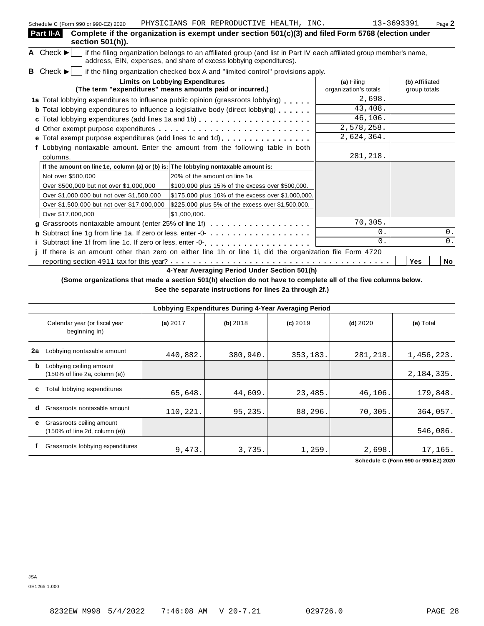| Part II-A<br>section 501(h)).                                                      | Complete if the organization is exempt under section 501(c)(3) and filed Form 5768 (election under                                                                                         |                                     |                                |
|------------------------------------------------------------------------------------|--------------------------------------------------------------------------------------------------------------------------------------------------------------------------------------------|-------------------------------------|--------------------------------|
| A Check $\blacktriangleright$                                                      | if the filing organization belongs to an affiliated group (and list in Part IV each affiliated group member's name,<br>address, EIN, expenses, and share of excess lobbying expenditures). |                                     |                                |
| <b>B</b> Check $\blacktriangleright$                                               | if the filing organization checked box A and "limited control" provisions apply.                                                                                                           |                                     |                                |
|                                                                                    | <b>Limits on Lobbying Expenditures</b><br>(The term "expenditures" means amounts paid or incurred.)                                                                                        | (a) Filing<br>organization's totals | (b) Affiliated<br>group totals |
|                                                                                    | 1a Total lobbying expenditures to influence public opinion (grassroots lobbying)                                                                                                           | 2,698.                              |                                |
|                                                                                    | <b>b</b> Total lobbying expenditures to influence a legislative body (direct lobbying)                                                                                                     | 43,408.                             |                                |
|                                                                                    |                                                                                                                                                                                            | 46, 106.                            |                                |
|                                                                                    |                                                                                                                                                                                            | 2,578,258.                          |                                |
|                                                                                    | e Total exempt purpose expenditures (add lines 1c and 1d)                                                                                                                                  | 2,624,364.                          |                                |
|                                                                                    | Lobbying nontaxable amount. Enter the amount from the following table in both                                                                                                              |                                     |                                |
| columns.                                                                           |                                                                                                                                                                                            | 281,218.                            |                                |
| If the amount on line 1e, column (a) or (b) is: The lobbying nontaxable amount is: |                                                                                                                                                                                            |                                     |                                |
| Not over \$500,000                                                                 | 20% of the amount on line 1e.                                                                                                                                                              |                                     |                                |
| Over \$500,000 but not over \$1,000,000                                            | \$100,000 plus 15% of the excess over \$500,000.                                                                                                                                           |                                     |                                |
| Over \$1,000,000 but not over \$1,500,000                                          | \$175,000 plus 10% of the excess over \$1,000,000.                                                                                                                                         |                                     |                                |
| Over \$1,500,000 but not over \$17,000,000                                         | \$225,000 plus 5% of the excess over \$1,500,000.                                                                                                                                          |                                     |                                |
| Over \$17,000,000                                                                  | \$1,000,000.                                                                                                                                                                               |                                     |                                |
|                                                                                    | g Grassroots nontaxable amount (enter 25% of line 1f)                                                                                                                                      | 70,305.                             |                                |
|                                                                                    | h Subtract line 1g from line 1a. If zero or less, enter -0-                                                                                                                                | 0.                                  | $0$ .                          |
|                                                                                    |                                                                                                                                                                                            | $\Omega$ .                          | 0.                             |
|                                                                                    | If there is an amount other than zero on either line 1h or line 1i, did the organization file Form 4720                                                                                    |                                     |                                |
|                                                                                    |                                                                                                                                                                                            |                                     | Yes<br>No                      |

**4-Year Averaging Period Under Section 501(h)**

(Some organizations that made a section 501(h) election do not have to complete all of the five columns below.

**See the separate instructions for lines 2a through 2f.)**

|    | Lobbying Expenditures During 4-Year Averaging Period                            |          |          |            |            |              |  |  |
|----|---------------------------------------------------------------------------------|----------|----------|------------|------------|--------------|--|--|
|    | Calendar year (or fiscal year<br>beginning in)                                  | (a) 2017 | (b) 2018 | $(c)$ 2019 | $(d)$ 2020 | (e) Total    |  |  |
| 2a | Lobbying nontaxable amount                                                      | 440,882. | 380,940. | 353,183.   | 281,218.   | 1,456,223.   |  |  |
| b  | Lobbying ceiling amount<br>$(150\% \text{ of line } 2a, \text{ column } (e))$   |          |          |            |            | 2, 184, 335. |  |  |
| С  | Total lobbying expenditures                                                     | 65,648.  | 44,609.  | 23,485.    | 46,106.    | 179,848.     |  |  |
| d  | Grassroots nontaxable amount                                                    | 110,221. | 95,235.  | 88,296.    | 70,305.    | 364,057.     |  |  |
| е  | Grassroots ceiling amount<br>$(150\% \text{ of line } 2d, \text{ column } (e))$ |          |          |            |            | 546,086.     |  |  |
|    | Grassroots lobbying expenditures                                                | 9,473.   | 3,735.   | 1,259.     | 2,698.     | 17,165.      |  |  |

**Schedule C (Form 990 or 990-EZ) 2020**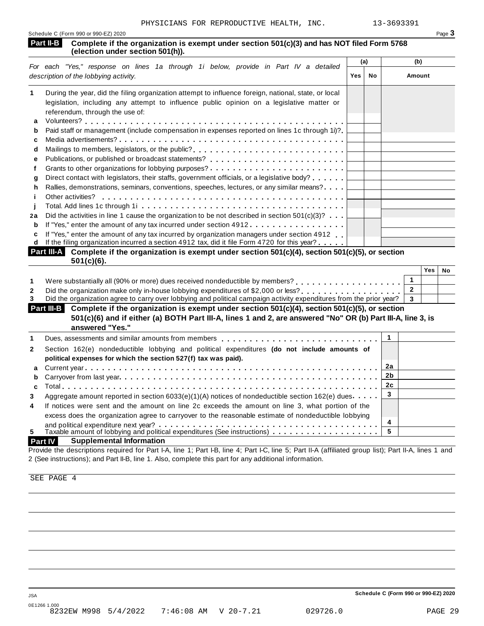| Schedule C (Form 990 or 990-EZ) 2020 | Page $\mathbf{\dot{5}}$ |
|--------------------------------------|-------------------------|
|                                      |                         |

#### **Complete if the organization is exempt under section 501(c)(3) and has NOT filed Form 5768 (Part II-B** Complete if the organization is (election under section 501(h)).

|    |                                                                                                                               | (a)        |    | (b)    |
|----|-------------------------------------------------------------------------------------------------------------------------------|------------|----|--------|
|    | For each "Yes," response on lines 1a through 1i below, provide in Part IV a detailed<br>description of the lobbying activity. | <b>Yes</b> | No | Amount |
| 1  | During the year, did the filing organization attempt to influence foreign, national, state, or local                          |            |    |        |
|    | legislation, including any attempt to influence public opinion on a legislative matter or                                     |            |    |        |
|    | referendum, through the use of:                                                                                               |            |    |        |
| a  |                                                                                                                               |            |    |        |
| b  | Paid staff or management (include compensation in expenses reported on lines 1c through 1i)?                                  |            |    |        |
| c  |                                                                                                                               |            |    |        |
| d  | Mailings to members, legislators, or the public?                                                                              |            |    |        |
| е  |                                                                                                                               |            |    |        |
|    | Grants to other organizations for lobbying purposes? $\ldots \ldots \ldots \ldots \ldots \ldots \ldots \ldots$                |            |    |        |
| a  | Direct contact with legislators, their staffs, government officials, or a legislative body?                                   |            |    |        |
| h. | Rallies, demonstrations, seminars, conventions, speeches, lectures, or any similar means?                                     |            |    |        |
|    | Other activities?                                                                                                             |            |    |        |
|    |                                                                                                                               |            |    |        |
| 2a | Did the activities in line 1 cause the organization to be not described in section $501(c)(3)$ ?                              |            |    |        |
| b  | If "Yes," enter the amount of any tax incurred under section 4912                                                             |            |    |        |
| c  | If "Yes," enter the amount of any tax incurred by organization managers under section 4912                                    |            |    |        |
| d  | If the filing organization incurred a section 4912 tax, did it file Form 4720 for this year?                                  |            |    |        |
|    | Part III-A Complete if the organization is exempt under section 501(c)(4), section 501(c)(5), or section                      |            |    |        |

| $501(c)(6)$ .                                                                                                         |     |    |
|-----------------------------------------------------------------------------------------------------------------------|-----|----|
|                                                                                                                       | Yes | No |
| Were substantially all (90% or more) dues received nondeductible by members? [1, [1, [1, [1, [1, [1, [1, ]], [1, ]]   |     |    |
|                                                                                                                       |     |    |
| Did the organization agree to carry over lobbying and political campaign activity expenditures from the prior year? 3 |     |    |

| <b>Part III-B</b> Complete if the organization is exempt under section $501(c)(4)$ , section $501(c)(5)$ , or section |  |
|-----------------------------------------------------------------------------------------------------------------------|--|
| 501(c)(6) and if either (a) BOTH Part III-A, lines 1 and 2, are answered "No" OR (b) Part III-A, line 3, is           |  |
| answered "Yes."                                                                                                       |  |
|                                                                                                                       |  |

|                | answered res.                                                                                                               |            |
|----------------|-----------------------------------------------------------------------------------------------------------------------------|------------|
|                | Dues, assessments and similar amounts from members $\ldots \ldots \ldots \ldots \ldots \ldots \ldots \ldots \ldots \perp 1$ |            |
| $\mathbf{2}$   | Section 162(e) nondeductible lobbying and political expenditures (do not include amounts of                                 |            |
|                | political expenses for which the section 527(f) tax was paid).                                                              |            |
|                |                                                                                                                             | 2a         |
|                |                                                                                                                             |            |
|                |                                                                                                                             | <u> 2c</u> |
| 3              | Aggregate amount reported in section 6033(e)(1)(A) notices of nondeductible section 162(e) dues                             |            |
| $\overline{4}$ | If notices were sent and the amount on line 2c exceeds the amount on line 3, what portion of the                            |            |
|                | excess does the organization agree to carryover to the reasonable estimate of nondeductible lobbying                        |            |
|                |                                                                                                                             | 4          |
| 5              |                                                                                                                             |            |
|                |                                                                                                                             |            |

#### **Part IV Supplemental Information**

Provide the descriptions required for Part I-A, line 1; Part I-B, line 4; Part I-C, line 5; Part II-A (affiliated group list); Part II-A, lines 1 and 2 (See instructions); and Part II-B, line 1. Also, complete this part for any additional information.

SEE PAGE 4

**Schedule C (Form 990 or 990-EZ) 2020**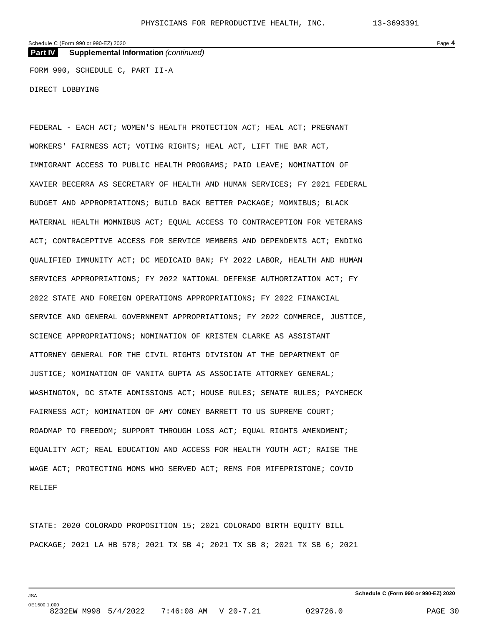**Part IV Supplemental Information** *(continued)*

FORM 990, SCHEDULE C, PART II-A

DIRECT LOBBYING

FEDERAL - EACH ACT; WOMEN'S HEALTH PROTECTION ACT; HEAL ACT; PREGNANT WORKERS' FAIRNESS ACT; VOTING RIGHTS; HEAL ACT, LIFT THE BAR ACT, IMMIGRANT ACCESS TO PUBLIC HEALTH PROGRAMS; PAID LEAVE; NOMINATION OF XAVIER BECERRA AS SECRETARY OF HEALTH AND HUMAN SERVICES; FY 2021 FEDERAL BUDGET AND APPROPRIATIONS; BUILD BACK BETTER PACKAGE; MOMNIBUS; BLACK MATERNAL HEALTH MOMNIBUS ACT; EQUAL ACCESS TO CONTRACEPTION FOR VETERANS ACT; CONTRACEPTIVE ACCESS FOR SERVICE MEMBERS AND DEPENDENTS ACT; ENDING QUALIFIED IMMUNITY ACT; DC MEDICAID BAN; FY 2022 LABOR, HEALTH AND HUMAN SERVICES APPROPRIATIONS; FY 2022 NATIONAL DEFENSE AUTHORIZATION ACT; FY 2022 STATE AND FOREIGN OPERATIONS APPROPRIATIONS; FY 2022 FINANCIAL SERVICE AND GENERAL GOVERNMENT APPROPRIATIONS; FY 2022 COMMERCE, JUSTICE, SCIENCE APPROPRIATIONS; NOMINATION OF KRISTEN CLARKE AS ASSISTANT ATTORNEY GENERAL FOR THE CIVIL RIGHTS DIVISION AT THE DEPARTMENT OF JUSTICE; NOMINATION OF VANITA GUPTA AS ASSOCIATE ATTORNEY GENERAL; WASHINGTON, DC STATE ADMISSIONS ACT; HOUSE RULES; SENATE RULES; PAYCHECK FAIRNESS ACT; NOMINATION OF AMY CONEY BARRETT TO US SUPREME COURT; ROADMAP TO FREEDOM; SUPPORT THROUGH LOSS ACT; EQUAL RIGHTS AMENDMENT; EQUALITY ACT; REAL EDUCATION AND ACCESS FOR HEALTH YOUTH ACT; RAISE THE WAGE ACT; PROTECTING MOMS WHO SERVED ACT; REMS FOR MIFEPRISTONE; COVID RELIEF

STATE: 2020 COLORADO PROPOSITION 15; 2021 COLORADO BIRTH EQUITY BILL PACKAGE; 2021 LA HB 578; 2021 TX SB 4; 2021 TX SB 8; 2021 TX SB 6; 2021

**Schedule C (Form 990 or 990-EZ) 2020**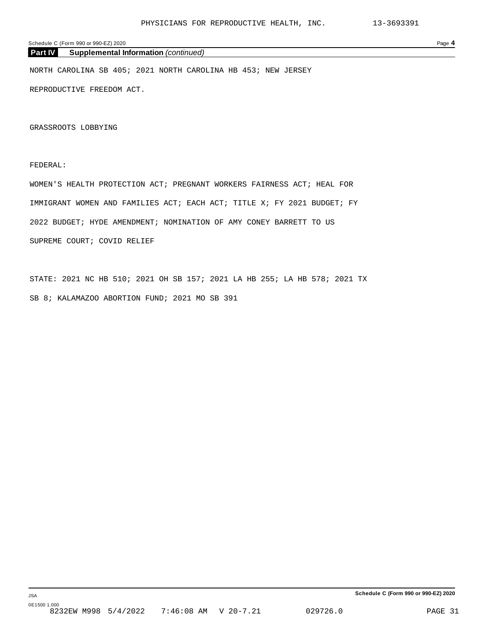#### Schedule C (Form 990 or 990-EZ) 2020 Page **4**

#### **Part IV Supplemental Information** *(continued)*

NORTH CAROLINA SB 405; 2021 NORTH CAROLINA HB 453; NEW JERSEY

REPRODUCTIVE FREEDOM ACT.

GRASSROOTS LOBBYING

#### FEDERAL:

WOMEN'S HEALTH PROTECTION ACT; PREGNANT WORKERS FAIRNESS ACT; HEAL FOR IMMIGRANT WOMEN AND FAMILIES ACT; EACH ACT; TITLE X; FY 2021 BUDGET; FY 2022 BUDGET; HYDE AMENDMENT; NOMINATION OF AMY CONEY BARRETT TO US SUPREME COURT; COVID RELIEF

STATE: 2021 NC HB 510; 2021 OH SB 157; 2021 LA HB 255; LA HB 578; 2021 TX SB 8; KALAMAZOO ABORTION FUND; 2021 MO SB 391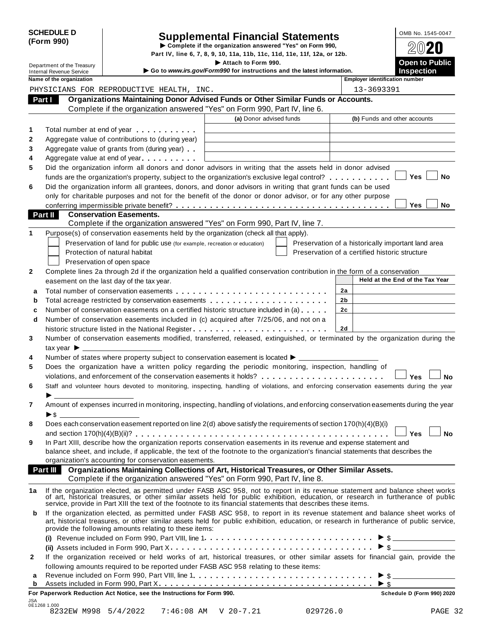| <b>SCHEDULE D</b> |  |
|-------------------|--|
| (Form 990)        |  |

## SCHEDULE D<br>
Supplemental Financial Statements<br>
Form 990)<br>
Part IV, line 6, 7, 8, 9, 10, 11a, 11b, 11c, 11d, 11e, 11f, 12a, or 12b.<br>
Part IV, line 6, 7, 8, 9, 10, 11a, 11b, 11c, 11d, 11e, 11f, 12a, or 12b.

|    |                                                               |                                                                                                                                                                                                                                                                                                                                                  | Part IV, line 6, 7, 8, 9, 10, 11a, 11b, 11c, 11d, 11e, 11f, 12a, or 12b.                      |                                                |                                                    |
|----|---------------------------------------------------------------|--------------------------------------------------------------------------------------------------------------------------------------------------------------------------------------------------------------------------------------------------------------------------------------------------------------------------------------------------|-----------------------------------------------------------------------------------------------|------------------------------------------------|----------------------------------------------------|
|    | Department of the Treasury<br><b>Internal Revenue Service</b> |                                                                                                                                                                                                                                                                                                                                                  | Attach to Form 990.<br>Go to www.irs.gov/Form990 for instructions and the latest information. |                                                | <b>Open to Public</b><br><b>Inspection</b>         |
|    | Name of the organization                                      |                                                                                                                                                                                                                                                                                                                                                  |                                                                                               | <b>Employer identification number</b>          |                                                    |
|    |                                                               | PHYSICIANS FOR REPRODUCTIVE HEALTH, INC.                                                                                                                                                                                                                                                                                                         |                                                                                               | 13-3693391                                     |                                                    |
|    | Part I                                                        | Organizations Maintaining Donor Advised Funds or Other Similar Funds or Accounts.                                                                                                                                                                                                                                                                |                                                                                               |                                                |                                                    |
|    |                                                               | Complete if the organization answered "Yes" on Form 990, Part IV, line 6.                                                                                                                                                                                                                                                                        |                                                                                               |                                                |                                                    |
|    |                                                               |                                                                                                                                                                                                                                                                                                                                                  | (a) Donor advised funds                                                                       |                                                | (b) Funds and other accounts                       |
| 1  |                                                               | Total number at end of year manufacturers.                                                                                                                                                                                                                                                                                                       |                                                                                               |                                                |                                                    |
| 2  |                                                               | Aggregate value of contributions to (during year)                                                                                                                                                                                                                                                                                                |                                                                                               |                                                |                                                    |
| 3  |                                                               | Aggregate value of grants from (during year)                                                                                                                                                                                                                                                                                                     |                                                                                               |                                                |                                                    |
| 4  |                                                               | Aggregate value at end of year                                                                                                                                                                                                                                                                                                                   |                                                                                               |                                                |                                                    |
| 5  |                                                               | Did the organization inform all donors and donor advisors in writing that the assets held in donor advised                                                                                                                                                                                                                                       |                                                                                               |                                                |                                                    |
|    |                                                               | funds are the organization's property, subject to the organization's exclusive legal control?                                                                                                                                                                                                                                                    |                                                                                               |                                                | Yes<br>No                                          |
| 6  |                                                               | Did the organization inform all grantees, donors, and donor advisors in writing that grant funds can be used                                                                                                                                                                                                                                     |                                                                                               |                                                |                                                    |
|    |                                                               | only for charitable purposes and not for the benefit of the donor or donor advisor, or for any other purpose                                                                                                                                                                                                                                     |                                                                                               |                                                |                                                    |
|    |                                                               |                                                                                                                                                                                                                                                                                                                                                  |                                                                                               |                                                | Yes<br>No                                          |
|    | Part II                                                       | <b>Conservation Easements.</b><br>Complete if the organization answered "Yes" on Form 990, Part IV, line 7.                                                                                                                                                                                                                                      |                                                                                               |                                                |                                                    |
| 1  |                                                               | Purpose(s) of conservation easements held by the organization (check all that apply).                                                                                                                                                                                                                                                            |                                                                                               |                                                |                                                    |
|    |                                                               | Preservation of land for public use (for example, recreation or education)                                                                                                                                                                                                                                                                       |                                                                                               |                                                |                                                    |
|    |                                                               | Protection of natural habitat                                                                                                                                                                                                                                                                                                                    |                                                                                               | Preservation of a certified historic structure | Preservation of a historically important land area |
|    |                                                               | Preservation of open space                                                                                                                                                                                                                                                                                                                       |                                                                                               |                                                |                                                    |
| 2  |                                                               | Complete lines 2a through 2d if the organization held a qualified conservation contribution in the form of a conservation                                                                                                                                                                                                                        |                                                                                               |                                                |                                                    |
|    |                                                               | easement on the last day of the tax year.                                                                                                                                                                                                                                                                                                        |                                                                                               |                                                | Held at the End of the Tax Year                    |
| a  |                                                               |                                                                                                                                                                                                                                                                                                                                                  |                                                                                               | 2a                                             |                                                    |
| b  |                                                               | Total acreage restricted by conservation easements                                                                                                                                                                                                                                                                                               |                                                                                               | 2b                                             |                                                    |
| c  |                                                               | Number of conservation easements on a certified historic structure included in (a)                                                                                                                                                                                                                                                               |                                                                                               | 2c                                             |                                                    |
| d  |                                                               | Number of conservation easements included in (c) acquired after 7/25/06, and not on a                                                                                                                                                                                                                                                            |                                                                                               |                                                |                                                    |
|    |                                                               |                                                                                                                                                                                                                                                                                                                                                  |                                                                                               | 2d                                             |                                                    |
| 3  |                                                               | Number of conservation easements modified, transferred, released, extinguished, or terminated by the organization during the                                                                                                                                                                                                                     |                                                                                               |                                                |                                                    |
|    | tax year $\blacktriangleright$ $\perp$                        |                                                                                                                                                                                                                                                                                                                                                  |                                                                                               |                                                |                                                    |
| 4  |                                                               | Number of states where property subject to conservation easement is located ▶ _________                                                                                                                                                                                                                                                          |                                                                                               |                                                |                                                    |
| 5  |                                                               | Does the organization have a written policy regarding the periodic monitoring, inspection, handling of                                                                                                                                                                                                                                           |                                                                                               |                                                |                                                    |
|    |                                                               | violations, and enforcement of the conservation easements it holds?                                                                                                                                                                                                                                                                              |                                                                                               |                                                | Yes<br><b>No</b>                                   |
| 6  |                                                               | Staff and volunteer hours devoted to monitoring, inspecting, handling of violations, and enforcing conservation easements during the year                                                                                                                                                                                                        |                                                                                               |                                                |                                                    |
|    |                                                               |                                                                                                                                                                                                                                                                                                                                                  |                                                                                               |                                                |                                                    |
| 7  |                                                               | Amount of expenses incurred in monitoring, inspecting, handling of violations, and enforcing conservation easements during the year                                                                                                                                                                                                              |                                                                                               |                                                |                                                    |
|    |                                                               |                                                                                                                                                                                                                                                                                                                                                  |                                                                                               |                                                |                                                    |
| 8  |                                                               | Does each conservation easement reported on line 2(d) above satisfy the requirements of section 170(h)(4)(B)(i)                                                                                                                                                                                                                                  |                                                                                               |                                                |                                                    |
|    |                                                               |                                                                                                                                                                                                                                                                                                                                                  |                                                                                               |                                                | <b>No</b><br>Yes                                   |
| 9  |                                                               | In Part XIII, describe how the organization reports conservation easements in its revenue and expense statement and                                                                                                                                                                                                                              |                                                                                               |                                                |                                                    |
|    |                                                               | balance sheet, and include, if applicable, the text of the footnote to the organization's financial statements that describes the                                                                                                                                                                                                                |                                                                                               |                                                |                                                    |
|    |                                                               | organization's accounting for conservation easements.                                                                                                                                                                                                                                                                                            |                                                                                               |                                                |                                                    |
|    | Part III                                                      | Organizations Maintaining Collections of Art, Historical Treasures, or Other Similar Assets.                                                                                                                                                                                                                                                     |                                                                                               |                                                |                                                    |
|    |                                                               | Complete if the organization answered "Yes" on Form 990, Part IV, line 8.                                                                                                                                                                                                                                                                        |                                                                                               |                                                |                                                    |
| 1a |                                                               | If the organization elected, as permitted under FASB ASC 958, not to report in its revenue statement and balance sheet works of art, historical treasures, or other similar assets held for public exhibition, education, or r<br>service, provide in Part XIII the text of the footnote to its financial statements that describes these items. |                                                                                               |                                                |                                                    |
| b  |                                                               | If the organization elected, as permitted under FASB ASC 958, to report in its revenue statement and balance sheet works of<br>art, historical treasures, or other similar assets held for public exhibition, education, or research in furtherance of public service,<br>provide the following amounts relating to these items:                 |                                                                                               |                                                |                                                    |
|    |                                                               |                                                                                                                                                                                                                                                                                                                                                  |                                                                                               |                                                |                                                    |
|    |                                                               |                                                                                                                                                                                                                                                                                                                                                  |                                                                                               |                                                | $\triangleright$ \$                                |
| 2  |                                                               | If the organization received or held works of art, historical treasures, or other similar assets for financial gain, provide the                                                                                                                                                                                                                 |                                                                                               |                                                |                                                    |
|    |                                                               | following amounts required to be reported under FASB ASC 958 relating to these items:                                                                                                                                                                                                                                                            |                                                                                               |                                                |                                                    |
| а  |                                                               |                                                                                                                                                                                                                                                                                                                                                  |                                                                                               |                                                |                                                    |
| b  |                                                               |                                                                                                                                                                                                                                                                                                                                                  |                                                                                               |                                                |                                                    |

**For Paperwork Reduction Act Notice, see the Instructions for Form 990. Schedule D (Form 990) 2020**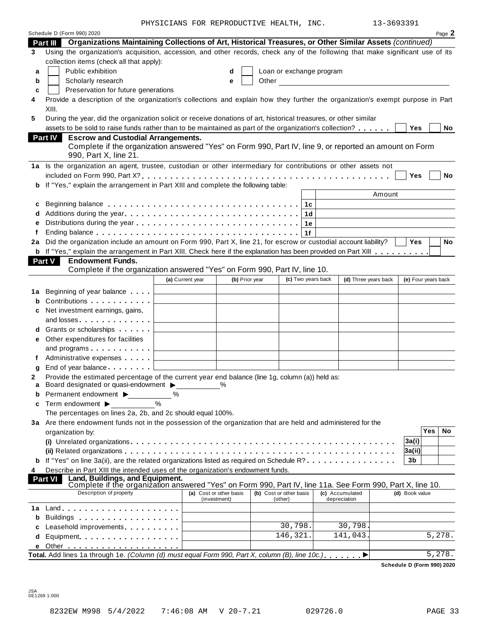PHYSICIANS FOR REPRODUCTIVE HEALTH, INC. 13-3693391

| 13-3693391 |
|------------|
|------------|

|        | Schedule D (Form 990) 2020                                                                                                                                                                                                                                                                                                        | TITOICIANO PON NEFNODOCIIVE HEABIH, INC |              |                |                          |                                                   |                     |            | Page 2    |
|--------|-----------------------------------------------------------------------------------------------------------------------------------------------------------------------------------------------------------------------------------------------------------------------------------------------------------------------------------|-----------------------------------------|--------------|----------------|--------------------------|---------------------------------------------------|---------------------|------------|-----------|
|        | Part III Organizations Maintaining Collections of Art, Historical Treasures, or Other Similar Assets (continued)                                                                                                                                                                                                                  |                                         |              |                |                          |                                                   |                     |            |           |
| 3      | Using the organization's acquisition, accession, and other records, check any of the following that make significant use of its                                                                                                                                                                                                   |                                         |              |                |                          |                                                   |                     |            |           |
|        | collection items (check all that apply):                                                                                                                                                                                                                                                                                          |                                         |              |                |                          |                                                   |                     |            |           |
| a      | Public exhibition                                                                                                                                                                                                                                                                                                                 |                                         | d            |                | Loan or exchange program |                                                   |                     |            |           |
| b      | Scholarly research                                                                                                                                                                                                                                                                                                                |                                         | е            | Other          |                          | <u> 1989 - John Stein, amerikansk politiker (</u> |                     |            |           |
| c      | Preservation for future generations                                                                                                                                                                                                                                                                                               |                                         |              |                |                          |                                                   |                     |            |           |
| 4      | Provide a description of the organization's collections and explain how they further the organization's exempt purpose in Part                                                                                                                                                                                                    |                                         |              |                |                          |                                                   |                     |            |           |
|        | XIII.                                                                                                                                                                                                                                                                                                                             |                                         |              |                |                          |                                                   |                     |            |           |
| 5      | During the year, did the organization solicit or receive donations of art, historical treasures, or other similar                                                                                                                                                                                                                 |                                         |              |                |                          |                                                   |                     |            |           |
|        | assets to be sold to raise funds rather than to be maintained as part of the organization's collection?                                                                                                                                                                                                                           |                                         |              |                |                          |                                                   | <b>Yes</b>          |            | No        |
|        | <b>Part IV</b><br><b>Escrow and Custodial Arrangements.</b><br>Complete if the organization answered "Yes" on Form 990, Part IV, line 9, or reported an amount on Form                                                                                                                                                            |                                         |              |                |                          |                                                   |                     |            |           |
|        | 990, Part X, line 21.                                                                                                                                                                                                                                                                                                             |                                         |              |                |                          |                                                   |                     |            |           |
|        | 1a Is the organization an agent, trustee, custodian or other intermediary for contributions or other assets not                                                                                                                                                                                                                   |                                         |              |                |                          |                                                   |                     |            |           |
|        |                                                                                                                                                                                                                                                                                                                                   |                                         |              |                |                          |                                                   | Yes                 |            | <b>No</b> |
|        | b If "Yes," explain the arrangement in Part XIII and complete the following table:                                                                                                                                                                                                                                                |                                         |              |                |                          |                                                   |                     |            |           |
|        |                                                                                                                                                                                                                                                                                                                                   |                                         |              |                |                          | Amount                                            |                     |            |           |
| c<br>d |                                                                                                                                                                                                                                                                                                                                   |                                         |              |                | 1c<br>1d                 |                                                   |                     |            |           |
| e      |                                                                                                                                                                                                                                                                                                                                   |                                         |              |                | 1е                       |                                                   |                     |            |           |
| f      |                                                                                                                                                                                                                                                                                                                                   |                                         |              |                | 1f                       |                                                   |                     |            |           |
|        | 2a Did the organization include an amount on Form 990, Part X, line 21, for escrow or custodial account liability?                                                                                                                                                                                                                |                                         |              |                |                          |                                                   | Yes                 |            | No        |
|        | <b>b</b> If "Yes," explain the arrangement in Part XIII. Check here if the explanation has been provided on Part XIII                                                                                                                                                                                                             |                                         |              |                |                          |                                                   |                     |            |           |
|        | Part V<br><b>Endowment Funds.</b>                                                                                                                                                                                                                                                                                                 |                                         |              |                |                          |                                                   |                     |            |           |
|        | Complete if the organization answered "Yes" on Form 990, Part IV, line 10.                                                                                                                                                                                                                                                        |                                         |              |                |                          |                                                   |                     |            |           |
|        |                                                                                                                                                                                                                                                                                                                                   | (a) Current year                        |              | (b) Prior year | (c) Two years back       | (d) Three years back                              | (e) Four years back |            |           |
|        |                                                                                                                                                                                                                                                                                                                                   |                                         |              |                |                          |                                                   |                     |            |           |
| b      | Contributions $\ldots$                                                                                                                                                                                                                                                                                                            |                                         |              |                |                          |                                                   |                     |            |           |
| c      | Net investment earnings, gains,                                                                                                                                                                                                                                                                                                   |                                         |              |                |                          |                                                   |                     |            |           |
|        | and losses $\ldots$ $\ldots$ $\ldots$ $\ldots$                                                                                                                                                                                                                                                                                    |                                         |              |                |                          |                                                   |                     |            |           |
| d      | Grants or scholarships $\Box$                                                                                                                                                                                                                                                                                                     |                                         |              |                |                          |                                                   |                     |            |           |
| е      | Other expenditures for facilities                                                                                                                                                                                                                                                                                                 |                                         |              |                |                          |                                                   |                     |            |           |
|        | and programs $\ldots$ , $\qquad \qquad$ $\qquad \qquad$                                                                                                                                                                                                                                                                           |                                         |              |                |                          |                                                   |                     |            |           |
|        | Administrative expenses example and a material and a material and a material and a material and a material and                                                                                                                                                                                                                    |                                         |              |                |                          |                                                   |                     |            |           |
| g      | End of year balance example and contact the set of the set of the set of the set of the set of the set of the set of the set of the set of the set of the set of the set of the set of the set of the set of the set of the se<br>Provide the estimated percentage of the current year end balance (line 1g, column (a)) held as: |                                         |              |                |                          |                                                   |                     |            |           |
| a      | Board designated or quasi-endowment >                                                                                                                                                                                                                                                                                             |                                         | %            |                |                          |                                                   |                     |            |           |
| b      | Permanent endowment ▶                                                                                                                                                                                                                                                                                                             | ℅                                       |              |                |                          |                                                   |                     |            |           |
| c      | Term endowment ▶                                                                                                                                                                                                                                                                                                                  |                                         |              |                |                          |                                                   |                     |            |           |
|        | The percentages on lines 2a, 2b, and 2c should equal 100%.                                                                                                                                                                                                                                                                        |                                         |              |                |                          |                                                   |                     |            |           |
|        | 3a Are there endowment funds not in the possession of the organization that are held and administered for the                                                                                                                                                                                                                     |                                         |              |                |                          |                                                   |                     |            |           |
|        | organization by:                                                                                                                                                                                                                                                                                                                  |                                         |              |                |                          |                                                   |                     | <b>Yes</b> | No        |
|        |                                                                                                                                                                                                                                                                                                                                   |                                         |              |                |                          |                                                   | 3a(i)               |            |           |
|        |                                                                                                                                                                                                                                                                                                                                   |                                         |              |                |                          |                                                   | 3a(ii)              |            |           |
| b      | If "Yes" on line 3a(ii), are the related organizations listed as required on Schedule R?                                                                                                                                                                                                                                          |                                         |              |                |                          |                                                   | 3 <sub>b</sub>      |            |           |
| 4      | Describe in Part XIII the intended uses of the organization's endowment funds.<br>Land, Buildings, and Equipment.<br><b>Part VI</b>                                                                                                                                                                                               |                                         |              |                |                          |                                                   |                     |            |           |
|        | Complete if the organization answered "Yes" on Form 990, Part IV, line 11a. See Form 990, Part X, line 10.<br>Description of property                                                                                                                                                                                             | (a) Cost or other basis                 |              |                | (b) Cost or other basis  | (c) Accumulated                                   | (d) Book value      |            |           |
|        |                                                                                                                                                                                                                                                                                                                                   |                                         | (investment) |                | (other)                  | depreciation                                      |                     |            |           |
| 1а     |                                                                                                                                                                                                                                                                                                                                   |                                         |              |                |                          |                                                   |                     |            |           |
| b      | Buildings                                                                                                                                                                                                                                                                                                                         |                                         |              |                | 30,798.                  | 30,798                                            |                     |            |           |
|        | Leasehold improvements expansion of the set of the set of the set of the set of the set of the set of the set o                                                                                                                                                                                                                   |                                         |              |                | 146,321.                 | 141,043.                                          |                     |            | 5,278.    |
| d      | Equipment                                                                                                                                                                                                                                                                                                                         |                                         |              |                |                          |                                                   |                     |            |           |
|        | Total. Add lines 1a through 1e. (Column (d) must equal Form 990, Part X, column (B), line 10c.)                                                                                                                                                                                                                                   |                                         |              |                |                          |                                                   |                     |            | 5,278.    |
|        |                                                                                                                                                                                                                                                                                                                                   |                                         |              |                |                          |                                                   |                     |            |           |

**Schedule D (Form 990) 2020**

JSA 0E1269 1.000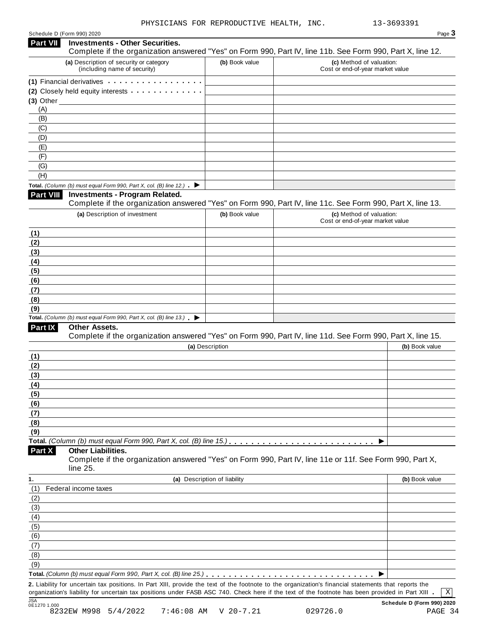| $P$ aqe $\bullet$ |
|-------------------|
|                   |

| (a) Description of security or category<br>(b) Book value<br>(c) Method of valuation:<br>(including name of security)<br>Cost or end-of-year market value<br>(1) Financial derivatives expansion of the state of the state of the state of the state of the state of the state of the state of the state of the state of the state of the state of the state of the state of the state of t<br>(2) Closely held equity interests<br>(A)<br>(B)<br>(C)<br>(D)<br>(E)<br>(F)<br>(G)<br>(H)<br>Total. (Column (b) must equal Form 990, Part X, col. (B) line 12.) $\blacktriangleright$<br><b>Investments - Program Related.</b><br>Complete if the organization answered "Yes" on Form 990, Part IV, line 11c. See Form 990, Part X, line 13.<br>(a) Description of investment<br>(c) Method of valuation:<br>(b) Book value<br>Cost or end-of-year market value<br>Total. (Column (b) must equal Form 990, Part X, col. (B) line 13.) $\blacktriangleright$<br>Other Assets.<br>Complete if the organization answered "Yes" on Form 990, Part IV, line 11d. See Form 990, Part X, line 15.<br>(b) Book value<br>(a) Description<br>Part X<br><b>Other Liabilities.</b><br>Complete if the organization answered "Yes" on Form 990, Part IV, line 11e or 11f. See Form 990, Part X,<br>line 25.<br>(a) Description of liability<br>(b) Book value<br>Federal income taxes<br>(1)<br>(2)<br>(3)<br>(4)<br>(5)<br>(6)<br>(7)<br>2. Liability for uncertain tax positions. In Part XIII, provide the text of the footnote to the organization's financial statements that reports the<br>organization's liability for uncertain tax positions under FASB ASC 740. Check here if the text of the footnote has been provided in Part XIII<br>$\mathbf{X}$ | <b>Part VII</b>  | <b>Investments - Other Securities.</b><br>Complete if the organization answered "Yes" on Form 990, Part IV, line 11b. See Form 990, Part X, line 12. |  |  |
|----------------------------------------------------------------------------------------------------------------------------------------------------------------------------------------------------------------------------------------------------------------------------------------------------------------------------------------------------------------------------------------------------------------------------------------------------------------------------------------------------------------------------------------------------------------------------------------------------------------------------------------------------------------------------------------------------------------------------------------------------------------------------------------------------------------------------------------------------------------------------------------------------------------------------------------------------------------------------------------------------------------------------------------------------------------------------------------------------------------------------------------------------------------------------------------------------------------------------------------------------------------------------------------------------------------------------------------------------------------------------------------------------------------------------------------------------------------------------------------------------------------------------------------------------------------------------------------------------------------------------------------------------------------------------------------------------------------------------------------------------|------------------|------------------------------------------------------------------------------------------------------------------------------------------------------|--|--|
|                                                                                                                                                                                                                                                                                                                                                                                                                                                                                                                                                                                                                                                                                                                                                                                                                                                                                                                                                                                                                                                                                                                                                                                                                                                                                                                                                                                                                                                                                                                                                                                                                                                                                                                                                    |                  |                                                                                                                                                      |  |  |
|                                                                                                                                                                                                                                                                                                                                                                                                                                                                                                                                                                                                                                                                                                                                                                                                                                                                                                                                                                                                                                                                                                                                                                                                                                                                                                                                                                                                                                                                                                                                                                                                                                                                                                                                                    |                  |                                                                                                                                                      |  |  |
|                                                                                                                                                                                                                                                                                                                                                                                                                                                                                                                                                                                                                                                                                                                                                                                                                                                                                                                                                                                                                                                                                                                                                                                                                                                                                                                                                                                                                                                                                                                                                                                                                                                                                                                                                    |                  |                                                                                                                                                      |  |  |
|                                                                                                                                                                                                                                                                                                                                                                                                                                                                                                                                                                                                                                                                                                                                                                                                                                                                                                                                                                                                                                                                                                                                                                                                                                                                                                                                                                                                                                                                                                                                                                                                                                                                                                                                                    | $(3)$ Other $\_$ |                                                                                                                                                      |  |  |
|                                                                                                                                                                                                                                                                                                                                                                                                                                                                                                                                                                                                                                                                                                                                                                                                                                                                                                                                                                                                                                                                                                                                                                                                                                                                                                                                                                                                                                                                                                                                                                                                                                                                                                                                                    |                  |                                                                                                                                                      |  |  |
|                                                                                                                                                                                                                                                                                                                                                                                                                                                                                                                                                                                                                                                                                                                                                                                                                                                                                                                                                                                                                                                                                                                                                                                                                                                                                                                                                                                                                                                                                                                                                                                                                                                                                                                                                    |                  |                                                                                                                                                      |  |  |
|                                                                                                                                                                                                                                                                                                                                                                                                                                                                                                                                                                                                                                                                                                                                                                                                                                                                                                                                                                                                                                                                                                                                                                                                                                                                                                                                                                                                                                                                                                                                                                                                                                                                                                                                                    |                  |                                                                                                                                                      |  |  |
|                                                                                                                                                                                                                                                                                                                                                                                                                                                                                                                                                                                                                                                                                                                                                                                                                                                                                                                                                                                                                                                                                                                                                                                                                                                                                                                                                                                                                                                                                                                                                                                                                                                                                                                                                    |                  |                                                                                                                                                      |  |  |
|                                                                                                                                                                                                                                                                                                                                                                                                                                                                                                                                                                                                                                                                                                                                                                                                                                                                                                                                                                                                                                                                                                                                                                                                                                                                                                                                                                                                                                                                                                                                                                                                                                                                                                                                                    |                  |                                                                                                                                                      |  |  |
|                                                                                                                                                                                                                                                                                                                                                                                                                                                                                                                                                                                                                                                                                                                                                                                                                                                                                                                                                                                                                                                                                                                                                                                                                                                                                                                                                                                                                                                                                                                                                                                                                                                                                                                                                    |                  |                                                                                                                                                      |  |  |
|                                                                                                                                                                                                                                                                                                                                                                                                                                                                                                                                                                                                                                                                                                                                                                                                                                                                                                                                                                                                                                                                                                                                                                                                                                                                                                                                                                                                                                                                                                                                                                                                                                                                                                                                                    |                  |                                                                                                                                                      |  |  |
|                                                                                                                                                                                                                                                                                                                                                                                                                                                                                                                                                                                                                                                                                                                                                                                                                                                                                                                                                                                                                                                                                                                                                                                                                                                                                                                                                                                                                                                                                                                                                                                                                                                                                                                                                    |                  |                                                                                                                                                      |  |  |
|                                                                                                                                                                                                                                                                                                                                                                                                                                                                                                                                                                                                                                                                                                                                                                                                                                                                                                                                                                                                                                                                                                                                                                                                                                                                                                                                                                                                                                                                                                                                                                                                                                                                                                                                                    | <b>Part VIII</b> |                                                                                                                                                      |  |  |
|                                                                                                                                                                                                                                                                                                                                                                                                                                                                                                                                                                                                                                                                                                                                                                                                                                                                                                                                                                                                                                                                                                                                                                                                                                                                                                                                                                                                                                                                                                                                                                                                                                                                                                                                                    |                  |                                                                                                                                                      |  |  |
|                                                                                                                                                                                                                                                                                                                                                                                                                                                                                                                                                                                                                                                                                                                                                                                                                                                                                                                                                                                                                                                                                                                                                                                                                                                                                                                                                                                                                                                                                                                                                                                                                                                                                                                                                    |                  |                                                                                                                                                      |  |  |
|                                                                                                                                                                                                                                                                                                                                                                                                                                                                                                                                                                                                                                                                                                                                                                                                                                                                                                                                                                                                                                                                                                                                                                                                                                                                                                                                                                                                                                                                                                                                                                                                                                                                                                                                                    | (1)              |                                                                                                                                                      |  |  |
|                                                                                                                                                                                                                                                                                                                                                                                                                                                                                                                                                                                                                                                                                                                                                                                                                                                                                                                                                                                                                                                                                                                                                                                                                                                                                                                                                                                                                                                                                                                                                                                                                                                                                                                                                    | (2)              |                                                                                                                                                      |  |  |
|                                                                                                                                                                                                                                                                                                                                                                                                                                                                                                                                                                                                                                                                                                                                                                                                                                                                                                                                                                                                                                                                                                                                                                                                                                                                                                                                                                                                                                                                                                                                                                                                                                                                                                                                                    | (3)              |                                                                                                                                                      |  |  |
|                                                                                                                                                                                                                                                                                                                                                                                                                                                                                                                                                                                                                                                                                                                                                                                                                                                                                                                                                                                                                                                                                                                                                                                                                                                                                                                                                                                                                                                                                                                                                                                                                                                                                                                                                    | (4)              |                                                                                                                                                      |  |  |
|                                                                                                                                                                                                                                                                                                                                                                                                                                                                                                                                                                                                                                                                                                                                                                                                                                                                                                                                                                                                                                                                                                                                                                                                                                                                                                                                                                                                                                                                                                                                                                                                                                                                                                                                                    | (5)              |                                                                                                                                                      |  |  |
|                                                                                                                                                                                                                                                                                                                                                                                                                                                                                                                                                                                                                                                                                                                                                                                                                                                                                                                                                                                                                                                                                                                                                                                                                                                                                                                                                                                                                                                                                                                                                                                                                                                                                                                                                    | (6)              |                                                                                                                                                      |  |  |
|                                                                                                                                                                                                                                                                                                                                                                                                                                                                                                                                                                                                                                                                                                                                                                                                                                                                                                                                                                                                                                                                                                                                                                                                                                                                                                                                                                                                                                                                                                                                                                                                                                                                                                                                                    | (7)              |                                                                                                                                                      |  |  |
|                                                                                                                                                                                                                                                                                                                                                                                                                                                                                                                                                                                                                                                                                                                                                                                                                                                                                                                                                                                                                                                                                                                                                                                                                                                                                                                                                                                                                                                                                                                                                                                                                                                                                                                                                    | (8)              |                                                                                                                                                      |  |  |
|                                                                                                                                                                                                                                                                                                                                                                                                                                                                                                                                                                                                                                                                                                                                                                                                                                                                                                                                                                                                                                                                                                                                                                                                                                                                                                                                                                                                                                                                                                                                                                                                                                                                                                                                                    | (9)              |                                                                                                                                                      |  |  |
|                                                                                                                                                                                                                                                                                                                                                                                                                                                                                                                                                                                                                                                                                                                                                                                                                                                                                                                                                                                                                                                                                                                                                                                                                                                                                                                                                                                                                                                                                                                                                                                                                                                                                                                                                    |                  |                                                                                                                                                      |  |  |
|                                                                                                                                                                                                                                                                                                                                                                                                                                                                                                                                                                                                                                                                                                                                                                                                                                                                                                                                                                                                                                                                                                                                                                                                                                                                                                                                                                                                                                                                                                                                                                                                                                                                                                                                                    | Part IX          |                                                                                                                                                      |  |  |
|                                                                                                                                                                                                                                                                                                                                                                                                                                                                                                                                                                                                                                                                                                                                                                                                                                                                                                                                                                                                                                                                                                                                                                                                                                                                                                                                                                                                                                                                                                                                                                                                                                                                                                                                                    |                  |                                                                                                                                                      |  |  |
|                                                                                                                                                                                                                                                                                                                                                                                                                                                                                                                                                                                                                                                                                                                                                                                                                                                                                                                                                                                                                                                                                                                                                                                                                                                                                                                                                                                                                                                                                                                                                                                                                                                                                                                                                    |                  |                                                                                                                                                      |  |  |
|                                                                                                                                                                                                                                                                                                                                                                                                                                                                                                                                                                                                                                                                                                                                                                                                                                                                                                                                                                                                                                                                                                                                                                                                                                                                                                                                                                                                                                                                                                                                                                                                                                                                                                                                                    | (1)              |                                                                                                                                                      |  |  |
|                                                                                                                                                                                                                                                                                                                                                                                                                                                                                                                                                                                                                                                                                                                                                                                                                                                                                                                                                                                                                                                                                                                                                                                                                                                                                                                                                                                                                                                                                                                                                                                                                                                                                                                                                    | (2)              |                                                                                                                                                      |  |  |
|                                                                                                                                                                                                                                                                                                                                                                                                                                                                                                                                                                                                                                                                                                                                                                                                                                                                                                                                                                                                                                                                                                                                                                                                                                                                                                                                                                                                                                                                                                                                                                                                                                                                                                                                                    | (3)              |                                                                                                                                                      |  |  |
|                                                                                                                                                                                                                                                                                                                                                                                                                                                                                                                                                                                                                                                                                                                                                                                                                                                                                                                                                                                                                                                                                                                                                                                                                                                                                                                                                                                                                                                                                                                                                                                                                                                                                                                                                    | (4)              |                                                                                                                                                      |  |  |
|                                                                                                                                                                                                                                                                                                                                                                                                                                                                                                                                                                                                                                                                                                                                                                                                                                                                                                                                                                                                                                                                                                                                                                                                                                                                                                                                                                                                                                                                                                                                                                                                                                                                                                                                                    | (5)              |                                                                                                                                                      |  |  |
|                                                                                                                                                                                                                                                                                                                                                                                                                                                                                                                                                                                                                                                                                                                                                                                                                                                                                                                                                                                                                                                                                                                                                                                                                                                                                                                                                                                                                                                                                                                                                                                                                                                                                                                                                    | (6)              |                                                                                                                                                      |  |  |
|                                                                                                                                                                                                                                                                                                                                                                                                                                                                                                                                                                                                                                                                                                                                                                                                                                                                                                                                                                                                                                                                                                                                                                                                                                                                                                                                                                                                                                                                                                                                                                                                                                                                                                                                                    | (7)              |                                                                                                                                                      |  |  |
|                                                                                                                                                                                                                                                                                                                                                                                                                                                                                                                                                                                                                                                                                                                                                                                                                                                                                                                                                                                                                                                                                                                                                                                                                                                                                                                                                                                                                                                                                                                                                                                                                                                                                                                                                    | (8)              |                                                                                                                                                      |  |  |
|                                                                                                                                                                                                                                                                                                                                                                                                                                                                                                                                                                                                                                                                                                                                                                                                                                                                                                                                                                                                                                                                                                                                                                                                                                                                                                                                                                                                                                                                                                                                                                                                                                                                                                                                                    | (9)              |                                                                                                                                                      |  |  |
|                                                                                                                                                                                                                                                                                                                                                                                                                                                                                                                                                                                                                                                                                                                                                                                                                                                                                                                                                                                                                                                                                                                                                                                                                                                                                                                                                                                                                                                                                                                                                                                                                                                                                                                                                    |                  |                                                                                                                                                      |  |  |
|                                                                                                                                                                                                                                                                                                                                                                                                                                                                                                                                                                                                                                                                                                                                                                                                                                                                                                                                                                                                                                                                                                                                                                                                                                                                                                                                                                                                                                                                                                                                                                                                                                                                                                                                                    |                  |                                                                                                                                                      |  |  |
|                                                                                                                                                                                                                                                                                                                                                                                                                                                                                                                                                                                                                                                                                                                                                                                                                                                                                                                                                                                                                                                                                                                                                                                                                                                                                                                                                                                                                                                                                                                                                                                                                                                                                                                                                    | 1.               |                                                                                                                                                      |  |  |
|                                                                                                                                                                                                                                                                                                                                                                                                                                                                                                                                                                                                                                                                                                                                                                                                                                                                                                                                                                                                                                                                                                                                                                                                                                                                                                                                                                                                                                                                                                                                                                                                                                                                                                                                                    |                  |                                                                                                                                                      |  |  |
|                                                                                                                                                                                                                                                                                                                                                                                                                                                                                                                                                                                                                                                                                                                                                                                                                                                                                                                                                                                                                                                                                                                                                                                                                                                                                                                                                                                                                                                                                                                                                                                                                                                                                                                                                    |                  |                                                                                                                                                      |  |  |
|                                                                                                                                                                                                                                                                                                                                                                                                                                                                                                                                                                                                                                                                                                                                                                                                                                                                                                                                                                                                                                                                                                                                                                                                                                                                                                                                                                                                                                                                                                                                                                                                                                                                                                                                                    |                  |                                                                                                                                                      |  |  |
|                                                                                                                                                                                                                                                                                                                                                                                                                                                                                                                                                                                                                                                                                                                                                                                                                                                                                                                                                                                                                                                                                                                                                                                                                                                                                                                                                                                                                                                                                                                                                                                                                                                                                                                                                    |                  |                                                                                                                                                      |  |  |
|                                                                                                                                                                                                                                                                                                                                                                                                                                                                                                                                                                                                                                                                                                                                                                                                                                                                                                                                                                                                                                                                                                                                                                                                                                                                                                                                                                                                                                                                                                                                                                                                                                                                                                                                                    |                  |                                                                                                                                                      |  |  |
|                                                                                                                                                                                                                                                                                                                                                                                                                                                                                                                                                                                                                                                                                                                                                                                                                                                                                                                                                                                                                                                                                                                                                                                                                                                                                                                                                                                                                                                                                                                                                                                                                                                                                                                                                    |                  |                                                                                                                                                      |  |  |
|                                                                                                                                                                                                                                                                                                                                                                                                                                                                                                                                                                                                                                                                                                                                                                                                                                                                                                                                                                                                                                                                                                                                                                                                                                                                                                                                                                                                                                                                                                                                                                                                                                                                                                                                                    |                  |                                                                                                                                                      |  |  |
|                                                                                                                                                                                                                                                                                                                                                                                                                                                                                                                                                                                                                                                                                                                                                                                                                                                                                                                                                                                                                                                                                                                                                                                                                                                                                                                                                                                                                                                                                                                                                                                                                                                                                                                                                    | (8)              |                                                                                                                                                      |  |  |
|                                                                                                                                                                                                                                                                                                                                                                                                                                                                                                                                                                                                                                                                                                                                                                                                                                                                                                                                                                                                                                                                                                                                                                                                                                                                                                                                                                                                                                                                                                                                                                                                                                                                                                                                                    | (9)              |                                                                                                                                                      |  |  |
|                                                                                                                                                                                                                                                                                                                                                                                                                                                                                                                                                                                                                                                                                                                                                                                                                                                                                                                                                                                                                                                                                                                                                                                                                                                                                                                                                                                                                                                                                                                                                                                                                                                                                                                                                    |                  |                                                                                                                                                      |  |  |
|                                                                                                                                                                                                                                                                                                                                                                                                                                                                                                                                                                                                                                                                                                                                                                                                                                                                                                                                                                                                                                                                                                                                                                                                                                                                                                                                                                                                                                                                                                                                                                                                                                                                                                                                                    |                  |                                                                                                                                                      |  |  |
|                                                                                                                                                                                                                                                                                                                                                                                                                                                                                                                                                                                                                                                                                                                                                                                                                                                                                                                                                                                                                                                                                                                                                                                                                                                                                                                                                                                                                                                                                                                                                                                                                                                                                                                                                    |                  |                                                                                                                                                      |  |  |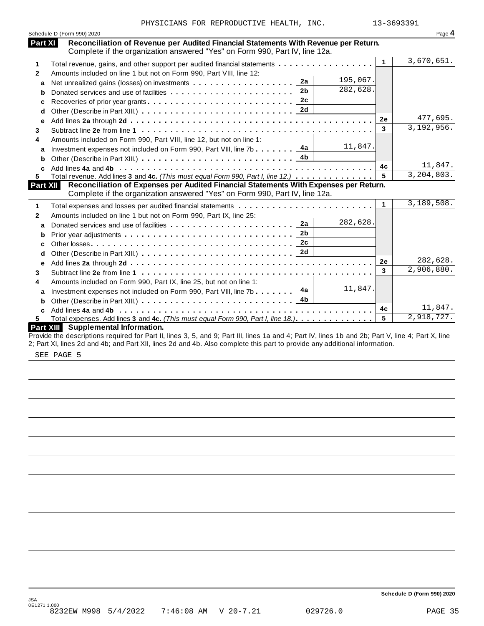| Reconciliation of Revenue per Audited Financial Statements With Revenue per Return.<br>Part XI<br>Complete if the organization answered "Yes" on Form 990, Part IV, line 12a.<br>3,670,651.<br>$\blacktriangleleft$<br>Total revenue, gains, and other support per audited financial statements<br>1<br>Amounts included on line 1 but not on Form 990, Part VIII, line 12:<br>$\mathbf{2}$<br>195,067.<br>2a<br>a<br>282,628.<br>2 <sub>b</sub><br>b<br>2c<br>Recoveries of prior year grants<br>с<br>d<br>477,695.<br>2e<br>е<br>3,192,956.<br>3<br>3<br>Amounts included on Form 990, Part VIII, line 12, but not on line 1:<br>4<br>11,847.<br>4a<br>Investment expenses not included on Form 990, Part VIII, line 7b<br>a<br>4 <sub>b</sub><br>b<br>11,847.<br>4c<br>3,204,803.<br>Total revenue. Add lines 3 and 4c. (This must equal Form 990, Part I, line 12.)<br>5.<br>Reconciliation of Expenses per Audited Financial Statements With Expenses per Return.<br><b>Part XII</b><br>Complete if the organization answered "Yes" on Form 990, Part IV, line 12a.<br>3,189,508.<br>$\mathbf{1}$<br>1<br>Amounts included on line 1 but not on Form 990, Part IX, line 25:<br>$\mathbf{2}$<br>282,628.<br>2a<br>Donated services and use of facilities<br>a<br>2 <sub>b</sub><br>b<br>2c<br>c<br>2d<br>d<br>282,628.<br>2e<br>е<br>2,906,880.<br>3<br>3<br>Amounts included on Form 990, Part IX, line 25, but not on line 1:<br>4<br>11,847.<br>4a<br>Investment expenses not included on Form 990, Part VIII, line 7b<br>a<br>4b<br>b<br>11,847.<br>4c<br>C<br>2,918,727.<br>5<br>Total expenses. Add lines 3 and 4c. (This must equal Form 990, Part I, line 18.)<br>5.<br>Part XIII Supplemental Information.<br>Provide the descriptions required for Part II, lines 3, 5, and 9; Part III, lines 1a and 4; Part IV, lines 1b and 2b; Part V, line 4; Part X, line<br>2; Part XI, lines 2d and 4b; and Part XII, lines 2d and 4b. Also complete this part to provide any additional information. | Schedule D (Form 990) 2020 | Page 4 |
|-------------------------------------------------------------------------------------------------------------------------------------------------------------------------------------------------------------------------------------------------------------------------------------------------------------------------------------------------------------------------------------------------------------------------------------------------------------------------------------------------------------------------------------------------------------------------------------------------------------------------------------------------------------------------------------------------------------------------------------------------------------------------------------------------------------------------------------------------------------------------------------------------------------------------------------------------------------------------------------------------------------------------------------------------------------------------------------------------------------------------------------------------------------------------------------------------------------------------------------------------------------------------------------------------------------------------------------------------------------------------------------------------------------------------------------------------------------------------------------------------------------------------------------------------------------------------------------------------------------------------------------------------------------------------------------------------------------------------------------------------------------------------------------------------------------------------------------------------------------------------------------------------------------------------------------------------------------------------------------------------------------|----------------------------|--------|
|                                                                                                                                                                                                                                                                                                                                                                                                                                                                                                                                                                                                                                                                                                                                                                                                                                                                                                                                                                                                                                                                                                                                                                                                                                                                                                                                                                                                                                                                                                                                                                                                                                                                                                                                                                                                                                                                                                                                                                                                             |                            |        |
|                                                                                                                                                                                                                                                                                                                                                                                                                                                                                                                                                                                                                                                                                                                                                                                                                                                                                                                                                                                                                                                                                                                                                                                                                                                                                                                                                                                                                                                                                                                                                                                                                                                                                                                                                                                                                                                                                                                                                                                                             |                            |        |
|                                                                                                                                                                                                                                                                                                                                                                                                                                                                                                                                                                                                                                                                                                                                                                                                                                                                                                                                                                                                                                                                                                                                                                                                                                                                                                                                                                                                                                                                                                                                                                                                                                                                                                                                                                                                                                                                                                                                                                                                             |                            |        |
|                                                                                                                                                                                                                                                                                                                                                                                                                                                                                                                                                                                                                                                                                                                                                                                                                                                                                                                                                                                                                                                                                                                                                                                                                                                                                                                                                                                                                                                                                                                                                                                                                                                                                                                                                                                                                                                                                                                                                                                                             |                            |        |
|                                                                                                                                                                                                                                                                                                                                                                                                                                                                                                                                                                                                                                                                                                                                                                                                                                                                                                                                                                                                                                                                                                                                                                                                                                                                                                                                                                                                                                                                                                                                                                                                                                                                                                                                                                                                                                                                                                                                                                                                             |                            |        |
|                                                                                                                                                                                                                                                                                                                                                                                                                                                                                                                                                                                                                                                                                                                                                                                                                                                                                                                                                                                                                                                                                                                                                                                                                                                                                                                                                                                                                                                                                                                                                                                                                                                                                                                                                                                                                                                                                                                                                                                                             |                            |        |
|                                                                                                                                                                                                                                                                                                                                                                                                                                                                                                                                                                                                                                                                                                                                                                                                                                                                                                                                                                                                                                                                                                                                                                                                                                                                                                                                                                                                                                                                                                                                                                                                                                                                                                                                                                                                                                                                                                                                                                                                             |                            |        |
|                                                                                                                                                                                                                                                                                                                                                                                                                                                                                                                                                                                                                                                                                                                                                                                                                                                                                                                                                                                                                                                                                                                                                                                                                                                                                                                                                                                                                                                                                                                                                                                                                                                                                                                                                                                                                                                                                                                                                                                                             |                            |        |
|                                                                                                                                                                                                                                                                                                                                                                                                                                                                                                                                                                                                                                                                                                                                                                                                                                                                                                                                                                                                                                                                                                                                                                                                                                                                                                                                                                                                                                                                                                                                                                                                                                                                                                                                                                                                                                                                                                                                                                                                             |                            |        |
|                                                                                                                                                                                                                                                                                                                                                                                                                                                                                                                                                                                                                                                                                                                                                                                                                                                                                                                                                                                                                                                                                                                                                                                                                                                                                                                                                                                                                                                                                                                                                                                                                                                                                                                                                                                                                                                                                                                                                                                                             |                            |        |
|                                                                                                                                                                                                                                                                                                                                                                                                                                                                                                                                                                                                                                                                                                                                                                                                                                                                                                                                                                                                                                                                                                                                                                                                                                                                                                                                                                                                                                                                                                                                                                                                                                                                                                                                                                                                                                                                                                                                                                                                             |                            |        |
|                                                                                                                                                                                                                                                                                                                                                                                                                                                                                                                                                                                                                                                                                                                                                                                                                                                                                                                                                                                                                                                                                                                                                                                                                                                                                                                                                                                                                                                                                                                                                                                                                                                                                                                                                                                                                                                                                                                                                                                                             |                            |        |
|                                                                                                                                                                                                                                                                                                                                                                                                                                                                                                                                                                                                                                                                                                                                                                                                                                                                                                                                                                                                                                                                                                                                                                                                                                                                                                                                                                                                                                                                                                                                                                                                                                                                                                                                                                                                                                                                                                                                                                                                             |                            |        |
|                                                                                                                                                                                                                                                                                                                                                                                                                                                                                                                                                                                                                                                                                                                                                                                                                                                                                                                                                                                                                                                                                                                                                                                                                                                                                                                                                                                                                                                                                                                                                                                                                                                                                                                                                                                                                                                                                                                                                                                                             |                            |        |
|                                                                                                                                                                                                                                                                                                                                                                                                                                                                                                                                                                                                                                                                                                                                                                                                                                                                                                                                                                                                                                                                                                                                                                                                                                                                                                                                                                                                                                                                                                                                                                                                                                                                                                                                                                                                                                                                                                                                                                                                             |                            |        |
|                                                                                                                                                                                                                                                                                                                                                                                                                                                                                                                                                                                                                                                                                                                                                                                                                                                                                                                                                                                                                                                                                                                                                                                                                                                                                                                                                                                                                                                                                                                                                                                                                                                                                                                                                                                                                                                                                                                                                                                                             |                            |        |
|                                                                                                                                                                                                                                                                                                                                                                                                                                                                                                                                                                                                                                                                                                                                                                                                                                                                                                                                                                                                                                                                                                                                                                                                                                                                                                                                                                                                                                                                                                                                                                                                                                                                                                                                                                                                                                                                                                                                                                                                             |                            |        |
|                                                                                                                                                                                                                                                                                                                                                                                                                                                                                                                                                                                                                                                                                                                                                                                                                                                                                                                                                                                                                                                                                                                                                                                                                                                                                                                                                                                                                                                                                                                                                                                                                                                                                                                                                                                                                                                                                                                                                                                                             |                            |        |
|                                                                                                                                                                                                                                                                                                                                                                                                                                                                                                                                                                                                                                                                                                                                                                                                                                                                                                                                                                                                                                                                                                                                                                                                                                                                                                                                                                                                                                                                                                                                                                                                                                                                                                                                                                                                                                                                                                                                                                                                             |                            |        |
|                                                                                                                                                                                                                                                                                                                                                                                                                                                                                                                                                                                                                                                                                                                                                                                                                                                                                                                                                                                                                                                                                                                                                                                                                                                                                                                                                                                                                                                                                                                                                                                                                                                                                                                                                                                                                                                                                                                                                                                                             |                            |        |
|                                                                                                                                                                                                                                                                                                                                                                                                                                                                                                                                                                                                                                                                                                                                                                                                                                                                                                                                                                                                                                                                                                                                                                                                                                                                                                                                                                                                                                                                                                                                                                                                                                                                                                                                                                                                                                                                                                                                                                                                             |                            |        |
|                                                                                                                                                                                                                                                                                                                                                                                                                                                                                                                                                                                                                                                                                                                                                                                                                                                                                                                                                                                                                                                                                                                                                                                                                                                                                                                                                                                                                                                                                                                                                                                                                                                                                                                                                                                                                                                                                                                                                                                                             |                            |        |
|                                                                                                                                                                                                                                                                                                                                                                                                                                                                                                                                                                                                                                                                                                                                                                                                                                                                                                                                                                                                                                                                                                                                                                                                                                                                                                                                                                                                                                                                                                                                                                                                                                                                                                                                                                                                                                                                                                                                                                                                             |                            |        |
|                                                                                                                                                                                                                                                                                                                                                                                                                                                                                                                                                                                                                                                                                                                                                                                                                                                                                                                                                                                                                                                                                                                                                                                                                                                                                                                                                                                                                                                                                                                                                                                                                                                                                                                                                                                                                                                                                                                                                                                                             |                            |        |
|                                                                                                                                                                                                                                                                                                                                                                                                                                                                                                                                                                                                                                                                                                                                                                                                                                                                                                                                                                                                                                                                                                                                                                                                                                                                                                                                                                                                                                                                                                                                                                                                                                                                                                                                                                                                                                                                                                                                                                                                             |                            |        |
|                                                                                                                                                                                                                                                                                                                                                                                                                                                                                                                                                                                                                                                                                                                                                                                                                                                                                                                                                                                                                                                                                                                                                                                                                                                                                                                                                                                                                                                                                                                                                                                                                                                                                                                                                                                                                                                                                                                                                                                                             |                            |        |
|                                                                                                                                                                                                                                                                                                                                                                                                                                                                                                                                                                                                                                                                                                                                                                                                                                                                                                                                                                                                                                                                                                                                                                                                                                                                                                                                                                                                                                                                                                                                                                                                                                                                                                                                                                                                                                                                                                                                                                                                             |                            |        |
|                                                                                                                                                                                                                                                                                                                                                                                                                                                                                                                                                                                                                                                                                                                                                                                                                                                                                                                                                                                                                                                                                                                                                                                                                                                                                                                                                                                                                                                                                                                                                                                                                                                                                                                                                                                                                                                                                                                                                                                                             |                            |        |
|                                                                                                                                                                                                                                                                                                                                                                                                                                                                                                                                                                                                                                                                                                                                                                                                                                                                                                                                                                                                                                                                                                                                                                                                                                                                                                                                                                                                                                                                                                                                                                                                                                                                                                                                                                                                                                                                                                                                                                                                             |                            |        |
|                                                                                                                                                                                                                                                                                                                                                                                                                                                                                                                                                                                                                                                                                                                                                                                                                                                                                                                                                                                                                                                                                                                                                                                                                                                                                                                                                                                                                                                                                                                                                                                                                                                                                                                                                                                                                                                                                                                                                                                                             |                            |        |
|                                                                                                                                                                                                                                                                                                                                                                                                                                                                                                                                                                                                                                                                                                                                                                                                                                                                                                                                                                                                                                                                                                                                                                                                                                                                                                                                                                                                                                                                                                                                                                                                                                                                                                                                                                                                                                                                                                                                                                                                             |                            |        |

SEE PAGE 5

**Schedule D (Form 990) 2020**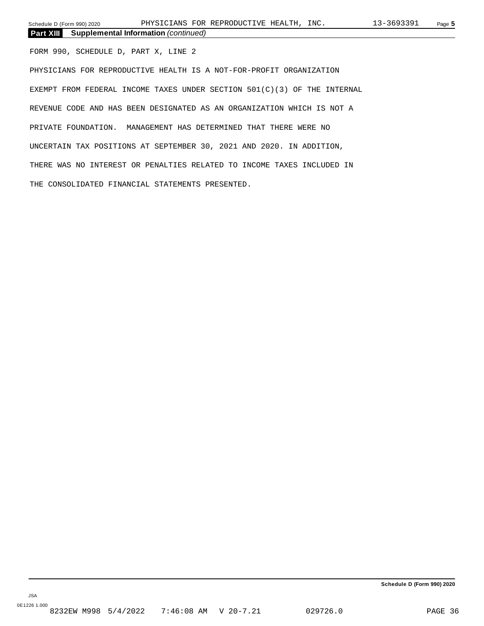**Part XIII Supplemental Information** *(continued)*

FORM 990, SCHEDULE D, PART X, LINE 2

PHYSICIANS FOR REPRODUCTIVE HEALTH IS A NOT-FOR-PROFIT ORGANIZATION EXEMPT FROM FEDERAL INCOME TAXES UNDER SECTION 501(C)(3) OF THE INTERNAL REVENUE CODE AND HAS BEEN DESIGNATED AS AN ORGANIZATION WHICH IS NOT A PRIVATE FOUNDATION. MANAGEMENT HAS DETERMINED THAT THERE WERE NO UNCERTAIN TAX POSITIONS AT SEPTEMBER 30, 2021 AND 2020. IN ADDITION, THERE WAS NO INTEREST OR PENALTIES RELATED TO INCOME TAXES INCLUDED IN THE CONSOLIDATED FINANCIAL STATEMENTS PRESENTED.

**Schedule D (Form 990) 2020**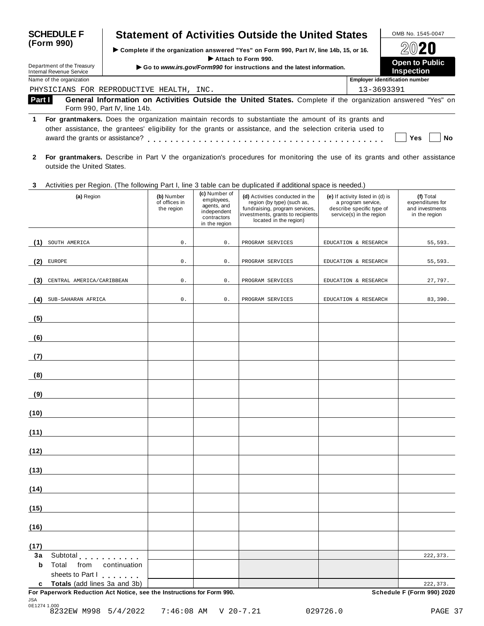| <b>SCHEDULE F</b>                                                                                                                                                                                                                                                          | <b>Statement of Activities Outside the United States</b>                                                                                    |                                            | OMB No. 1545-0047                     |  |  |  |  |  |  |  |
|----------------------------------------------------------------------------------------------------------------------------------------------------------------------------------------------------------------------------------------------------------------------------|---------------------------------------------------------------------------------------------------------------------------------------------|--------------------------------------------|---------------------------------------|--|--|--|--|--|--|--|
| (Form 990)                                                                                                                                                                                                                                                                 | ► Complete if the organization answered "Yes" on Form 990, Part IV, line 14b, 15, or 16.                                                    |                                            | 2020                                  |  |  |  |  |  |  |  |
| Department of the Treasury<br>Internal Revenue Service                                                                                                                                                                                                                     | Attach to Form 990.<br>Go to www.irs.gov/Form990 for instructions and the latest information.                                               | <b>Open to Public</b><br><b>Inspection</b> |                                       |  |  |  |  |  |  |  |
| Name of the organization                                                                                                                                                                                                                                                   |                                                                                                                                             |                                            | <b>Employer identification number</b> |  |  |  |  |  |  |  |
|                                                                                                                                                                                                                                                                            | PHYSICIANS FOR REPRODUCTIVE HEALTH, INC.                                                                                                    | 13-3693391                                 |                                       |  |  |  |  |  |  |  |
| Part I                                                                                                                                                                                                                                                                     | General Information on Activities Outside the United States. Complete if the organization answered "Yes" on<br>Form 990, Part IV, line 14b. |                                            |                                       |  |  |  |  |  |  |  |
| For grantmakers. Does the organization maintain records to substantiate the amount of its grants and<br>1.<br>other assistance, the grantees' eligibility for the grants or assistance, and the selection criteria used to<br>award the grants or assistance?<br>Yes<br>Nο |                                                                                                                                             |                                            |                                       |  |  |  |  |  |  |  |

**2 For grantmakers.** Describe in Part V the organization's procedures for monitoring the use of its grants and other assistance outside the United States.

#### **3** Activities per Region. (The following Part I, line 3 table can be duplicated ifadditional space is needed.)

| Notification por region. This reliefing material line orderic can be deploded in additional operation incoded,<br>(a) Region | (b) Number<br>of offices in<br>the region | (c) Number of<br>employees,<br>agents, and<br>independent<br>contractors<br>in the region | (d) Activities conducted in the<br>region (by type) (such as,<br>fundraising, program services,<br>investments, grants to recipients<br>located in the region) | (e) If activity listed in (d) is<br>a program service,<br>describe specific type of<br>service(s) in the region | (f) Total<br>expenditures for<br>and investments<br>in the region |
|------------------------------------------------------------------------------------------------------------------------------|-------------------------------------------|-------------------------------------------------------------------------------------------|----------------------------------------------------------------------------------------------------------------------------------------------------------------|-----------------------------------------------------------------------------------------------------------------|-------------------------------------------------------------------|
| SOUTH AMERICA<br>(1)                                                                                                         | $0$ .                                     | $0$ .                                                                                     | PROGRAM SERVICES                                                                                                                                               | EDUCATION & RESEARCH                                                                                            | 55,593.                                                           |
| (2)<br><b>EUROPE</b>                                                                                                         | 0.                                        | $0$ .                                                                                     | PROGRAM SERVICES                                                                                                                                               | EDUCATION & RESEARCH                                                                                            | 55,593.                                                           |
| CENTRAL AMERICA/CARIBBEAN<br>(3)                                                                                             | $0$ .                                     | $0$ .                                                                                     | PROGRAM SERVICES                                                                                                                                               | EDUCATION & RESEARCH                                                                                            | 27,797.                                                           |
| SUB-SAHARAN AFRICA<br>(4)                                                                                                    | $\mathsf{0}$ .                            | $0$ .                                                                                     | PROGRAM SERVICES                                                                                                                                               | EDUCATION & RESEARCH                                                                                            | 83,390.                                                           |
| (5)                                                                                                                          |                                           |                                                                                           |                                                                                                                                                                |                                                                                                                 |                                                                   |
| (6)                                                                                                                          |                                           |                                                                                           |                                                                                                                                                                |                                                                                                                 |                                                                   |
| (7)                                                                                                                          |                                           |                                                                                           |                                                                                                                                                                |                                                                                                                 |                                                                   |
| (8)                                                                                                                          |                                           |                                                                                           |                                                                                                                                                                |                                                                                                                 |                                                                   |
| (9)                                                                                                                          |                                           |                                                                                           |                                                                                                                                                                |                                                                                                                 |                                                                   |
| (10)                                                                                                                         |                                           |                                                                                           |                                                                                                                                                                |                                                                                                                 |                                                                   |
| (11)                                                                                                                         |                                           |                                                                                           |                                                                                                                                                                |                                                                                                                 |                                                                   |
| (12)                                                                                                                         |                                           |                                                                                           |                                                                                                                                                                |                                                                                                                 |                                                                   |
| (13)                                                                                                                         |                                           |                                                                                           |                                                                                                                                                                |                                                                                                                 |                                                                   |
| (14)                                                                                                                         |                                           |                                                                                           |                                                                                                                                                                |                                                                                                                 |                                                                   |
| (15)                                                                                                                         |                                           |                                                                                           |                                                                                                                                                                |                                                                                                                 |                                                                   |
| (16)                                                                                                                         |                                           |                                                                                           |                                                                                                                                                                |                                                                                                                 |                                                                   |
| (17)                                                                                                                         |                                           |                                                                                           |                                                                                                                                                                |                                                                                                                 |                                                                   |
| 3a<br>Subtotal expressions and sub-<br>b<br>Total<br>from<br>continuation<br>sheets to Part I                                |                                           |                                                                                           |                                                                                                                                                                |                                                                                                                 | 222, 373.                                                         |
| c Totals (add lines 3a and 3b)<br>For Paperwork Reduction Act Notice, see the Instructions for Form 990.                     |                                           |                                                                                           |                                                                                                                                                                |                                                                                                                 | 222, 373.<br>Schedule F (Form 990) 2020                           |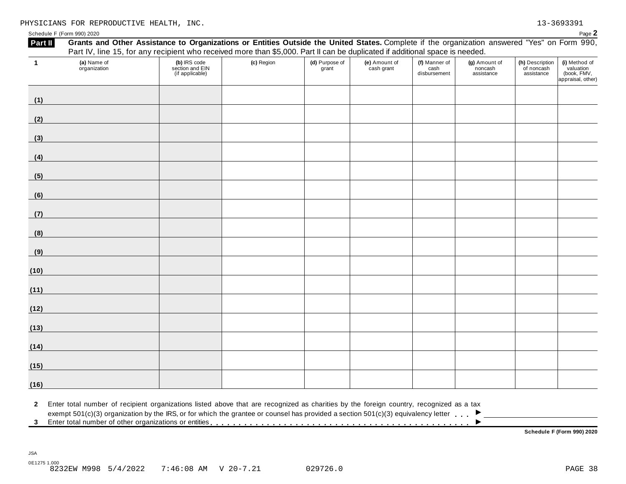Schedule F (Form 990) 2020  $\blacksquare$ 

| $\mathbf{1}$      | (a) Name of<br>organization | (b) IRS code<br>section and EIN<br>(if applicable)                                                                                                                                                                                                                                                 | (c) Region | (d) Purpose of<br>grant | (e) Amount of<br>cash grant | (f) Manner of<br>cash<br>disbursement | (g) Amount of<br>noncash<br>assistance | (h) Description<br>of noncash<br>assistance | (i) Method of<br>valuation<br>(book, FMV,<br>appraisal, other) |
|-------------------|-----------------------------|----------------------------------------------------------------------------------------------------------------------------------------------------------------------------------------------------------------------------------------------------------------------------------------------------|------------|-------------------------|-----------------------------|---------------------------------------|----------------------------------------|---------------------------------------------|----------------------------------------------------------------|
| (1)               |                             |                                                                                                                                                                                                                                                                                                    |            |                         |                             |                                       |                                        |                                             |                                                                |
| (2)               |                             |                                                                                                                                                                                                                                                                                                    |            |                         |                             |                                       |                                        |                                             |                                                                |
| (3)               |                             |                                                                                                                                                                                                                                                                                                    |            |                         |                             |                                       |                                        |                                             |                                                                |
| (4)               |                             |                                                                                                                                                                                                                                                                                                    |            |                         |                             |                                       |                                        |                                             |                                                                |
| (5)               |                             |                                                                                                                                                                                                                                                                                                    |            |                         |                             |                                       |                                        |                                             |                                                                |
| (6)               |                             |                                                                                                                                                                                                                                                                                                    |            |                         |                             |                                       |                                        |                                             |                                                                |
| (7)               |                             |                                                                                                                                                                                                                                                                                                    |            |                         |                             |                                       |                                        |                                             |                                                                |
| (8)               |                             |                                                                                                                                                                                                                                                                                                    |            |                         |                             |                                       |                                        |                                             |                                                                |
| (9)               |                             |                                                                                                                                                                                                                                                                                                    |            |                         |                             |                                       |                                        |                                             |                                                                |
| (10)              |                             |                                                                                                                                                                                                                                                                                                    |            |                         |                             |                                       |                                        |                                             |                                                                |
| (11)              |                             |                                                                                                                                                                                                                                                                                                    |            |                         |                             |                                       |                                        |                                             |                                                                |
| (12)              |                             |                                                                                                                                                                                                                                                                                                    |            |                         |                             |                                       |                                        |                                             |                                                                |
| (13)              |                             |                                                                                                                                                                                                                                                                                                    |            |                         |                             |                                       |                                        |                                             |                                                                |
| (14)              |                             |                                                                                                                                                                                                                                                                                                    |            |                         |                             |                                       |                                        |                                             |                                                                |
| (15)              |                             |                                                                                                                                                                                                                                                                                                    |            |                         |                             |                                       |                                        |                                             |                                                                |
| (16)              |                             |                                                                                                                                                                                                                                                                                                    |            |                         |                             |                                       |                                        |                                             |                                                                |
| $\mathbf{2}$<br>3 |                             | Enter total number of recipient organizations listed above that are recognized as charities by the foreign country, recognized as a tax<br>exempt 501(c)(3) organization by the IRS, or for which the grantee or counsel has provided a section 501(c)(3) equivalency letter $\blacktriangleright$ |            |                         |                             |                                       |                                        |                                             |                                                                |

 $\frac{0.9232E}{0.232E}$  M998 5/4/2022 7:46:08 AM V 20-7.21 029726.0

0E1275 1.000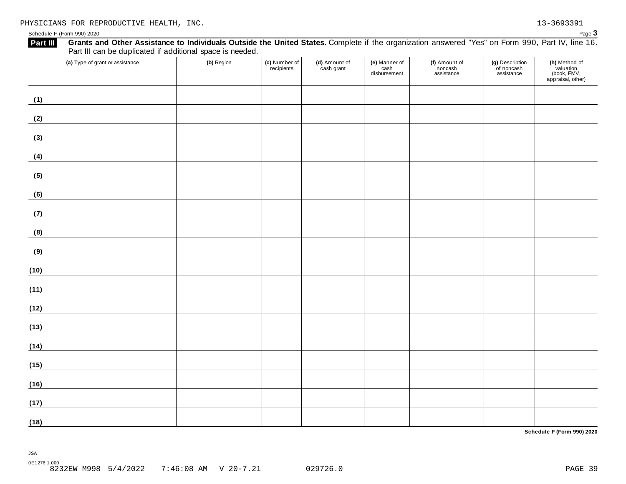**Part III** Grants and Other Assistance to Individuals Outside the United States. Complete if the organization answered "Yes" on Form 990, Part IV, line 16. Part III can be duplicated if additional space is needed. **(a)** Type of grant or assistance **(b)** Region **(c)** Number of **(d)** Amount of **(e)** Manner of **(h)** Method of **(f)** Amount of **(g)** Description recipients cash grant noncash of noncash valuation cash disbursement (book, FMV, assistance assistance appraisal, other) **(1) (2) (3) (4) (5)** <u> 1989 - Johann Barn, mars ann an t-Amhain Aonaich an t-Aonaich an t-Aonaich an t-Aonaich an t-Aonaich an t-Aon</u> **(6) (7)** <u> 1989 - Johann Barn, mars ann an t-Amhain</u> **(8) (9) (10) (11) (12) (13) (14) (15) (16)** <u> 1989 - Johann Barbara, martxa a</u> **(17) (18)**

**Schedule F (Form 990) 2020**

JSA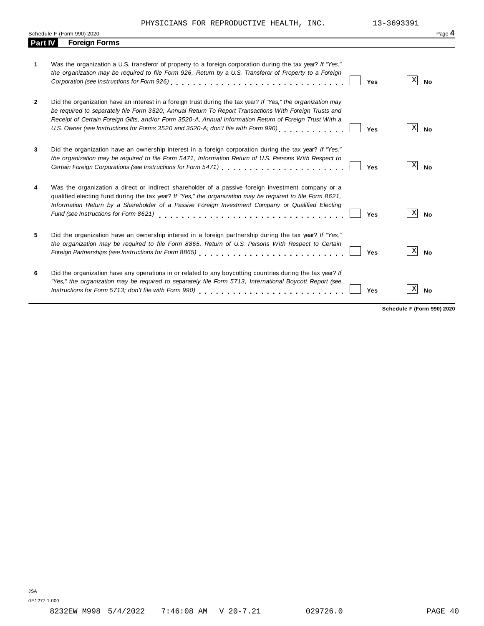PHYSICIANS FOR REPRODUCTIVE HEALTH, INC. 13-3693391

|                | Schedule F (Form 990) 2020                                                                                                                                                                                                                                                                                                                                                                                                                      | Page 4 |
|----------------|-------------------------------------------------------------------------------------------------------------------------------------------------------------------------------------------------------------------------------------------------------------------------------------------------------------------------------------------------------------------------------------------------------------------------------------------------|--------|
| <b>Part IV</b> | <b>Foreign Forms</b>                                                                                                                                                                                                                                                                                                                                                                                                                            |        |
| 1              | Was the organization a U.S. transferor of property to a foreign corporation during the tax year? If "Yes,"<br>the organization may be required to file Form 926, Return by a U.S. Transferor of Property to a Foreign<br>X<br>Corporation (see Instructions for Form 926)<br>1. $\cdots$ $\cdots$ $\cdots$ $\cdots$ $\cdots$ $\cdots$ $\cdots$ $\cdots$ $\cdots$ $\cdots$<br><b>No</b><br>Yes                                                   |        |
| $\mathbf{2}$   | Did the organization have an interest in a foreign trust during the tax year? If "Yes," the organization may<br>be required to separately file Form 3520, Annual Return To Report Transactions With Foreign Trusts and<br>Receipt of Certain Foreign Gifts, and/or Form 3520-A, Annual Information Return of Foreign Trust With a<br>U.S. Owner (see Instructions for Forms 3520 and 3520-A; don't file with Form 990)<br>Χ<br><b>No</b><br>Yes |        |
| 3              | Did the organization have an ownership interest in a foreign corporation during the tax year? If "Yes,"<br>the organization may be required to file Form 5471, Information Return of U.S. Persons With Respect to<br>X<br><b>No</b><br>Yes                                                                                                                                                                                                      |        |
| 4              | Was the organization a direct or indirect shareholder of a passive foreign investment company or a<br>qualified electing fund during the tax year? If "Yes," the organization may be required to file Form 8621,<br>Information Return by a Shareholder of a Passive Foreign Investment Company or Qualified Electing<br>$\vert X \vert$<br>Fund (see Instructions for Form 8621)<br><b>No</b><br>Yes                                           |        |
| 5              | Did the organization have an ownership interest in a foreign partnership during the tax year? If "Yes,"<br>the organization may be required to file Form 8865, Return of U.S. Persons With Respect to Certain<br>X<br><b>No</b><br>Foreign Partnerships (see Instructions for Form 8865)<br>Yes                                                                                                                                                 |        |
| 6              | Did the organization have any operations in or related to any boycotting countries during the tax year? If<br>"Yes," the organization may be required to separately file Form 5713, International Boycott Report (see<br>Χ<br>Instructions for Form 5713; don't file with Form 990)<br><b>No</b><br>Yes                                                                                                                                         |        |

**Schedule F (Form 990) 2020**

0E1277 1.000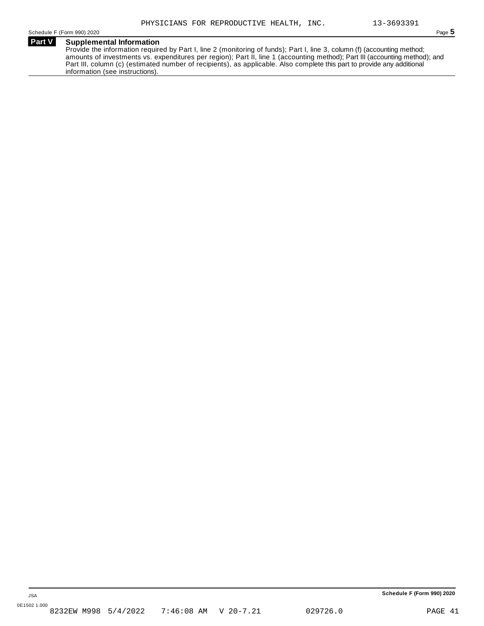#### **Part V Supplemental Information**

Provide the information required by Part I, line 2 (monitoring of funds); Part I, line 3, column (f) (accounting method; amounts of investments vs. expenditures per region); Part II, line 1 (accounting method); Part III (accounting method); and Part III, column (c) (estimated number of recipients), as applicable. Also complete this part to provide any additional information (see instructions).

**Schedule F (Form 990) 2020**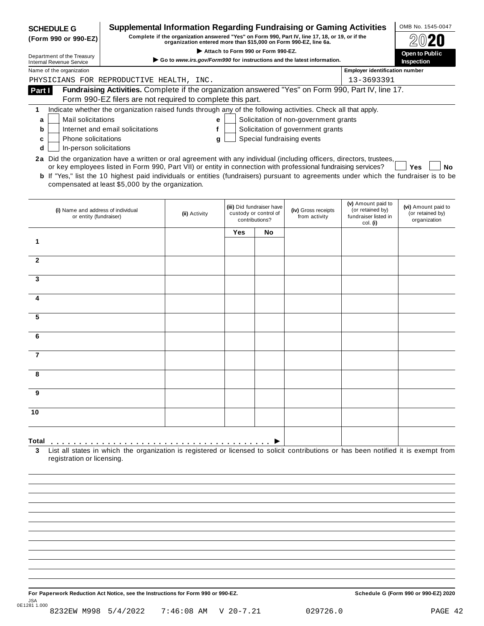| <b>SCHEDULE G</b>                                            | <b>Supplemental Information Regarding Fundraising or Gaming Activities</b>                                                                                                                                                                                                                                                                                                                                                                    |                   |     |                                                                      |                                       |                                                                            | OMB No. 1545-0047                                       |
|--------------------------------------------------------------|-----------------------------------------------------------------------------------------------------------------------------------------------------------------------------------------------------------------------------------------------------------------------------------------------------------------------------------------------------------------------------------------------------------------------------------------------|-------------------|-----|----------------------------------------------------------------------|---------------------------------------|----------------------------------------------------------------------------|---------------------------------------------------------|
| (Form 990 or 990-EZ)                                         | Complete if the organization answered "Yes" on Form 990, Part IV, line 17, 18, or 19, or if the                                                                                                                                                                                                                                                                                                                                               |                   |     |                                                                      |                                       |                                                                            |                                                         |
| Department of the Treasury                                   |                                                                                                                                                                                                                                                                                                                                                                                                                                               | Open to Public    |     |                                                                      |                                       |                                                                            |                                                         |
| <b>Internal Revenue Service</b>                              | $\triangleright$ Go to www.irs.gov/Form990 for instructions and the latest information.                                                                                                                                                                                                                                                                                                                                                       | <b>Inspection</b> |     |                                                                      |                                       |                                                                            |                                                         |
| Name of the organization                                     |                                                                                                                                                                                                                                                                                                                                                                                                                                               |                   |     |                                                                      |                                       | <b>Employer identification number</b>                                      |                                                         |
|                                                              | PHYSICIANS FOR REPRODUCTIVE HEALTH, INC.                                                                                                                                                                                                                                                                                                                                                                                                      |                   |     |                                                                      |                                       | 13-3693391                                                                 |                                                         |
| Part I                                                       | Fundraising Activities. Complete if the organization answered "Yes" on Form 990, Part IV, line 17.<br>Form 990-EZ filers are not required to complete this part.                                                                                                                                                                                                                                                                              |                   |     |                                                                      |                                       |                                                                            |                                                         |
| 1                                                            | Indicate whether the organization raised funds through any of the following activities. Check all that apply.                                                                                                                                                                                                                                                                                                                                 |                   |     |                                                                      |                                       |                                                                            |                                                         |
| Mail solicitations<br>a                                      |                                                                                                                                                                                                                                                                                                                                                                                                                                               | е                 |     |                                                                      | Solicitation of non-government grants |                                                                            |                                                         |
| b                                                            | Internet and email solicitations                                                                                                                                                                                                                                                                                                                                                                                                              | f                 |     |                                                                      | Solicitation of government grants     |                                                                            |                                                         |
| Phone solicitations<br>c                                     |                                                                                                                                                                                                                                                                                                                                                                                                                                               | g                 |     |                                                                      | Special fundraising events            |                                                                            |                                                         |
| In-person solicitations<br>d                                 |                                                                                                                                                                                                                                                                                                                                                                                                                                               |                   |     |                                                                      |                                       |                                                                            |                                                         |
|                                                              | 2a Did the organization have a written or oral agreement with any individual (including officers, directors, trustees,<br>or key employees listed in Form 990, Part VII) or entity in connection with professional fundraising services?<br><b>b</b> If "Yes," list the 10 highest paid individuals or entities (fundraisers) pursuant to agreements under which the fundraiser is to be<br>compensated at least \$5,000 by the organization. |                   |     |                                                                      |                                       |                                                                            | Yes<br>No                                               |
| (i) Name and address of individual<br>or entity (fundraiser) |                                                                                                                                                                                                                                                                                                                                                                                                                                               | (ii) Activity     |     | (iii) Did fundraiser have<br>custody or control of<br>contributions? | (iv) Gross receipts<br>from activity  | (v) Amount paid to<br>(or retained by)<br>fundraiser listed in<br>col. (i) | (vi) Amount paid to<br>(or retained by)<br>organization |
| 1                                                            |                                                                                                                                                                                                                                                                                                                                                                                                                                               |                   | Yes | <b>No</b>                                                            |                                       |                                                                            |                                                         |
|                                                              |                                                                                                                                                                                                                                                                                                                                                                                                                                               |                   |     |                                                                      |                                       |                                                                            |                                                         |
| $\mathbf{2}$                                                 |                                                                                                                                                                                                                                                                                                                                                                                                                                               |                   |     |                                                                      |                                       |                                                                            |                                                         |
| 3                                                            |                                                                                                                                                                                                                                                                                                                                                                                                                                               |                   |     |                                                                      |                                       |                                                                            |                                                         |
| 4                                                            |                                                                                                                                                                                                                                                                                                                                                                                                                                               |                   |     |                                                                      |                                       |                                                                            |                                                         |
| 5                                                            |                                                                                                                                                                                                                                                                                                                                                                                                                                               |                   |     |                                                                      |                                       |                                                                            |                                                         |
|                                                              |                                                                                                                                                                                                                                                                                                                                                                                                                                               |                   |     |                                                                      |                                       |                                                                            |                                                         |
| 6                                                            |                                                                                                                                                                                                                                                                                                                                                                                                                                               |                   |     |                                                                      |                                       |                                                                            |                                                         |
| 7                                                            |                                                                                                                                                                                                                                                                                                                                                                                                                                               |                   |     |                                                                      |                                       |                                                                            |                                                         |
|                                                              |                                                                                                                                                                                                                                                                                                                                                                                                                                               |                   |     |                                                                      |                                       |                                                                            |                                                         |
| 9                                                            |                                                                                                                                                                                                                                                                                                                                                                                                                                               |                   |     |                                                                      |                                       |                                                                            |                                                         |
| 10                                                           |                                                                                                                                                                                                                                                                                                                                                                                                                                               |                   |     |                                                                      |                                       |                                                                            |                                                         |
| Total                                                        |                                                                                                                                                                                                                                                                                                                                                                                                                                               |                   |     |                                                                      |                                       |                                                                            |                                                         |
| 3                                                            | List all states in which the organization is registered or licensed to solicit contributions or has been notified it is exempt from                                                                                                                                                                                                                                                                                                           |                   |     |                                                                      |                                       |                                                                            |                                                         |
| registration or licensing.                                   |                                                                                                                                                                                                                                                                                                                                                                                                                                               |                   |     |                                                                      |                                       |                                                                            |                                                         |
|                                                              |                                                                                                                                                                                                                                                                                                                                                                                                                                               |                   |     |                                                                      |                                       |                                                                            |                                                         |

For Paperwork Reduction Act Notice, see the Instructions for Form 990 or 990-EZ. Schedule G (Form 990 or 990-EZ) 2020 JSA 0E1281 1.000 8232EW M998 5/4/2022 7:46:08 AM V 20-7.21 029726.0 PAGE 42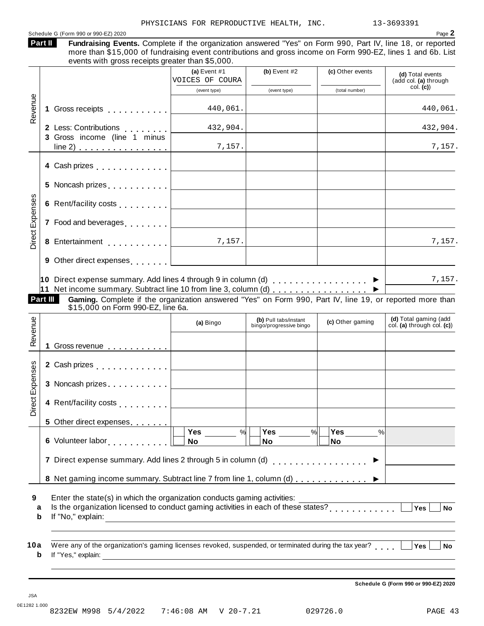#### Schedule <sup>G</sup> (Form <sup>990</sup> or 990-EZ) <sup>2020</sup> Page **2 Part II**

| art II | Fundraising Events. Complete if the organization answered "Yes" on Form 990, Part IV, line 18, or reported  |
|--------|-------------------------------------------------------------------------------------------------------------|
|        | more than \$15,000 of fundraising event contributions and gross income on Form 990-EZ, lines 1 and 6b. List |
|        | events with gross receipts greater than \$5,000.                                                            |

|                 |   |                                                                                                                                                                                                                                                                                                                                  | (a) Event $#1$<br>VOICES OF COURA                                                                                    | (b) Event $#2$                                   | (c) Other events                         | (d) Total events<br>(add col. (a) through<br>col. (c) |
|-----------------|---|----------------------------------------------------------------------------------------------------------------------------------------------------------------------------------------------------------------------------------------------------------------------------------------------------------------------------------|----------------------------------------------------------------------------------------------------------------------|--------------------------------------------------|------------------------------------------|-------------------------------------------------------|
|                 |   |                                                                                                                                                                                                                                                                                                                                  | (event type)                                                                                                         | (event type)                                     | (total number)                           |                                                       |
| Revenue         |   | 1 Gross receipts experience of the set of the set of the set of the set of the set of the set of the set of the                                                                                                                                                                                                                  | 440,061.                                                                                                             |                                                  |                                          | 440,061.                                              |
|                 |   | 2 Less: Contributions [1, 1, 1, 1, 1]<br>3 Gross income (line 1 minus                                                                                                                                                                                                                                                            | 432,904.                                                                                                             |                                                  |                                          | 432,904.                                              |
|                 |   | $line(2)$                                                                                                                                                                                                                                                                                                                        | 7,157.                                                                                                               |                                                  |                                          | 7,157.                                                |
|                 |   | 4 Cash prizes <u>  _ _ _ _ _ _ _ _ _ _ _</u>                                                                                                                                                                                                                                                                                     |                                                                                                                      |                                                  |                                          |                                                       |
|                 |   |                                                                                                                                                                                                                                                                                                                                  |                                                                                                                      |                                                  |                                          |                                                       |
|                 |   |                                                                                                                                                                                                                                                                                                                                  |                                                                                                                      |                                                  |                                          |                                                       |
| Direct Expenses |   | 7 Food and beverages equal to the set of the set of the set of the set of the set of the set of the set of the set of the set of the set of the set of the set of the set of the set of the set of the set of the set of the s                                                                                                   |                                                                                                                      |                                                  |                                          |                                                       |
|                 |   | 8 Entertainment 7, 157.                                                                                                                                                                                                                                                                                                          |                                                                                                                      |                                                  |                                          | 7,157.                                                |
|                 |   |                                                                                                                                                                                                                                                                                                                                  |                                                                                                                      |                                                  |                                          |                                                       |
|                 |   | 10 Direct expense summary. Add lines 4 through 9 in column (d) $\ldots$ ,,,,,,,,,,,,,,,<br>11 Net income summary. Subtract line 10 from line 3, column (d) $\ldots$<br>Part III<br>Gaming. Complete if the organization answered "Yes" on Form 990, Part IV, line 19, or reported more than<br>\$15,000 on Form 990-EZ, line 6a. |                                                                                                                      |                                                  |                                          | 7,157.                                                |
|                 |   |                                                                                                                                                                                                                                                                                                                                  | (a) Bingo                                                                                                            | (b) Pull tabs/instant<br>bingo/progressive bingo | (c) Other gaming                         | (d) Total gaming (add<br>col. (a) through col. (c))   |
| Revenue         |   |                                                                                                                                                                                                                                                                                                                                  |                                                                                                                      |                                                  |                                          |                                                       |
|                 |   |                                                                                                                                                                                                                                                                                                                                  |                                                                                                                      |                                                  |                                          |                                                       |
|                 |   |                                                                                                                                                                                                                                                                                                                                  |                                                                                                                      |                                                  |                                          |                                                       |
| Direct Expenses |   | 4 Rent/facility costs <u>  _ _ _ _ _ _ _ _ _ _</u> _ _                                                                                                                                                                                                                                                                           |                                                                                                                      |                                                  |                                          |                                                       |
|                 |   | 5 Other direct expenses                                                                                                                                                                                                                                                                                                          |                                                                                                                      |                                                  |                                          |                                                       |
|                 |   |                                                                                                                                                                                                                                                                                                                                  | Yes<br>%<br><b>No</b>                                                                                                | Yes<br>$\%$<br><b>No</b>                         | Yes $\qquad \qquad \qquad$<br>$\%$<br>No |                                                       |
|                 |   | 7 Direct expense summary. Add lines 2 through 5 in column (d)                                                                                                                                                                                                                                                                    |                                                                                                                      |                                                  | . <b>.</b> .                             |                                                       |
|                 |   | 8 Net gaming income summary. Subtract line 7 from line 1, column (d)                                                                                                                                                                                                                                                             |                                                                                                                      |                                                  |                                          |                                                       |
| 9<br>a          | b | Enter the state(s) in which the organization conducts gaming activities:<br>If "No," explain:                                                                                                                                                                                                                                    | <u> 1989 - Johann Stein, marwolaethau a bhann an t-Amhainn an t-Amhainn an t-Amhainn an t-Amhainn an t-Amhainn a</u> |                                                  |                                          | Yes<br><b>No</b>                                      |
| 10a             | b | Were any of the organization's gaming licenses revoked, suspended, or terminated during the tax year?<br>If "Yes," explain:                                                                                                                                                                                                      |                                                                                                                      |                                                  |                                          | Yes<br><b>No</b>                                      |
|                 |   |                                                                                                                                                                                                                                                                                                                                  |                                                                                                                      |                                                  |                                          | Schedule G (Form 990 or 990-EZ) 2020                  |

JSA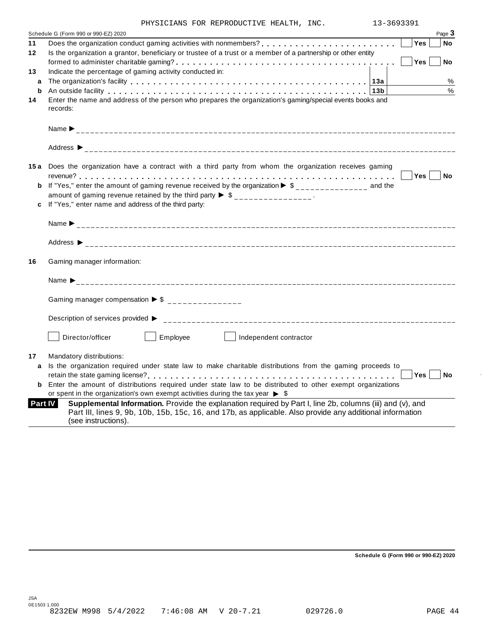|  | PHYSICIANS FOR REPRODUCTIVE HEALTH, INC. |  | 13-3693391 |
|--|------------------------------------------|--|------------|

|         | Page 3<br>Schedule G (Form 990 or 990-EZ) 2020                                                                                                                                                                                                           |
|---------|----------------------------------------------------------------------------------------------------------------------------------------------------------------------------------------------------------------------------------------------------------|
| 11      | <b>Yes</b><br><b>No</b>                                                                                                                                                                                                                                  |
| $12 \,$ | Is the organization a grantor, beneficiary or trustee of a trust or a member of a partnership or other entity                                                                                                                                            |
|         | Yes<br><b>No</b>                                                                                                                                                                                                                                         |
| 13      | Indicate the percentage of gaming activity conducted in:                                                                                                                                                                                                 |
| a       | %                                                                                                                                                                                                                                                        |
| b       | %<br>An outside facility enterpretation of the control of the control of the control of the control of the control o                                                                                                                                     |
| 14      | Enter the name and address of the person who prepares the organization's gaming/special events books and<br>records:                                                                                                                                     |
|         |                                                                                                                                                                                                                                                          |
|         |                                                                                                                                                                                                                                                          |
|         | 15a Does the organization have a contract with a third party from whom the organization receives gaming                                                                                                                                                  |
|         | $Yes \mid \text{No}$                                                                                                                                                                                                                                     |
|         | <b>b</b> If "Yes," enter the amount of gaming revenue received by the organization $\triangleright$ \$______________ and the                                                                                                                             |
|         | amount of gaming revenue retained by the third party $\triangleright$ \$ ________________.                                                                                                                                                               |
|         | c If "Yes," enter name and address of the third party:                                                                                                                                                                                                   |
|         |                                                                                                                                                                                                                                                          |
|         |                                                                                                                                                                                                                                                          |
| 16      | Gaming manager information:                                                                                                                                                                                                                              |
|         |                                                                                                                                                                                                                                                          |
|         | Gaming manager compensation $\triangleright$ \$ ______________                                                                                                                                                                                           |
|         | Description of services provided ▶                                                                                                                                                                                                                       |
|         | Employee<br>Director/officer<br>Independent contractor                                                                                                                                                                                                   |
| 17      | Mandatory distributions:                                                                                                                                                                                                                                 |
| a       | Is the organization required under state law to make charitable distributions from the gaming proceeds to                                                                                                                                                |
|         | Yes <sub>1</sub><br>No                                                                                                                                                                                                                                   |
| b       | Enter the amount of distributions required under state law to be distributed to other exempt organizations                                                                                                                                               |
|         | or spent in the organization's own exempt activities during the tax year $\triangleright$ \$                                                                                                                                                             |
|         | Supplemental Information. Provide the explanation required by Part I, line 2b, columns (iii) and (v), and<br>Part IV<br>Part III, lines 9, 9b, 10b, 15b, 15c, 16, and 17b, as applicable. Also provide any additional information<br>(see instructions). |

**Schedule G (Form 990 or 990-EZ) 2020**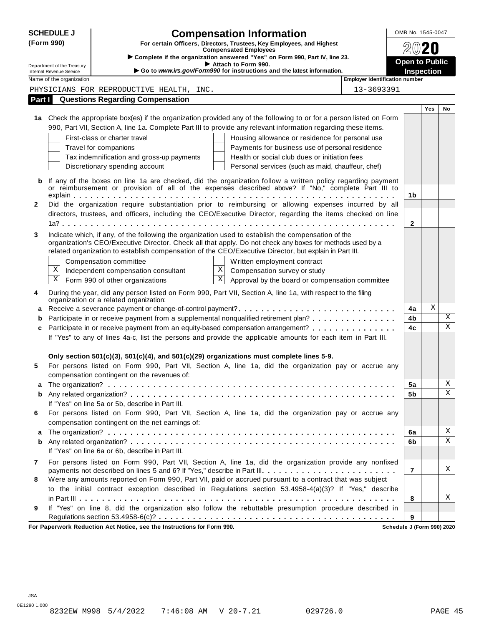| <b>SCHEDULE J</b>                                                                                                   |                                                      | <b>Compensation Information</b>                                                                                                                                                                                   | OMB No. 1545-0047     |     |             |
|---------------------------------------------------------------------------------------------------------------------|------------------------------------------------------|-------------------------------------------------------------------------------------------------------------------------------------------------------------------------------------------------------------------|-----------------------|-----|-------------|
| (Form 990)<br>For certain Officers, Directors, Trustees, Key Employees, and Highest<br><b>Compensated Employees</b> |                                                      |                                                                                                                                                                                                                   |                       |     |             |
|                                                                                                                     |                                                      | > Complete if the organization answered "Yes" on Form 990, Part IV, line 23.                                                                                                                                      |                       |     |             |
|                                                                                                                     | Department of the Treasury                           | Attach to Form 990.                                                                                                                                                                                               | <b>Open to Public</b> |     |             |
|                                                                                                                     | Internal Revenue Service<br>Name of the organization | Go to www.irs.gov/Form990 for instructions and the latest information.<br>Employer identification number                                                                                                          | <b>Inspection</b>     |     |             |
|                                                                                                                     |                                                      | 13-3693391<br>PHYSICIANS FOR REPRODUCTIVE HEALTH, INC.                                                                                                                                                            |                       |     |             |
| Part I                                                                                                              |                                                      | <b>Questions Regarding Compensation</b>                                                                                                                                                                           |                       |     |             |
|                                                                                                                     |                                                      |                                                                                                                                                                                                                   |                       | Yes | No          |
|                                                                                                                     |                                                      | 1a Check the appropriate box(es) if the organization provided any of the following to or for a person listed on Form                                                                                              |                       |     |             |
|                                                                                                                     |                                                      | 990, Part VII, Section A, line 1a. Complete Part III to provide any relevant information regarding these items.                                                                                                   |                       |     |             |
|                                                                                                                     |                                                      | First-class or charter travel<br>Housing allowance or residence for personal use                                                                                                                                  |                       |     |             |
|                                                                                                                     |                                                      | Travel for companions<br>Payments for business use of personal residence                                                                                                                                          |                       |     |             |
|                                                                                                                     |                                                      | Health or social club dues or initiation fees<br>Tax indemnification and gross-up payments                                                                                                                        |                       |     |             |
|                                                                                                                     |                                                      | Discretionary spending account<br>Personal services (such as maid, chauffeur, chef)                                                                                                                               |                       |     |             |
|                                                                                                                     |                                                      |                                                                                                                                                                                                                   |                       |     |             |
|                                                                                                                     |                                                      | If any of the boxes on line 1a are checked, did the organization follow a written policy regarding payment<br>or reimbursement or provision of all of the expenses described above? If "No," complete Part III to |                       |     |             |
|                                                                                                                     |                                                      |                                                                                                                                                                                                                   | 1b                    |     |             |
| 2                                                                                                                   |                                                      | Did the organization require substantiation prior to reimbursing or allowing expenses incurred by all                                                                                                             |                       |     |             |
|                                                                                                                     |                                                      | directors, trustees, and officers, including the CEO/Executive Director, regarding the items checked on line                                                                                                      |                       |     |             |
|                                                                                                                     |                                                      |                                                                                                                                                                                                                   | $\mathbf{2}$          |     |             |
| 3                                                                                                                   |                                                      | Indicate which, if any, of the following the organization used to establish the compensation of the                                                                                                               |                       |     |             |
|                                                                                                                     |                                                      | organization's CEO/Executive Director. Check all that apply. Do not check any boxes for methods used by a                                                                                                         |                       |     |             |
|                                                                                                                     |                                                      | related organization to establish compensation of the CEO/Executive Director, but explain in Part III.                                                                                                            |                       |     |             |
|                                                                                                                     | Χ                                                    | Compensation committee<br>Written employment contract<br>X                                                                                                                                                        |                       |     |             |
|                                                                                                                     | $\mathbf X$                                          | Compensation survey or study<br>Independent compensation consultant<br>$\mathbf X$                                                                                                                                |                       |     |             |
|                                                                                                                     |                                                      | Form 990 of other organizations<br>Approval by the board or compensation committee                                                                                                                                |                       |     |             |
| 4                                                                                                                   |                                                      | During the year, did any person listed on Form 990, Part VII, Section A, line 1a, with respect to the filing                                                                                                      |                       |     |             |
|                                                                                                                     |                                                      | organization or a related organization:                                                                                                                                                                           | 4a                    | Χ   |             |
|                                                                                                                     |                                                      | Participate in or receive payment from a supplemental nonqualified retirement plan?                                                                                                                               | 4b                    |     | Χ           |
| c                                                                                                                   |                                                      | Participate in or receive payment from an equity-based compensation arrangement?                                                                                                                                  | 4c                    |     | $\mathbf X$ |
|                                                                                                                     |                                                      | If "Yes" to any of lines 4a-c, list the persons and provide the applicable amounts for each item in Part III.                                                                                                     |                       |     |             |
|                                                                                                                     |                                                      |                                                                                                                                                                                                                   |                       |     |             |
|                                                                                                                     |                                                      | Only section 501(c)(3), 501(c)(4), and 501(c)(29) organizations must complete lines 5-9.                                                                                                                          |                       |     |             |
| 5                                                                                                                   |                                                      | For persons listed on Form 990, Part VII, Section A, line 1a, did the organization pay or accrue any                                                                                                              |                       |     |             |
|                                                                                                                     |                                                      | compensation contingent on the revenues of:                                                                                                                                                                       |                       |     |             |
|                                                                                                                     |                                                      |                                                                                                                                                                                                                   | 5a                    |     | Χ           |
| b                                                                                                                   |                                                      |                                                                                                                                                                                                                   | 5b                    |     | X           |
|                                                                                                                     |                                                      | If "Yes" on line 5a or 5b, describe in Part III.                                                                                                                                                                  |                       |     |             |
| 6                                                                                                                   |                                                      | For persons listed on Form 990, Part VII, Section A, line 1a, did the organization pay or accrue any                                                                                                              |                       |     |             |
|                                                                                                                     |                                                      | compensation contingent on the net earnings of:                                                                                                                                                                   |                       |     |             |
| a                                                                                                                   |                                                      |                                                                                                                                                                                                                   | 6a                    |     | Χ           |
| b                                                                                                                   |                                                      |                                                                                                                                                                                                                   | 6b                    |     | X           |
|                                                                                                                     |                                                      | If "Yes" on line 6a or 6b, describe in Part III.                                                                                                                                                                  |                       |     |             |
| 7                                                                                                                   |                                                      | For persons listed on Form 990, Part VII, Section A, line 1a, did the organization provide any nonfixed                                                                                                           |                       |     |             |
|                                                                                                                     |                                                      |                                                                                                                                                                                                                   | $\overline{7}$        |     | Χ           |
| 8                                                                                                                   |                                                      | Were any amounts reported on Form 990, Part VII, paid or accrued pursuant to a contract that was subject                                                                                                          |                       |     |             |
|                                                                                                                     |                                                      | to the initial contract exception described in Regulations section 53.4958-4(a)(3)? If "Yes," describe                                                                                                            |                       |     |             |
|                                                                                                                     |                                                      |                                                                                                                                                                                                                   | 8                     |     | Χ           |
| 9                                                                                                                   |                                                      | If "Yes" on line 8, did the organization also follow the rebuttable presumption procedure described in                                                                                                            |                       |     |             |
|                                                                                                                     |                                                      | rucark Reduction Act Notice, age the Instructions for Form 000                                                                                                                                                    | 9                     |     |             |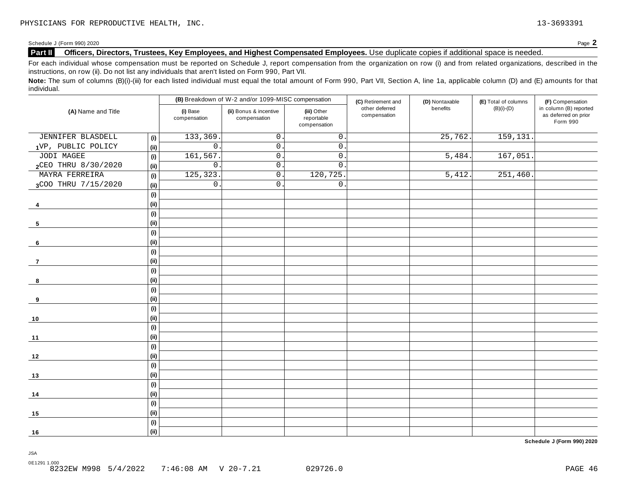#### **Part II Officers, Directors, Trustees, Key Employees, and Highest Compensated Employees.** Use duplicate copies ifadditional space is needed.

For each individual whose compensation must be reported on Schedule J, report compensation from the organization on row (i) and from related organizations, described in the instructions, on row (ii). Do not list any individuals that aren't listed on Form 990, Part VII.

Note: The sum of columns (B)(i)-(iii) for each listed individual must equal the total amount of Form 990, Part VII, Section A, line 1a, applicable column (D) and (E) amounts for that individual.

| (A) Name and Title  |                              |                          | (B) Breakdown of W-2 and/or 1099-MISC compensation |                                           | (C) Retirement and             | (D) Nontaxable        | (E) Total of columns | (F) Compensation                                           |
|---------------------|------------------------------|--------------------------|----------------------------------------------------|-------------------------------------------|--------------------------------|-----------------------|----------------------|------------------------------------------------------------|
|                     |                              | (i) Base<br>compensation | (ii) Bonus & incentive<br>compensation             | (iii) Other<br>reportable<br>compensation | other deferred<br>compensation | benefits              | $(B)(i)-(D)$         | in column (B) reported<br>as deferred on prior<br>Form 990 |
| JENNIFER BLASDELL   | (i)                          | 133,369                  | $\mathsf{O}$                                       | $\mathsf{O}$ .                            |                                | $\overline{25,762}$ . | 159, 131.            |                                                            |
| 1VP, PUBLIC POLICY  | (i)                          | $\mathsf{O}$             | $0$ .                                              | $\mathsf{O}$ .                            |                                |                       |                      |                                                            |
| JODI MAGEE          | (i)                          | 161,567                  | $\mathsf{O}$ .                                     | $\mathsf{O}$ .                            |                                | 5,484.                | 167,051              |                                                            |
| 2CEO THRU 8/30/2020 | (ii)                         | $\mathsf{O}$ .           | $0$ .                                              | $\mathbf 0$                               |                                |                       |                      |                                                            |
| MAYRA FERREIRA      | (i)                          | 125, 323                 | $0$ .                                              | 120, 725.                                 |                                | 5,412.                | 251,460.             |                                                            |
| 3COO THRU 7/15/2020 | (ii)                         | $\mathsf{O}$ .           | 0.                                                 | $\mathbf 0$ .                             |                                |                       |                      |                                                            |
|                     | (i)                          |                          |                                                    |                                           |                                |                       |                      |                                                            |
| 4                   | (i)                          |                          |                                                    |                                           |                                |                       |                      |                                                            |
|                     | (i)                          |                          |                                                    |                                           |                                |                       |                      |                                                            |
| 5                   | (i)                          |                          |                                                    |                                           |                                |                       |                      |                                                            |
|                     | (i)                          |                          |                                                    |                                           |                                |                       |                      |                                                            |
| 6                   | (i)                          |                          |                                                    |                                           |                                |                       |                      |                                                            |
|                     | (i)                          |                          |                                                    |                                           |                                |                       |                      |                                                            |
| $\overline{7}$      | (i)                          |                          |                                                    |                                           |                                |                       |                      |                                                            |
|                     | (i)                          |                          |                                                    |                                           |                                |                       |                      |                                                            |
| 8                   | (i)                          |                          |                                                    |                                           |                                |                       |                      |                                                            |
|                     | $\qquad \qquad \textbf{(i)}$ |                          |                                                    |                                           |                                |                       |                      |                                                            |
| 9                   | (i)                          |                          |                                                    |                                           |                                |                       |                      |                                                            |
|                     | (i)                          |                          |                                                    |                                           |                                |                       |                      |                                                            |
| 10                  | (ii)                         |                          |                                                    |                                           |                                |                       |                      |                                                            |
|                     | (i)                          |                          |                                                    |                                           |                                |                       |                      |                                                            |
| 11                  | (i)                          |                          |                                                    |                                           |                                |                       |                      |                                                            |
|                     | (i)                          |                          |                                                    |                                           |                                |                       |                      |                                                            |
| $12$                | (ii)                         |                          |                                                    |                                           |                                |                       |                      |                                                            |
|                     | (i)                          |                          |                                                    |                                           |                                |                       |                      |                                                            |
| 13                  | (i)                          |                          |                                                    |                                           |                                |                       |                      |                                                            |
|                     | (i)                          |                          |                                                    |                                           |                                |                       |                      |                                                            |
| 14                  | (i)                          |                          |                                                    |                                           |                                |                       |                      |                                                            |
|                     | (i)                          |                          |                                                    |                                           |                                |                       |                      |                                                            |
| 15                  | (i)                          |                          |                                                    |                                           |                                |                       |                      |                                                            |
|                     | (i)                          |                          |                                                    |                                           |                                |                       |                      |                                                            |
| 16                  | (ii)                         |                          |                                                    |                                           |                                |                       |                      |                                                            |

**Schedule J (Form 990) 2020**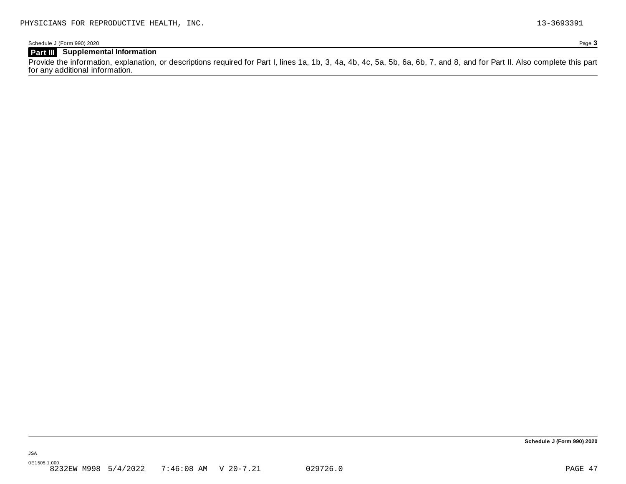### **Part III Supplemental Information**

Provide the information, explanation, or descriptions required for Part I, lines 1a, 1b, 3, 4a, 4b, 4c, 5a, 5b, 6a, 6b, 7, and 8, and for Part II. Also complete this part for any additional information.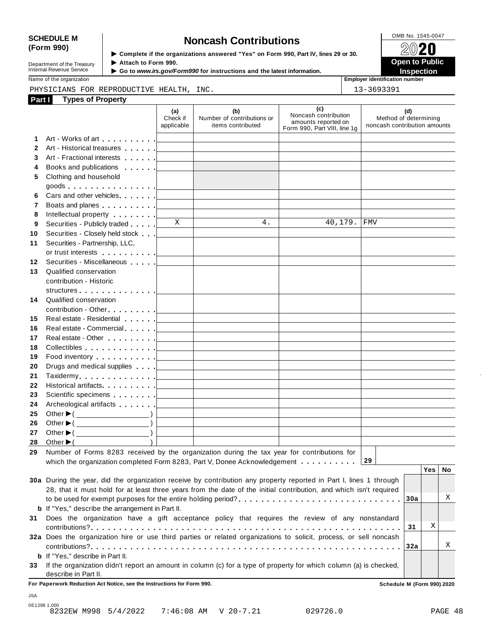## SCHEDULE M<br>
(Form 990) **Supplementary of the organizations answered** "Yes" on Form 990 Part IV lines 29 or 30

| Department of the Treasury |
|----------------------------|
|                            |
| Internal Revenue Service   |

**Examplete** if the organizations answered "Yes" on Form 990, Part Ⅳ, lines 29 or 30.<br>▶ Attach to Form 990.  $\blacktriangleright$  Attach to Form 990. **Department of the Treasury ▶ Attach to Form 990.**<br>Internal Revenue Service ▶ Go to *www.irs.gov/Form990* for instructions and the latest information.<br>Nome of the organization aumhor

Name of the organization **intervalse of the organization intervalse of the organization intervalse of the organization intervalse of the organization intervalse of the organization intervalse of the organization** 

#### PHYSICIANS FOR REPRODUCTIVE HEALTH, INC.  $\vert$  13-3693391

| Part I           | <b>Types of Property</b>                                                                                                                                                                                                       |                                            |                                                                                                                     |                                                                                    |                                                              |
|------------------|--------------------------------------------------------------------------------------------------------------------------------------------------------------------------------------------------------------------------------|--------------------------------------------|---------------------------------------------------------------------------------------------------------------------|------------------------------------------------------------------------------------|--------------------------------------------------------------|
|                  |                                                                                                                                                                                                                                | (a)<br>Check if<br>applicable              | (b)<br>Number of contributions or<br>items contributed                                                              | (c)<br>Noncash contribution<br>amounts reported on<br>Form 990, Part VIII, line 1g | (d)<br>Method of determining<br>noncash contribution amounts |
| 1                |                                                                                                                                                                                                                                |                                            | the control of the control of the control of the control of the control of                                          |                                                                                    |                                                              |
| $\mathbf{2}$     |                                                                                                                                                                                                                                |                                            | the control of the control of the control of the control of the control of                                          |                                                                                    |                                                              |
| 3                | Art - Fractional interests [100]                                                                                                                                                                                               |                                            | the control of the control of the control of the control of                                                         |                                                                                    |                                                              |
| 4                | Books and publications <b>Exercise 2 Lines Exercise 2 Lines Report 3 Lines Report 3 Lines Report 3 Lines Report 3 Report 3 Report 3 Report 3 Report 3 Report 3 Report 3 Report 3 Report 3 </b>                                 |                                            |                                                                                                                     |                                                                                    |                                                              |
| 5                | Clothing and household                                                                                                                                                                                                         |                                            |                                                                                                                     |                                                                                    |                                                              |
|                  | goods <u>  _ _ _ _ _</u>                                                                                                                                                                                                       |                                            |                                                                                                                     |                                                                                    |                                                              |
| 6                |                                                                                                                                                                                                                                |                                            | <u> 1989 - Johann Barbara, martxa alemaniar a</u>                                                                   |                                                                                    |                                                              |
| 7                | Boats and planes <u>  _ _ _ _ _</u>                                                                                                                                                                                            |                                            | <u> 1980 - Johann Barn, mars ann an t-Amhain an t-Amhain an t-Amhain an t-Amhain an t-Amhain an t-Amhain an t-A</u> |                                                                                    |                                                              |
| 8                | Intellectual property [                                                                                                                                                                                                        |                                            |                                                                                                                     |                                                                                    |                                                              |
| 9                | Securities - Publicly traded                                                                                                                                                                                                   | X                                          | the control of the control of the control of the control of<br>4.                                                   | 40,179.                                                                            | <b>FMV</b>                                                   |
| 10               |                                                                                                                                                                                                                                |                                            |                                                                                                                     |                                                                                    |                                                              |
| 11               | Securities - Partnership, LLC,                                                                                                                                                                                                 |                                            |                                                                                                                     |                                                                                    |                                                              |
|                  |                                                                                                                                                                                                                                |                                            |                                                                                                                     |                                                                                    |                                                              |
| 12 <sup>12</sup> | Securities - Miscellaneous                                                                                                                                                                                                     |                                            |                                                                                                                     |                                                                                    |                                                              |
| 13               | Qualified conservation                                                                                                                                                                                                         |                                            |                                                                                                                     |                                                                                    |                                                              |
|                  | contribution - Historic                                                                                                                                                                                                        |                                            |                                                                                                                     |                                                                                    |                                                              |
|                  | structures experience and the structures                                                                                                                                                                                       |                                            |                                                                                                                     |                                                                                    |                                                              |
|                  | 14 Qualified conservation                                                                                                                                                                                                      |                                            |                                                                                                                     |                                                                                    |                                                              |
|                  |                                                                                                                                                                                                                                |                                            |                                                                                                                     |                                                                                    |                                                              |
| 15               | Real estate - Residential [1994]                                                                                                                                                                                               |                                            |                                                                                                                     |                                                                                    |                                                              |
| 16               |                                                                                                                                                                                                                                |                                            | the control of the control of the control of the control of the control of                                          | the control of the control of the control of the control of the control of         |                                                              |
| 17               |                                                                                                                                                                                                                                |                                            |                                                                                                                     | the control of the control of the control of the control of the control of         |                                                              |
| 18               |                                                                                                                                                                                                                                |                                            |                                                                                                                     | the control of the control of the control of the control of the control of         |                                                              |
| 19               | Food inventory $\ldots \ldots \ldots$ . $\Box$                                                                                                                                                                                 |                                            |                                                                                                                     | the control of the control of the control of the control of the control of         |                                                              |
| 20               | Drugs and medical supplies equal to the set of the set of the set of the set of the set of the set of the set of the set of the set of the set of the set of the set of the set of the set of the set of the set of the set of |                                            |                                                                                                                     |                                                                                    |                                                              |
| 21               |                                                                                                                                                                                                                                |                                            |                                                                                                                     |                                                                                    |                                                              |
| 22               |                                                                                                                                                                                                                                |                                            |                                                                                                                     | the control of the control of the control of the control of the control of         |                                                              |
| 23               |                                                                                                                                                                                                                                |                                            |                                                                                                                     |                                                                                    |                                                              |
| 24               |                                                                                                                                                                                                                                |                                            |                                                                                                                     |                                                                                    |                                                              |
| 25               | Other $\blacktriangleright$ ( $\qquad \qquad$ )                                                                                                                                                                                |                                            | <u> 1989 - Johann Barn, amerikansk politiker (</u>                                                                  |                                                                                    |                                                              |
| 26               | Other $\blacktriangleright$ ( $\qquad \qquad$                                                                                                                                                                                  | <u> 1999 - John Barnett, fransk kongre</u> | the control of the control of the control of the control of the control of                                          |                                                                                    |                                                              |
| 27               |                                                                                                                                                                                                                                |                                            | the control of the control of the control of the control of the control of                                          |                                                                                    |                                                              |
|                  | $28$ Other $\blacktriangleright$ ( )                                                                                                                                                                                           |                                            | the control of the control of the control of the control of the control of                                          |                                                                                    |                                                              |
|                  | 29 Number of Forms 8283 received by the organization during the tax year for contributions for                                                                                                                                 |                                            |                                                                                                                     |                                                                                    |                                                              |
|                  | which the organization completed Form 8283, Part V, Donee Acknowledgement $\dots \dots \dots$                                                                                                                                  |                                            |                                                                                                                     |                                                                                    | 29                                                           |
|                  |                                                                                                                                                                                                                                |                                            |                                                                                                                     |                                                                                    | Yes<br>No                                                    |
|                  | 30a During the year, did the organization receive by contribution any property reported in Part I, lines 1 through                                                                                                             |                                            |                                                                                                                     |                                                                                    |                                                              |
|                  | 28, that it must hold for at least three years from the date of the initial contribution, and which isn't required                                                                                                             |                                            |                                                                                                                     |                                                                                    |                                                              |
|                  |                                                                                                                                                                                                                                |                                            |                                                                                                                     |                                                                                    | Χ<br>30a                                                     |
|                  | <b>b</b> If "Yes," describe the arrangement in Part II.                                                                                                                                                                        |                                            |                                                                                                                     |                                                                                    |                                                              |
|                  | 31 Does the organization have a gift acceptance policy that requires the review of any nonstandard                                                                                                                             |                                            |                                                                                                                     |                                                                                    |                                                              |
|                  |                                                                                                                                                                                                                                |                                            |                                                                                                                     |                                                                                    | Χ<br>31                                                      |
|                  | 32a Does the organization hire or use third parties or related organizations to solicit, process, or sell noncash                                                                                                              |                                            |                                                                                                                     |                                                                                    |                                                              |
|                  |                                                                                                                                                                                                                                |                                            |                                                                                                                     |                                                                                    | Χ<br>32a                                                     |
|                  | <b>b</b> If "Yes," describe in Part II.                                                                                                                                                                                        |                                            |                                                                                                                     |                                                                                    |                                                              |
|                  | 33 If the organization didn't report an amount in column (c) for a type of property for which column (a) is checked,                                                                                                           |                                            |                                                                                                                     |                                                                                    |                                                              |
|                  | describe in Part II.                                                                                                                                                                                                           |                                            |                                                                                                                     |                                                                                    |                                                              |
|                  | For Paperwork Reduction Act Notice, see the Instructions for Form 990.                                                                                                                                                         |                                            |                                                                                                                     |                                                                                    | Schedule M (Form 990) 2020                                   |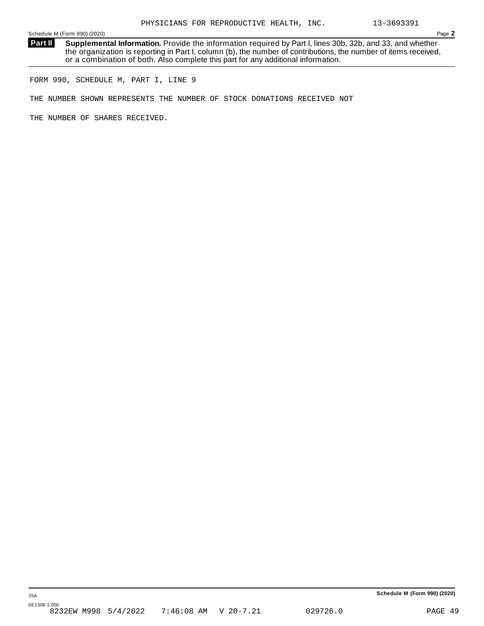**Supplemental Information.** Provide the information required by Part I, lines 30b, 32b, and 33, and whether the organization is reporting in Part I, column (b), the number of contributions, the number of items received, or a combination of both. Also complete this part for any additional information. **Part II**

FORM 990, SCHEDULE M, PART I, LINE 9

THE NUMBER SHOWN REPRESENTS THE NUMBER OF STOCK DONATIONS RECEIVED NOT

THE NUMBER OF SHARES RECEIVED.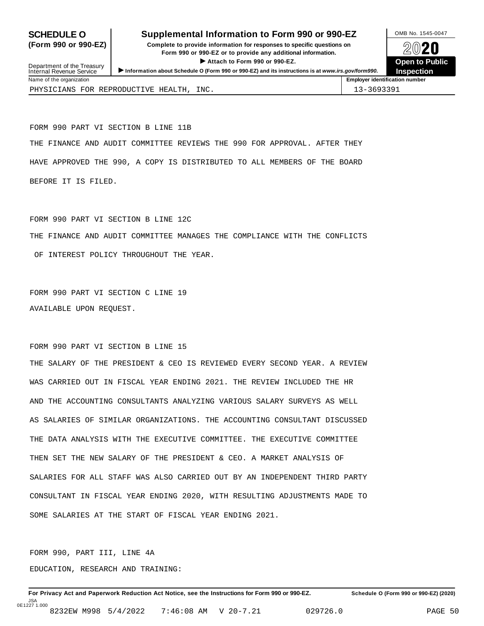### **SCHEDULE O** Supplemental Information to Form 990 or 990-EZ DAMB No. 1545-0047

**(Form 990 or 990-EZ) Complete to provide information for responses to specific questions on** Form 990 or 990-EZ or to provide any additional information.<br>► Attach to Form 990 or 990-EZ.<br>▶ Attach to Form 990 or 990-EZ.  $\blacktriangleright$  Attach to Form 990 or 990-EZ.



| Department of the Treasury<br>Internal Revenue Service | Attach to Form 990 or 990-EZ.<br>Information about Schedule O (Form 990 or 990-EZ) and its instructions is at www.irs.gov/form990. | <b>Open to Public</b><br><b>Inspection</b> |
|--------------------------------------------------------|------------------------------------------------------------------------------------------------------------------------------------|--------------------------------------------|
| Name of the organization                               |                                                                                                                                    | <b>Employer identification number</b>      |
| PHYSICIANS FOR REPRODUCTIVE HEALTH.                    | INC.                                                                                                                               | 13-3693391                                 |

FORM 990 PART VI SECTION B LINE 11B THE FINANCE AND AUDIT COMMITTEE REVIEWS THE 990 FOR APPROVAL. AFTER THEY HAVE APPROVED THE 990, A COPY IS DISTRIBUTED TO ALL MEMBERS OF THE BOARD BEFORE IT IS FILED.

FORM 990 PART VI SECTION B LINE 12C THE FINANCE AND AUDIT COMMITTEE MANAGES THE COMPLIANCE WITH THE CONFLICTS OF INTEREST POLICY THROUGHOUT THE YEAR.

FORM 990 PART VI SECTION C LINE 19 AVAILABLE UPON REQUEST.

FORM 990 PART VI SECTION B LINE 15

THE SALARY OF THE PRESIDENT & CEO IS REVIEWED EVERY SECOND YEAR. A REVIEW WAS CARRIED OUT IN FISCAL YEAR ENDING 2021. THE REVIEW INCLUDED THE HR AND THE ACCOUNTING CONSULTANTS ANALYZING VARIOUS SALARY SURVEYS AS WELL AS SALARIES OF SIMILAR ORGANIZATIONS. THE ACCOUNTING CONSULTANT DISCUSSED THE DATA ANALYSIS WITH THE EXECUTIVE COMMITTEE. THE EXECUTIVE COMMITTEE THEN SET THE NEW SALARY OF THE PRESIDENT & CEO. A MARKET ANALYSIS OF SALARIES FOR ALL STAFF WAS ALSO CARRIED OUT BY AN INDEPENDENT THIRD PARTY CONSULTANT IN FISCAL YEAR ENDING 2020, WITH RESULTING ADJUSTMENTS MADE TO SOME SALARIES AT THE START OF FISCAL YEAR ENDING 2021.

FORM 990, PART III, LINE 4A EDUCATION, RESEARCH AND TRAINING: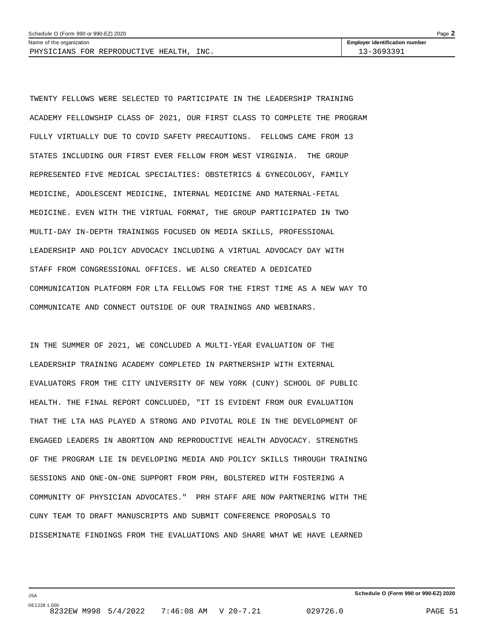| Schedule O (Form 990 or 990-EZ) 2020                 | Page                                  |
|------------------------------------------------------|---------------------------------------|
| Name of the organization                             | <b>Employer identification number</b> |
| INC.<br>LICIANS FOR<br>HEALTH<br>REPRODUCTIVE<br>DHV | 69339                                 |

TWENTY FELLOWS WERE SELECTED TO PARTICIPATE IN THE LEADERSHIP TRAINING ACADEMY FELLOWSHIP CLASS OF 2021, OUR FIRST CLASS TO COMPLETE THE PROGRAM FULLY VIRTUALLY DUE TO COVID SAFETY PRECAUTIONS. FELLOWS CAME FROM 13 STATES INCLUDING OUR FIRST EVER FELLOW FROM WEST VIRGINIA. THE GROUP REPRESENTED FIVE MEDICAL SPECIALTIES: OBSTETRICS & GYNECOLOGY, FAMILY MEDICINE, ADOLESCENT MEDICINE, INTERNAL MEDICINE AND MATERNAL-FETAL MEDICINE. EVEN WITH THE VIRTUAL FORMAT, THE GROUP PARTICIPATED IN TWO MULTI-DAY IN-DEPTH TRAININGS FOCUSED ON MEDIA SKILLS, PROFESSIONAL LEADERSHIP AND POLICY ADVOCACY INCLUDING A VIRTUAL ADVOCACY DAY WITH STAFF FROM CONGRESSIONAL OFFICES. WE ALSO CREATED A DEDICATED COMMUNICATION PLATFORM FOR LTA FELLOWS FOR THE FIRST TIME AS A NEW WAY TO COMMUNICATE AND CONNECT OUTSIDE OF OUR TRAININGS AND WEBINARS.

IN THE SUMMER OF 2021, WE CONCLUDED A MULTI-YEAR EVALUATION OF THE LEADERSHIP TRAINING ACADEMY COMPLETED IN PARTNERSHIP WITH EXTERNAL EVALUATORS FROM THE CITY UNIVERSITY OF NEW YORK (CUNY) SCHOOL OF PUBLIC HEALTH. THE FINAL REPORT CONCLUDED, "IT IS EVIDENT FROM OUR EVALUATION THAT THE LTA HAS PLAYED A STRONG AND PIVOTAL ROLE IN THE DEVELOPMENT OF ENGAGED LEADERS IN ABORTION AND REPRODUCTIVE HEALTH ADVOCACY. STRENGTHS OF THE PROGRAM LIE IN DEVELOPING MEDIA AND POLICY SKILLS THROUGH TRAINING SESSIONS AND ONE-ON-ONE SUPPORT FROM PRH, BOLSTERED WITH FOSTERING A COMMUNITY OF PHYSICIAN ADVOCATES." PRH STAFF ARE NOW PARTNERING WITH THE CUNY TEAM TO DRAFT MANUSCRIPTS AND SUBMIT CONFERENCE PROPOSALS TO DISSEMINATE FINDINGS FROM THE EVALUATIONS AND SHARE WHAT WE HAVE LEARNED

JSA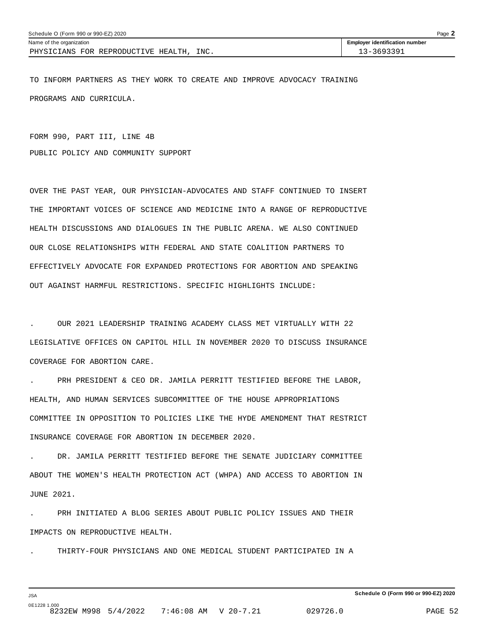| Schedule O (Form 990 or 990-EZ) 2020                 |                                       | Page |
|------------------------------------------------------|---------------------------------------|------|
| Name of the organization                             | <b>Employer identification number</b> |      |
| INC.<br>. REPRODUCTIVE HEALTH.<br>ANS FOR<br>PHYSTCT | 3-3693391                             |      |

TO INFORM PARTNERS AS THEY WORK TO CREATE AND IMPROVE ADVOCACY TRAINING PROGRAMS AND CURRICULA.

FORM 990, PART III, LINE 4B PUBLIC POLICY AND COMMUNITY SUPPORT

OVER THE PAST YEAR, OUR PHYSICIAN-ADVOCATES AND STAFF CONTINUED TO INSERT THE IMPORTANT VOICES OF SCIENCE AND MEDICINE INTO A RANGE OF REPRODUCTIVE HEALTH DISCUSSIONS AND DIALOGUES IN THE PUBLIC ARENA. WE ALSO CONTINUED OUR CLOSE RELATIONSHIPS WITH FEDERAL AND STATE COALITION PARTNERS TO EFFECTIVELY ADVOCATE FOR EXPANDED PROTECTIONS FOR ABORTION AND SPEAKING OUT AGAINST HARMFUL RESTRICTIONS. SPECIFIC HIGHLIGHTS INCLUDE:

. OUR 2021 LEADERSHIP TRAINING ACADEMY CLASS MET VIRTUALLY WITH 22 LEGISLATIVE OFFICES ON CAPITOL HILL IN NOVEMBER 2020 TO DISCUSS INSURANCE COVERAGE FOR ABORTION CARE.

PRH PRESIDENT & CEO DR. JAMILA PERRITT TESTIFIED BEFORE THE LABOR, HEALTH, AND HUMAN SERVICES SUBCOMMITTEE OF THE HOUSE APPROPRIATIONS COMMITTEE IN OPPOSITION TO POLICIES LIKE THE HYDE AMENDMENT THAT RESTRICT INSURANCE COVERAGE FOR ABORTION IN DECEMBER 2020.

. DR. JAMILA PERRITT TESTIFIED BEFORE THE SENATE JUDICIARY COMMITTEE ABOUT THE WOMEN'S HEALTH PROTECTION ACT (WHPA) AND ACCESS TO ABORTION IN JUNE 2021.

. PRH INITIATED A BLOG SERIES ABOUT PUBLIC POLICY ISSUES AND THEIR IMPACTS ON REPRODUCTIVE HEALTH.

. THIRTY-FOUR PHYSICIANS AND ONE MEDICAL STUDENT PARTICIPATED IN A

JSA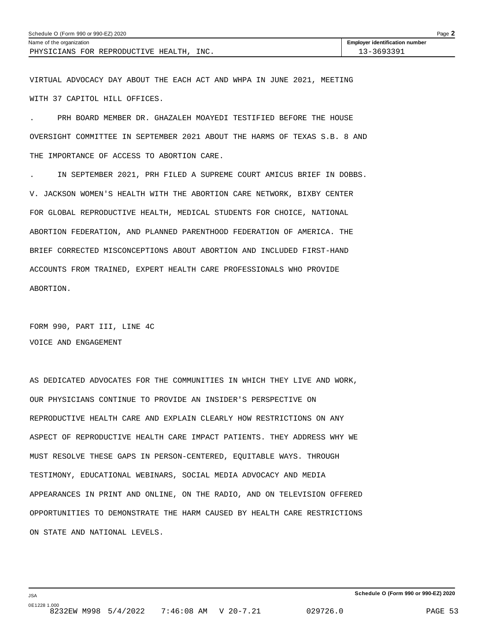| Schedule O (Form 990 or 990-EZ) 2020        |                                       | $P$ aqe $\blacksquare$ |
|---------------------------------------------|---------------------------------------|------------------------|
| Name of the organization                    | <b>Employer identification number</b> |                        |
| INC.<br>PHYSICIANS FOR REPRODUCTIVE HEALTH. | $3 - 3693391$                         |                        |

VIRTUAL ADVOCACY DAY ABOUT THE EACH ACT AND WHPA IN JUNE 2021, MEETING WITH 37 CAPITOL HILL OFFICES.

. PRH BOARD MEMBER DR. GHAZALEH MOAYEDI TESTIFIED BEFORE THE HOUSE OVERSIGHT COMMITTEE IN SEPTEMBER 2021 ABOUT THE HARMS OF TEXAS S.B. 8 AND THE IMPORTANCE OF ACCESS TO ABORTION CARE.

. IN SEPTEMBER 2021, PRH FILED A SUPREME COURT AMICUS BRIEF IN DOBBS. V. JACKSON WOMEN'S HEALTH WITH THE ABORTION CARE NETWORK, BIXBY CENTER FOR GLOBAL REPRODUCTIVE HEALTH, MEDICAL STUDENTS FOR CHOICE, NATIONAL ABORTION FEDERATION, AND PLANNED PARENTHOOD FEDERATION OF AMERICA. THE BRIEF CORRECTED MISCONCEPTIONS ABOUT ABORTION AND INCLUDED FIRST-HAND ACCOUNTS FROM TRAINED, EXPERT HEALTH CARE PROFESSIONALS WHO PROVIDE ABORTION.

FORM 990, PART III, LINE 4C VOICE AND ENGAGEMENT

JSA

AS DEDICATED ADVOCATES FOR THE COMMUNITIES IN WHICH THEY LIVE AND WORK, OUR PHYSICIANS CONTINUE TO PROVIDE AN INSIDER'S PERSPECTIVE ON REPRODUCTIVE HEALTH CARE AND EXPLAIN CLEARLY HOW RESTRICTIONS ON ANY ASPECT OF REPRODUCTIVE HEALTH CARE IMPACT PATIENTS. THEY ADDRESS WHY WE MUST RESOLVE THESE GAPS IN PERSON-CENTERED, EQUITABLE WAYS. THROUGH TESTIMONY, EDUCATIONAL WEBINARS, SOCIAL MEDIA ADVOCACY AND MEDIA APPEARANCES IN PRINT AND ONLINE, ON THE RADIO, AND ON TELEVISION OFFERED OPPORTUNITIES TO DEMONSTRATE THE HARM CAUSED BY HEALTH CARE RESTRICTIONS ON STATE AND NATIONAL LEVELS.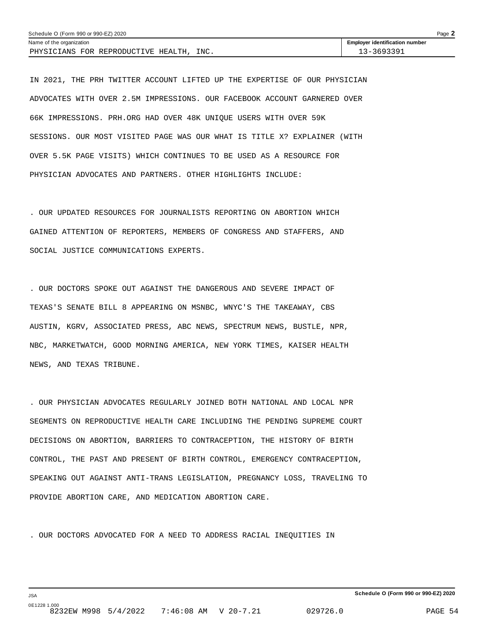| Schedule O (Form 990 or 990-EZ) 2020     | Page $\blacktriangle$                 |  |
|------------------------------------------|---------------------------------------|--|
| Name of the organization                 | <b>Employer identification number</b> |  |
| PHYSICIANS FOR REPRODUCTIVE HEALTH, INC. | 13-3693391                            |  |

IN 2021, THE PRH TWITTER ACCOUNT LIFTED UP THE EXPERTISE OF OUR PHYSICIAN ADVOCATES WITH OVER 2.5M IMPRESSIONS. OUR FACEBOOK ACCOUNT GARNERED OVER 66K IMPRESSIONS. PRH.ORG HAD OVER 48K UNIQUE USERS WITH OVER 59K SESSIONS. OUR MOST VISITED PAGE WAS OUR WHAT IS TITLE X? EXPLAINER (WITH OVER 5.5K PAGE VISITS) WHICH CONTINUES TO BE USED AS A RESOURCE FOR PHYSICIAN ADVOCATES AND PARTNERS. OTHER HIGHLIGHTS INCLUDE:

. OUR UPDATED RESOURCES FOR JOURNALISTS REPORTING ON ABORTION WHICH GAINED ATTENTION OF REPORTERS, MEMBERS OF CONGRESS AND STAFFERS, AND SOCIAL JUSTICE COMMUNICATIONS EXPERTS.

. OUR DOCTORS SPOKE OUT AGAINST THE DANGEROUS AND SEVERE IMPACT OF TEXAS'S SENATE BILL 8 APPEARING ON MSNBC, WNYC'S THE TAKEAWAY, CBS AUSTIN, KGRV, ASSOCIATED PRESS, ABC NEWS, SPECTRUM NEWS, BUSTLE, NPR, NBC, MARKETWATCH, GOOD MORNING AMERICA, NEW YORK TIMES, KAISER HEALTH NEWS, AND TEXAS TRIBUNE.

. OUR PHYSICIAN ADVOCATES REGULARLY JOINED BOTH NATIONAL AND LOCAL NPR SEGMENTS ON REPRODUCTIVE HEALTH CARE INCLUDING THE PENDING SUPREME COURT DECISIONS ON ABORTION, BARRIERS TO CONTRACEPTION, THE HISTORY OF BIRTH CONTROL, THE PAST AND PRESENT OF BIRTH CONTROL, EMERGENCY CONTRACEPTION, SPEAKING OUT AGAINST ANTI-TRANS LEGISLATION, PREGNANCY LOSS, TRAVELING TO PROVIDE ABORTION CARE, AND MEDICATION ABORTION CARE.

. OUR DOCTORS ADVOCATED FOR A NEED TO ADDRESS RACIAL INEQUITIES IN

JSA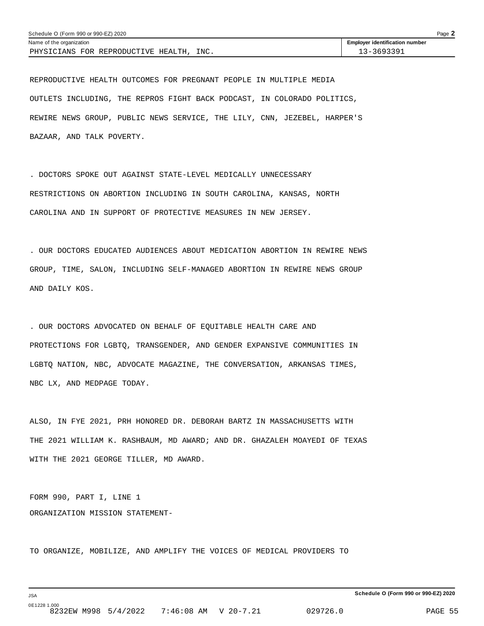| Schedule O (Form 990 or 990-EZ) 2020        | Page $\blacktriangle$                 |  |
|---------------------------------------------|---------------------------------------|--|
| Name of the organization                    | <b>Employer identification number</b> |  |
| INC.<br>PHYSICIANS FOR REPRODUCTIVE HEALTH, | 13-3693391                            |  |

REPRODUCTIVE HEALTH OUTCOMES FOR PREGNANT PEOPLE IN MULTIPLE MEDIA OUTLETS INCLUDING, THE REPROS FIGHT BACK PODCAST, IN COLORADO POLITICS, REWIRE NEWS GROUP, PUBLIC NEWS SERVICE, THE LILY, CNN, JEZEBEL, HARPER'S BAZAAR, AND TALK POVERTY.

. DOCTORS SPOKE OUT AGAINST STATE-LEVEL MEDICALLY UNNECESSARY RESTRICTIONS ON ABORTION INCLUDING IN SOUTH CAROLINA, KANSAS, NORTH CAROLINA AND IN SUPPORT OF PROTECTIVE MEASURES IN NEW JERSEY.

. OUR DOCTORS EDUCATED AUDIENCES ABOUT MEDICATION ABORTION IN REWIRE NEWS GROUP, TIME, SALON, INCLUDING SELF-MANAGED ABORTION IN REWIRE NEWS GROUP AND DAILY KOS.

. OUR DOCTORS ADVOCATED ON BEHALF OF EQUITABLE HEALTH CARE AND PROTECTIONS FOR LGBTQ, TRANSGENDER, AND GENDER EXPANSIVE COMMUNITIES IN LGBTQ NATION, NBC, ADVOCATE MAGAZINE, THE CONVERSATION, ARKANSAS TIMES, NBC LX, AND MEDPAGE TODAY.

ALSO, IN FYE 2021, PRH HONORED DR. DEBORAH BARTZ IN MASSACHUSETTS WITH THE 2021 WILLIAM K. RASHBAUM, MD AWARD; AND DR. GHAZALEH MOAYEDI OF TEXAS WITH THE 2021 GEORGE TILLER, MD AWARD.

FORM 990, PART I, LINE 1 ORGANIZATION MISSION STATEMENT-

JSA

TO ORGANIZE, MOBILIZE, AND AMPLIFY THE VOICES OF MEDICAL PROVIDERS TO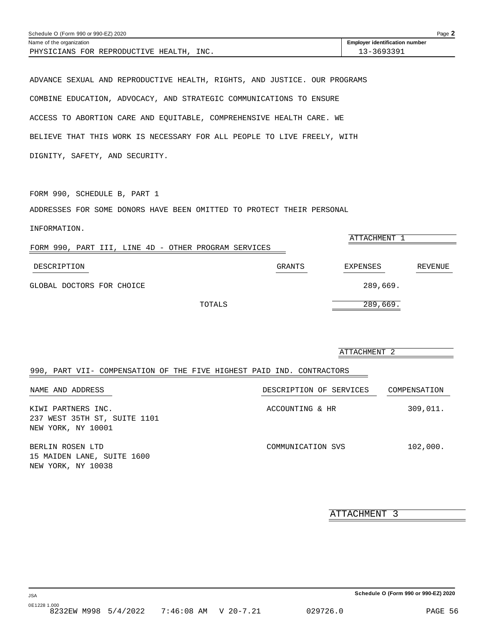<span id="page-54-0"></span>

| Schedule O (Form 990 or 990-EZ) 2020                                      | Page 2                                |
|---------------------------------------------------------------------------|---------------------------------------|
| Name of the organization                                                  | <b>Employer identification number</b> |
| PHYSICIANS FOR REPRODUCTIVE HEALTH, INC.                                  | 13-3693391                            |
|                                                                           |                                       |
|                                                                           |                                       |
| ADVANCE SEXUAL AND REPRODUCTIVE HEALTH, RIGHTS, AND JUSTICE. OUR PROGRAMS |                                       |
|                                                                           |                                       |
| COMBINE EDUCATION, ADVOCACY, AND STRATEGIC COMMUNICATIONS TO ENSURE       |                                       |

ACCESS TO ABORTION CARE AND EQUITABLE, COMPREHENSIVE HEALTH CARE. WE

BELIEVE THAT THIS WORK IS NECESSARY FOR ALL PEOPLE TO LIVE FREELY, WITH

DIGNITY, SAFETY, AND SECURITY.

FORM 990, SCHEDULE B, PART 1

ADDRESSES FOR SOME DONORS HAVE BEEN OMITTED TO PROTECT THEIR PERSONAL

| FORM 990, PART III, LINE 4D - OTHER PROGRAM SERVICES |        | ATTACHMENT |         |
|------------------------------------------------------|--------|------------|---------|
| DESCRIPTION                                          | GRANTS | EXPENSES   | REVENUE |
| GLOBAL DOCTORS FOR CHOICE                            |        | 289,669.   |         |
| TOTALS                                               |        | 289,669.   |         |

|                                                                          | ATTACHMENT 2            |              |  |
|--------------------------------------------------------------------------|-------------------------|--------------|--|
| 990, PART VII- COMPENSATION OF THE FIVE HIGHEST PAID IND. CONTRACTORS    |                         |              |  |
| NAME AND ADDRESS                                                         | DESCRIPTION OF SERVICES | COMPENSATION |  |
| KIWI PARTNERS INC.<br>237 WEST 35TH ST, SUITE 1101<br>NEW YORK, NY 10001 | ACCOUNTING & HR         | 309,011.     |  |
| BERLIN ROSEN LTD<br>15 MAIDEN LANE, SUITE 1600<br>NEW YORK, NY 10038     | COMMUNICATION SVS       | 102,000.     |  |

ATTACHMENT 3

**Schedule O (Form 990 or 990-EZ) 2020**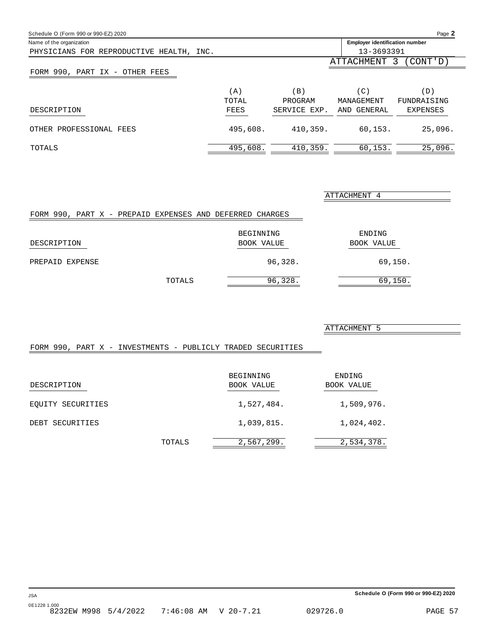<span id="page-55-0"></span>

| Schedule O (Form 990 or 990-EZ) 2020     |                                       |              |             | Page 2            |
|------------------------------------------|---------------------------------------|--------------|-------------|-------------------|
| Name of the organization                 | <b>Employer identification number</b> |              |             |                   |
| PHYSICIANS FOR REPRODUCTIVE HEALTH, INC. |                                       |              | 13-3693391  |                   |
|                                          |                                       |              | ATTACHMENT  | (CONT ' D )<br>-3 |
| FORM 990, PART IX - OTHER FEES           |                                       |              |             |                   |
|                                          | (A)                                   | (B)          | (C)         | (D)               |
|                                          | TOTAL                                 | PROGRAM      | MANAGEMENT  | FUNDRAISING       |
| DESCRIPTION                              | FEES                                  | SERVICE EXP. | AND GENERAL | <b>EXPENSES</b>   |
| OTHER PROFESSIONAL FEES                  | 495,608.                              | 410,359.     | 60.153.     | 25,096.           |
| TOTALS                                   | 495,608.                              | 410,359.     | 60,153.     | 25,096.           |

| FORM 990, PART X - PREPAID EXPENSES AND DEFERRED CHARGES |        |                         |                      |
|----------------------------------------------------------|--------|-------------------------|----------------------|
| DESCRIPTION                                              |        | BEGINNING<br>BOOK VALUE | ENDING<br>BOOK VALUE |
| PREPAID EXPENSE                                          |        | 96,328.                 | 69,150.              |
|                                                          | TOTALS | 96,328.                 | 69,150.              |

ATTACHMENT 5

ATTACHMENT 4

### FORM 990, PART X - INVESTMENTS - PUBLICLY TRADED SECURITIES

| DESCRIPTION       |        | BEGINNING<br>BOOK VALUE | ENDING<br>BOOK VALUE |
|-------------------|--------|-------------------------|----------------------|
| EOUITY SECURITIES |        | 1,527,484.              | 1,509,976.           |
| DEBT SECURITIES   |        | 1,039,815.              | 1,024,402.           |
|                   | TOTALS | 2,567,299.              | 2,534,378.           |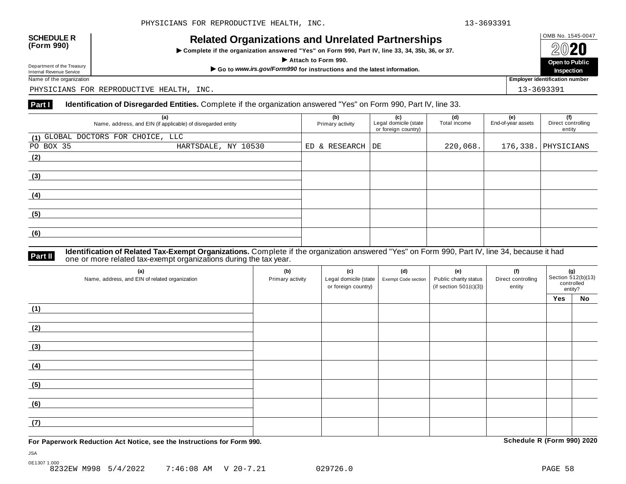## OMB No. 1545-0047 **SCHEDULE R (Form 990) Related Organizations and Unrelated Partnerships**

 $\triangleright$  Complete if the organization answered "Yes" on Form 990, Part IV, line 33, 34, 35b, 36, or 37.



Department of the Treasury<br>Internal Revenue Service

PHYSICIANS FOR REPRODUCTIVE HEALTH, INC. 13-369391

#### **Part I Identification of Disregarded Entities.** Complete if the organization answered "Yes" on Form 990, Part IV, line 33.

| (a)<br>Name, address, and EIN (if applicable) of disregarded entity |                     | (b)<br>Primary activity | (c)<br>Legal domicile (state | (d)<br>Total income | (e)<br>End-of-year assets | (f)<br>Direct controlling |
|---------------------------------------------------------------------|---------------------|-------------------------|------------------------------|---------------------|---------------------------|---------------------------|
|                                                                     |                     |                         | or foreign country)          |                     |                           | entity                    |
| (1) GLOBAL DOCTORS FOR CHOICE, LLC                                  |                     |                         |                              |                     |                           |                           |
| PO BOX 35                                                           | HARTSDALE, NY 10530 | ED & RESEARCH DE        |                              | 220,068.            |                           | 176,338. PHYSICIANS       |
| (2)                                                                 |                     |                         |                              |                     |                           |                           |
|                                                                     |                     |                         |                              |                     |                           |                           |
| (3)                                                                 |                     |                         |                              |                     |                           |                           |
|                                                                     |                     |                         |                              |                     |                           |                           |
| (4)                                                                 |                     |                         |                              |                     |                           |                           |
|                                                                     |                     |                         |                              |                     |                           |                           |
| (5)                                                                 |                     |                         |                              |                     |                           |                           |
|                                                                     |                     |                         |                              |                     |                           |                           |
| (6)                                                                 |                     |                         |                              |                     |                           |                           |
|                                                                     |                     |                         |                              |                     |                           |                           |

#### **Identification of Related Tax-Exempt Organizations.** Complete if the organization answered "Yes" on Form 990, Part IV, line 34, because it had **Part II** one or more related tax-exempt organizations during the tax year.

| (a)<br>Name, address, and EIN of related organization | (b)<br>Primary activity | (c)<br>Legal domicile (state<br>or foreign country) | (d)<br>Exempt Code section | (e)<br>Public charity status<br>(if section $501(c)(3)$ ) | (f)<br>Direct controlling<br>entity | Section 512(b)(13)<br>controlled<br>entity? |           |
|-------------------------------------------------------|-------------------------|-----------------------------------------------------|----------------------------|-----------------------------------------------------------|-------------------------------------|---------------------------------------------|-----------|
|                                                       |                         |                                                     |                            |                                                           |                                     | Yes                                         | <b>No</b> |
| (1)                                                   |                         |                                                     |                            |                                                           |                                     |                                             |           |
| (2)                                                   |                         |                                                     |                            |                                                           |                                     |                                             |           |
| (3)                                                   |                         |                                                     |                            |                                                           |                                     |                                             |           |
| (4)                                                   |                         |                                                     |                            |                                                           |                                     |                                             |           |
| (5)                                                   |                         |                                                     |                            |                                                           |                                     |                                             |           |
| (6)                                                   |                         |                                                     |                            |                                                           |                                     |                                             |           |
| (7)                                                   |                         |                                                     |                            |                                                           |                                     |                                             |           |

**For Paperwork Reduction Act Notice, see the Instructions for Form 990. Schedule R (Form 990) 2020**

JSA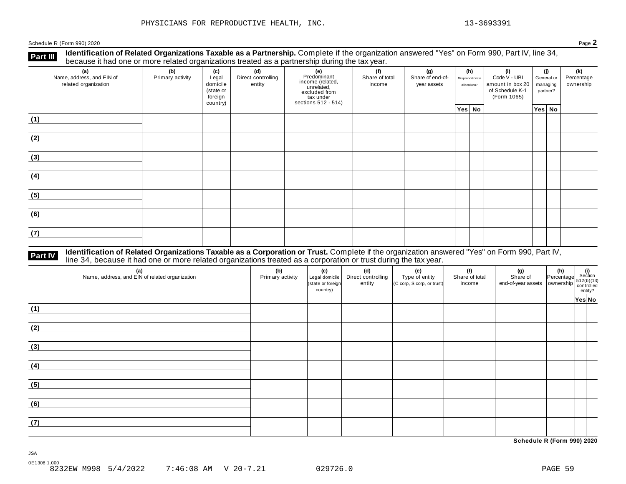**Part III** Identification of Related Organizations Taxable as a Partnership. Complete if the organization answered "Yes" on Form 990, Part IV, line 34,<br>because it had one or more related organizations treated as a partners

| (a)<br>Name, address, and EIN of<br>related organization | ັ<br>(b)<br>Primary activity | (c)<br>Legal<br>domicile<br>(state or<br>foreign<br>country) | .<br>(d)<br>Direct controlling<br>entity | (f)<br>(g)<br>(h)<br>(i)<br>(e)<br>Predominant<br>Share of end-of-<br>Share of total<br>Disproportionate<br>income (related,<br>unrelated,<br>excluded from<br>tax under<br>income<br>year assets<br>allocations?<br>sections 512 - 514) |  | Code V - UBI<br>amount in box 20<br>of Schedule K-1<br>(Form 1065) | (i)<br>managing<br>partner? |  | General or |        | (k)<br>Percentage<br>ownership |
|----------------------------------------------------------|------------------------------|--------------------------------------------------------------|------------------------------------------|------------------------------------------------------------------------------------------------------------------------------------------------------------------------------------------------------------------------------------------|--|--------------------------------------------------------------------|-----------------------------|--|------------|--------|--------------------------------|
|                                                          |                              |                                                              |                                          |                                                                                                                                                                                                                                          |  | Yes No                                                             |                             |  |            | Yes No |                                |
| (1)                                                      |                              |                                                              |                                          |                                                                                                                                                                                                                                          |  |                                                                    |                             |  |            |        |                                |
| (2)                                                      |                              |                                                              |                                          |                                                                                                                                                                                                                                          |  |                                                                    |                             |  |            |        |                                |
| (3)                                                      |                              |                                                              |                                          |                                                                                                                                                                                                                                          |  |                                                                    |                             |  |            |        |                                |
| (4)                                                      |                              |                                                              |                                          |                                                                                                                                                                                                                                          |  |                                                                    |                             |  |            |        |                                |
| (5)                                                      |                              |                                                              |                                          |                                                                                                                                                                                                                                          |  |                                                                    |                             |  |            |        |                                |
| (6)                                                      |                              |                                                              |                                          |                                                                                                                                                                                                                                          |  |                                                                    |                             |  |            |        |                                |
| (7)                                                      |                              |                                                              |                                          |                                                                                                                                                                                                                                          |  |                                                                    |                             |  |            |        |                                |

## **Part IV** Identification of Related Organizations Taxable as a Corporation or Trust. Complete if the organization answered "Yes" on Form 990, Part IV,<br>line 34, because it had one or more related organizations treated as a

| (a)<br>Name, address, and EIN of related organization | (b)<br>Primary activity | (c)<br>Legal domicile<br>(state or foreign<br>country) | (d)<br>Direct controlling<br>entity | (e)<br>Type of entity<br>(C corp, S corp, or trust) | (f)<br>Share of total<br>income | $\begin{array}{ c c c }\n\hline\n\text{(g)} & \text{(h)} & \text{(i)} \\ \text{Share of} & \text{Percentage} & \text{512(b)} \\ \text{end-of-year assets} & \text{ ownership} & \text{512(b)}\n\hline\n\end{array}$ | Yes No |
|-------------------------------------------------------|-------------------------|--------------------------------------------------------|-------------------------------------|-----------------------------------------------------|---------------------------------|---------------------------------------------------------------------------------------------------------------------------------------------------------------------------------------------------------------------|--------|
| (1)                                                   |                         |                                                        |                                     |                                                     |                                 |                                                                                                                                                                                                                     |        |
| (2)                                                   |                         |                                                        |                                     |                                                     |                                 |                                                                                                                                                                                                                     |        |
| (3)                                                   |                         |                                                        |                                     |                                                     |                                 |                                                                                                                                                                                                                     |        |
| (4)                                                   |                         |                                                        |                                     |                                                     |                                 |                                                                                                                                                                                                                     |        |
| (5)                                                   |                         |                                                        |                                     |                                                     |                                 |                                                                                                                                                                                                                     |        |
| (6)                                                   |                         |                                                        |                                     |                                                     |                                 |                                                                                                                                                                                                                     |        |
| (7)                                                   |                         |                                                        |                                     |                                                     |                                 |                                                                                                                                                                                                                     |        |

**Schedule R (Form 990) 2020**

JSA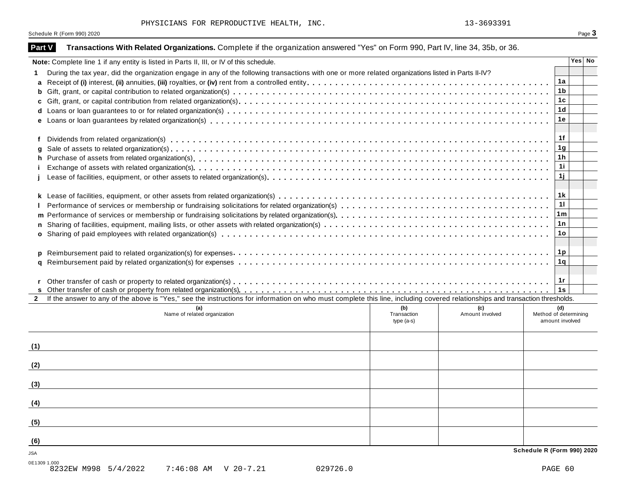| Part V       | Transactions With Related Organizations. Complete if the organization answered "Yes" on Form 990, Part IV, line 34, 35b, or 36.                                              |                 |
|--------------|------------------------------------------------------------------------------------------------------------------------------------------------------------------------------|-----------------|
|              | Note: Complete line 1 if any entity is listed in Parts II, III, or IV of this schedule.                                                                                      | Yes No          |
|              | During the tax year, did the organization engage in any of the following transactions with one or more related organizations listed in Parts II-IV?                          |                 |
| a            |                                                                                                                                                                              | 1a              |
| b            |                                                                                                                                                                              | 1 <sub>b</sub>  |
| c            |                                                                                                                                                                              | 1c              |
| d            |                                                                                                                                                                              | 1 <sub>d</sub>  |
|              |                                                                                                                                                                              | 1е              |
|              |                                                                                                                                                                              |                 |
|              |                                                                                                                                                                              | 1f              |
| a            |                                                                                                                                                                              | 1g              |
| h            |                                                                                                                                                                              | 1 <sub>h</sub>  |
|              |                                                                                                                                                                              | 11              |
|              |                                                                                                                                                                              | 1j              |
|              |                                                                                                                                                                              | 1k              |
|              |                                                                                                                                                                              | $\overline{11}$ |
|              |                                                                                                                                                                              | ∣1m ∣           |
| m            |                                                                                                                                                                              | 1 n             |
| n.           |                                                                                                                                                                              | 1o              |
|              |                                                                                                                                                                              |                 |
|              |                                                                                                                                                                              |                 |
| p<br>a       |                                                                                                                                                                              | 1 q             |
|              |                                                                                                                                                                              |                 |
|              |                                                                                                                                                                              | 1r              |
|              |                                                                                                                                                                              | 1s              |
| $\mathbf{2}$ | If the answer to any of the above is "Yes," see the instructions for information on who must complete this line, including covered relationships and transaction thresholds. |                 |
|              | (b)<br>(a)<br>(c)<br>(d)                                                                                                                                                     |                 |
|              | Amount involved<br>Method of determining<br>Name of related organization<br>Transaction<br>amount involved<br>type $(a-s)$                                                   |                 |
|              |                                                                                                                                                                              |                 |
|              |                                                                                                                                                                              |                 |
| (1)          |                                                                                                                                                                              |                 |
|              |                                                                                                                                                                              |                 |
| (2)          |                                                                                                                                                                              |                 |
|              |                                                                                                                                                                              |                 |
| (3)          |                                                                                                                                                                              |                 |
|              |                                                                                                                                                                              |                 |
| (4)          |                                                                                                                                                                              |                 |
|              |                                                                                                                                                                              |                 |
| (5)          |                                                                                                                                                                              |                 |
|              |                                                                                                                                                                              |                 |
| (6)          |                                                                                                                                                                              |                 |
| JSA          | Schedule R (Form 990) 2020                                                                                                                                                   |                 |
| 0E1309 1.000 |                                                                                                                                                                              |                 |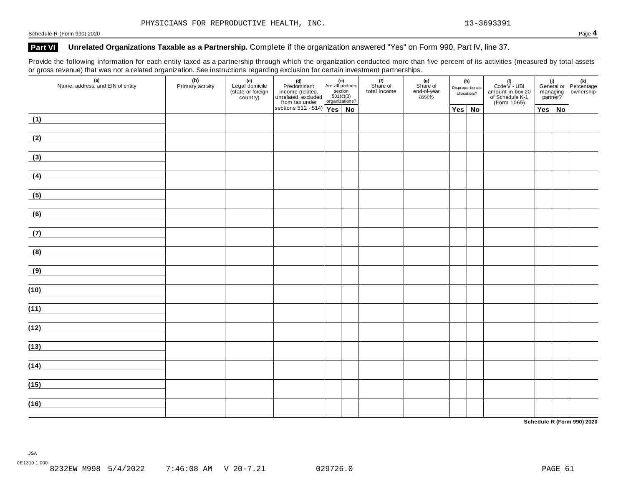### **Part VI Unrelated Organizations Taxable as a Partnership.** Complete if the organization answered "Yes" on Form 990, Part IV, line 37.

Provide the following information for each entity taxed as a partnership through which the organization conducted more than five percent of its activities (measured by total assets or gross revenue) that was not a related organization. See instructions regarding exclusion for certain investment partnerships.

| (a)<br>Name, address, and EIN of entity                                                        | (b)<br>Primary activity | (c)<br>Legal domicile<br>(state or foreign)<br>country) | (d)<br>Predominant<br>income (related,<br>unrelated, excluded<br>from tax under | (e)<br>Are all partners<br>section<br>501(c)(3)<br>organizations? | (f)<br>Share of<br>total income | $(g)$<br>Share of<br>end-of-year<br>assets | allocations?  | (h)<br>Disproportionate | (i)<br>Code V - UBI<br>amount in box 20<br>of Schedule K-1<br>(Form 1065) |  |               | (i)<br>General or Percentage<br>managing ownership<br>partner? |
|------------------------------------------------------------------------------------------------|-------------------------|---------------------------------------------------------|---------------------------------------------------------------------------------|-------------------------------------------------------------------|---------------------------------|--------------------------------------------|---------------|-------------------------|---------------------------------------------------------------------------|--|---------------|----------------------------------------------------------------|
|                                                                                                |                         |                                                         | sections $512 - 514$ $\sqrt{Yes}$ No                                            |                                                                   |                                 |                                            | $Yes \mid No$ |                         |                                                                           |  | $Yes \mid No$ |                                                                |
| (1)                                                                                            |                         |                                                         |                                                                                 |                                                                   |                                 |                                            |               |                         |                                                                           |  |               |                                                                |
| (2)                                                                                            |                         |                                                         |                                                                                 |                                                                   |                                 |                                            |               |                         |                                                                           |  |               |                                                                |
| $\left(3\right)$                                                                               |                         |                                                         |                                                                                 |                                                                   |                                 |                                            |               |                         |                                                                           |  |               |                                                                |
| (4)                                                                                            |                         |                                                         |                                                                                 |                                                                   |                                 |                                            |               |                         |                                                                           |  |               |                                                                |
| (5)                                                                                            |                         |                                                         |                                                                                 |                                                                   |                                 |                                            |               |                         |                                                                           |  |               |                                                                |
| (6)<br><u> 1989 - Johann Stoff, fransk politik (d. 19</u>                                      |                         |                                                         |                                                                                 |                                                                   |                                 |                                            |               |                         |                                                                           |  |               |                                                                |
| the control of the control of the control of the<br>(7)                                        |                         |                                                         |                                                                                 |                                                                   |                                 |                                            |               |                         |                                                                           |  |               |                                                                |
| the control of the control of the control of the control of the control of<br>$\left(8\right)$ |                         |                                                         |                                                                                 |                                                                   |                                 |                                            |               |                         |                                                                           |  |               |                                                                |
| <u> 1989 - Johann Barn, mars eta bainar eta idazlea (</u><br>$\left(9\right)$                  |                         |                                                         |                                                                                 |                                                                   |                                 |                                            |               |                         |                                                                           |  |               |                                                                |
| the control of the control of the control of the<br>(10)                                       |                         |                                                         |                                                                                 |                                                                   |                                 |                                            |               |                         |                                                                           |  |               |                                                                |
| (11)                                                                                           |                         |                                                         |                                                                                 |                                                                   |                                 |                                            |               |                         |                                                                           |  |               |                                                                |
| the control of the control of the control of the control of the control of<br>(12)             |                         |                                                         |                                                                                 |                                                                   |                                 |                                            |               |                         |                                                                           |  |               |                                                                |
| (13)                                                                                           |                         |                                                         |                                                                                 |                                                                   |                                 |                                            |               |                         |                                                                           |  |               |                                                                |
| (14)                                                                                           |                         |                                                         |                                                                                 |                                                                   |                                 |                                            |               |                         |                                                                           |  |               |                                                                |
| (15)                                                                                           |                         |                                                         |                                                                                 |                                                                   |                                 |                                            |               |                         |                                                                           |  |               |                                                                |
| (16)                                                                                           |                         |                                                         |                                                                                 |                                                                   |                                 |                                            |               |                         |                                                                           |  |               |                                                                |

**Schedule R (Form 990) 2020**

JSA